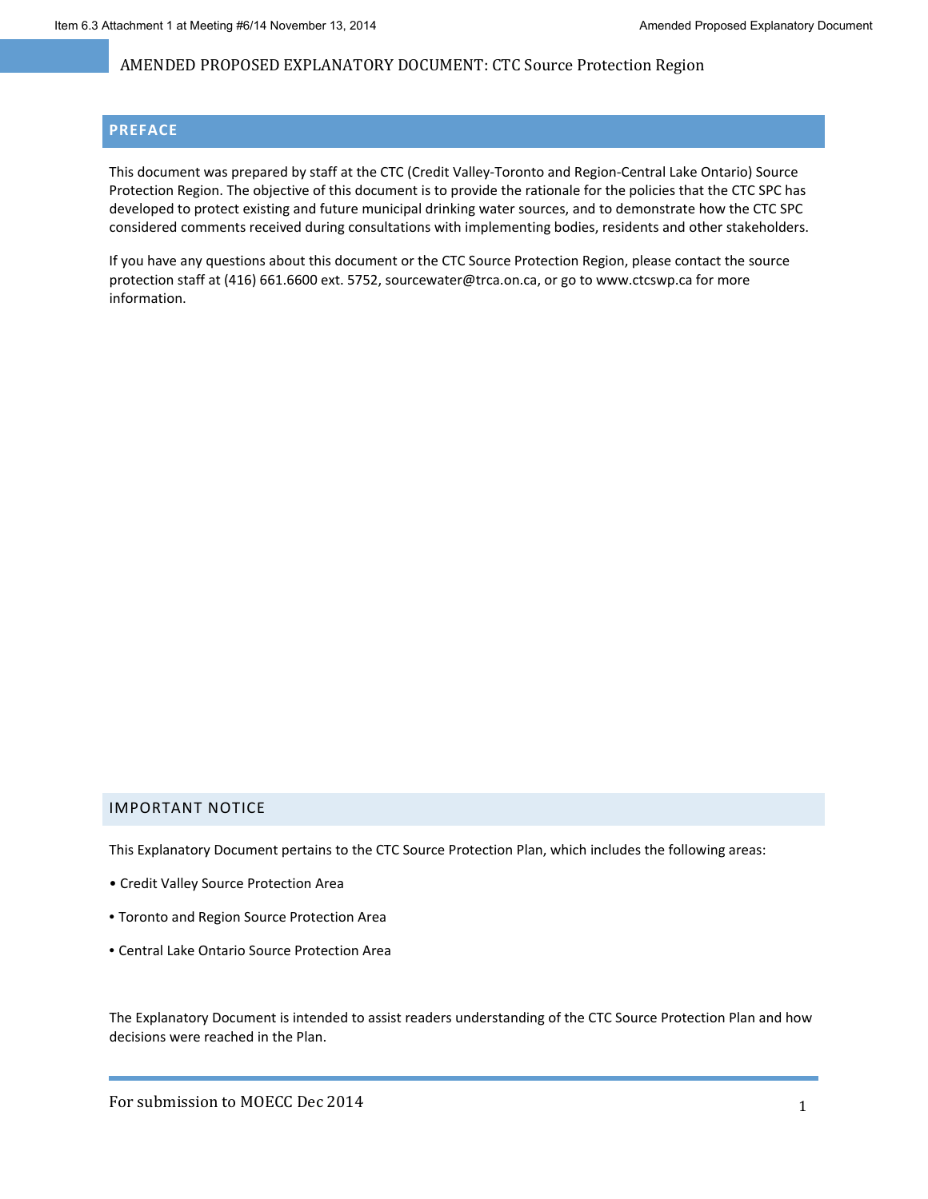#### **PREFACE**

This document was prepared by staff at the CTC (Credit Valley‐Toronto and Region‐Central Lake Ontario) Source Protection Region. The objective of this document is to provide the rationale for the policies that the CTC SPC has developed to protect existing and future municipal drinking water sources, and to demonstrate how the CTC SPC considered comments received during consultations with implementing bodies, residents and other stakeholders.

If you have any questions about this document or the CTC Source Protection Region, please contact the source protection staff at (416) 661.6600 ext. 5752, sourcewater@trca.on.ca, or go to www.ctcswp.ca for more information.

#### IMPORTANT NOTICE

This Explanatory Document pertains to the CTC Source Protection Plan, which includes the following areas:

- Credit Valley Source Protection Area
- Toronto and Region Source Protection Area
- Central Lake Ontario Source Protection Area

The Explanatory Document is intended to assist readers understanding of the CTC Source Protection Plan and how decisions were reached in the Plan.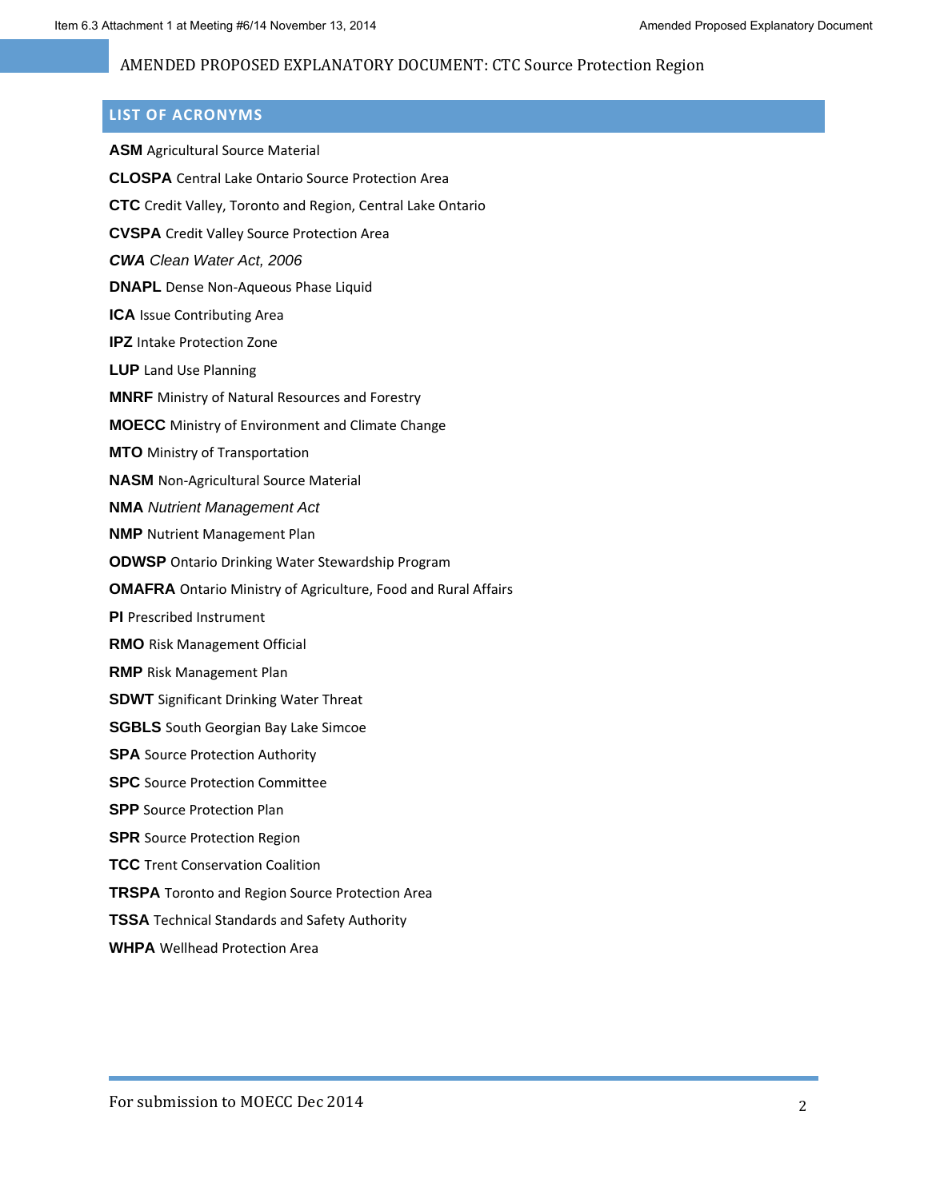# **LIST OF ACRONYMS**

| <b>ASM</b> Agricultural Source Material                               |
|-----------------------------------------------------------------------|
| <b>CLOSPA</b> Central Lake Ontario Source Protection Area             |
| CTC Credit Valley, Toronto and Region, Central Lake Ontario           |
| <b>CVSPA</b> Credit Valley Source Protection Area                     |
| <b>CWA</b> Clean Water Act, 2006                                      |
| <b>DNAPL</b> Dense Non-Aqueous Phase Liquid                           |
| ICA Issue Contributing Area                                           |
| <b>IPZ</b> Intake Protection Zone                                     |
| <b>LUP</b> Land Use Planning                                          |
| <b>MNRF</b> Ministry of Natural Resources and Forestry                |
| <b>MOECC</b> Ministry of Environment and Climate Change               |
| <b>MTO</b> Ministry of Transportation                                 |
| <b>NASM</b> Non-Agricultural Source Material                          |
| <b>NMA</b> Nutrient Management Act                                    |
| <b>NMP</b> Nutrient Management Plan                                   |
| <b>ODWSP</b> Ontario Drinking Water Stewardship Program               |
| <b>OMAFRA</b> Ontario Ministry of Agriculture, Food and Rural Affairs |
| PI Prescribed Instrument                                              |
| <b>RMO</b> Risk Management Official                                   |
| <b>RMP</b> Risk Management Plan                                       |
| <b>SDWT</b> Significant Drinking Water Threat                         |
| <b>SGBLS</b> South Georgian Bay Lake Simcoe                           |
| <b>SPA</b> Source Protection Authority                                |
| <b>SPC</b> Source Protection Committee                                |
| <b>SPP</b> Source Protection Plan                                     |
| <b>SPR</b> Source Protection Region                                   |
| <b>TCC</b> Trent Conservation Coalition                               |
| <b>TRSPA</b> Toronto and Region Source Protection Area                |
| <b>TSSA</b> Technical Standards and Safety Authority                  |
| <b>WHPA</b> Wellhead Protection Area                                  |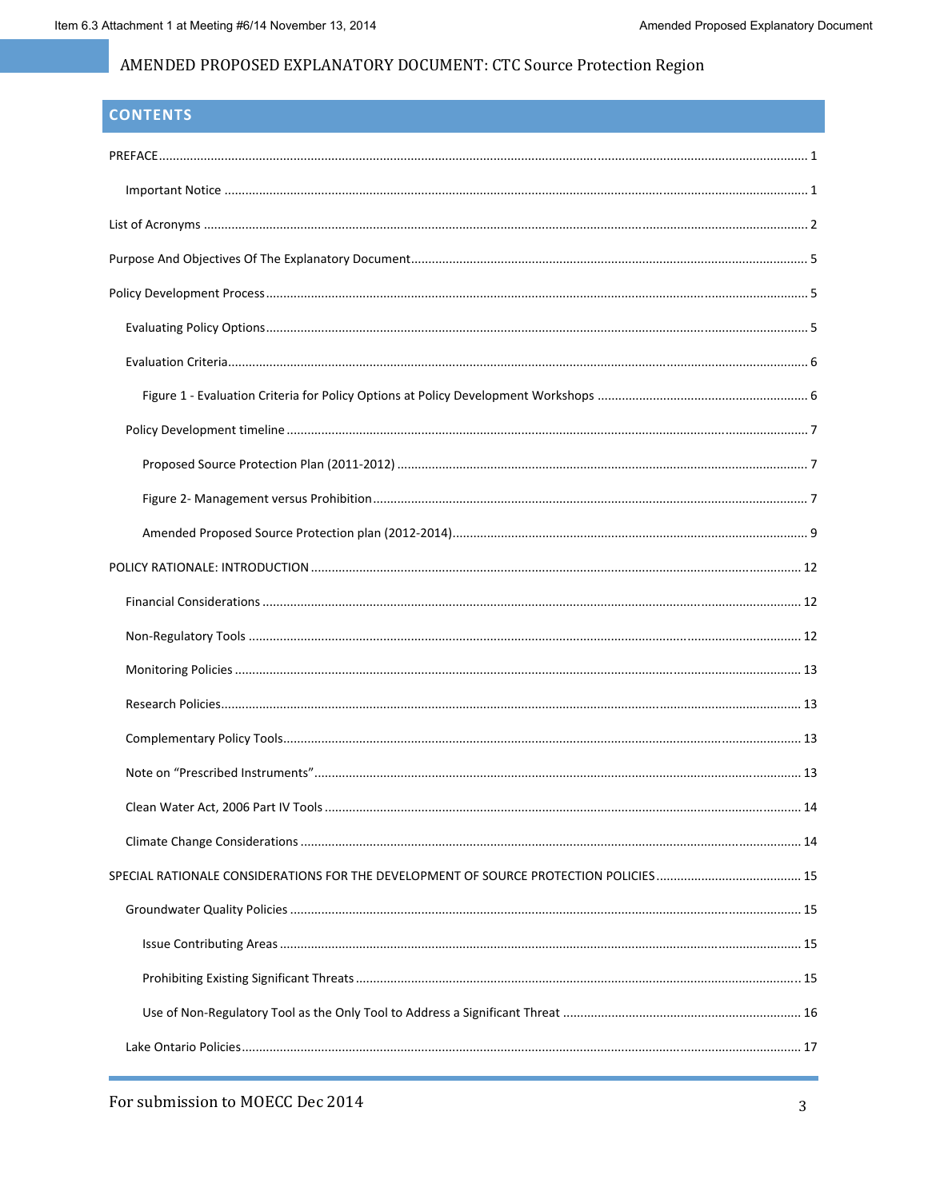# **CONTENTS**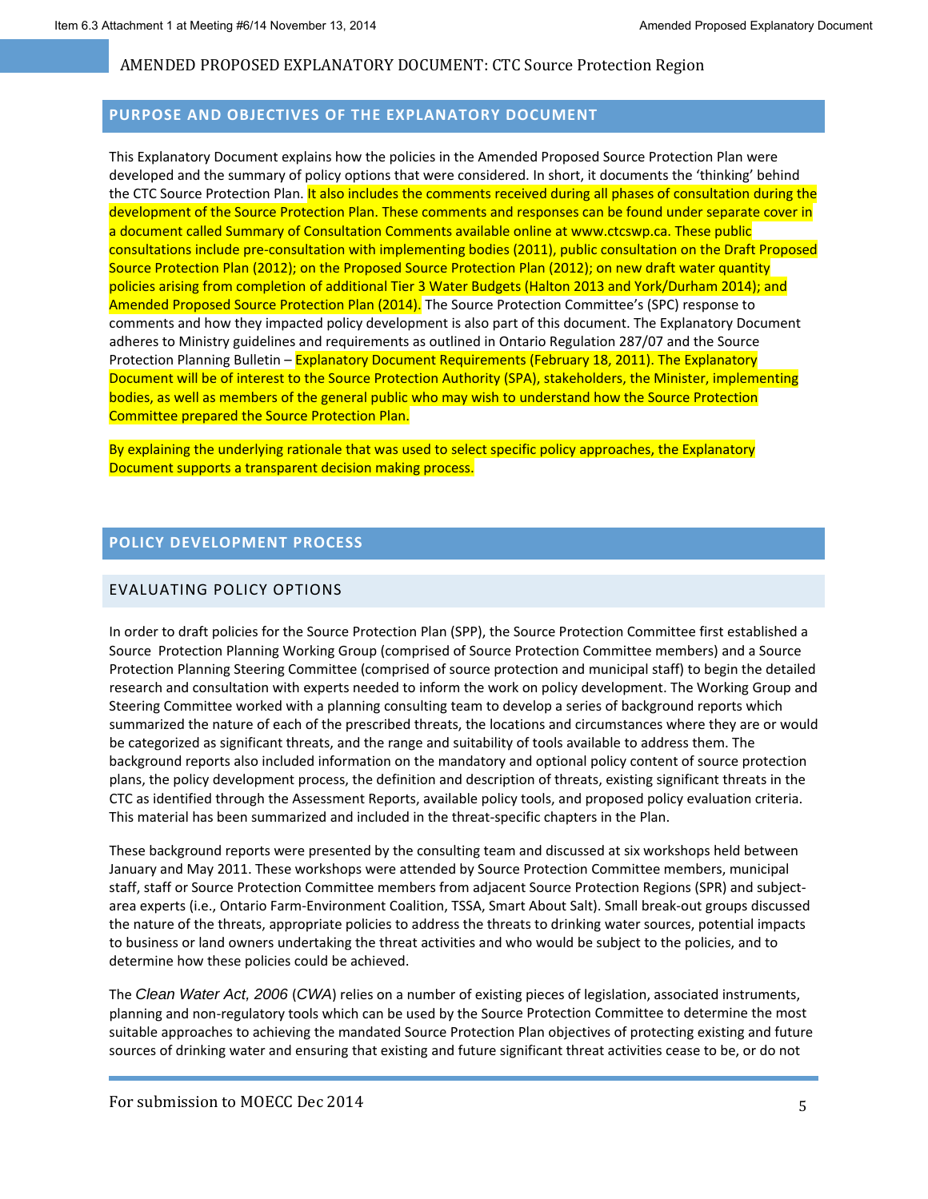#### **PURPOSE AND OBJECTIVES OF THE EXPLANATORY DOCUMENT**

This Explanatory Document explains how the policies in the Amended Proposed Source Protection Plan were developed and the summary of policy options that were considered. In short, it documents the 'thinking' behind the CTC Source Protection Plan. It also includes the comments received during all phases of consultation during the development of the Source Protection Plan. These comments and responses can be found under separate cover in a document called Summary of Consultation Comments available online at www.ctcswp.ca. These public consultations include pre‐consultation with implementing bodies (2011), public consultation on the Draft Proposed Source Protection Plan (2012); on the Proposed Source Protection Plan (2012); on new draft water quantity policies arising from completion of additional Tier 3 Water Budgets (Halton 2013 and York/Durham 2014); and Amended Proposed Source Protection Plan (2014). The Source Protection Committee's (SPC) response to comments and how they impacted policy development is also part of this document. The Explanatory Document adheres to Ministry guidelines and requirements as outlined in Ontario Regulation 287/07 and the Source Protection Planning Bulletin – Explanatory Document Requirements (February 18, 2011). The Explanatory Document will be of interest to the Source Protection Authority (SPA), stakeholders, the Minister, implementing bodies, as well as members of the general public who may wish to understand how the Source Protection Committee prepared the Source Protection Plan.

By explaining the underlying rationale that was used to select specific policy approaches, the Explanatory Document supports a transparent decision making process.

## **POLICY DEVELOPMENT PROCESS**

#### EVALUATING POLICY OPTIONS

In order to draft policies for the Source Protection Plan (SPP), the Source Protection Committee first established a Source Protection Planning Working Group (comprised of Source Protection Committee members) and a Source Protection Planning Steering Committee (comprised of source protection and municipal staff) to begin the detailed research and consultation with experts needed to inform the work on policy development. The Working Group and Steering Committee worked with a planning consulting team to develop a series of background reports which summarized the nature of each of the prescribed threats, the locations and circumstances where they are or would be categorized as significant threats, and the range and suitability of tools available to address them. The background reports also included information on the mandatory and optional policy content of source protection plans, the policy development process, the definition and description of threats, existing significant threats in the CTC as identified through the Assessment Reports, available policy tools, and proposed policy evaluation criteria. This material has been summarized and included in the threat‐specific chapters in the Plan.

These background reports were presented by the consulting team and discussed at six workshops held between January and May 2011. These workshops were attended by Source Protection Committee members, municipal staff, staff or Source Protection Committee members from adjacent Source Protection Regions (SPR) and subject‐ area experts (i.e., Ontario Farm‐Environment Coalition, TSSA, Smart About Salt). Small break‐out groups discussed the nature of the threats, appropriate policies to address the threats to drinking water sources, potential impacts to business or land owners undertaking the threat activities and who would be subject to the policies, and to determine how these policies could be achieved.

The *Clean Water Act, 2006* (*CWA*) relies on a number of existing pieces of legislation, associated instruments, planning and non‐regulatory tools which can be used by the Source Protection Committee to determine the most suitable approaches to achieving the mandated Source Protection Plan objectives of protecting existing and future sources of drinking water and ensuring that existing and future significant threat activities cease to be, or do not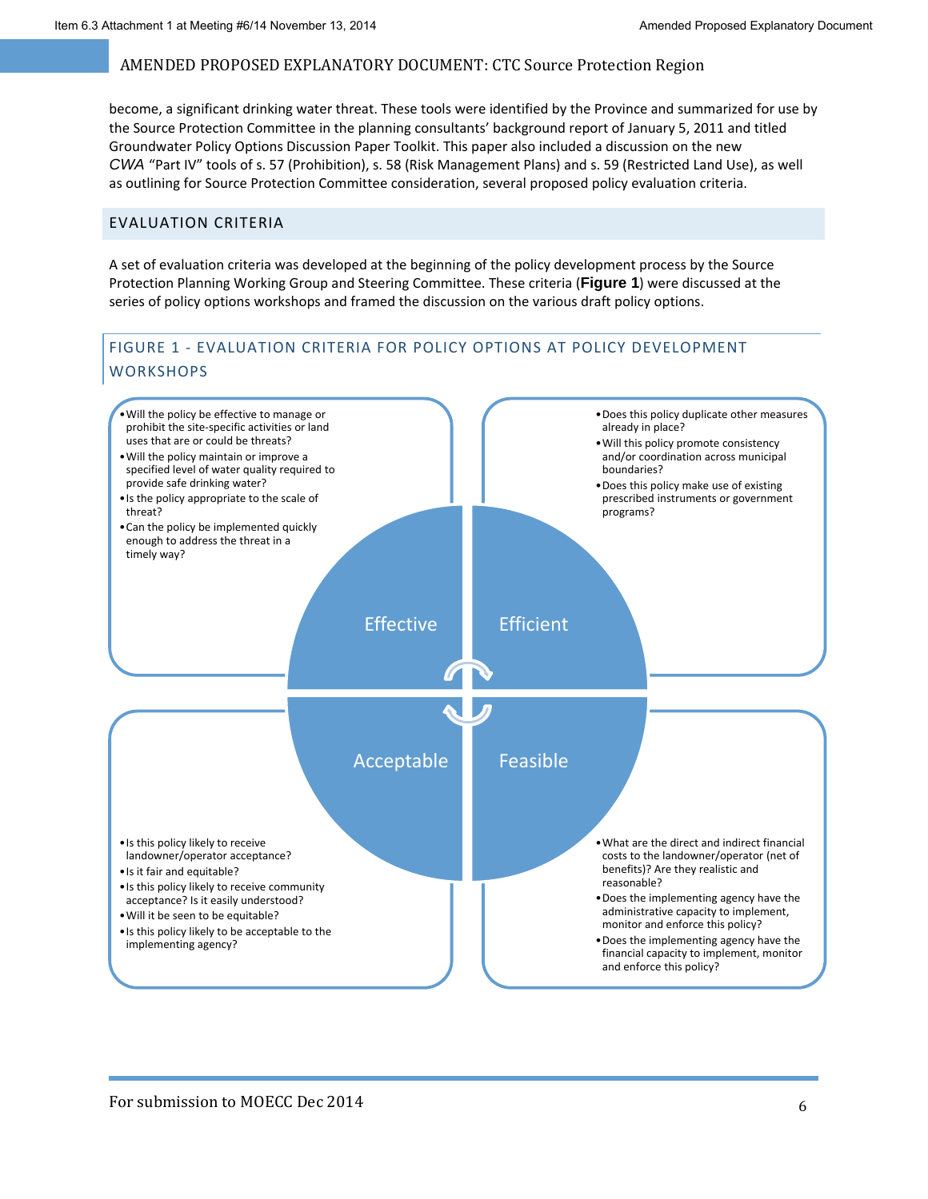become, a significant drinking water threat. These tools were identified by the Province and summarized for use by the Source Protection Committee in the planning consultants' background report of January 5, 2011 and titled Groundwater Policy Options Discussion Paper Toolkit. This paper also included a discussion on the new *CWA* "Part IV" tools of s. 57 (Prohibition), s. 58 (Risk Management Plans) and s. 59 (Restricted Land Use), as well as outlining for Source Protection Committee consideration, several proposed policy evaluation criteria.

#### EVALUATION CRITERIA

A set of evaluation criteria was developed at the beginning of the policy development process by the Source Protection Planning Working Group and Steering Committee. These criteria (**Figure 1**) were discussed at the series of policy options workshops and framed the discussion on the various draft policy options.

## FIGURE 1 ‐ EVALUATION CRITERIA FOR POLICY OPTIONS AT POLICY DEVELOPMENT **WORKSHOPS**

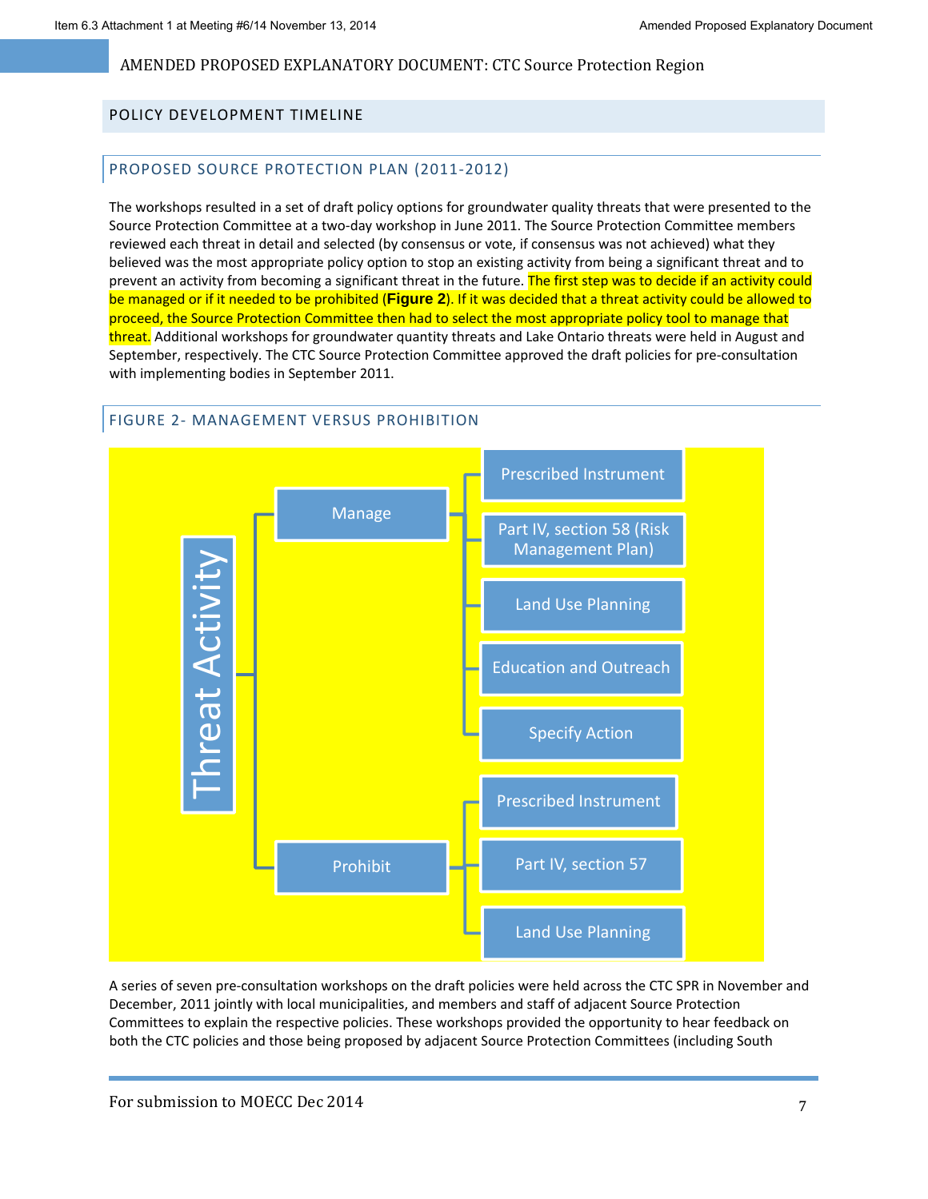### POLICY DEVELOPMENT TIMELINE

### PROPOSED SOURCE PROTECTION PLAN (2011‐2012)

The workshops resulted in a set of draft policy options for groundwater quality threats that were presented to the Source Protection Committee at a two‐day workshop in June 2011. The Source Protection Committee members reviewed each threat in detail and selected (by consensus or vote, if consensus was not achieved) what they believed was the most appropriate policy option to stop an existing activity from being a significant threat and to prevent an activity from becoming a significant threat in the future. The first step was to decide if an activity could be managed or if it needed to be prohibited (**Figure 2**). If it was decided that a threat activity could be allowed to proceed, the Source Protection Committee then had to select the most appropriate policy tool to manage that threat. Additional workshops for groundwater quantity threats and Lake Ontario threats were held in August and September, respectively. The CTC Source Protection Committee approved the draft policies for pre‐consultation with implementing bodies in September 2011.



A series of seven pre‐consultation workshops on the draft policies were held across the CTC SPR in November and December, 2011 jointly with local municipalities, and members and staff of adjacent Source Protection Committees to explain the respective policies. These workshops provided the opportunity to hear feedback on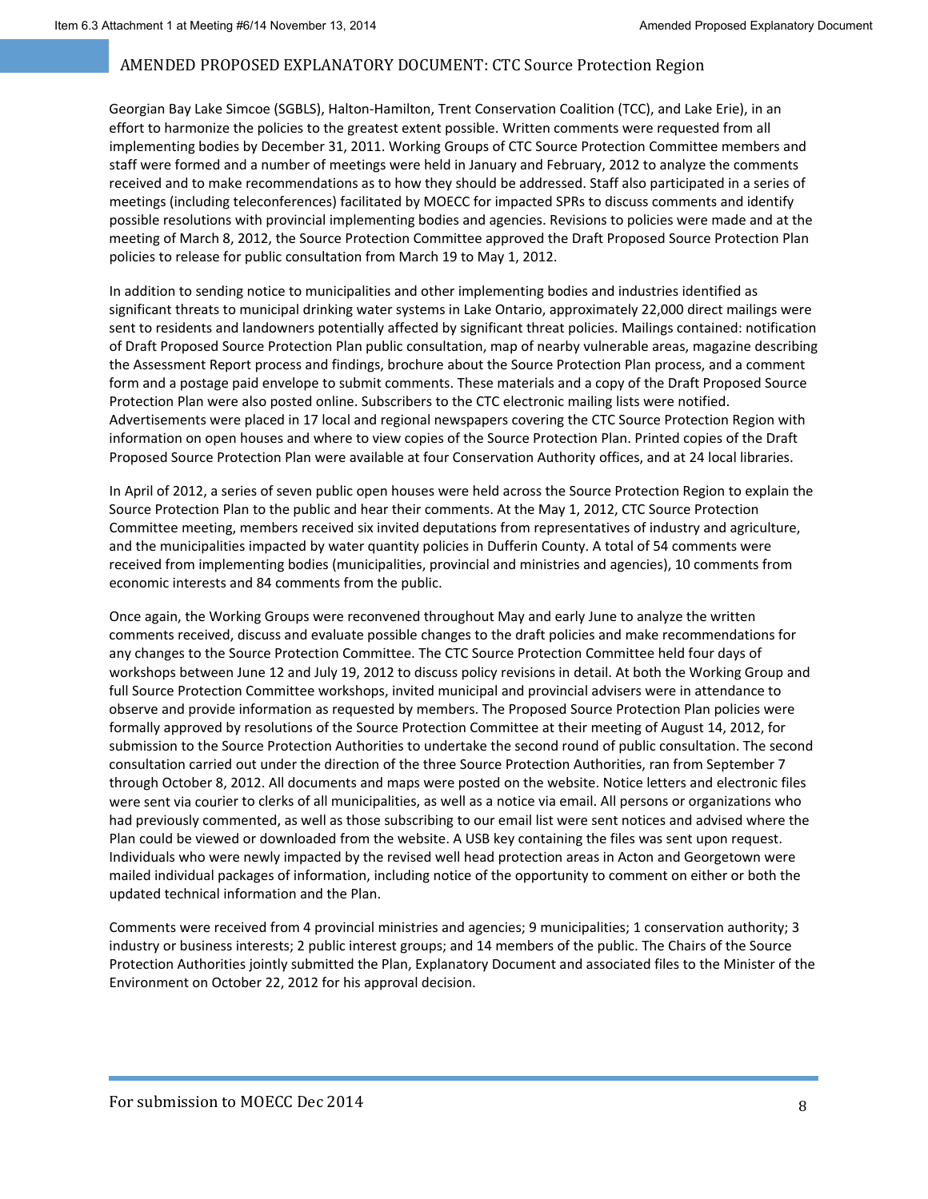Georgian Bay Lake Simcoe (SGBLS), Halton‐Hamilton, Trent Conservation Coalition (TCC), and Lake Erie), in an effort to harmonize the policies to the greatest extent possible. Written comments were requested from all implementing bodies by December 31, 2011. Working Groups of CTC Source Protection Committee members and staff were formed and a number of meetings were held in January and February, 2012 to analyze the comments received and to make recommendations as to how they should be addressed. Staff also participated in a series of meetings (including teleconferences) facilitated by MOECC for impacted SPRs to discuss comments and identify possible resolutions with provincial implementing bodies and agencies. Revisions to policies were made and at the meeting of March 8, 2012, the Source Protection Committee approved the Draft Proposed Source Protection Plan policies to release for public consultation from March 19 to May 1, 2012.

In addition to sending notice to municipalities and other implementing bodies and industries identified as significant threats to municipal drinking water systems in Lake Ontario, approximately 22,000 direct mailings were sent to residents and landowners potentially affected by significant threat policies. Mailings contained: notification of Draft Proposed Source Protection Plan public consultation, map of nearby vulnerable areas, magazine describing the Assessment Report process and findings, brochure about the Source Protection Plan process, and a comment form and a postage paid envelope to submit comments. These materials and a copy of the Draft Proposed Source Protection Plan were also posted online. Subscribers to the CTC electronic mailing lists were notified. Advertisements were placed in 17 local and regional newspapers covering the CTC Source Protection Region with information on open houses and where to view copies of the Source Protection Plan. Printed copies of the Draft Proposed Source Protection Plan were available at four Conservation Authority offices, and at 24 local libraries.

In April of 2012, a series of seven public open houses were held across the Source Protection Region to explain the Source Protection Plan to the public and hear their comments. At the May 1, 2012, CTC Source Protection Committee meeting, members received six invited deputations from representatives of industry and agriculture, and the municipalities impacted by water quantity policies in Dufferin County. A total of 54 comments were received from implementing bodies (municipalities, provincial and ministries and agencies), 10 comments from economic interests and 84 comments from the public.

Once again, the Working Groups were reconvened throughout May and early June to analyze the written comments received, discuss and evaluate possible changes to the draft policies and make recommendations for any changes to the Source Protection Committee. The CTC Source Protection Committee held four days of workshops between June 12 and July 19, 2012 to discuss policy revisions in detail. At both the Working Group and full Source Protection Committee workshops, invited municipal and provincial advisers were in attendance to observe and provide information as requested by members. The Proposed Source Protection Plan policies were formally approved by resolutions of the Source Protection Committee at their meeting of August 14, 2012, for submission to the Source Protection Authorities to undertake the second round of public consultation. The second consultation carried out under the direction of the three Source Protection Authorities, ran from September 7 through October 8, 2012. All documents and maps were posted on the website. Notice letters and electronic files were sent via courier to clerks of all municipalities, as well as a notice via email. All persons or organizations who had previously commented, as well as those subscribing to our email list were sent notices and advised where the Plan could be viewed or downloaded from the website. A USB key containing the files was sent upon request. Individuals who were newly impacted by the revised well head protection areas in Acton and Georgetown were mailed individual packages of information, including notice of the opportunity to comment on either or both the updated technical information and the Plan.

Comments were received from 4 provincial ministries and agencies; 9 municipalities; 1 conservation authority; 3 industry or business interests; 2 public interest groups; and 14 members of the public. The Chairs of the Source Protection Authorities jointly submitted the Plan, Explanatory Document and associated files to the Minister of the Environment on October 22, 2012 for his approval decision.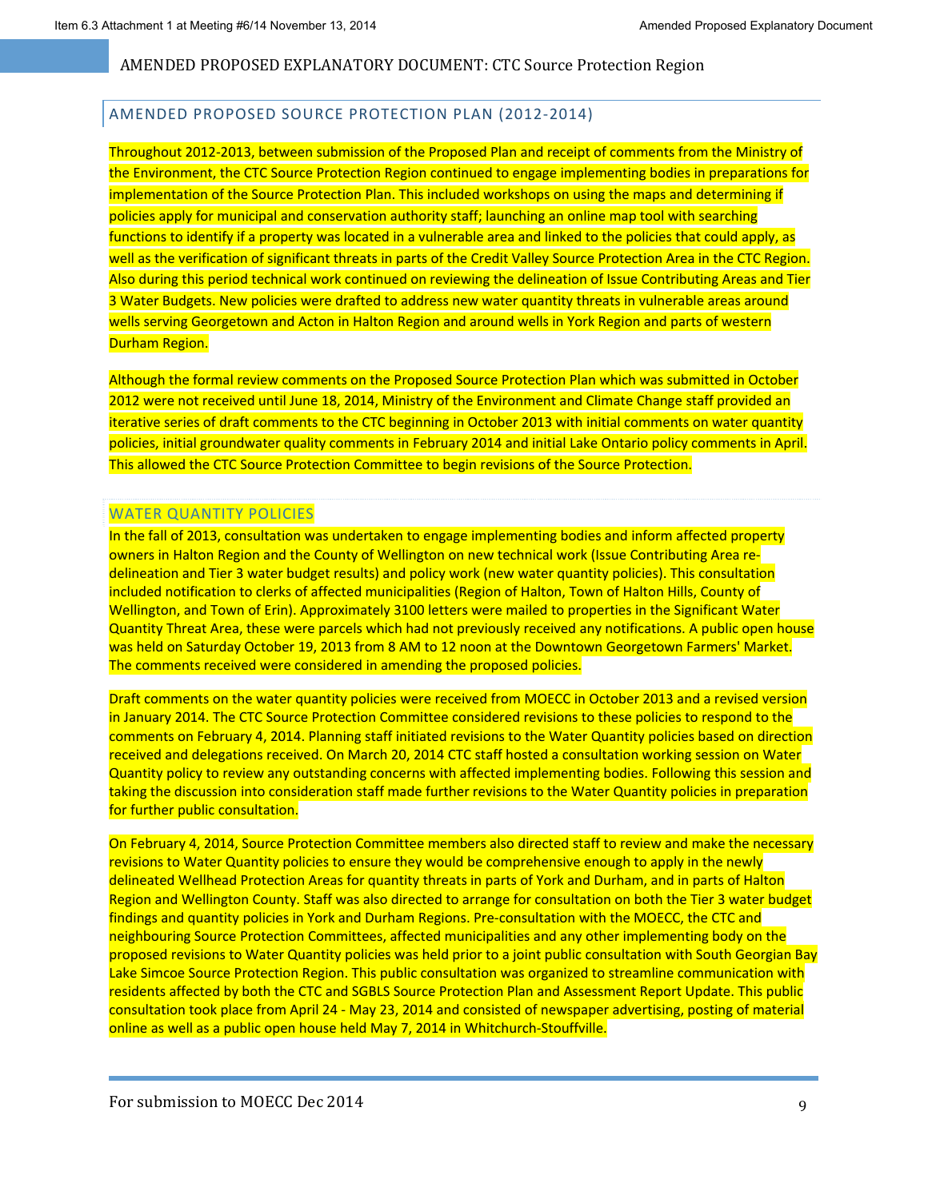### AMENDED PROPOSED SOURCE PROTECTION PLAN (2012‐2014)

Throughout 2012‐2013, between submission of the Proposed Plan and receipt of comments from the Ministry of the Environment, the CTC Source Protection Region continued to engage implementing bodies in preparations for implementation of the Source Protection Plan. This included workshops on using the maps and determining if policies apply for municipal and conservation authority staff; launching an online map tool with searching functions to identify if a property was located in a vulnerable area and linked to the policies that could apply, as well as the verification of significant threats in parts of the Credit Valley Source Protection Area in the CTC Region. Also during this period technical work continued on reviewing the delineation of Issue Contributing Areas and Tier 3 Water Budgets. New policies were drafted to address new water quantity threats in vulnerable areas around wells serving Georgetown and Acton in Halton Region and around wells in York Region and parts of western Durham Region.

Although the formal review comments on the Proposed Source Protection Plan which was submitted in October 2012 were not received until June 18, 2014, Ministry of the Environment and Climate Change staff provided an iterative series of draft comments to the CTC beginning in October 2013 with initial comments on water quantity policies, initial groundwater quality comments in February 2014 and initial Lake Ontario policy comments in April. This allowed the CTC Source Protection Committee to begin revisions of the Source Protection.

### WATER QUANTITY POLICIES

In the fall of 2013, consultation was undertaken to engage implementing bodies and inform affected property owners in Halton Region and the County of Wellington on new technical work (Issue Contributing Area re‐ delineation and Tier 3 water budget results) and policy work (new water quantity policies). This consultation included notification to clerks of affected municipalities (Region of Halton, Town of Halton Hills, County of Wellington, and Town of Erin). Approximately 3100 letters were mailed to properties in the Significant Water Quantity Threat Area, these were parcels which had not previously received any notifications. A public open house was held on Saturday October 19, 2013 from 8 AM to 12 noon at the Downtown Georgetown Farmers' Market. The comments received were considered in amending the proposed policies.

Draft comments on the water quantity policies were received from MOECC in October 2013 and a revised version in January 2014. The CTC Source Protection Committee considered revisions to these policies to respond to the comments on February 4, 2014. Planning staff initiated revisions to the Water Quantity policies based on direction received and delegations received. On March 20, 2014 CTC staff hosted a consultation working session on Water Quantity policy to review any outstanding concerns with affected implementing bodies. Following this session and taking the discussion into consideration staff made further revisions to the Water Quantity policies in preparation for further public consultation.

On February 4, 2014, Source Protection Committee members also directed staff to review and make the necessary revisions to Water Quantity policies to ensure they would be comprehensive enough to apply in the newly delineated Wellhead Protection Areas for quantity threats in parts of York and Durham, and in parts of Halton Region and Wellington County. Staff was also directed to arrange for consultation on both the Tier 3 water budget findings and quantity policies in York and Durham Regions. Pre‐consultation with the MOECC, the CTC and neighbouring Source Protection Committees, affected municipalities and any other implementing body on the proposed revisions to Water Quantity policies was held prior to a joint public consultation with South Georgian Bay Lake Simcoe Source Protection Region. This public consultation was organized to streamline communication with residents affected by both the CTC and SGBLS Source Protection Plan and Assessment Report Update. This public consultation took place from April 24 ‐ May 23, 2014 and consisted of newspaper advertising, posting of material online as well as a public open house held May 7, 2014 in Whitchurch‐Stouffville.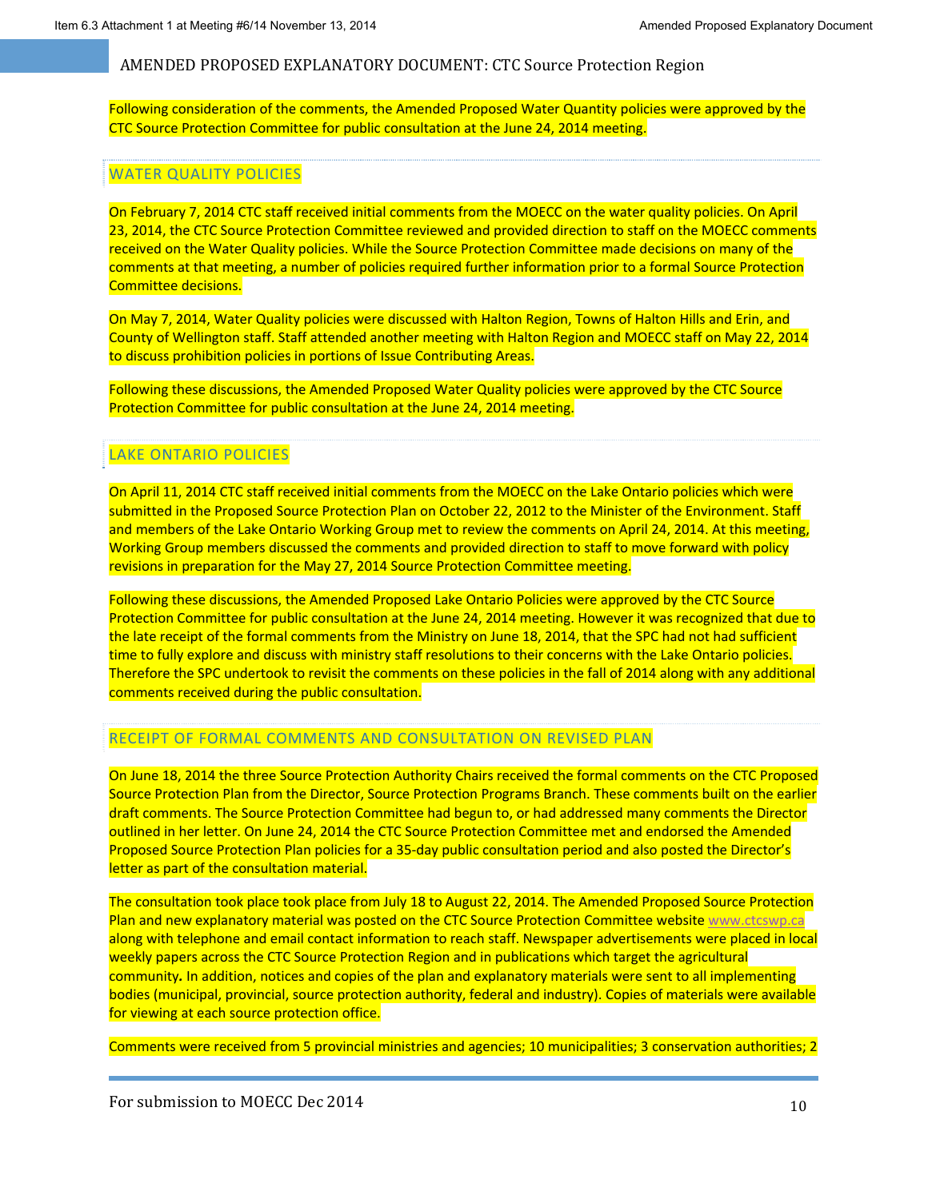Following consideration of the comments, the Amended Proposed Water Quantity policies were approved by the CTC Source Protection Committee for public consultation at the June 24, 2014 meeting.

#### WATER QUALITY POLICIES

On February 7, 2014 CTC staff received initial comments from the MOECC on the water quality policies. On April 23, 2014, the CTC Source Protection Committee reviewed and provided direction to staff on the MOECC comments received on the Water Quality policies. While the Source Protection Committee made decisions on many of the comments at that meeting, a number of policies required further information prior to a formal Source Protection Committee decisions.

On May 7, 2014, Water Quality policies were discussed with Halton Region, Towns of Halton Hills and Erin, and County of Wellington staff. Staff attended another meeting with Halton Region and MOECC staff on May 22, 2014 to discuss prohibition policies in portions of Issue Contributing Areas.

Following these discussions, the Amended Proposed Water Quality policies were approved by the CTC Source Protection Committee for public consultation at the June 24, 2014 meeting.

## LAKE ONTARIO POLICIES

On April 11, 2014 CTC staff received initial comments from the MOECC on the Lake Ontario policies which were submitted in the Proposed Source Protection Plan on October 22, 2012 to the Minister of the Environment. Staff and members of the Lake Ontario Working Group met to review the comments on April 24, 2014. At this meeting, Working Group members discussed the comments and provided direction to staff to move forward with policy revisions in preparation for the May 27, 2014 Source Protection Committee meeting.

Following these discussions, the Amended Proposed Lake Ontario Policies were approved by the CTC Source Protection Committee for public consultation at the June 24, 2014 meeting. However it was recognized that due to the late receipt of the formal comments from the Ministry on June 18, 2014, that the SPC had not had sufficient time to fully explore and discuss with ministry staff resolutions to their concerns with the Lake Ontario policies. Therefore the SPC undertook to revisit the comments on these policies in the fall of 2014 along with any additional comments received during the public consultation.

#### RECEIPT OF FORMAL COMMENTS AND CONSULTATION ON REVISED PLAN

On June 18, 2014 the three Source Protection Authority Chairs received the formal comments on the CTC Proposed Source Protection Plan from the Director, Source Protection Programs Branch. These comments built on the earlier draft comments. The Source Protection Committee had begun to, or had addressed many comments the Director outlined in her letter. On June 24, 2014 the CTC Source Protection Committee met and endorsed the Amended Proposed Source Protection Plan policies for a 35‐day public consultation period and also posted the Director's letter as part of the consultation material.

The consultation took place took place from July 18 to August 22, 2014. The Amended Proposed Source Protection Plan and new explanatory material was posted on the CTC Source Protection Committee website www.ctcswp.ca along with telephone and email contact information to reach staff. Newspaper advertisements were placed in local weekly papers across the CTC Source Protection Region and in publications which target the agricultural community*.* In addition, notices and copies of the plan and explanatory materials were sent to all implementing bodies (municipal, provincial, source protection authority, federal and industry). Copies of materials were available for viewing at each source protection office.

Comments were received from 5 provincial ministries and agencies; 10 municipalities; 3 conservation authorities; 2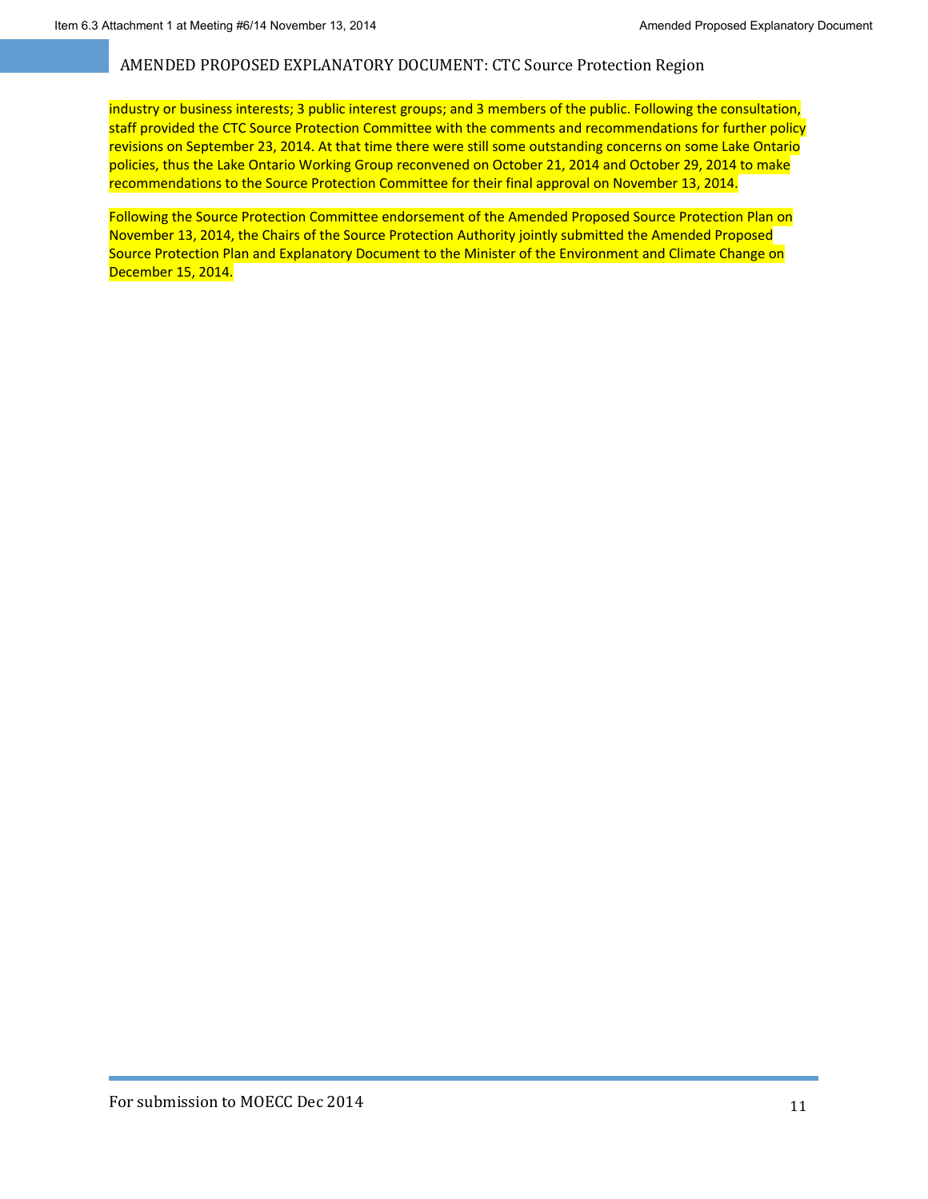industry or business interests; 3 public interest groups; and 3 members of the public. Following the consultation, staff provided the CTC Source Protection Committee with the comments and recommendations for further policy revisions on September 23, 2014. At that time there were still some outstanding concerns on some Lake Ontario policies, thus the Lake Ontario Working Group reconvened on October 21, 2014 and October 29, 2014 to make recommendations to the Source Protection Committee for their final approval on November 13, 2014.

Following the Source Protection Committee endorsement of the Amended Proposed Source Protection Plan on November 13, 2014, the Chairs of the Source Protection Authority jointly submitted the Amended Proposed Source Protection Plan and Explanatory Document to the Minister of the Environment and Climate Change on December 15, 2014.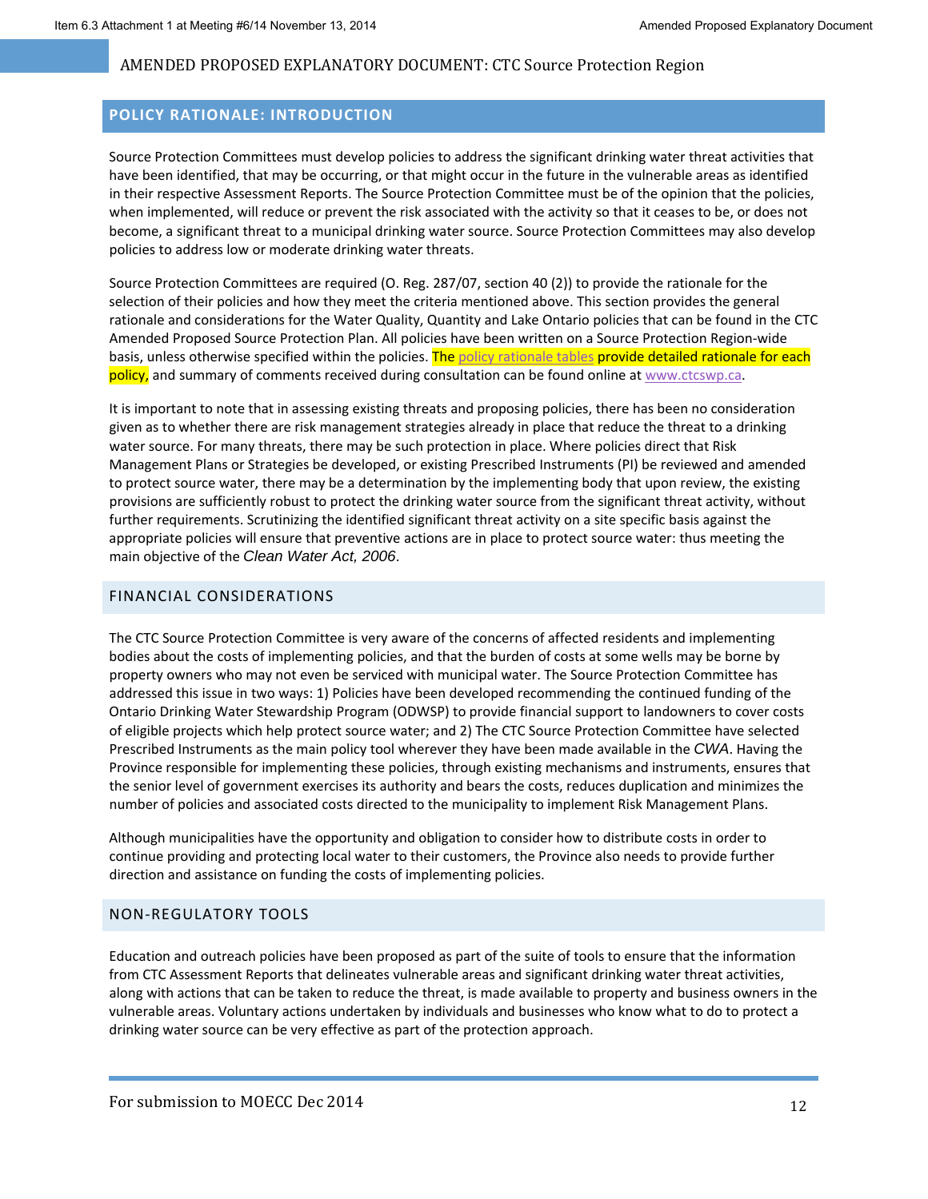### **POLICY RATIONALE: INTRODUCTION**

Source Protection Committees must develop policies to address the significant drinking water threat activities that have been identified, that may be occurring, or that might occur in the future in the vulnerable areas as identified in their respective Assessment Reports. The Source Protection Committee must be of the opinion that the policies, when implemented, will reduce or prevent the risk associated with the activity so that it ceases to be, or does not become, a significant threat to a municipal drinking water source. Source Protection Committees may also develop policies to address low or moderate drinking water threats.

Source Protection Committees are required (O. Reg. 287/07, section 40 (2)) to provide the rationale for the selection of their policies and how they meet the criteria mentioned above. This section provides the general rationale and considerations for the Water Quality, Quantity and Lake Ontario policies that can be found in the CTC Amended Proposed Source Protection Plan. All policies have been written on a Source Protection Region‐wide basis, unless otherwise specified within the policies. The policy rationale tables provide detailed rationale for each policy, and summary of comments received during consultation can be found online at www.ctcswp.ca.

It is important to note that in assessing existing threats and proposing policies, there has been no consideration given as to whether there are risk management strategies already in place that reduce the threat to a drinking water source. For many threats, there may be such protection in place. Where policies direct that Risk Management Plans or Strategies be developed, or existing Prescribed Instruments (PI) be reviewed and amended to protect source water, there may be a determination by the implementing body that upon review, the existing provisions are sufficiently robust to protect the drinking water source from the significant threat activity, without further requirements. Scrutinizing the identified significant threat activity on a site specific basis against the appropriate policies will ensure that preventive actions are in place to protect source water: thus meeting the main objective of the *Clean Water Act, 2006*.

#### FINANCIAL CONSIDERATIONS

The CTC Source Protection Committee is very aware of the concerns of affected residents and implementing bodies about the costs of implementing policies, and that the burden of costs at some wells may be borne by property owners who may not even be serviced with municipal water. The Source Protection Committee has addressed this issue in two ways: 1) Policies have been developed recommending the continued funding of the Ontario Drinking Water Stewardship Program (ODWSP) to provide financial support to landowners to cover costs of eligible projects which help protect source water; and 2) The CTC Source Protection Committee have selected Prescribed Instruments as the main policy tool wherever they have been made available in the *CWA*. Having the Province responsible for implementing these policies, through existing mechanisms and instruments, ensures that the senior level of government exercises its authority and bears the costs, reduces duplication and minimizes the number of policies and associated costs directed to the municipality to implement Risk Management Plans.

Although municipalities have the opportunity and obligation to consider how to distribute costs in order to continue providing and protecting local water to their customers, the Province also needs to provide further direction and assistance on funding the costs of implementing policies.

### NON‐REGULATORY TOOLS

Education and outreach policies have been proposed as part of the suite of tools to ensure that the information from CTC Assessment Reports that delineates vulnerable areas and significant drinking water threat activities, along with actions that can be taken to reduce the threat, is made available to property and business owners in the vulnerable areas. Voluntary actions undertaken by individuals and businesses who know what to do to protect a drinking water source can be very effective as part of the protection approach.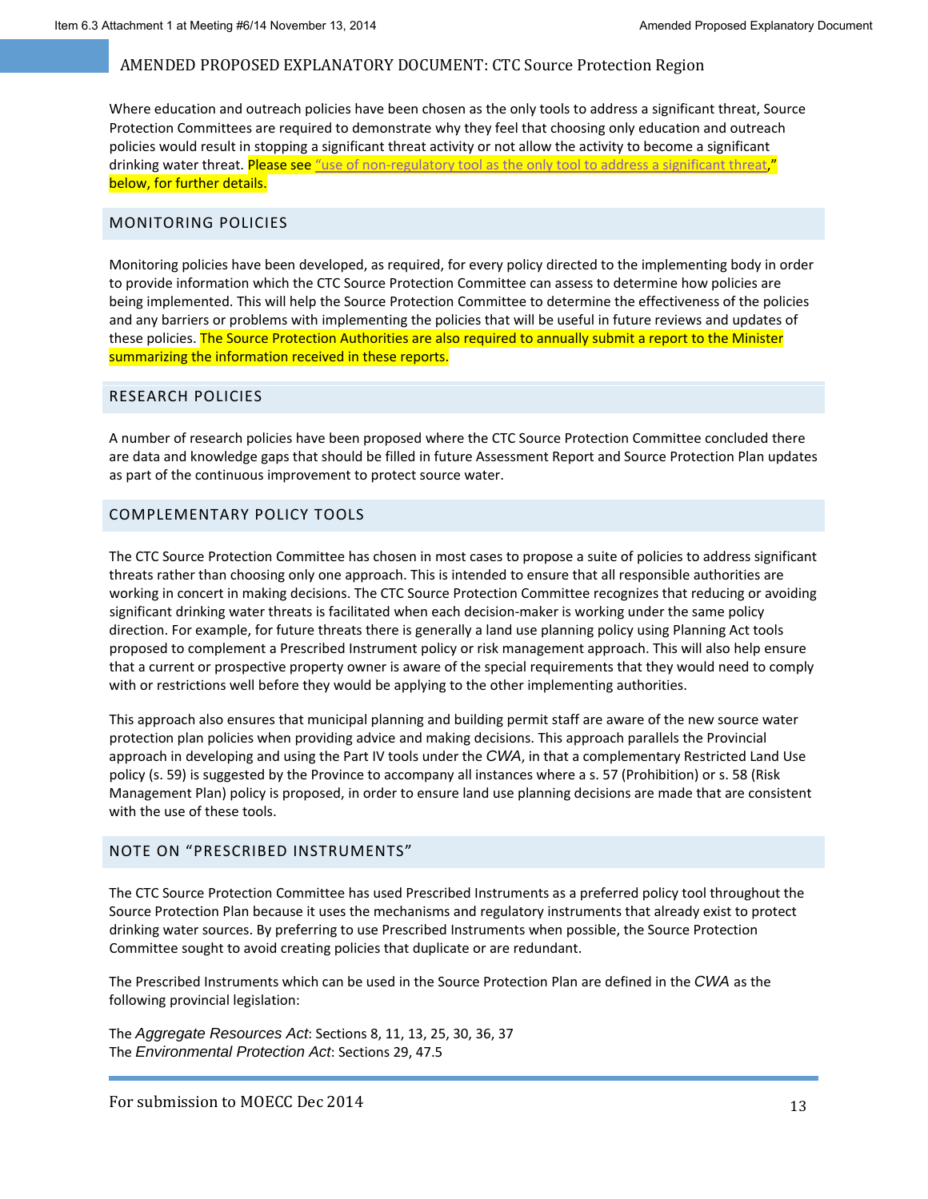Where education and outreach policies have been chosen as the only tools to address a significant threat, Source Protection Committees are required to demonstrate why they feel that choosing only education and outreach policies would result in stopping a significant threat activity or not allow the activity to become a significant drinking water threat. Please see "use of non-regulatory tool as the only tool to address a significant threat," below, for further details.

#### MONITORING POLICIES

Monitoring policies have been developed, as required, for every policy directed to the implementing body in order to provide information which the CTC Source Protection Committee can assess to determine how policies are being implemented. This will help the Source Protection Committee to determine the effectiveness of the policies and any barriers or problems with implementing the policies that will be useful in future reviews and updates of these policies. The Source Protection Authorities are also required to annually submit a report to the Minister summarizing the information received in these reports.

#### RESEARCH POLICIES

A number of research policies have been proposed where the CTC Source Protection Committee concluded there are data and knowledge gaps that should be filled in future Assessment Report and Source Protection Plan updates as part of the continuous improvement to protect source water.

#### COMPLEMENTARY POLICY TOOLS

The CTC Source Protection Committee has chosen in most cases to propose a suite of policies to address significant threats rather than choosing only one approach. This is intended to ensure that all responsible authorities are working in concert in making decisions. The CTC Source Protection Committee recognizes that reducing or avoiding significant drinking water threats is facilitated when each decision-maker is working under the same policy direction. For example, for future threats there is generally a land use planning policy using Planning Act tools proposed to complement a Prescribed Instrument policy or risk management approach. This will also help ensure that a current or prospective property owner is aware of the special requirements that they would need to comply with or restrictions well before they would be applying to the other implementing authorities.

This approach also ensures that municipal planning and building permit staff are aware of the new source water protection plan policies when providing advice and making decisions. This approach parallels the Provincial approach in developing and using the Part IV tools under the *CWA*, in that a complementary Restricted Land Use policy (s. 59) is suggested by the Province to accompany all instances where a s. 57 (Prohibition) or s. 58 (Risk Management Plan) policy is proposed, in order to ensure land use planning decisions are made that are consistent with the use of these tools.

#### NOTE ON "PRESCRIBED INSTRUMENTS"

The CTC Source Protection Committee has used Prescribed Instruments as a preferred policy tool throughout the Source Protection Plan because it uses the mechanisms and regulatory instruments that already exist to protect drinking water sources. By preferring to use Prescribed Instruments when possible, the Source Protection Committee sought to avoid creating policies that duplicate or are redundant.

The Prescribed Instruments which can be used in the Source Protection Plan are defined in the *CWA* as the following provincial legislation:

The *Aggregate Resources Act*: Sections 8, 11, 13, 25, 30, 36, 37 The *Environmental Protection Act*: Sections 29, 47.5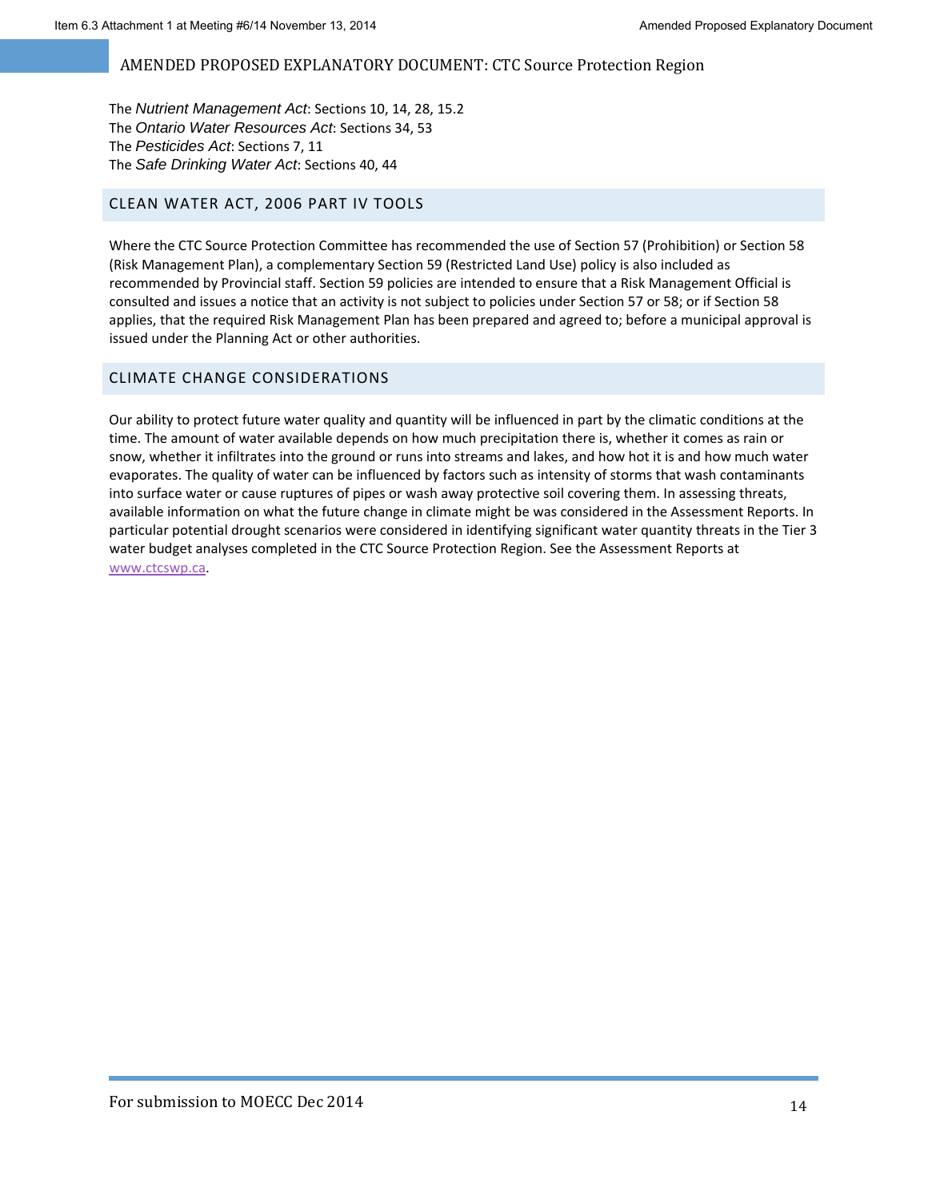The *Nutrient Management Act*: Sections 10, 14, 28, 15.2 The *Ontario Water Resources Act*: Sections 34, 53 The *Pesticides Act*: Sections 7, 11 The *Safe Drinking Water Act*: Sections 40, 44

## CLEAN WATER ACT, 2006 PART IV TOOLS

Where the CTC Source Protection Committee has recommended the use of Section 57 (Prohibition) or Section 58 (Risk Management Plan), a complementary Section 59 (Restricted Land Use) policy is also included as recommended by Provincial staff. Section 59 policies are intended to ensure that a Risk Management Official is consulted and issues a notice that an activity is not subject to policies under Section 57 or 58; or if Section 58 applies, that the required Risk Management Plan has been prepared and agreed to; before a municipal approval is issued under the Planning Act or other authorities.

## CLIMATE CHANGE CONSIDERATIONS

Our ability to protect future water quality and quantity will be influenced in part by the climatic conditions at the time. The amount of water available depends on how much precipitation there is, whether it comes as rain or snow, whether it infiltrates into the ground or runs into streams and lakes, and how hot it is and how much water evaporates. The quality of water can be influenced by factors such as intensity of storms that wash contaminants into surface water or cause ruptures of pipes or wash away protective soil covering them. In assessing threats, available information on what the future change in climate might be was considered in the Assessment Reports. In particular potential drought scenarios were considered in identifying significant water quantity threats in the Tier 3 water budget analyses completed in the CTC Source Protection Region. See the Assessment Reports at www.ctcswp.ca.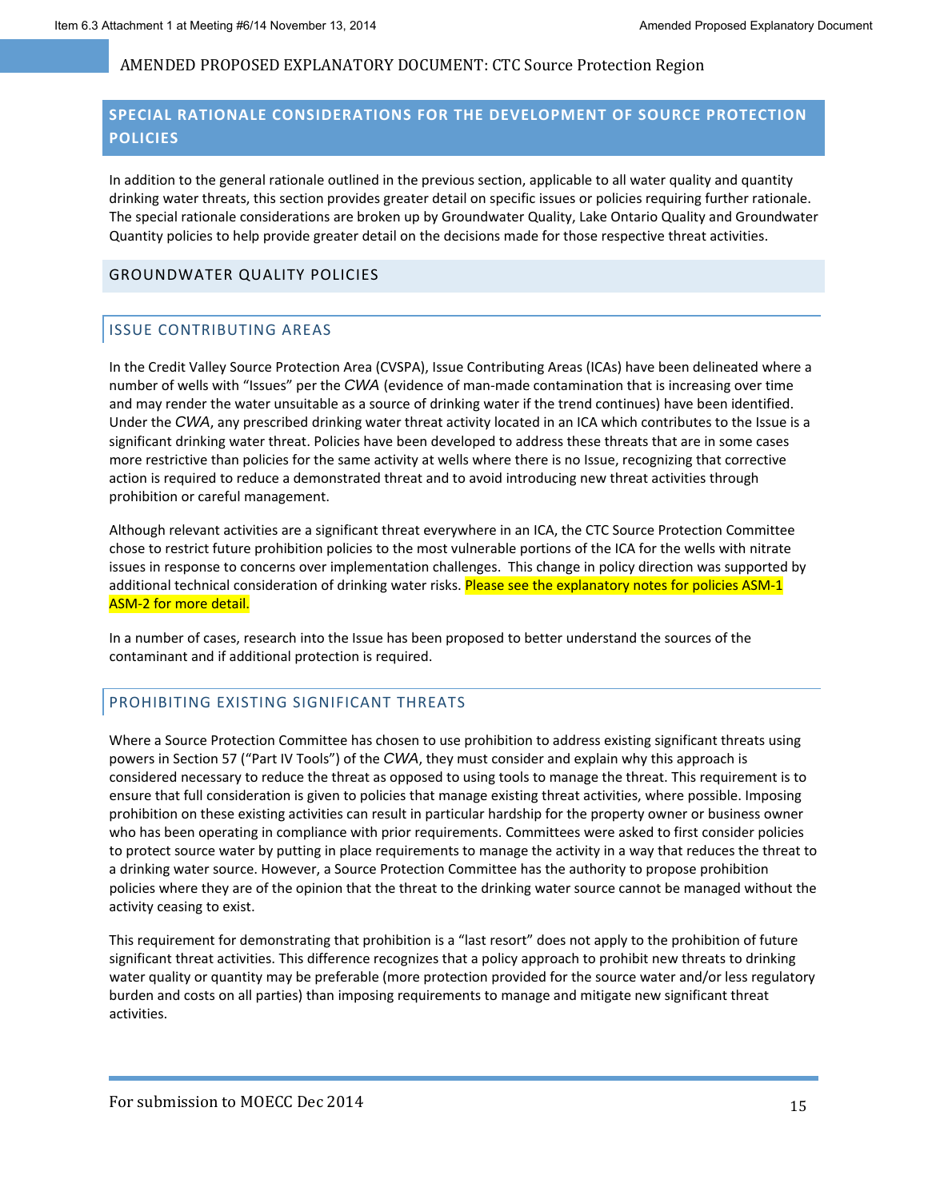## **SPECIAL RATIONALE CONSIDERATIONS FOR THE DEVELOPMENT OF SOURCE PROTECTION POLICIES**

In addition to the general rationale outlined in the previous section, applicable to all water quality and quantity drinking water threats, this section provides greater detail on specific issues or policies requiring further rationale. The special rationale considerations are broken up by Groundwater Quality, Lake Ontario Quality and Groundwater Quantity policies to help provide greater detail on the decisions made for those respective threat activities.

#### GROUNDWATER QUALITY POLICIES

### ISSUE CONTRIBUTING AREAS

In the Credit Valley Source Protection Area (CVSPA), Issue Contributing Areas (ICAs) have been delineated where a number of wells with "Issues" per the *CWA* (evidence of man‐made contamination that is increasing over time and may render the water unsuitable as a source of drinking water if the trend continues) have been identified. Under the *CWA*, any prescribed drinking water threat activity located in an ICA which contributes to the Issue is a significant drinking water threat. Policies have been developed to address these threats that are in some cases more restrictive than policies for the same activity at wells where there is no Issue, recognizing that corrective action is required to reduce a demonstrated threat and to avoid introducing new threat activities through prohibition or careful management.

Although relevant activities are a significant threat everywhere in an ICA, the CTC Source Protection Committee chose to restrict future prohibition policies to the most vulnerable portions of the ICA for the wells with nitrate issues in response to concerns over implementation challenges. This change in policy direction was supported by additional technical consideration of drinking water risks. Please see the explanatory notes for policies ASM-1 ASM‐2 for more detail.

In a number of cases, research into the Issue has been proposed to better understand the sources of the contaminant and if additional protection is required.

### PROHIBITING EXISTING SIGNIFICANT THREATS

Where a Source Protection Committee has chosen to use prohibition to address existing significant threats using powers in Section 57 ("Part IV Tools") of the *CWA*, they must consider and explain why this approach is considered necessary to reduce the threat as opposed to using tools to manage the threat. This requirement is to ensure that full consideration is given to policies that manage existing threat activities, where possible. Imposing prohibition on these existing activities can result in particular hardship for the property owner or business owner who has been operating in compliance with prior requirements. Committees were asked to first consider policies to protect source water by putting in place requirements to manage the activity in a way that reduces the threat to a drinking water source. However, a Source Protection Committee has the authority to propose prohibition policies where they are of the opinion that the threat to the drinking water source cannot be managed without the activity ceasing to exist.

This requirement for demonstrating that prohibition is a "last resort" does not apply to the prohibition of future significant threat activities. This difference recognizes that a policy approach to prohibit new threats to drinking water quality or quantity may be preferable (more protection provided for the source water and/or less regulatory burden and costs on all parties) than imposing requirements to manage and mitigate new significant threat activities.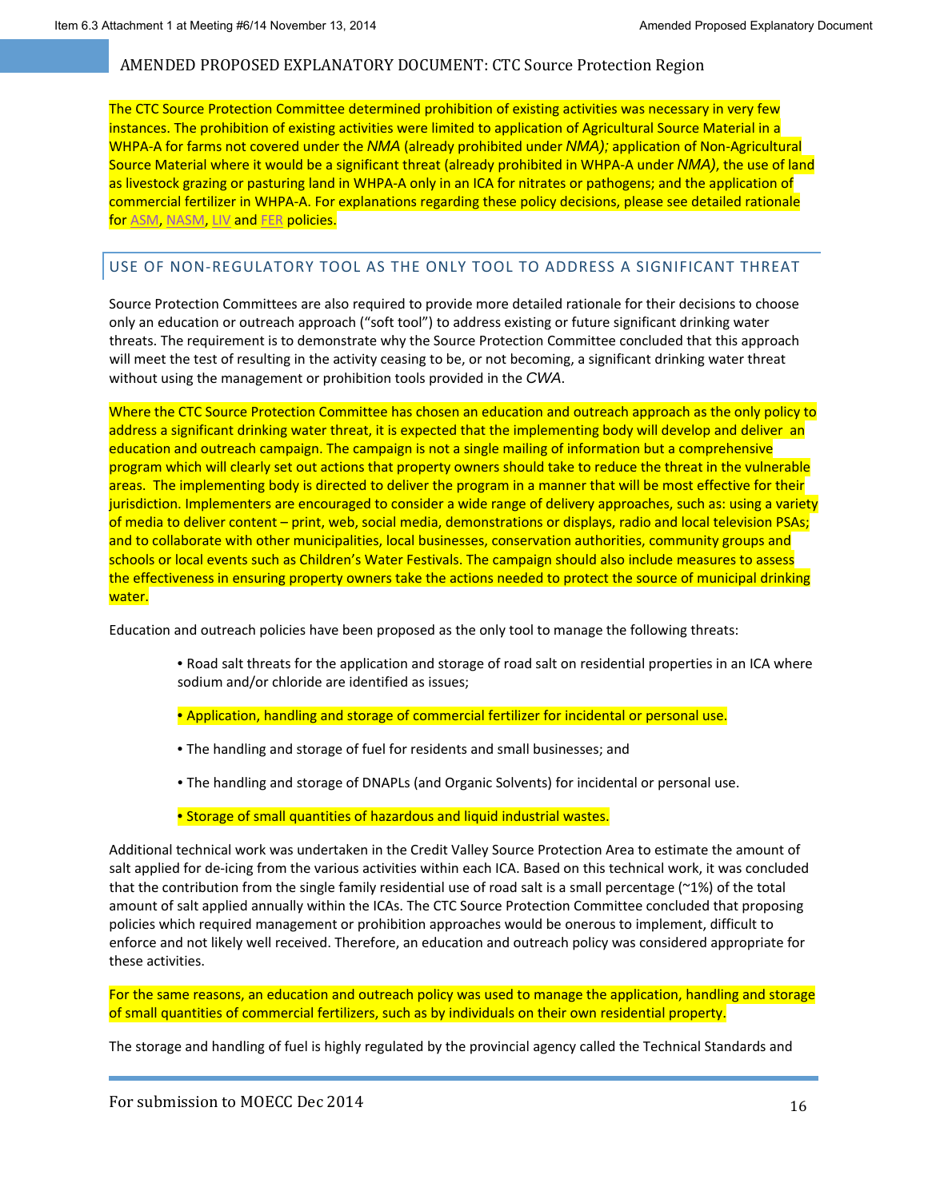The CTC Source Protection Committee determined prohibition of existing activities was necessary in very few instances. The prohibition of existing activities were limited to application of Agricultural Source Material in a WHPA‐A for farms not covered under the *NMA* (already prohibited under *NMA);* application of Non‐Agricultural Source Material where it would be a significant threat (already prohibited in WHPA‐A under *NMA)*, the use of land as livestock grazing or pasturing land in WHPA‐A only in an ICA for nitrates or pathogens; and the application of commercial fertilizer in WHPA‐A. For explanations regarding these policy decisions, please see detailed rationale for ASM, NASM, LIV and FER policies.

## USE OF NON‐REGULATORY TOOL AS THE ONLY TOOL TO ADDRESS A SIGNIFICANT THREAT

Source Protection Committees are also required to provide more detailed rationale for their decisions to choose only an education or outreach approach ("soft tool") to address existing or future significant drinking water threats. The requirement is to demonstrate why the Source Protection Committee concluded that this approach will meet the test of resulting in the activity ceasing to be, or not becoming, a significant drinking water threat without using the management or prohibition tools provided in the *CWA*.

Where the CTC Source Protection Committee has chosen an education and outreach approach as the only policy to address a significant drinking water threat, it is expected that the implementing body will develop and deliver an education and outreach campaign. The campaign is not a single mailing of information but a comprehensive program which will clearly set out actions that property owners should take to reduce the threat in the vulnerable areas. The implementing body is directed to deliver the program in a manner that will be most effective for their jurisdiction. Implementers are encouraged to consider a wide range of delivery approaches, such as: using a variety of media to deliver content – print, web, social media, demonstrations or displays, radio and local television PSAs; and to collaborate with other municipalities, local businesses, conservation authorities, community groups and schools or local events such as Children's Water Festivals. The campaign should also include measures to assess the effectiveness in ensuring property owners take the actions needed to protect the source of municipal drinking water.

Education and outreach policies have been proposed as the only tool to manage the following threats:

- Road salt threats for the application and storage of road salt on residential properties in an ICA where sodium and/or chloride are identified as issues;
- Application, handling and storage of commercial fertilizer for incidental or personal use.
- The handling and storage of fuel for residents and small businesses; and
- The handling and storage of DNAPLs (and Organic Solvents) for incidental or personal use.

*•* Storage of small quantities of hazardous and liquid industrial wastes.

Additional technical work was undertaken in the Credit Valley Source Protection Area to estimate the amount of salt applied for de-icing from the various activities within each ICA. Based on this technical work, it was concluded that the contribution from the single family residential use of road salt is a small percentage (~1%) of the total amount of salt applied annually within the ICAs. The CTC Source Protection Committee concluded that proposing policies which required management or prohibition approaches would be onerous to implement, difficult to enforce and not likely well received. Therefore, an education and outreach policy was considered appropriate for these activities.

For the same reasons, an education and outreach policy was used to manage the application, handling and storage of small quantities of commercial fertilizers, such as by individuals on their own residential property.

The storage and handling of fuel is highly regulated by the provincial agency called the Technical Standards and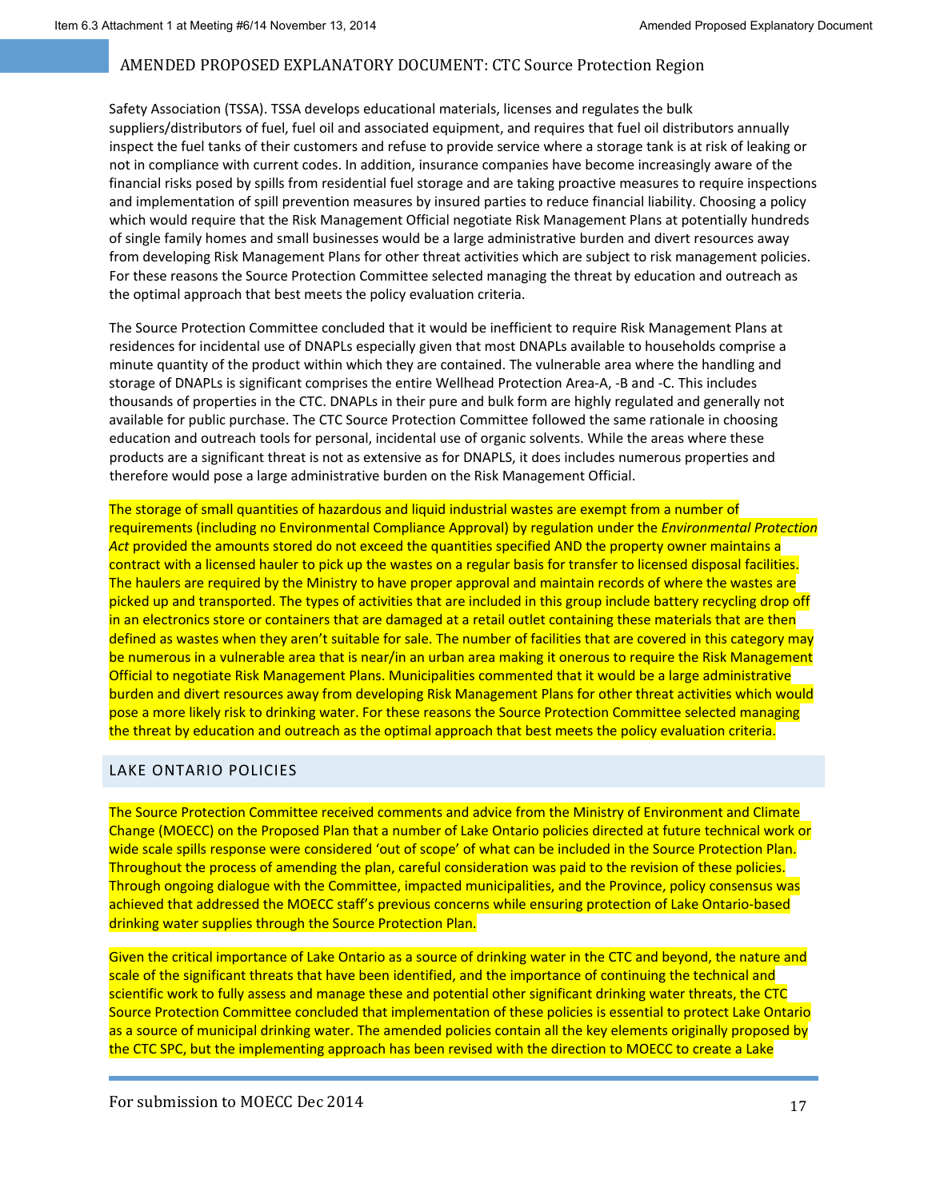Safety Association (TSSA). TSSA develops educational materials, licenses and regulates the bulk suppliers/distributors of fuel, fuel oil and associated equipment, and requires that fuel oil distributors annually inspect the fuel tanks of their customers and refuse to provide service where a storage tank is at risk of leaking or not in compliance with current codes. In addition, insurance companies have become increasingly aware of the financial risks posed by spills from residential fuel storage and are taking proactive measures to require inspections and implementation of spill prevention measures by insured parties to reduce financial liability. Choosing a policy which would require that the Risk Management Official negotiate Risk Management Plans at potentially hundreds of single family homes and small businesses would be a large administrative burden and divert resources away from developing Risk Management Plans for other threat activities which are subject to risk management policies. For these reasons the Source Protection Committee selected managing the threat by education and outreach as the optimal approach that best meets the policy evaluation criteria.

The Source Protection Committee concluded that it would be inefficient to require Risk Management Plans at residences for incidental use of DNAPLs especially given that most DNAPLs available to households comprise a minute quantity of the product within which they are contained. The vulnerable area where the handling and storage of DNAPLs is significant comprises the entire Wellhead Protection Area‐A, ‐B and ‐C. This includes thousands of properties in the CTC. DNAPLs in their pure and bulk form are highly regulated and generally not available for public purchase. The CTC Source Protection Committee followed the same rationale in choosing education and outreach tools for personal, incidental use of organic solvents. While the areas where these products are a significant threat is not as extensive as for DNAPLS, it does includes numerous properties and therefore would pose a large administrative burden on the Risk Management Official.

The storage of small quantities of hazardous and liquid industrial wastes are exempt from a number of requirements (including no Environmental Compliance Approval) by regulation under the *Environmental Protection Act* provided the amounts stored do not exceed the quantities specified AND the property owner maintains a contract with a licensed hauler to pick up the wastes on a regular basis for transfer to licensed disposal facilities. The haulers are required by the Ministry to have proper approval and maintain records of where the wastes are picked up and transported. The types of activities that are included in this group include battery recycling drop off in an electronics store or containers that are damaged at a retail outlet containing these materials that are then defined as wastes when they aren't suitable for sale. The number of facilities that are covered in this category may be numerous in a vulnerable area that is near/in an urban area making it onerous to require the Risk Management Official to negotiate Risk Management Plans. Municipalities commented that it would be a large administrative burden and divert resources away from developing Risk Management Plans for other threat activities which would pose a more likely risk to drinking water. For these reasons the Source Protection Committee selected managing the threat by education and outreach as the optimal approach that best meets the policy evaluation criteria.

### LAKE ONTARIO POLICIES

The Source Protection Committee received comments and advice from the Ministry of Environment and Climate Change (MOECC) on the Proposed Plan that a number of Lake Ontario policies directed at future technical work or wide scale spills response were considered 'out of scope' of what can be included in the Source Protection Plan. Throughout the process of amending the plan, careful consideration was paid to the revision of these policies. Through ongoing dialogue with the Committee, impacted municipalities, and the Province, policy consensus was achieved that addressed the MOECC staff's previous concerns while ensuring protection of Lake Ontario‐based drinking water supplies through the Source Protection Plan.

Given the critical importance of Lake Ontario as a source of drinking water in the CTC and beyond, the nature and scale of the significant threats that have been identified, and the importance of continuing the technical and scientific work to fully assess and manage these and potential other significant drinking water threats, the CTC Source Protection Committee concluded that implementation of these policies is essential to protect Lake Ontario as a source of municipal drinking water. The amended policies contain all the key elements originally proposed by the CTC SPC, but the implementing approach has been revised with the direction to MOECC to create a Lake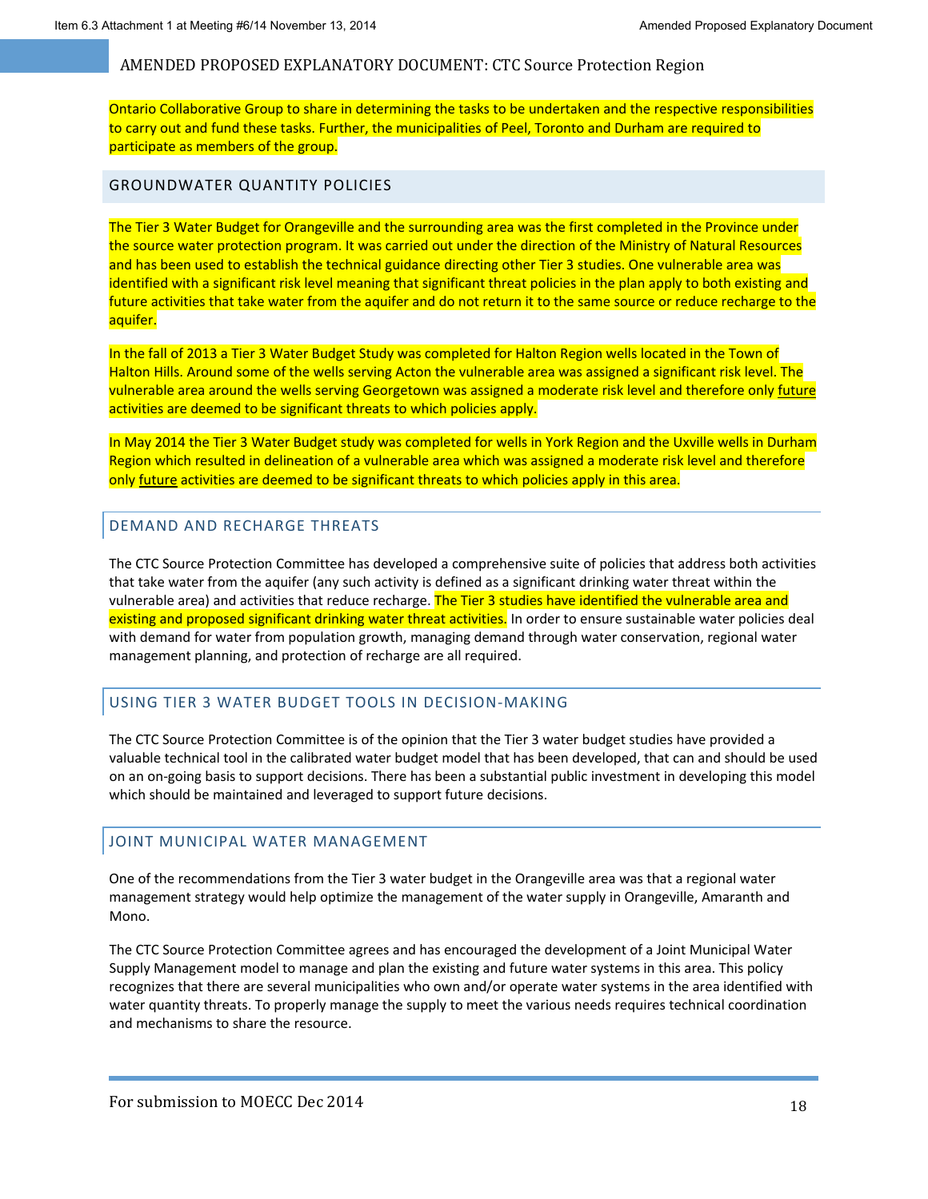Ontario Collaborative Group to share in determining the tasks to be undertaken and the respective responsibilities to carry out and fund these tasks. Further, the municipalities of Peel, Toronto and Durham are required to participate as members of the group.

#### GROUNDWATER QUANTITY POLICIES

The Tier 3 Water Budget for Orangeville and the surrounding area was the first completed in the Province under the source water protection program. It was carried out under the direction of the Ministry of Natural Resources and has been used to establish the technical guidance directing other Tier 3 studies. One vulnerable area was identified with a significant risk level meaning that significant threat policies in the plan apply to both existing and future activities that take water from the aquifer and do not return it to the same source or reduce recharge to the aquifer.

In the fall of 2013 a Tier 3 Water Budget Study was completed for Halton Region wells located in the Town of Halton Hills. Around some of the wells serving Acton the vulnerable area was assigned a significant risk level. The vulnerable area around the wells serving Georgetown was assigned a moderate risk level and therefore only future activities are deemed to be significant threats to which policies apply.

In May 2014 the Tier 3 Water Budget study was completed for wells in York Region and the Uxville wells in Durham Region which resulted in delineation of a vulnerable area which was assigned a moderate risk level and therefore only **future** activities are deemed to be significant threats to which policies apply in this area.

#### DEMAND AND RECHARGE THREATS

The CTC Source Protection Committee has developed a comprehensive suite of policies that address both activities that take water from the aquifer (any such activity is defined as a significant drinking water threat within the vulnerable area) and activities that reduce recharge. The Tier 3 studies have identified the vulnerable area and existing and proposed significant drinking water threat activities. In order to ensure sustainable water policies deal with demand for water from population growth, managing demand through water conservation, regional water management planning, and protection of recharge are all required.

#### USING TIER 3 WATER BUDGET TOOLS IN DECISION‐MAKING

The CTC Source Protection Committee is of the opinion that the Tier 3 water budget studies have provided a valuable technical tool in the calibrated water budget model that has been developed, that can and should be used on an on‐going basis to support decisions. There has been a substantial public investment in developing this model which should be maintained and leveraged to support future decisions.

### JOINT MUNICIPAL WATER MANAGEMENT

One of the recommendations from the Tier 3 water budget in the Orangeville area was that a regional water management strategy would help optimize the management of the water supply in Orangeville, Amaranth and Mono.

The CTC Source Protection Committee agrees and has encouraged the development of a Joint Municipal Water Supply Management model to manage and plan the existing and future water systems in this area. This policy recognizes that there are several municipalities who own and/or operate water systems in the area identified with water quantity threats. To properly manage the supply to meet the various needs requires technical coordination and mechanisms to share the resource.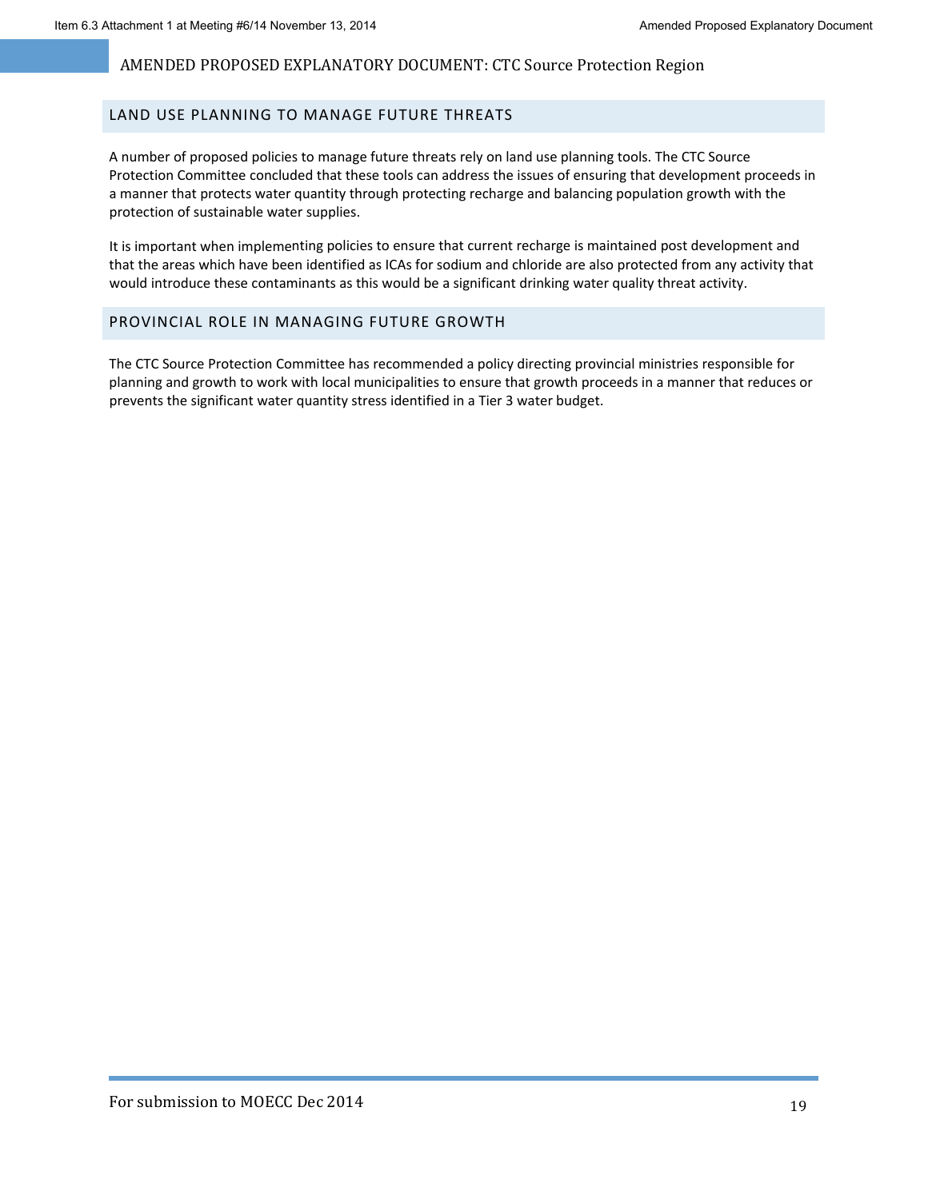### LAND USE PLANNING TO MANAGE FUTURE THREATS

A number of proposed policies to manage future threats rely on land use planning tools. The CTC Source Protection Committee concluded that these tools can address the issues of ensuring that development proceeds in a manner that protects water quantity through protecting recharge and balancing population growth with the protection of sustainable water supplies.

It is important when implementing policies to ensure that current recharge is maintained post development and that the areas which have been identified as ICAs for sodium and chloride are also protected from any activity that would introduce these contaminants as this would be a significant drinking water quality threat activity.

#### PROVINCIAL ROLE IN MANAGING FUTURE GROWTH

The CTC Source Protection Committee has recommended a policy directing provincial ministries responsible for planning and growth to work with local municipalities to ensure that growth proceeds in a manner that reduces or prevents the significant water quantity stress identified in a Tier 3 water budget.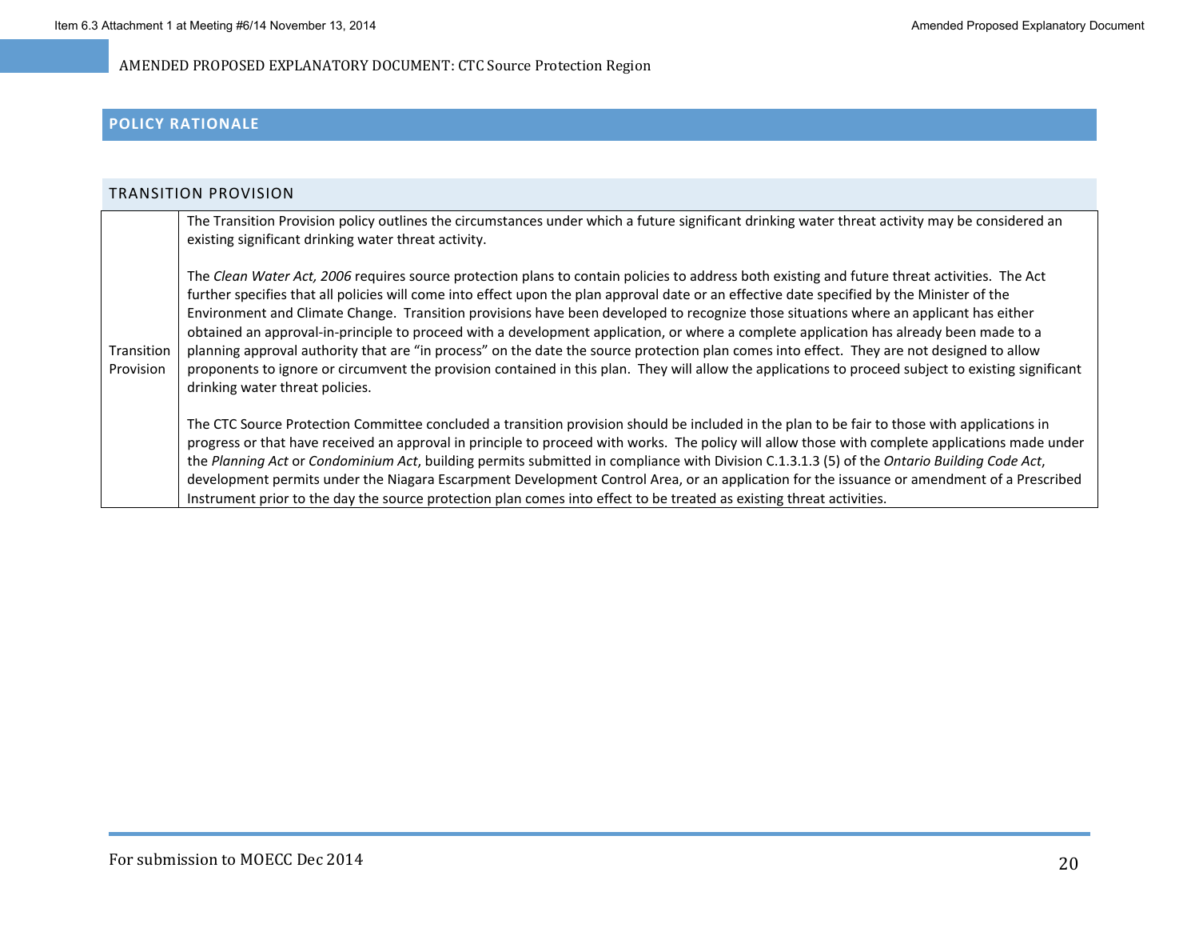### **POLICY RATIONALE**

| TRANSITION PROVISION    |                                                                                                                                                                                                                                                                                                                                                                                                                                                                                                                                                                                                                                                                                                                                                                                                                                                                                                                           |
|-------------------------|---------------------------------------------------------------------------------------------------------------------------------------------------------------------------------------------------------------------------------------------------------------------------------------------------------------------------------------------------------------------------------------------------------------------------------------------------------------------------------------------------------------------------------------------------------------------------------------------------------------------------------------------------------------------------------------------------------------------------------------------------------------------------------------------------------------------------------------------------------------------------------------------------------------------------|
|                         | The Transition Provision policy outlines the circumstances under which a future significant drinking water threat activity may be considered an<br>existing significant drinking water threat activity.                                                                                                                                                                                                                                                                                                                                                                                                                                                                                                                                                                                                                                                                                                                   |
| Transition<br>Provision | The Clean Water Act, 2006 requires source protection plans to contain policies to address both existing and future threat activities. The Act<br>further specifies that all policies will come into effect upon the plan approval date or an effective date specified by the Minister of the<br>Environment and Climate Change. Transition provisions have been developed to recognize those situations where an applicant has either<br>obtained an approval-in-principle to proceed with a development application, or where a complete application has already been made to a<br>planning approval authority that are "in process" on the date the source protection plan comes into effect. They are not designed to allow<br>proponents to ignore or circumvent the provision contained in this plan. They will allow the applications to proceed subject to existing significant<br>drinking water threat policies. |
|                         | The CTC Source Protection Committee concluded a transition provision should be included in the plan to be fair to those with applications in<br>progress or that have received an approval in principle to proceed with works. The policy will allow those with complete applications made under<br>the Planning Act or Condominium Act, building permits submitted in compliance with Division C.1.3.1.3 (5) of the Ontario Building Code Act,<br>development permits under the Niagara Escarpment Development Control Area, or an application for the issuance or amendment of a Prescribed<br>Instrument prior to the day the source protection plan comes into effect to be treated as existing threat activities.                                                                                                                                                                                                    |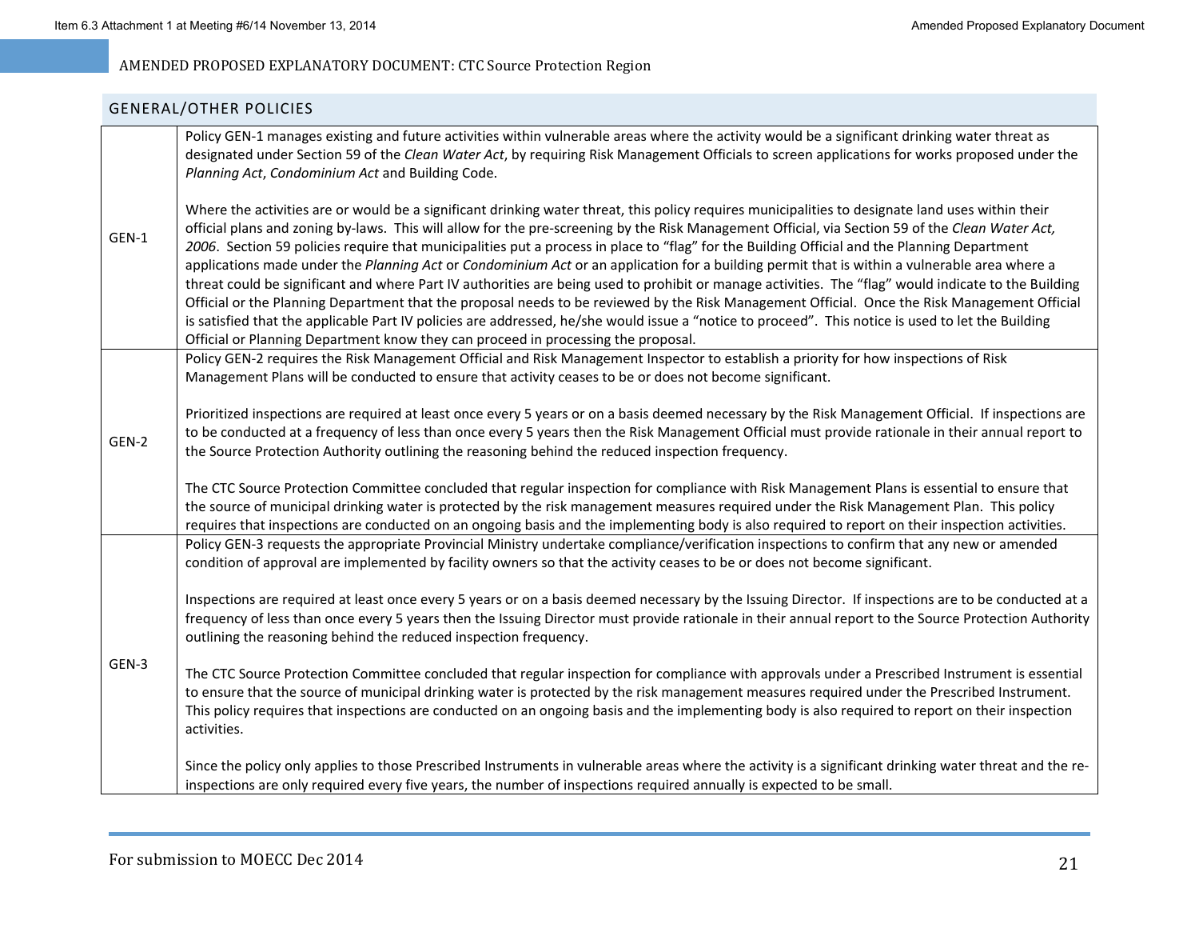## GENERAL/OTHER POLICIES

|       | Policy GEN-1 manages existing and future activities within vulnerable areas where the activity would be a significant drinking water threat as<br>designated under Section 59 of the Clean Water Act, by requiring Risk Management Officials to screen applications for works proposed under the<br>Planning Act, Condominium Act and Building Code.                                                                                                                                                                                                                                                                                                                                                                                                                                                                                                                                                                                                                                                                                                                                                                                                      |
|-------|-----------------------------------------------------------------------------------------------------------------------------------------------------------------------------------------------------------------------------------------------------------------------------------------------------------------------------------------------------------------------------------------------------------------------------------------------------------------------------------------------------------------------------------------------------------------------------------------------------------------------------------------------------------------------------------------------------------------------------------------------------------------------------------------------------------------------------------------------------------------------------------------------------------------------------------------------------------------------------------------------------------------------------------------------------------------------------------------------------------------------------------------------------------|
| GEN-1 | Where the activities are or would be a significant drinking water threat, this policy requires municipalities to designate land uses within their<br>official plans and zoning by-laws. This will allow for the pre-screening by the Risk Management Official, via Section 59 of the Clean Water Act,<br>2006. Section 59 policies require that municipalities put a process in place to "flag" for the Building Official and the Planning Department<br>applications made under the Planning Act or Condominium Act or an application for a building permit that is within a vulnerable area where a<br>threat could be significant and where Part IV authorities are being used to prohibit or manage activities. The "flag" would indicate to the Building<br>Official or the Planning Department that the proposal needs to be reviewed by the Risk Management Official. Once the Risk Management Official<br>is satisfied that the applicable Part IV policies are addressed, he/she would issue a "notice to proceed". This notice is used to let the Building<br>Official or Planning Department know they can proceed in processing the proposal. |
|       | Policy GEN-2 requires the Risk Management Official and Risk Management Inspector to establish a priority for how inspections of Risk<br>Management Plans will be conducted to ensure that activity ceases to be or does not become significant.                                                                                                                                                                                                                                                                                                                                                                                                                                                                                                                                                                                                                                                                                                                                                                                                                                                                                                           |
| GEN-2 | Prioritized inspections are required at least once every 5 years or on a basis deemed necessary by the Risk Management Official. If inspections are<br>to be conducted at a frequency of less than once every 5 years then the Risk Management Official must provide rationale in their annual report to<br>the Source Protection Authority outlining the reasoning behind the reduced inspection frequency.                                                                                                                                                                                                                                                                                                                                                                                                                                                                                                                                                                                                                                                                                                                                              |
|       | The CTC Source Protection Committee concluded that regular inspection for compliance with Risk Management Plans is essential to ensure that<br>the source of municipal drinking water is protected by the risk management measures required under the Risk Management Plan. This policy<br>requires that inspections are conducted on an ongoing basis and the implementing body is also required to report on their inspection activities.                                                                                                                                                                                                                                                                                                                                                                                                                                                                                                                                                                                                                                                                                                               |
|       | Policy GEN-3 requests the appropriate Provincial Ministry undertake compliance/verification inspections to confirm that any new or amended<br>condition of approval are implemented by facility owners so that the activity ceases to be or does not become significant.                                                                                                                                                                                                                                                                                                                                                                                                                                                                                                                                                                                                                                                                                                                                                                                                                                                                                  |
| GEN-3 | Inspections are required at least once every 5 years or on a basis deemed necessary by the Issuing Director. If inspections are to be conducted at a<br>frequency of less than once every 5 years then the Issuing Director must provide rationale in their annual report to the Source Protection Authority<br>outlining the reasoning behind the reduced inspection frequency.                                                                                                                                                                                                                                                                                                                                                                                                                                                                                                                                                                                                                                                                                                                                                                          |
|       | The CTC Source Protection Committee concluded that regular inspection for compliance with approvals under a Prescribed Instrument is essential<br>to ensure that the source of municipal drinking water is protected by the risk management measures required under the Prescribed Instrument.<br>This policy requires that inspections are conducted on an ongoing basis and the implementing body is also required to report on their inspection<br>activities.                                                                                                                                                                                                                                                                                                                                                                                                                                                                                                                                                                                                                                                                                         |
|       | Since the policy only applies to those Prescribed Instruments in vulnerable areas where the activity is a significant drinking water threat and the re-<br>inspections are only required every five years, the number of inspections required annually is expected to be small.                                                                                                                                                                                                                                                                                                                                                                                                                                                                                                                                                                                                                                                                                                                                                                                                                                                                           |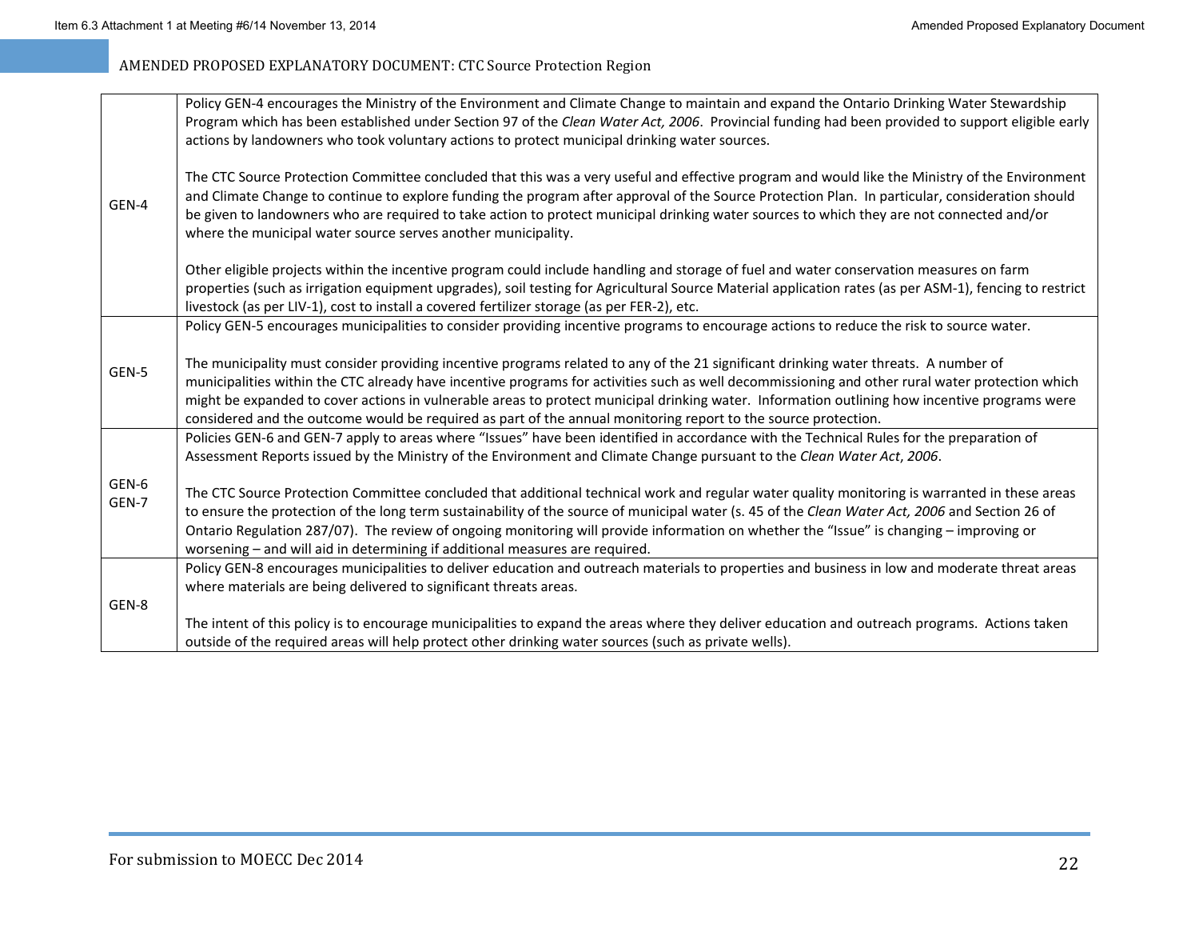|                | Policy GEN-4 encourages the Ministry of the Environment and Climate Change to maintain and expand the Ontario Drinking Water Stewardship<br>Program which has been established under Section 97 of the Clean Water Act, 2006. Provincial funding had been provided to support eligible early<br>actions by landowners who took voluntary actions to protect municipal drinking water sources.                                                                                                                                                               |
|----------------|-------------------------------------------------------------------------------------------------------------------------------------------------------------------------------------------------------------------------------------------------------------------------------------------------------------------------------------------------------------------------------------------------------------------------------------------------------------------------------------------------------------------------------------------------------------|
| GEN-4          | The CTC Source Protection Committee concluded that this was a very useful and effective program and would like the Ministry of the Environment<br>and Climate Change to continue to explore funding the program after approval of the Source Protection Plan. In particular, consideration should<br>be given to landowners who are required to take action to protect municipal drinking water sources to which they are not connected and/or<br>where the municipal water source serves another municipality.                                             |
|                | Other eligible projects within the incentive program could include handling and storage of fuel and water conservation measures on farm<br>properties (such as irrigation equipment upgrades), soil testing for Agricultural Source Material application rates (as per ASM-1), fencing to restrict<br>livestock (as per LIV-1), cost to install a covered fertilizer storage (as per FER-2), etc.                                                                                                                                                           |
|                | Policy GEN-5 encourages municipalities to consider providing incentive programs to encourage actions to reduce the risk to source water.                                                                                                                                                                                                                                                                                                                                                                                                                    |
| GEN-5          | The municipality must consider providing incentive programs related to any of the 21 significant drinking water threats. A number of<br>municipalities within the CTC already have incentive programs for activities such as well decommissioning and other rural water protection which<br>might be expanded to cover actions in vulnerable areas to protect municipal drinking water. Information outlining how incentive programs were<br>considered and the outcome would be required as part of the annual monitoring report to the source protection. |
|                | Policies GEN-6 and GEN-7 apply to areas where "Issues" have been identified in accordance with the Technical Rules for the preparation of<br>Assessment Reports issued by the Ministry of the Environment and Climate Change pursuant to the Clean Water Act, 2006.                                                                                                                                                                                                                                                                                         |
| GEN-6<br>GEN-7 | The CTC Source Protection Committee concluded that additional technical work and regular water quality monitoring is warranted in these areas<br>to ensure the protection of the long term sustainability of the source of municipal water (s. 45 of the Clean Water Act, 2006 and Section 26 of<br>Ontario Regulation 287/07). The review of ongoing monitoring will provide information on whether the "Issue" is changing - improving or<br>worsening - and will aid in determining if additional measures are required.                                 |
|                | Policy GEN-8 encourages municipalities to deliver education and outreach materials to properties and business in low and moderate threat areas<br>where materials are being delivered to significant threats areas.                                                                                                                                                                                                                                                                                                                                         |
| GEN-8          |                                                                                                                                                                                                                                                                                                                                                                                                                                                                                                                                                             |
|                | The intent of this policy is to encourage municipalities to expand the areas where they deliver education and outreach programs. Actions taken<br>outside of the required areas will help protect other drinking water sources (such as private wells).                                                                                                                                                                                                                                                                                                     |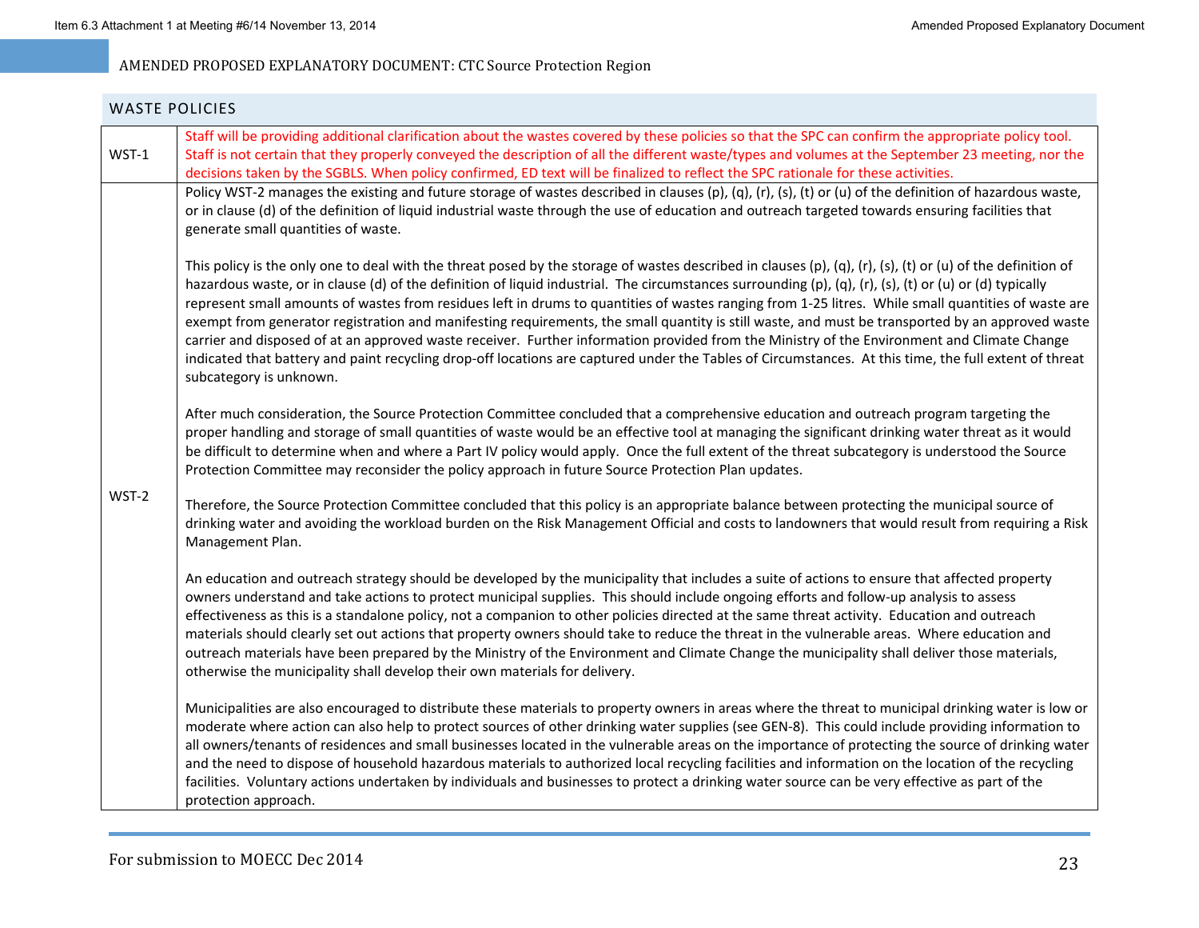|       | WASTE POLICIES                                                                                                                                                                                                                                                                                                                                                                                                                                                                                                                                                                                                                                                                                                                                                                                                                                                                                                                                                       |
|-------|----------------------------------------------------------------------------------------------------------------------------------------------------------------------------------------------------------------------------------------------------------------------------------------------------------------------------------------------------------------------------------------------------------------------------------------------------------------------------------------------------------------------------------------------------------------------------------------------------------------------------------------------------------------------------------------------------------------------------------------------------------------------------------------------------------------------------------------------------------------------------------------------------------------------------------------------------------------------|
| WST-1 | Staff will be providing additional clarification about the wastes covered by these policies so that the SPC can confirm the appropriate policy tool.<br>Staff is not certain that they properly conveyed the description of all the different waste/types and volumes at the September 23 meeting, nor the<br>decisions taken by the SGBLS. When policy confirmed, ED text will be finalized to reflect the SPC rationale for these activities.                                                                                                                                                                                                                                                                                                                                                                                                                                                                                                                      |
|       | Policy WST-2 manages the existing and future storage of wastes described in clauses (p), (q), (r), (s), (t) or (u) of the definition of hazardous waste,<br>or in clause (d) of the definition of liquid industrial waste through the use of education and outreach targeted towards ensuring facilities that<br>generate small quantities of waste.                                                                                                                                                                                                                                                                                                                                                                                                                                                                                                                                                                                                                 |
|       | This policy is the only one to deal with the threat posed by the storage of wastes described in clauses (p), (q), (r), (s), (t) or (u) of the definition of<br>hazardous waste, or in clause (d) of the definition of liquid industrial. The circumstances surrounding (p), (q), (r), (s), (t) or (u) or (d) typically<br>represent small amounts of wastes from residues left in drums to quantities of wastes ranging from 1-25 litres. While small quantities of waste are<br>exempt from generator registration and manifesting requirements, the small quantity is still waste, and must be transported by an approved waste<br>carrier and disposed of at an approved waste receiver. Further information provided from the Ministry of the Environment and Climate Change<br>indicated that battery and paint recycling drop-off locations are captured under the Tables of Circumstances. At this time, the full extent of threat<br>subcategory is unknown. |
|       | After much consideration, the Source Protection Committee concluded that a comprehensive education and outreach program targeting the<br>proper handling and storage of small quantities of waste would be an effective tool at managing the significant drinking water threat as it would<br>be difficult to determine when and where a Part IV policy would apply. Once the full extent of the threat subcategory is understood the Source<br>Protection Committee may reconsider the policy approach in future Source Protection Plan updates.                                                                                                                                                                                                                                                                                                                                                                                                                    |
| WST-2 | Therefore, the Source Protection Committee concluded that this policy is an appropriate balance between protecting the municipal source of<br>drinking water and avoiding the workload burden on the Risk Management Official and costs to landowners that would result from requiring a Risk<br>Management Plan.                                                                                                                                                                                                                                                                                                                                                                                                                                                                                                                                                                                                                                                    |
|       | An education and outreach strategy should be developed by the municipality that includes a suite of actions to ensure that affected property<br>owners understand and take actions to protect municipal supplies. This should include ongoing efforts and follow-up analysis to assess<br>effectiveness as this is a standalone policy, not a companion to other policies directed at the same threat activity. Education and outreach<br>materials should clearly set out actions that property owners should take to reduce the threat in the vulnerable areas. Where education and<br>outreach materials have been prepared by the Ministry of the Environment and Climate Change the municipality shall deliver those materials,<br>otherwise the municipality shall develop their own materials for delivery.                                                                                                                                                   |
|       | Municipalities are also encouraged to distribute these materials to property owners in areas where the threat to municipal drinking water is low or<br>moderate where action can also help to protect sources of other drinking water supplies (see GEN-8). This could include providing information to<br>all owners/tenants of residences and small businesses located in the vulnerable areas on the importance of protecting the source of drinking water<br>and the need to dispose of household hazardous materials to authorized local recycling facilities and information on the location of the recycling<br>facilities. Voluntary actions undertaken by individuals and businesses to protect a drinking water source can be very effective as part of the<br>protection approach.                                                                                                                                                                        |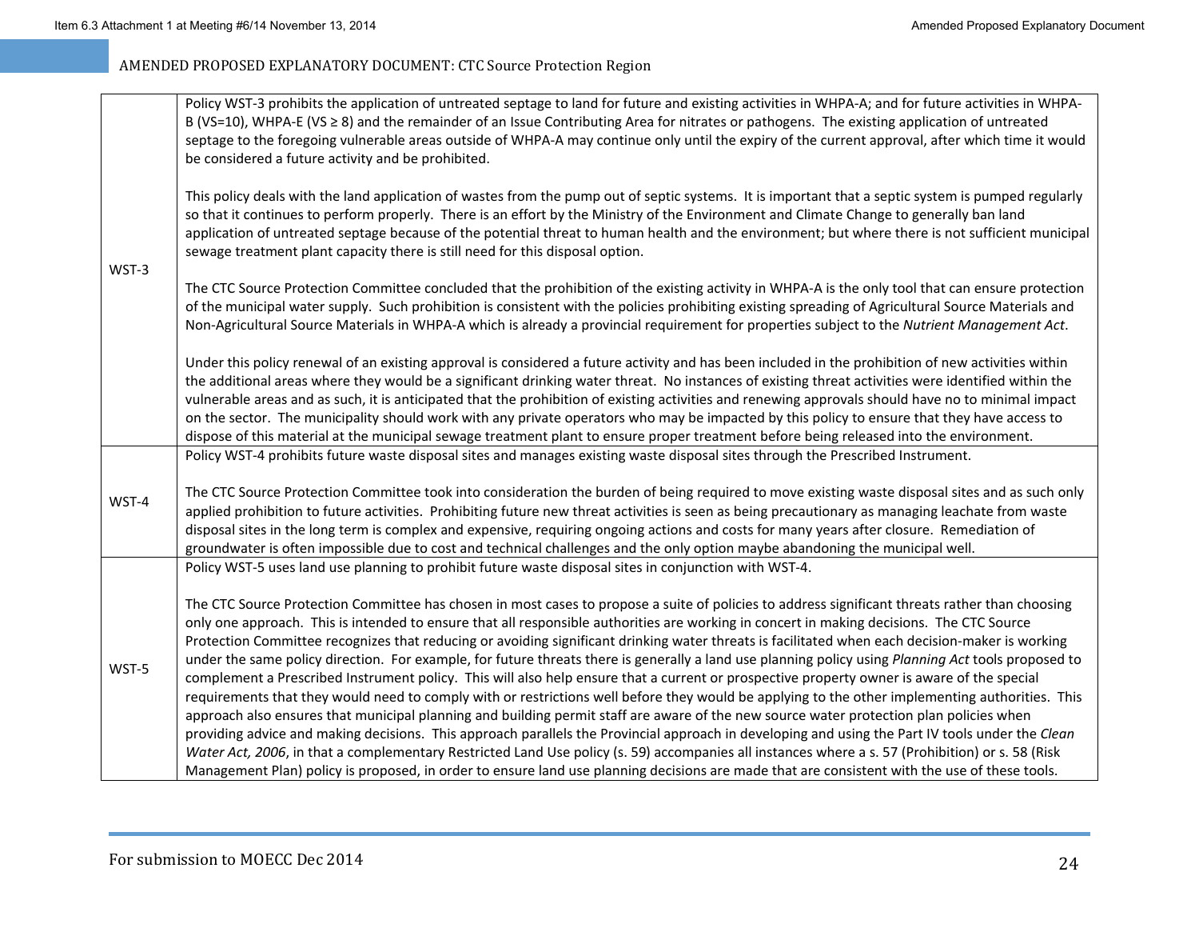| WST-3 | Policy WST-3 prohibits the application of untreated septage to land for future and existing activities in WHPA-A; and for future activities in WHPA-<br>B (VS=10), WHPA-E (VS ≥ 8) and the remainder of an Issue Contributing Area for nitrates or pathogens. The existing application of untreated<br>septage to the foregoing vulnerable areas outside of WHPA-A may continue only until the expiry of the current approval, after which time it would<br>be considered a future activity and be prohibited.                                                                                                                                                                                                                                                                                                                                                                                                                                                                                                                                                                                                                                                                                                                                                                                                                                                                                                                                                                                              |
|-------|-------------------------------------------------------------------------------------------------------------------------------------------------------------------------------------------------------------------------------------------------------------------------------------------------------------------------------------------------------------------------------------------------------------------------------------------------------------------------------------------------------------------------------------------------------------------------------------------------------------------------------------------------------------------------------------------------------------------------------------------------------------------------------------------------------------------------------------------------------------------------------------------------------------------------------------------------------------------------------------------------------------------------------------------------------------------------------------------------------------------------------------------------------------------------------------------------------------------------------------------------------------------------------------------------------------------------------------------------------------------------------------------------------------------------------------------------------------------------------------------------------------|
|       | This policy deals with the land application of wastes from the pump out of septic systems. It is important that a septic system is pumped regularly<br>so that it continues to perform properly. There is an effort by the Ministry of the Environment and Climate Change to generally ban land<br>application of untreated septage because of the potential threat to human health and the environment; but where there is not sufficient municipal<br>sewage treatment plant capacity there is still need for this disposal option.                                                                                                                                                                                                                                                                                                                                                                                                                                                                                                                                                                                                                                                                                                                                                                                                                                                                                                                                                                       |
|       | The CTC Source Protection Committee concluded that the prohibition of the existing activity in WHPA-A is the only tool that can ensure protection<br>of the municipal water supply. Such prohibition is consistent with the policies prohibiting existing spreading of Agricultural Source Materials and<br>Non-Agricultural Source Materials in WHPA-A which is already a provincial requirement for properties subject to the Nutrient Management Act.                                                                                                                                                                                                                                                                                                                                                                                                                                                                                                                                                                                                                                                                                                                                                                                                                                                                                                                                                                                                                                                    |
|       | Under this policy renewal of an existing approval is considered a future activity and has been included in the prohibition of new activities within<br>the additional areas where they would be a significant drinking water threat. No instances of existing threat activities were identified within the<br>vulnerable areas and as such, it is anticipated that the prohibition of existing activities and renewing approvals should have no to minimal impact<br>on the sector. The municipality should work with any private operators who may be impacted by this policy to ensure that they have access to<br>dispose of this material at the municipal sewage treatment plant to ensure proper treatment before being released into the environment.                                                                                                                                                                                                                                                                                                                                                                                                                                                                                                                                                                                                                                                                                                                                                |
|       | Policy WST-4 prohibits future waste disposal sites and manages existing waste disposal sites through the Prescribed Instrument.                                                                                                                                                                                                                                                                                                                                                                                                                                                                                                                                                                                                                                                                                                                                                                                                                                                                                                                                                                                                                                                                                                                                                                                                                                                                                                                                                                             |
| WST-4 | The CTC Source Protection Committee took into consideration the burden of being required to move existing waste disposal sites and as such only<br>applied prohibition to future activities. Prohibiting future new threat activities is seen as being precautionary as managing leachate from waste<br>disposal sites in the long term is complex and expensive, requiring ongoing actions and costs for many years after closure. Remediation of<br>groundwater is often impossible due to cost and technical challenges and the only option maybe abandoning the municipal well.                                                                                                                                                                                                                                                                                                                                                                                                                                                                                                                                                                                                                                                                                                                                                                                                                                                                                                                         |
|       | Policy WST-5 uses land use planning to prohibit future waste disposal sites in conjunction with WST-4.                                                                                                                                                                                                                                                                                                                                                                                                                                                                                                                                                                                                                                                                                                                                                                                                                                                                                                                                                                                                                                                                                                                                                                                                                                                                                                                                                                                                      |
| WST-5 | The CTC Source Protection Committee has chosen in most cases to propose a suite of policies to address significant threats rather than choosing<br>only one approach. This is intended to ensure that all responsible authorities are working in concert in making decisions. The CTC Source<br>Protection Committee recognizes that reducing or avoiding significant drinking water threats is facilitated when each decision-maker is working<br>under the same policy direction. For example, for future threats there is generally a land use planning policy using Planning Act tools proposed to<br>complement a Prescribed Instrument policy. This will also help ensure that a current or prospective property owner is aware of the special<br>requirements that they would need to comply with or restrictions well before they would be applying to the other implementing authorities. This<br>approach also ensures that municipal planning and building permit staff are aware of the new source water protection plan policies when<br>providing advice and making decisions. This approach parallels the Provincial approach in developing and using the Part IV tools under the Clean<br>Water Act, 2006, in that a complementary Restricted Land Use policy (s. 59) accompanies all instances where a s. 57 (Prohibition) or s. 58 (Risk<br>Management Plan) policy is proposed, in order to ensure land use planning decisions are made that are consistent with the use of these tools. |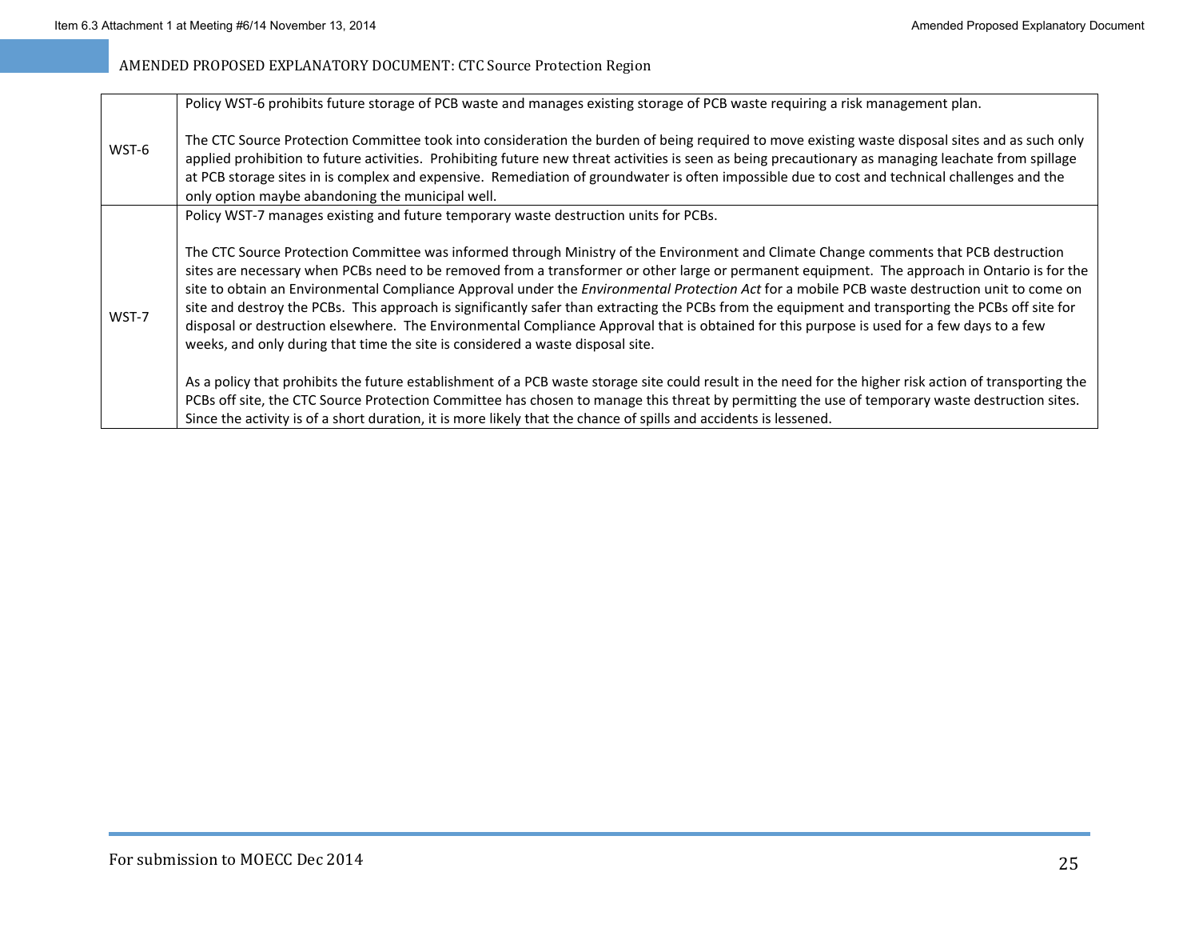|       | Policy WST-6 prohibits future storage of PCB waste and manages existing storage of PCB waste requiring a risk management plan.                                                                                                                                                                                                                                                                                                                                                                                                                                                                                                                                                                                                                                                                                                |
|-------|-------------------------------------------------------------------------------------------------------------------------------------------------------------------------------------------------------------------------------------------------------------------------------------------------------------------------------------------------------------------------------------------------------------------------------------------------------------------------------------------------------------------------------------------------------------------------------------------------------------------------------------------------------------------------------------------------------------------------------------------------------------------------------------------------------------------------------|
| WST-6 | The CTC Source Protection Committee took into consideration the burden of being required to move existing waste disposal sites and as such only<br>applied prohibition to future activities. Prohibiting future new threat activities is seen as being precautionary as managing leachate from spillage<br>at PCB storage sites in is complex and expensive. Remediation of groundwater is often impossible due to cost and technical challenges and the<br>only option maybe abandoning the municipal well.                                                                                                                                                                                                                                                                                                                  |
|       | Policy WST-7 manages existing and future temporary waste destruction units for PCBs.                                                                                                                                                                                                                                                                                                                                                                                                                                                                                                                                                                                                                                                                                                                                          |
| WST-7 | The CTC Source Protection Committee was informed through Ministry of the Environment and Climate Change comments that PCB destruction<br>sites are necessary when PCBs need to be removed from a transformer or other large or permanent equipment. The approach in Ontario is for the<br>site to obtain an Environmental Compliance Approval under the Environmental Protection Act for a mobile PCB waste destruction unit to come on<br>site and destroy the PCBs. This approach is significantly safer than extracting the PCBs from the equipment and transporting the PCBs off site for<br>disposal or destruction elsewhere. The Environmental Compliance Approval that is obtained for this purpose is used for a few days to a few<br>weeks, and only during that time the site is considered a waste disposal site. |
|       | As a policy that prohibits the future establishment of a PCB waste storage site could result in the need for the higher risk action of transporting the                                                                                                                                                                                                                                                                                                                                                                                                                                                                                                                                                                                                                                                                       |
|       | PCBs off site, the CTC Source Protection Committee has chosen to manage this threat by permitting the use of temporary waste destruction sites.                                                                                                                                                                                                                                                                                                                                                                                                                                                                                                                                                                                                                                                                               |
|       | Since the activity is of a short duration, it is more likely that the chance of spills and accidents is lessened.                                                                                                                                                                                                                                                                                                                                                                                                                                                                                                                                                                                                                                                                                                             |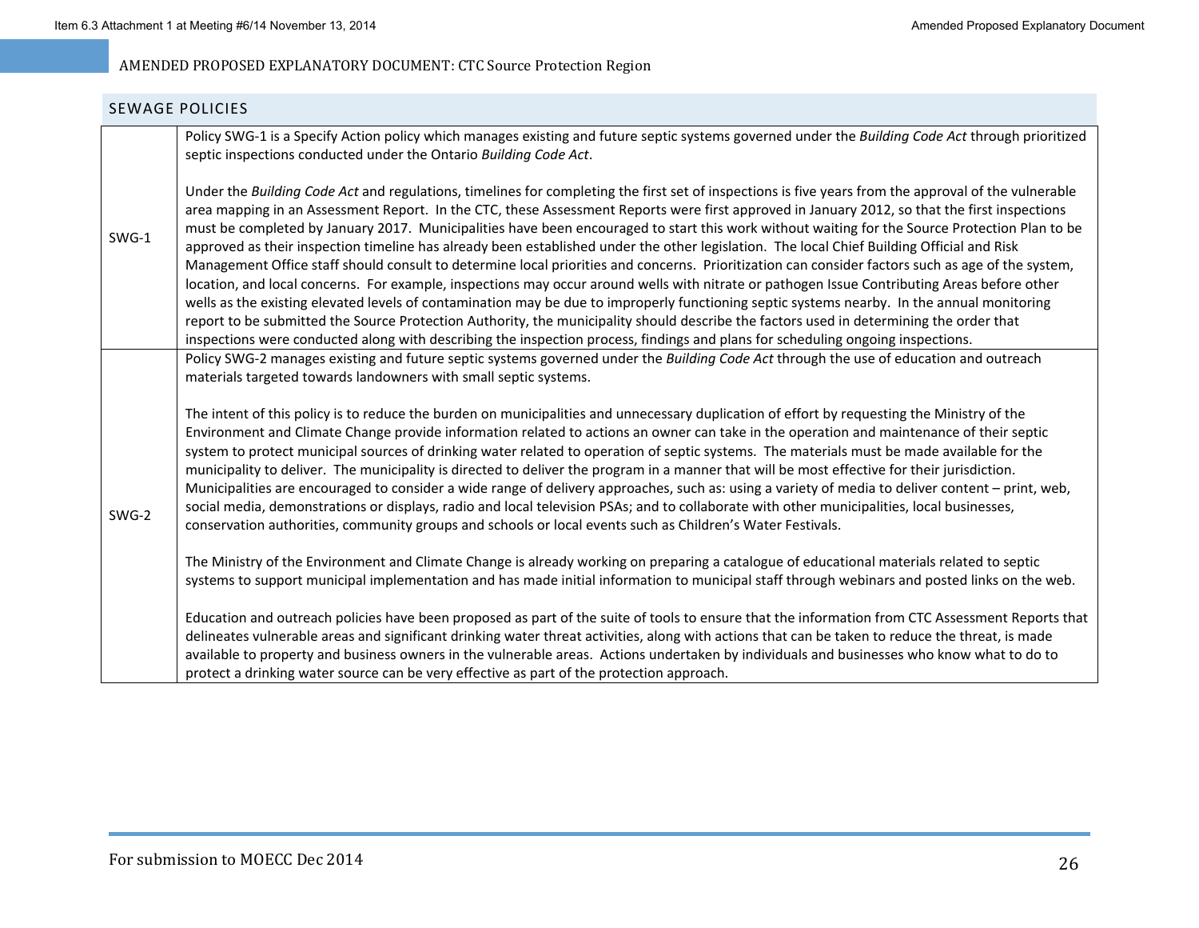#### SEWAGE POLICIES

|       | Policy SWG-1 is a Specify Action policy which manages existing and future septic systems governed under the Building Code Act through prioritized<br>septic inspections conducted under the Ontario Building Code Act.                                                                                                                                                                                                                                                                                                                                                                                                                                                                                                                                                                                                                                                                                                                                                                                                                                                                                                                                                                                                                                                                                                                  |
|-------|-----------------------------------------------------------------------------------------------------------------------------------------------------------------------------------------------------------------------------------------------------------------------------------------------------------------------------------------------------------------------------------------------------------------------------------------------------------------------------------------------------------------------------------------------------------------------------------------------------------------------------------------------------------------------------------------------------------------------------------------------------------------------------------------------------------------------------------------------------------------------------------------------------------------------------------------------------------------------------------------------------------------------------------------------------------------------------------------------------------------------------------------------------------------------------------------------------------------------------------------------------------------------------------------------------------------------------------------|
| SWG-1 | Under the Building Code Act and regulations, timelines for completing the first set of inspections is five years from the approval of the vulnerable<br>area mapping in an Assessment Report. In the CTC, these Assessment Reports were first approved in January 2012, so that the first inspections<br>must be completed by January 2017. Municipalities have been encouraged to start this work without waiting for the Source Protection Plan to be<br>approved as their inspection timeline has already been established under the other legislation. The local Chief Building Official and Risk<br>Management Office staff should consult to determine local priorities and concerns. Prioritization can consider factors such as age of the system,<br>location, and local concerns. For example, inspections may occur around wells with nitrate or pathogen Issue Contributing Areas before other<br>wells as the existing elevated levels of contamination may be due to improperly functioning septic systems nearby. In the annual monitoring<br>report to be submitted the Source Protection Authority, the municipality should describe the factors used in determining the order that<br>inspections were conducted along with describing the inspection process, findings and plans for scheduling ongoing inspections. |
|       | Policy SWG-2 manages existing and future septic systems governed under the Building Code Act through the use of education and outreach<br>materials targeted towards landowners with small septic systems.                                                                                                                                                                                                                                                                                                                                                                                                                                                                                                                                                                                                                                                                                                                                                                                                                                                                                                                                                                                                                                                                                                                              |
| SWG-2 | The intent of this policy is to reduce the burden on municipalities and unnecessary duplication of effort by requesting the Ministry of the<br>Environment and Climate Change provide information related to actions an owner can take in the operation and maintenance of their septic<br>system to protect municipal sources of drinking water related to operation of septic systems. The materials must be made available for the<br>municipality to deliver. The municipality is directed to deliver the program in a manner that will be most effective for their jurisdiction.<br>Municipalities are encouraged to consider a wide range of delivery approaches, such as: using a variety of media to deliver content – print, web,<br>social media, demonstrations or displays, radio and local television PSAs; and to collaborate with other municipalities, local businesses,<br>conservation authorities, community groups and schools or local events such as Children's Water Festivals.                                                                                                                                                                                                                                                                                                                                  |
|       | The Ministry of the Environment and Climate Change is already working on preparing a catalogue of educational materials related to septic<br>systems to support municipal implementation and has made initial information to municipal staff through webinars and posted links on the web.                                                                                                                                                                                                                                                                                                                                                                                                                                                                                                                                                                                                                                                                                                                                                                                                                                                                                                                                                                                                                                              |
|       | Education and outreach policies have been proposed as part of the suite of tools to ensure that the information from CTC Assessment Reports that<br>delineates vulnerable areas and significant drinking water threat activities, along with actions that can be taken to reduce the threat, is made<br>available to property and business owners in the vulnerable areas. Actions undertaken by individuals and businesses who know what to do to<br>protect a drinking water source can be very effective as part of the protection approach.                                                                                                                                                                                                                                                                                                                                                                                                                                                                                                                                                                                                                                                                                                                                                                                         |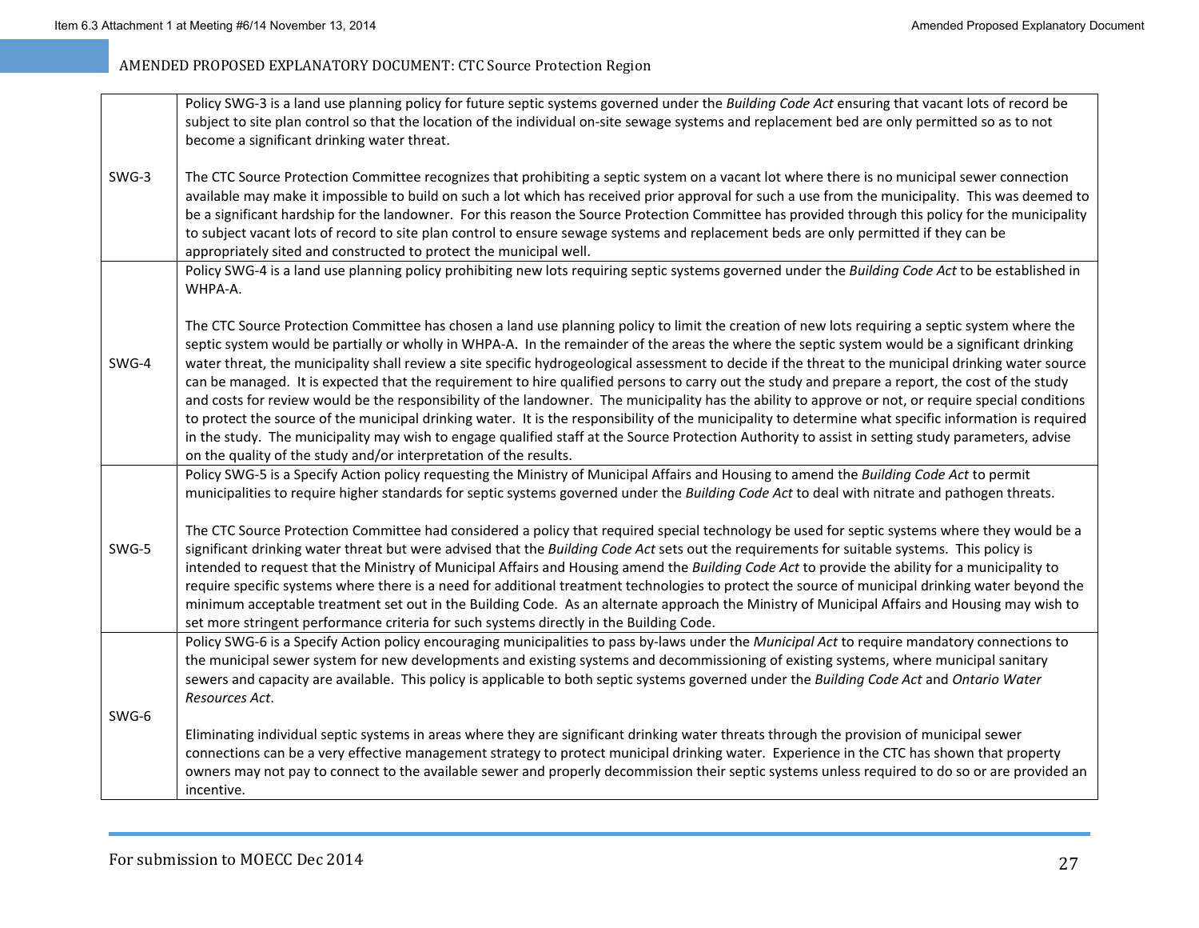|         | Policy SWG-3 is a land use planning policy for future septic systems governed under the Building Code Act ensuring that vacant lots of record be<br>subject to site plan control so that the location of the individual on-site sewage systems and replacement bed are only permitted so as to not<br>become a significant drinking water threat.                                                                                                                                                                                                                                                                                                                                                                                                                                                                                                                                                                                                                                                                                                                                                                                                            |
|---------|--------------------------------------------------------------------------------------------------------------------------------------------------------------------------------------------------------------------------------------------------------------------------------------------------------------------------------------------------------------------------------------------------------------------------------------------------------------------------------------------------------------------------------------------------------------------------------------------------------------------------------------------------------------------------------------------------------------------------------------------------------------------------------------------------------------------------------------------------------------------------------------------------------------------------------------------------------------------------------------------------------------------------------------------------------------------------------------------------------------------------------------------------------------|
| $SWG-3$ | The CTC Source Protection Committee recognizes that prohibiting a septic system on a vacant lot where there is no municipal sewer connection<br>available may make it impossible to build on such a lot which has received prior approval for such a use from the municipality. This was deemed to<br>be a significant hardship for the landowner. For this reason the Source Protection Committee has provided through this policy for the municipality<br>to subject vacant lots of record to site plan control to ensure sewage systems and replacement beds are only permitted if they can be<br>appropriately sited and constructed to protect the municipal well.                                                                                                                                                                                                                                                                                                                                                                                                                                                                                      |
|         | Policy SWG-4 is a land use planning policy prohibiting new lots requiring septic systems governed under the Building Code Act to be established in<br>WHPA-A.                                                                                                                                                                                                                                                                                                                                                                                                                                                                                                                                                                                                                                                                                                                                                                                                                                                                                                                                                                                                |
| SWG-4   | The CTC Source Protection Committee has chosen a land use planning policy to limit the creation of new lots requiring a septic system where the<br>septic system would be partially or wholly in WHPA-A. In the remainder of the areas the where the septic system would be a significant drinking<br>water threat, the municipality shall review a site specific hydrogeological assessment to decide if the threat to the municipal drinking water source<br>can be managed. It is expected that the requirement to hire qualified persons to carry out the study and prepare a report, the cost of the study<br>and costs for review would be the responsibility of the landowner. The municipality has the ability to approve or not, or require special conditions<br>to protect the source of the municipal drinking water. It is the responsibility of the municipality to determine what specific information is required<br>in the study. The municipality may wish to engage qualified staff at the Source Protection Authority to assist in setting study parameters, advise<br>on the quality of the study and/or interpretation of the results. |
|         | Policy SWG-5 is a Specify Action policy requesting the Ministry of Municipal Affairs and Housing to amend the Building Code Act to permit<br>municipalities to require higher standards for septic systems governed under the Building Code Act to deal with nitrate and pathogen threats.                                                                                                                                                                                                                                                                                                                                                                                                                                                                                                                                                                                                                                                                                                                                                                                                                                                                   |
| SWG-5   | The CTC Source Protection Committee had considered a policy that required special technology be used for septic systems where they would be a<br>significant drinking water threat but were advised that the Building Code Act sets out the requirements for suitable systems. This policy is<br>intended to request that the Ministry of Municipal Affairs and Housing amend the Building Code Act to provide the ability for a municipality to<br>require specific systems where there is a need for additional treatment technologies to protect the source of municipal drinking water beyond the<br>minimum acceptable treatment set out in the Building Code. As an alternate approach the Ministry of Municipal Affairs and Housing may wish to<br>set more stringent performance criteria for such systems directly in the Building Code.                                                                                                                                                                                                                                                                                                            |
|         | Policy SWG-6 is a Specify Action policy encouraging municipalities to pass by-laws under the Municipal Act to require mandatory connections to<br>the municipal sewer system for new developments and existing systems and decommissioning of existing systems, where municipal sanitary<br>sewers and capacity are available. This policy is applicable to both septic systems governed under the Building Code Act and Ontario Water<br>Resources Act.                                                                                                                                                                                                                                                                                                                                                                                                                                                                                                                                                                                                                                                                                                     |
| SWG-6   | Eliminating individual septic systems in areas where they are significant drinking water threats through the provision of municipal sewer<br>connections can be a very effective management strategy to protect municipal drinking water. Experience in the CTC has shown that property<br>owners may not pay to connect to the available sewer and properly decommission their septic systems unless required to do so or are provided an<br>incentive.                                                                                                                                                                                                                                                                                                                                                                                                                                                                                                                                                                                                                                                                                                     |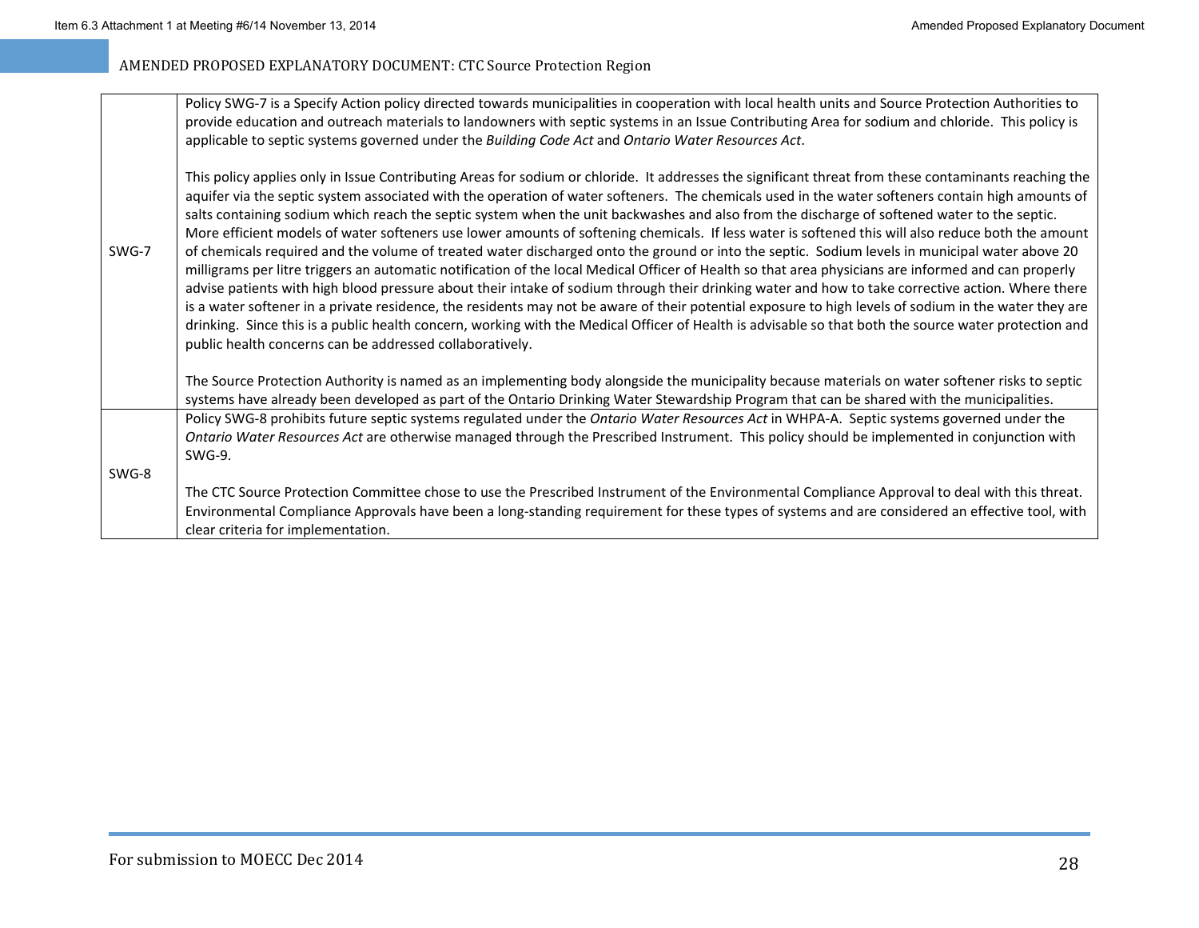|       | Policy SWG-7 is a Specify Action policy directed towards municipalities in cooperation with local health units and Source Protection Authorities to<br>provide education and outreach materials to landowners with septic systems in an Issue Contributing Area for sodium and chloride. This policy is<br>applicable to septic systems governed under the Building Code Act and Ontario Water Resources Act.                                                                                                                                                                                                                                                                                                                                                                                                                                                                                                                                                                                                                                                                                                                                                                                                                                                                                                                                                                                                                                                |
|-------|--------------------------------------------------------------------------------------------------------------------------------------------------------------------------------------------------------------------------------------------------------------------------------------------------------------------------------------------------------------------------------------------------------------------------------------------------------------------------------------------------------------------------------------------------------------------------------------------------------------------------------------------------------------------------------------------------------------------------------------------------------------------------------------------------------------------------------------------------------------------------------------------------------------------------------------------------------------------------------------------------------------------------------------------------------------------------------------------------------------------------------------------------------------------------------------------------------------------------------------------------------------------------------------------------------------------------------------------------------------------------------------------------------------------------------------------------------------|
| SWG-7 | This policy applies only in Issue Contributing Areas for sodium or chloride. It addresses the significant threat from these contaminants reaching the<br>aquifer via the septic system associated with the operation of water softeners. The chemicals used in the water softeners contain high amounts of<br>salts containing sodium which reach the septic system when the unit backwashes and also from the discharge of softened water to the septic.<br>More efficient models of water softeners use lower amounts of softening chemicals. If less water is softened this will also reduce both the amount<br>of chemicals required and the volume of treated water discharged onto the ground or into the septic. Sodium levels in municipal water above 20<br>milligrams per litre triggers an automatic notification of the local Medical Officer of Health so that area physicians are informed and can properly<br>advise patients with high blood pressure about their intake of sodium through their drinking water and how to take corrective action. Where there<br>is a water softener in a private residence, the residents may not be aware of their potential exposure to high levels of sodium in the water they are<br>drinking. Since this is a public health concern, working with the Medical Officer of Health is advisable so that both the source water protection and<br>public health concerns can be addressed collaboratively. |
|       | The Source Protection Authority is named as an implementing body alongside the municipality because materials on water softener risks to septic<br>systems have already been developed as part of the Ontario Drinking Water Stewardship Program that can be shared with the municipalities.                                                                                                                                                                                                                                                                                                                                                                                                                                                                                                                                                                                                                                                                                                                                                                                                                                                                                                                                                                                                                                                                                                                                                                 |
|       | Policy SWG-8 prohibits future septic systems regulated under the Ontario Water Resources Act in WHPA-A. Septic systems governed under the<br>Ontario Water Resources Act are otherwise managed through the Prescribed Instrument. This policy should be implemented in conjunction with<br>$SWG-9$ .                                                                                                                                                                                                                                                                                                                                                                                                                                                                                                                                                                                                                                                                                                                                                                                                                                                                                                                                                                                                                                                                                                                                                         |
| SWG-8 | The CTC Source Protection Committee chose to use the Prescribed Instrument of the Environmental Compliance Approval to deal with this threat.<br>Environmental Compliance Approvals have been a long-standing requirement for these types of systems and are considered an effective tool, with<br>clear criteria for implementation.                                                                                                                                                                                                                                                                                                                                                                                                                                                                                                                                                                                                                                                                                                                                                                                                                                                                                                                                                                                                                                                                                                                        |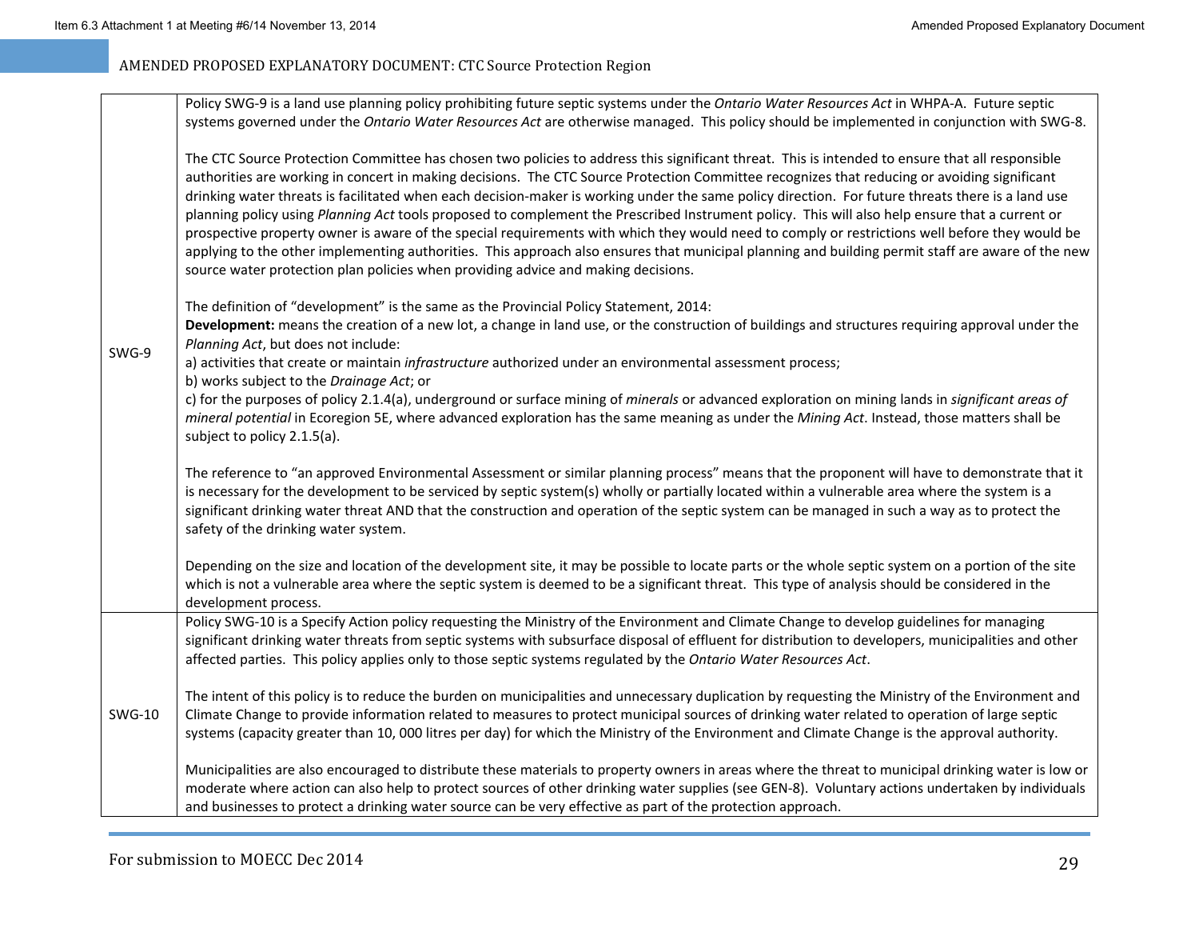|               | Policy SWG-9 is a land use planning policy prohibiting future septic systems under the Ontario Water Resources Act in WHPA-A. Future septic<br>systems governed under the Ontario Water Resources Act are otherwise managed. This policy should be implemented in conjunction with SWG-8.                                                                                                                                                                                                                                                                                                                                                                                                                                                                                                                                                                                                                                                                                                          |
|---------------|----------------------------------------------------------------------------------------------------------------------------------------------------------------------------------------------------------------------------------------------------------------------------------------------------------------------------------------------------------------------------------------------------------------------------------------------------------------------------------------------------------------------------------------------------------------------------------------------------------------------------------------------------------------------------------------------------------------------------------------------------------------------------------------------------------------------------------------------------------------------------------------------------------------------------------------------------------------------------------------------------|
| SWG-9         | The CTC Source Protection Committee has chosen two policies to address this significant threat. This is intended to ensure that all responsible<br>authorities are working in concert in making decisions. The CTC Source Protection Committee recognizes that reducing or avoiding significant<br>drinking water threats is facilitated when each decision-maker is working under the same policy direction. For future threats there is a land use<br>planning policy using Planning Act tools proposed to complement the Prescribed Instrument policy. This will also help ensure that a current or<br>prospective property owner is aware of the special requirements with which they would need to comply or restrictions well before they would be<br>applying to the other implementing authorities. This approach also ensures that municipal planning and building permit staff are aware of the new<br>source water protection plan policies when providing advice and making decisions. |
|               | The definition of "development" is the same as the Provincial Policy Statement, 2014:<br>Development: means the creation of a new lot, a change in land use, or the construction of buildings and structures requiring approval under the<br>Planning Act, but does not include:                                                                                                                                                                                                                                                                                                                                                                                                                                                                                                                                                                                                                                                                                                                   |
|               | a) activities that create or maintain infrastructure authorized under an environmental assessment process;                                                                                                                                                                                                                                                                                                                                                                                                                                                                                                                                                                                                                                                                                                                                                                                                                                                                                         |
|               | b) works subject to the Drainage Act; or<br>c) for the purposes of policy 2.1.4(a), underground or surface mining of minerals or advanced exploration on mining lands in significant areas of<br>mineral potential in Ecoregion 5E, where advanced exploration has the same meaning as under the Mining Act. Instead, those matters shall be<br>subject to policy 2.1.5(a).                                                                                                                                                                                                                                                                                                                                                                                                                                                                                                                                                                                                                        |
|               | The reference to "an approved Environmental Assessment or similar planning process" means that the proponent will have to demonstrate that it<br>is necessary for the development to be serviced by septic system(s) wholly or partially located within a vulnerable area where the system is a<br>significant drinking water threat AND that the construction and operation of the septic system can be managed in such a way as to protect the<br>safety of the drinking water system.                                                                                                                                                                                                                                                                                                                                                                                                                                                                                                           |
|               | Depending on the size and location of the development site, it may be possible to locate parts or the whole septic system on a portion of the site<br>which is not a vulnerable area where the septic system is deemed to be a significant threat. This type of analysis should be considered in the<br>development process.                                                                                                                                                                                                                                                                                                                                                                                                                                                                                                                                                                                                                                                                       |
| <b>SWG-10</b> | Policy SWG-10 is a Specify Action policy requesting the Ministry of the Environment and Climate Change to develop guidelines for managing<br>significant drinking water threats from septic systems with subsurface disposal of effluent for distribution to developers, municipalities and other<br>affected parties. This policy applies only to those septic systems regulated by the Ontario Water Resources Act.                                                                                                                                                                                                                                                                                                                                                                                                                                                                                                                                                                              |
|               | The intent of this policy is to reduce the burden on municipalities and unnecessary duplication by requesting the Ministry of the Environment and<br>Climate Change to provide information related to measures to protect municipal sources of drinking water related to operation of large septic<br>systems (capacity greater than 10, 000 litres per day) for which the Ministry of the Environment and Climate Change is the approval authority.                                                                                                                                                                                                                                                                                                                                                                                                                                                                                                                                               |
|               | Municipalities are also encouraged to distribute these materials to property owners in areas where the threat to municipal drinking water is low or<br>moderate where action can also help to protect sources of other drinking water supplies (see GEN-8). Voluntary actions undertaken by individuals<br>and businesses to protect a drinking water source can be very effective as part of the protection approach.                                                                                                                                                                                                                                                                                                                                                                                                                                                                                                                                                                             |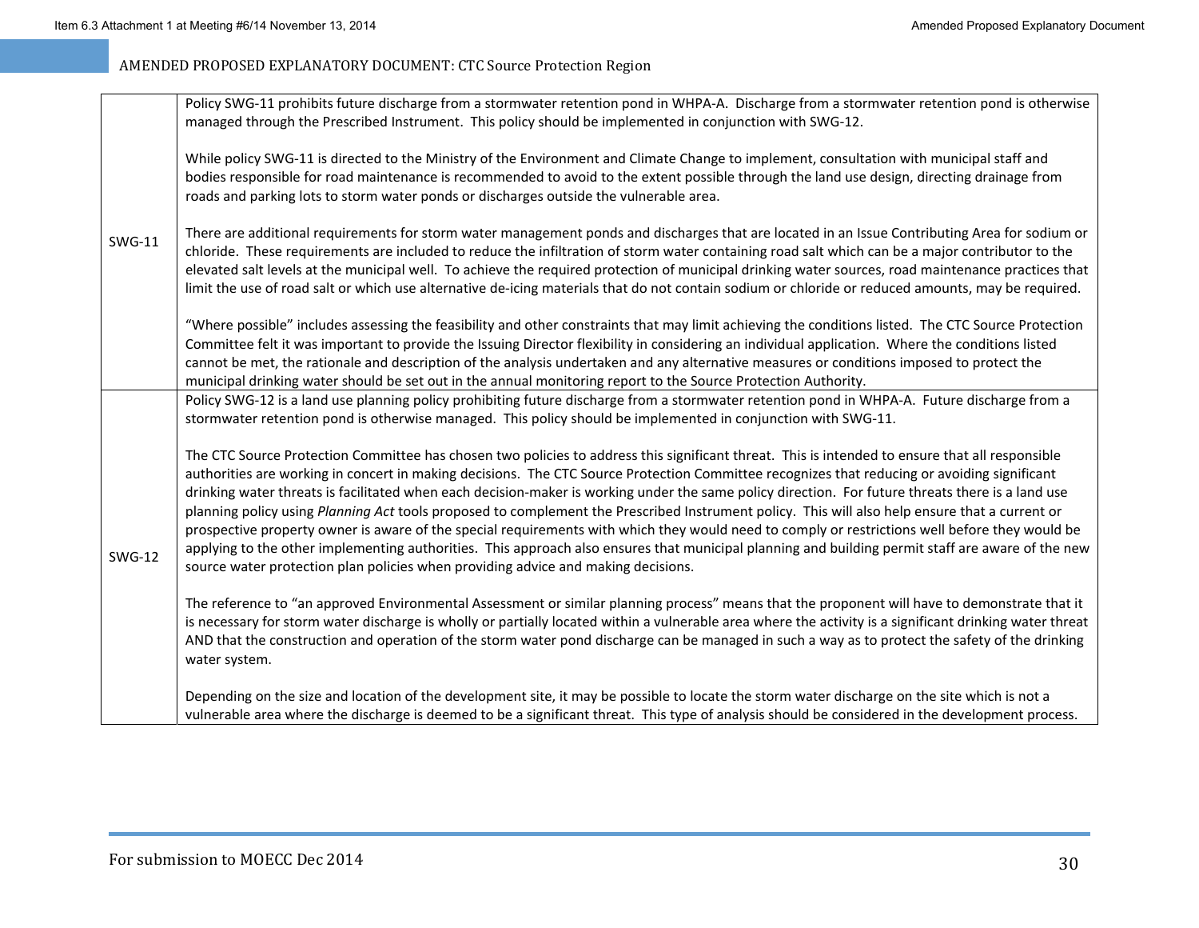|               | Policy SWG-11 prohibits future discharge from a stormwater retention pond in WHPA-A. Discharge from a stormwater retention pond is otherwise<br>managed through the Prescribed Instrument. This policy should be implemented in conjunction with SWG-12.                                                                                                                                                                                                                                                                                                                                                                                                                                                                                                                                                                                                                                                                                                                                           |
|---------------|----------------------------------------------------------------------------------------------------------------------------------------------------------------------------------------------------------------------------------------------------------------------------------------------------------------------------------------------------------------------------------------------------------------------------------------------------------------------------------------------------------------------------------------------------------------------------------------------------------------------------------------------------------------------------------------------------------------------------------------------------------------------------------------------------------------------------------------------------------------------------------------------------------------------------------------------------------------------------------------------------|
| <b>SWG-11</b> | While policy SWG-11 is directed to the Ministry of the Environment and Climate Change to implement, consultation with municipal staff and<br>bodies responsible for road maintenance is recommended to avoid to the extent possible through the land use design, directing drainage from<br>roads and parking lots to storm water ponds or discharges outside the vulnerable area.                                                                                                                                                                                                                                                                                                                                                                                                                                                                                                                                                                                                                 |
|               | There are additional requirements for storm water management ponds and discharges that are located in an Issue Contributing Area for sodium or<br>chloride. These requirements are included to reduce the infiltration of storm water containing road salt which can be a major contributor to the<br>elevated salt levels at the municipal well. To achieve the required protection of municipal drinking water sources, road maintenance practices that<br>limit the use of road salt or which use alternative de-icing materials that do not contain sodium or chloride or reduced amounts, may be required.                                                                                                                                                                                                                                                                                                                                                                                    |
|               | "Where possible" includes assessing the feasibility and other constraints that may limit achieving the conditions listed. The CTC Source Protection<br>Committee felt it was important to provide the Issuing Director flexibility in considering an individual application. Where the conditions listed<br>cannot be met, the rationale and description of the analysis undertaken and any alternative measures or conditions imposed to protect the<br>municipal drinking water should be set out in the annual monitoring report to the Source Protection Authority.                                                                                                                                                                                                                                                                                                                                                                                                                            |
| <b>SWG-12</b> | Policy SWG-12 is a land use planning policy prohibiting future discharge from a stormwater retention pond in WHPA-A. Future discharge from a<br>stormwater retention pond is otherwise managed. This policy should be implemented in conjunction with SWG-11.                                                                                                                                                                                                                                                                                                                                                                                                                                                                                                                                                                                                                                                                                                                                      |
|               | The CTC Source Protection Committee has chosen two policies to address this significant threat. This is intended to ensure that all responsible<br>authorities are working in concert in making decisions. The CTC Source Protection Committee recognizes that reducing or avoiding significant<br>drinking water threats is facilitated when each decision-maker is working under the same policy direction. For future threats there is a land use<br>planning policy using Planning Act tools proposed to complement the Prescribed Instrument policy. This will also help ensure that a current or<br>prospective property owner is aware of the special requirements with which they would need to comply or restrictions well before they would be<br>applying to the other implementing authorities. This approach also ensures that municipal planning and building permit staff are aware of the new<br>source water protection plan policies when providing advice and making decisions. |
|               | The reference to "an approved Environmental Assessment or similar planning process" means that the proponent will have to demonstrate that it<br>is necessary for storm water discharge is wholly or partially located within a vulnerable area where the activity is a significant drinking water threat<br>AND that the construction and operation of the storm water pond discharge can be managed in such a way as to protect the safety of the drinking<br>water system.                                                                                                                                                                                                                                                                                                                                                                                                                                                                                                                      |
|               | Depending on the size and location of the development site, it may be possible to locate the storm water discharge on the site which is not a<br>vulnerable area where the discharge is deemed to be a significant threat. This type of analysis should be considered in the development process.                                                                                                                                                                                                                                                                                                                                                                                                                                                                                                                                                                                                                                                                                                  |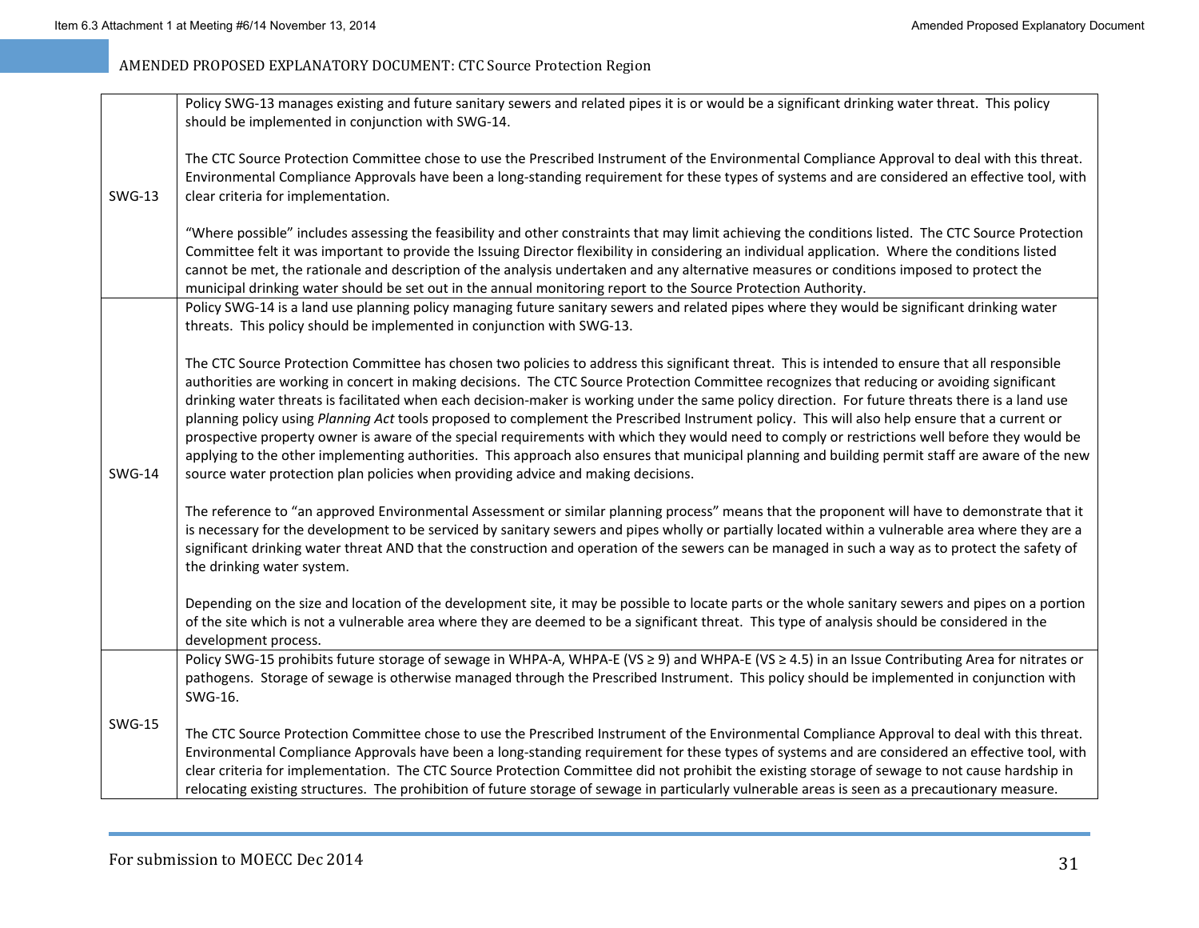|               | Policy SWG-13 manages existing and future sanitary sewers and related pipes it is or would be a significant drinking water threat. This policy<br>should be implemented in conjunction with SWG-14.                                                                                                                                                                                                                                                                                                                                                                                                                                                                                                                                                                                                                                                                                                                                                                                                |
|---------------|----------------------------------------------------------------------------------------------------------------------------------------------------------------------------------------------------------------------------------------------------------------------------------------------------------------------------------------------------------------------------------------------------------------------------------------------------------------------------------------------------------------------------------------------------------------------------------------------------------------------------------------------------------------------------------------------------------------------------------------------------------------------------------------------------------------------------------------------------------------------------------------------------------------------------------------------------------------------------------------------------|
| <b>SWG-13</b> | The CTC Source Protection Committee chose to use the Prescribed Instrument of the Environmental Compliance Approval to deal with this threat.<br>Environmental Compliance Approvals have been a long-standing requirement for these types of systems and are considered an effective tool, with<br>clear criteria for implementation.                                                                                                                                                                                                                                                                                                                                                                                                                                                                                                                                                                                                                                                              |
|               | "Where possible" includes assessing the feasibility and other constraints that may limit achieving the conditions listed. The CTC Source Protection<br>Committee felt it was important to provide the Issuing Director flexibility in considering an individual application. Where the conditions listed<br>cannot be met, the rationale and description of the analysis undertaken and any alternative measures or conditions imposed to protect the<br>municipal drinking water should be set out in the annual monitoring report to the Source Protection Authority.                                                                                                                                                                                                                                                                                                                                                                                                                            |
| <b>SWG-14</b> | Policy SWG-14 is a land use planning policy managing future sanitary sewers and related pipes where they would be significant drinking water<br>threats. This policy should be implemented in conjunction with SWG-13.                                                                                                                                                                                                                                                                                                                                                                                                                                                                                                                                                                                                                                                                                                                                                                             |
|               | The CTC Source Protection Committee has chosen two policies to address this significant threat. This is intended to ensure that all responsible<br>authorities are working in concert in making decisions. The CTC Source Protection Committee recognizes that reducing or avoiding significant<br>drinking water threats is facilitated when each decision-maker is working under the same policy direction. For future threats there is a land use<br>planning policy using Planning Act tools proposed to complement the Prescribed Instrument policy. This will also help ensure that a current or<br>prospective property owner is aware of the special requirements with which they would need to comply or restrictions well before they would be<br>applying to the other implementing authorities. This approach also ensures that municipal planning and building permit staff are aware of the new<br>source water protection plan policies when providing advice and making decisions. |
|               | The reference to "an approved Environmental Assessment or similar planning process" means that the proponent will have to demonstrate that it<br>is necessary for the development to be serviced by sanitary sewers and pipes wholly or partially located within a vulnerable area where they are a<br>significant drinking water threat AND that the construction and operation of the sewers can be managed in such a way as to protect the safety of<br>the drinking water system.                                                                                                                                                                                                                                                                                                                                                                                                                                                                                                              |
|               | Depending on the size and location of the development site, it may be possible to locate parts or the whole sanitary sewers and pipes on a portion<br>of the site which is not a vulnerable area where they are deemed to be a significant threat. This type of analysis should be considered in the<br>development process.                                                                                                                                                                                                                                                                                                                                                                                                                                                                                                                                                                                                                                                                       |
|               | Policy SWG-15 prohibits future storage of sewage in WHPA-A, WHPA-E (VS ≥ 9) and WHPA-E (VS ≥ 4.5) in an Issue Contributing Area for nitrates or<br>pathogens. Storage of sewage is otherwise managed through the Prescribed Instrument. This policy should be implemented in conjunction with<br>SWG-16.                                                                                                                                                                                                                                                                                                                                                                                                                                                                                                                                                                                                                                                                                           |
| <b>SWG-15</b> | The CTC Source Protection Committee chose to use the Prescribed Instrument of the Environmental Compliance Approval to deal with this threat.<br>Environmental Compliance Approvals have been a long-standing requirement for these types of systems and are considered an effective tool, with<br>clear criteria for implementation. The CTC Source Protection Committee did not prohibit the existing storage of sewage to not cause hardship in<br>relocating existing structures. The prohibition of future storage of sewage in particularly vulnerable areas is seen as a precautionary measure.                                                                                                                                                                                                                                                                                                                                                                                             |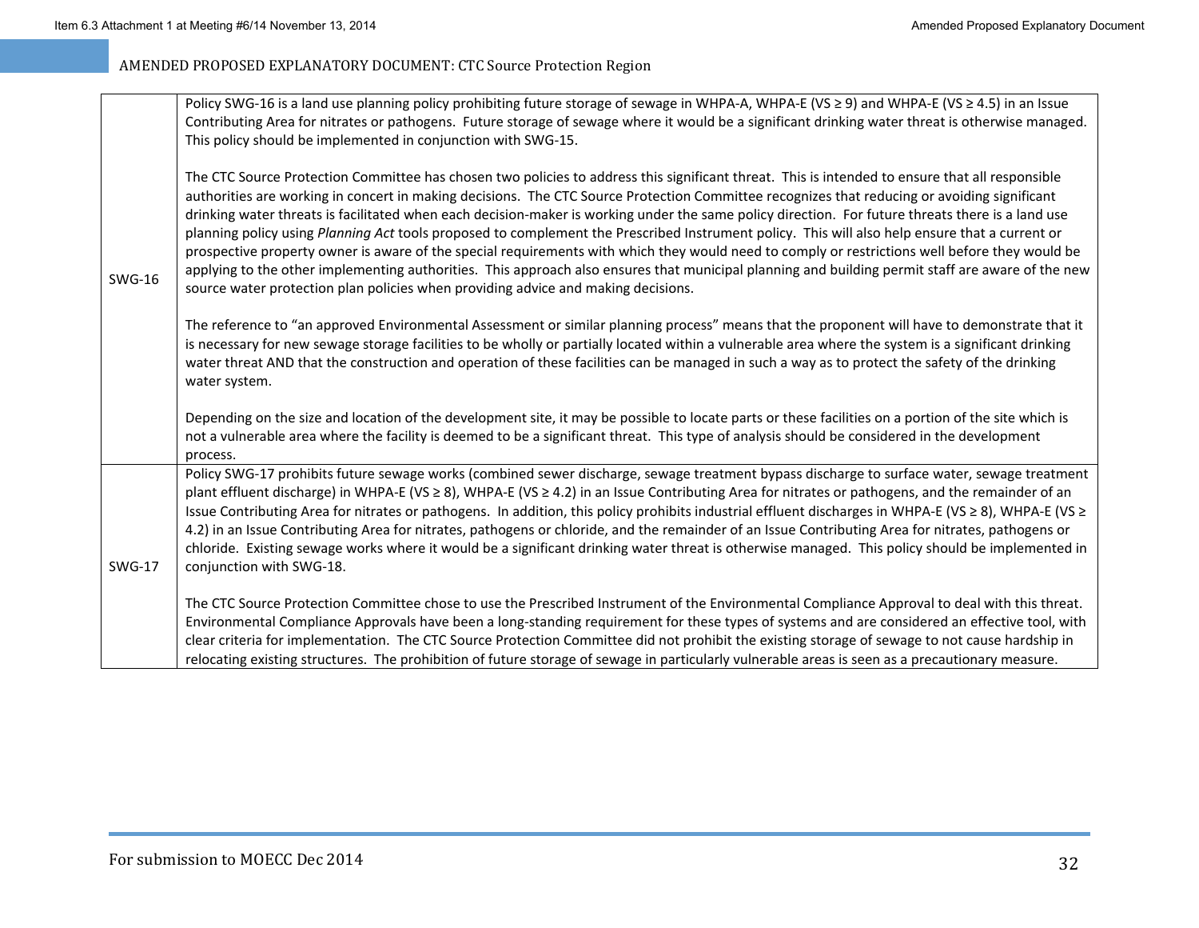|               | Policy SWG-16 is a land use planning policy prohibiting future storage of sewage in WHPA-A, WHPA-E (VS ≥ 9) and WHPA-E (VS ≥ 4.5) in an Issue<br>Contributing Area for nitrates or pathogens. Future storage of sewage where it would be a significant drinking water threat is otherwise managed.<br>This policy should be implemented in conjunction with SWG-15.                                                                                                                                                                                                                                                                                                                                                                                                                                                                                                                                                                                                                                |
|---------------|----------------------------------------------------------------------------------------------------------------------------------------------------------------------------------------------------------------------------------------------------------------------------------------------------------------------------------------------------------------------------------------------------------------------------------------------------------------------------------------------------------------------------------------------------------------------------------------------------------------------------------------------------------------------------------------------------------------------------------------------------------------------------------------------------------------------------------------------------------------------------------------------------------------------------------------------------------------------------------------------------|
| <b>SWG-16</b> | The CTC Source Protection Committee has chosen two policies to address this significant threat. This is intended to ensure that all responsible<br>authorities are working in concert in making decisions. The CTC Source Protection Committee recognizes that reducing or avoiding significant<br>drinking water threats is facilitated when each decision-maker is working under the same policy direction. For future threats there is a land use<br>planning policy using Planning Act tools proposed to complement the Prescribed Instrument policy. This will also help ensure that a current or<br>prospective property owner is aware of the special requirements with which they would need to comply or restrictions well before they would be<br>applying to the other implementing authorities. This approach also ensures that municipal planning and building permit staff are aware of the new<br>source water protection plan policies when providing advice and making decisions. |
|               | The reference to "an approved Environmental Assessment or similar planning process" means that the proponent will have to demonstrate that it<br>is necessary for new sewage storage facilities to be wholly or partially located within a vulnerable area where the system is a significant drinking<br>water threat AND that the construction and operation of these facilities can be managed in such a way as to protect the safety of the drinking<br>water system.                                                                                                                                                                                                                                                                                                                                                                                                                                                                                                                           |
|               | Depending on the size and location of the development site, it may be possible to locate parts or these facilities on a portion of the site which is<br>not a vulnerable area where the facility is deemed to be a significant threat. This type of analysis should be considered in the development<br>process.                                                                                                                                                                                                                                                                                                                                                                                                                                                                                                                                                                                                                                                                                   |
| <b>SWG-17</b> | Policy SWG-17 prohibits future sewage works (combined sewer discharge, sewage treatment bypass discharge to surface water, sewage treatment<br>plant effluent discharge) in WHPA-E (VS ≥ 8), WHPA-E (VS ≥ 4.2) in an Issue Contributing Area for nitrates or pathogens, and the remainder of an<br>Issue Contributing Area for nitrates or pathogens. In addition, this policy prohibits industrial effluent discharges in WHPA-E (VS ≥ 8), WHPA-E (VS ≥<br>4.2) in an Issue Contributing Area for nitrates, pathogens or chloride, and the remainder of an Issue Contributing Area for nitrates, pathogens or<br>chloride. Existing sewage works where it would be a significant drinking water threat is otherwise managed. This policy should be implemented in<br>conjunction with SWG-18.                                                                                                                                                                                                     |
|               | The CTC Source Protection Committee chose to use the Prescribed Instrument of the Environmental Compliance Approval to deal with this threat.<br>Environmental Compliance Approvals have been a long-standing requirement for these types of systems and are considered an effective tool, with<br>clear criteria for implementation. The CTC Source Protection Committee did not prohibit the existing storage of sewage to not cause hardship in<br>relocating existing structures. The prohibition of future storage of sewage in particularly vulnerable areas is seen as a precautionary measure.                                                                                                                                                                                                                                                                                                                                                                                             |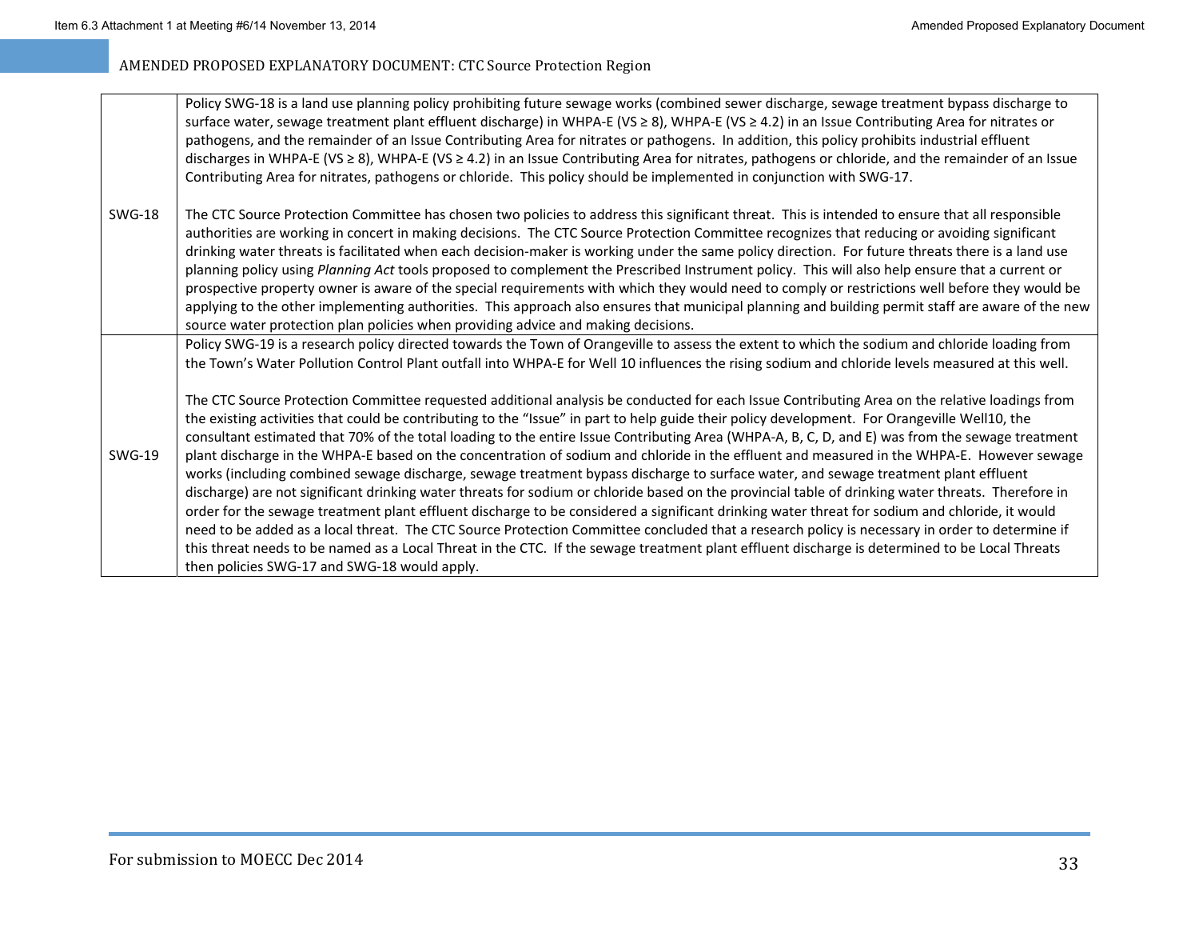|               | Policy SWG-18 is a land use planning policy prohibiting future sewage works (combined sewer discharge, sewage treatment bypass discharge to<br>surface water, sewage treatment plant effluent discharge) in WHPA-E (VS ≥ 8), WHPA-E (VS ≥ 4.2) in an Issue Contributing Area for nitrates or<br>pathogens, and the remainder of an Issue Contributing Area for nitrates or pathogens. In addition, this policy prohibits industrial effluent<br>discharges in WHPA-E (VS ≥ 8), WHPA-E (VS ≥ 4.2) in an Issue Contributing Area for nitrates, pathogens or chloride, and the remainder of an Issue<br>Contributing Area for nitrates, pathogens or chloride. This policy should be implemented in conjunction with SWG-17.                                                                                                                                                                                                                                                                                                                                                                                                                                                                                                                                                                                                                                                                          |
|---------------|----------------------------------------------------------------------------------------------------------------------------------------------------------------------------------------------------------------------------------------------------------------------------------------------------------------------------------------------------------------------------------------------------------------------------------------------------------------------------------------------------------------------------------------------------------------------------------------------------------------------------------------------------------------------------------------------------------------------------------------------------------------------------------------------------------------------------------------------------------------------------------------------------------------------------------------------------------------------------------------------------------------------------------------------------------------------------------------------------------------------------------------------------------------------------------------------------------------------------------------------------------------------------------------------------------------------------------------------------------------------------------------------------|
| <b>SWG-18</b> | The CTC Source Protection Committee has chosen two policies to address this significant threat. This is intended to ensure that all responsible<br>authorities are working in concert in making decisions. The CTC Source Protection Committee recognizes that reducing or avoiding significant<br>drinking water threats is facilitated when each decision-maker is working under the same policy direction. For future threats there is a land use<br>planning policy using Planning Act tools proposed to complement the Prescribed Instrument policy. This will also help ensure that a current or<br>prospective property owner is aware of the special requirements with which they would need to comply or restrictions well before they would be<br>applying to the other implementing authorities. This approach also ensures that municipal planning and building permit staff are aware of the new<br>source water protection plan policies when providing advice and making decisions.                                                                                                                                                                                                                                                                                                                                                                                                 |
|               | Policy SWG-19 is a research policy directed towards the Town of Orangeville to assess the extent to which the sodium and chloride loading from<br>the Town's Water Pollution Control Plant outfall into WHPA-E for Well 10 influences the rising sodium and chloride levels measured at this well.                                                                                                                                                                                                                                                                                                                                                                                                                                                                                                                                                                                                                                                                                                                                                                                                                                                                                                                                                                                                                                                                                                 |
| <b>SWG-19</b> | The CTC Source Protection Committee requested additional analysis be conducted for each Issue Contributing Area on the relative loadings from<br>the existing activities that could be contributing to the "Issue" in part to help guide their policy development. For Orangeville Well10, the<br>consultant estimated that 70% of the total loading to the entire Issue Contributing Area (WHPA-A, B, C, D, and E) was from the sewage treatment<br>plant discharge in the WHPA-E based on the concentration of sodium and chloride in the effluent and measured in the WHPA-E. However sewage<br>works (including combined sewage discharge, sewage treatment bypass discharge to surface water, and sewage treatment plant effluent<br>discharge) are not significant drinking water threats for sodium or chloride based on the provincial table of drinking water threats. Therefore in<br>order for the sewage treatment plant effluent discharge to be considered a significant drinking water threat for sodium and chloride, it would<br>need to be added as a local threat. The CTC Source Protection Committee concluded that a research policy is necessary in order to determine if<br>this threat needs to be named as a Local Threat in the CTC. If the sewage treatment plant effluent discharge is determined to be Local Threats<br>then policies SWG-17 and SWG-18 would apply. |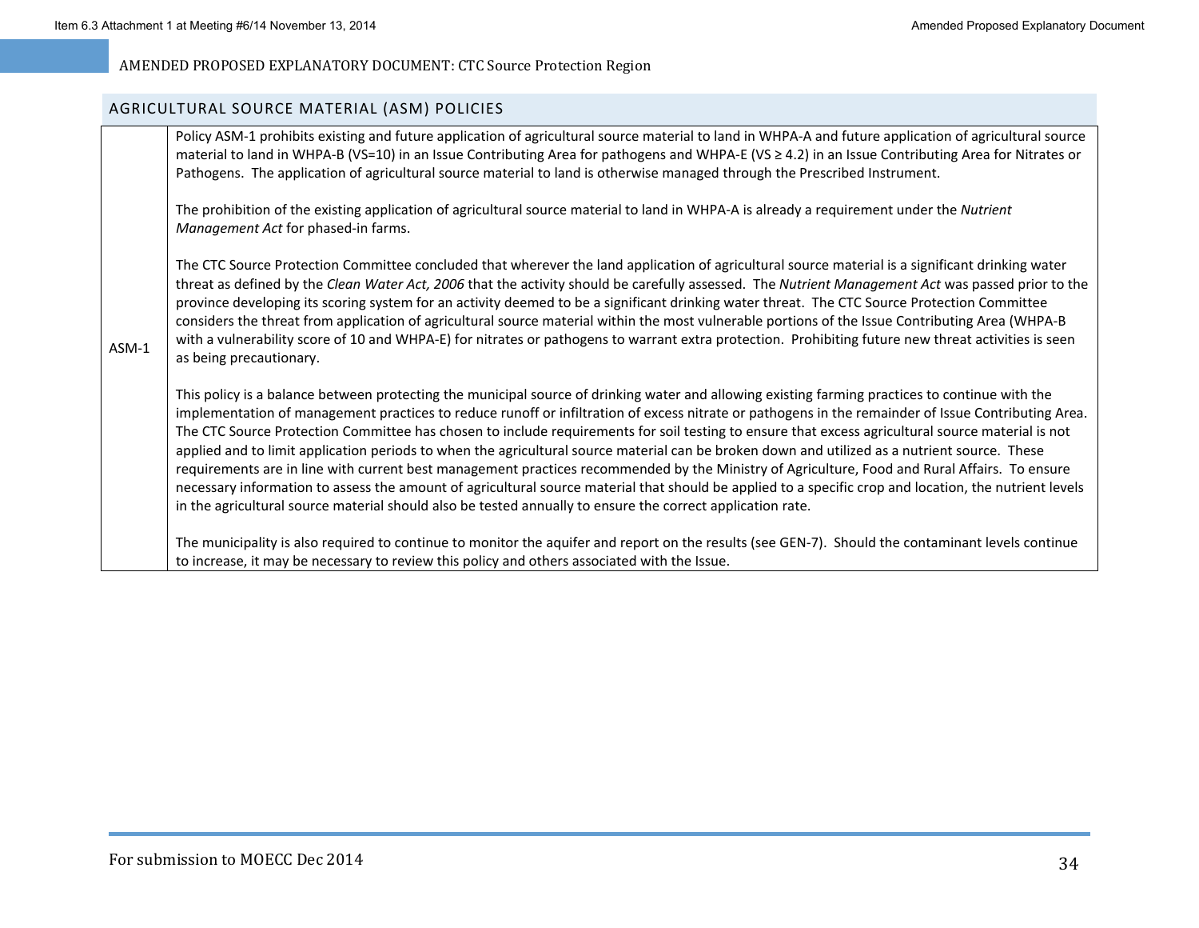#### AGRICULTURAL SOURCE MATERIAL (ASM) POLICIES

|         | Policy ASM-1 prohibits existing and future application of agricultural source material to land in WHPA-A and future application of agricultural source<br>material to land in WHPA-B (VS=10) in an Issue Contributing Area for pathogens and WHPA-E (VS ≥ 4.2) in an Issue Contributing Area for Nitrates or<br>Pathogens. The application of agricultural source material to land is otherwise managed through the Prescribed Instrument.                                                                                                                                                                                                                                                                                                                                                                                                                                                                                                                                                                                            |
|---------|---------------------------------------------------------------------------------------------------------------------------------------------------------------------------------------------------------------------------------------------------------------------------------------------------------------------------------------------------------------------------------------------------------------------------------------------------------------------------------------------------------------------------------------------------------------------------------------------------------------------------------------------------------------------------------------------------------------------------------------------------------------------------------------------------------------------------------------------------------------------------------------------------------------------------------------------------------------------------------------------------------------------------------------|
|         | The prohibition of the existing application of agricultural source material to land in WHPA-A is already a requirement under the Nutrient<br>Management Act for phased-in farms.                                                                                                                                                                                                                                                                                                                                                                                                                                                                                                                                                                                                                                                                                                                                                                                                                                                      |
| $ASM-1$ | The CTC Source Protection Committee concluded that wherever the land application of agricultural source material is a significant drinking water<br>threat as defined by the Clean Water Act, 2006 that the activity should be carefully assessed. The Nutrient Management Act was passed prior to the<br>province developing its scoring system for an activity deemed to be a significant drinking water threat. The CTC Source Protection Committee<br>considers the threat from application of agricultural source material within the most vulnerable portions of the Issue Contributing Area (WHPA-B<br>with a vulnerability score of 10 and WHPA-E) for nitrates or pathogens to warrant extra protection. Prohibiting future new threat activities is seen<br>as being precautionary.                                                                                                                                                                                                                                         |
|         | This policy is a balance between protecting the municipal source of drinking water and allowing existing farming practices to continue with the<br>implementation of management practices to reduce runoff or infiltration of excess nitrate or pathogens in the remainder of Issue Contributing Area.<br>The CTC Source Protection Committee has chosen to include requirements for soil testing to ensure that excess agricultural source material is not<br>applied and to limit application periods to when the agricultural source material can be broken down and utilized as a nutrient source. These<br>requirements are in line with current best management practices recommended by the Ministry of Agriculture, Food and Rural Affairs. To ensure<br>necessary information to assess the amount of agricultural source material that should be applied to a specific crop and location, the nutrient levels<br>in the agricultural source material should also be tested annually to ensure the correct application rate. |
|         | The municipality is also required to continue to monitor the aquifer and report on the results (see GEN-7). Should the contaminant levels continue<br>to increase, it may be necessary to review this policy and others associated with the Issue.                                                                                                                                                                                                                                                                                                                                                                                                                                                                                                                                                                                                                                                                                                                                                                                    |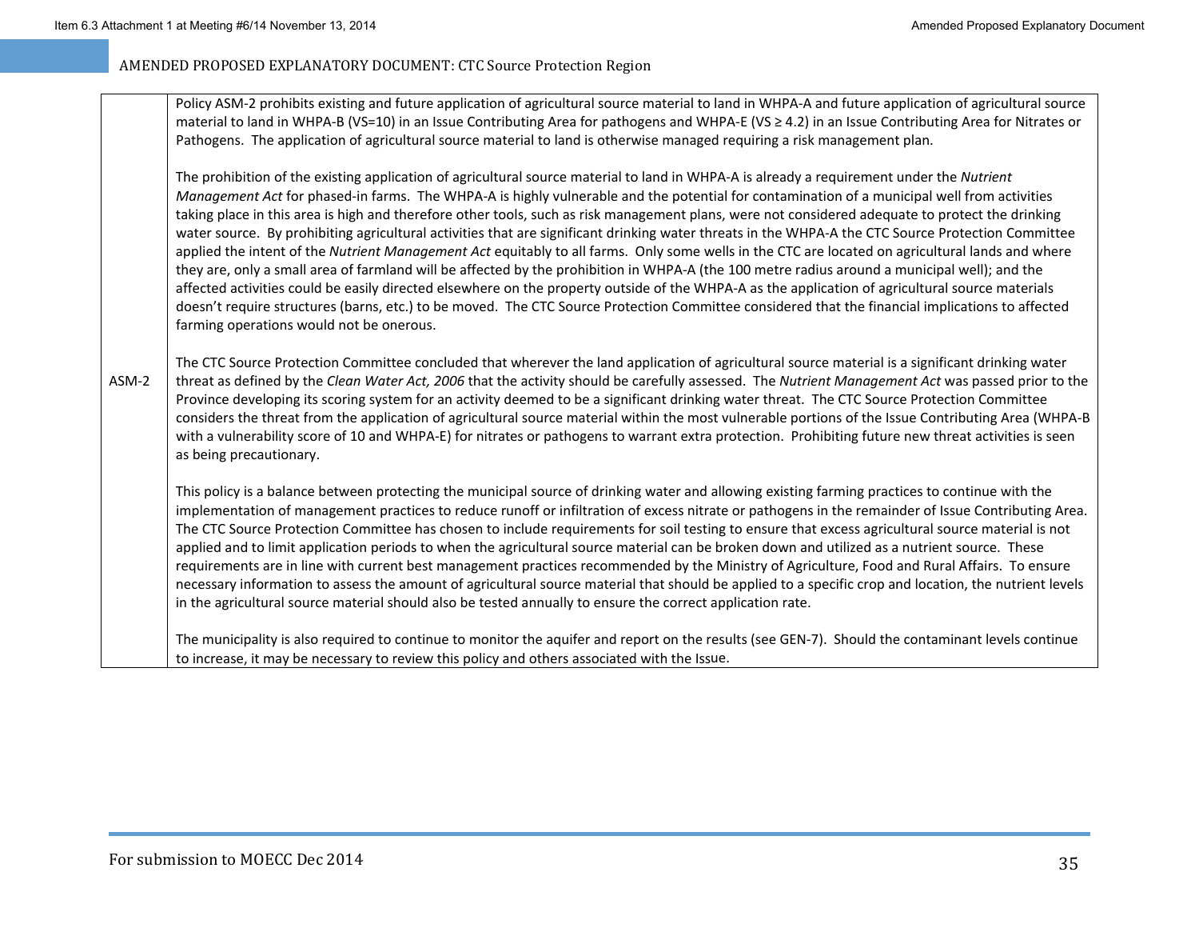Policy ASM‐2 prohibits existing and future application of agricultural source material to land in WHPA‐A and future application of agricultural source material to land in WHPA‐B (VS=10) in an Issue Contributing Area for pathogens and WHPA‐E (VS ≥ 4.2) in an Issue Contributing Area for Nitrates or Pathogens. The application of agricultural source material to land is otherwise managed requiring <sup>a</sup> risk management plan.

The prohibition of the existing application of agricultural source material to land in WHPA‐A is already <sup>a</sup> requirement under the *Nutrient Management Act* for phased‐in farms. The WHPA‐A is highly vulnerable and the potential for contamination of <sup>a</sup> municipal well from activities taking place in this area is high and therefore other tools, such as risk management plans, were not considered adequate to protect the drinking water source. By prohibiting agricultural activities that are significant drinking water threats in the WHPA‐A the CTC Source Protection Committee applied the intent of the *Nutrient Management Act* equitably to all farms. Only some wells in the CTC are located on agricultural lands and where they are, only <sup>a</sup> small area of farmland will be affected by the prohibition in WHPA‐A (the 100 metre radius around <sup>a</sup> municipal well); and the affected activities could be easily directed elsewhere on the property outside of the WHPA‐A as the application of agricultural source materials doesn't require structures (barns, etc.) to be moved. The CTC Source Protection Committee considered that the financial implications to affected farming operations would not be onerous.

ASM‐2The CTC Source Protection Committee concluded that wherever the land application of agricultural source material is <sup>a</sup> significant drinking water threat as defined by the *Clean Water Act, 2006* that the activity should be carefully assessed. The *Nutrient Management Act* was passed prior to the Province developing its scoring system for an activity deemed to be <sup>a</sup> significant drinking water threat. The CTC Source Protection Committee considers the threat from the application of agricultural source material within the most vulnerable portions of the Issue Contributing Area (WHPA‐B with <sup>a</sup> vulnerability score of 10 and WHPA‐E) for nitrates or pathogens to warrant extra protection. Prohibiting future new threat activities is seen as being precautionary.

This policy is <sup>a</sup> balance between protecting the municipal source of drinking water and allowing existing farming practices to continue with the implementation of management practices to reduce runoff or infiltration of excess nitrate or pathogens in the remainder of Issue Contributing Area. The CTC Source Protection Committee has chosen to include requirements for soil testing to ensure that excess agricultural source material is not applied and to limit application periods to when the agricultural source material can be broken down and utilized as <sup>a</sup> nutrient source. These requirements are in line with current best management practices recommended by the Ministry of Agriculture, Food and Rural Affairs. To ensure necessary information to assess the amount of agricultural source material that should be applied to <sup>a</sup> specific crop and location, the nutrient levels in the agricultural source material should also be tested annually to ensure the correct application rate.

The municipality is also required to continue to monitor the aquifer and report on the results (see GEN‐7). Should the contaminant levels continue to increase, it may be necessary to review this policy and others associated with the Issue.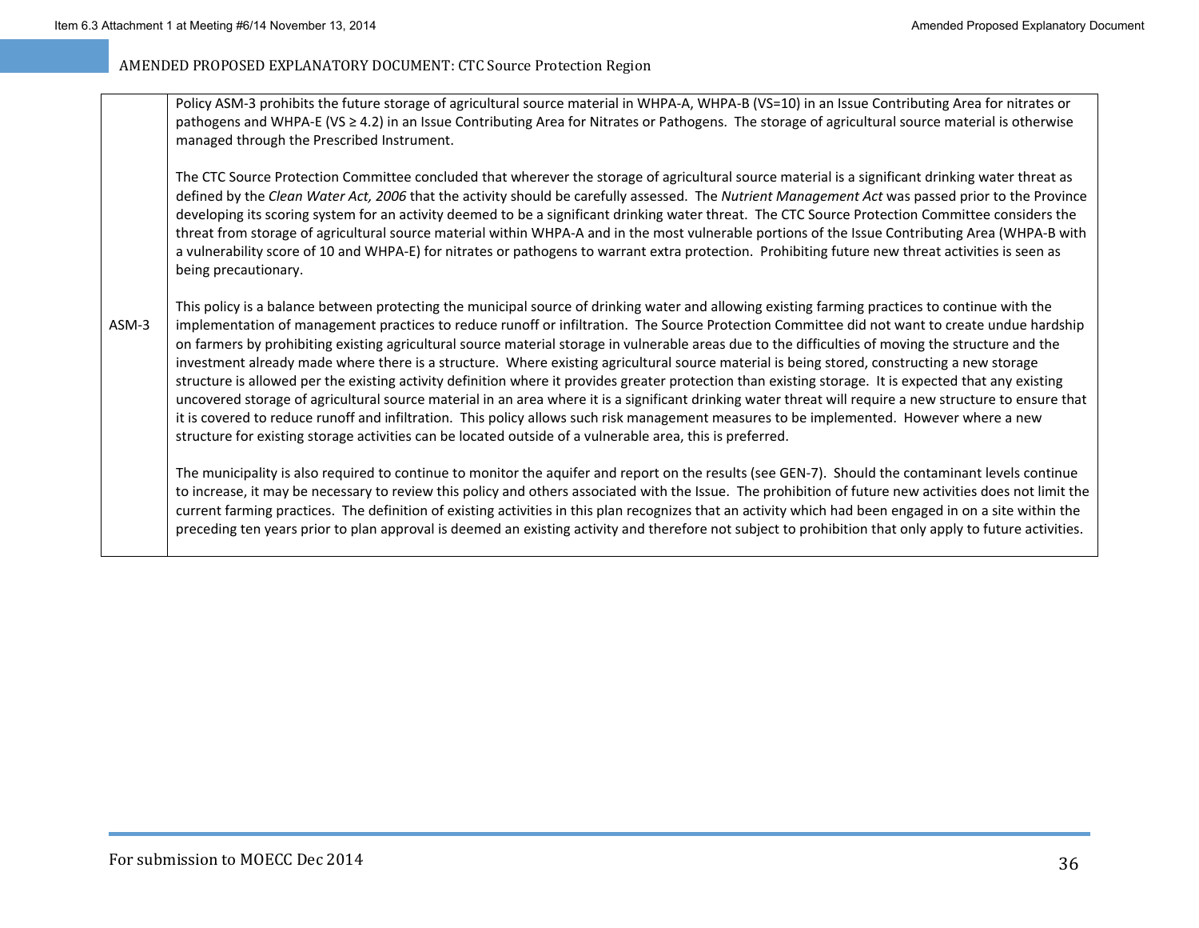Policy ASM‐3 prohibits the future storage of agricultural source material in WHPA‐A, WHPA‐B (VS=10) in an Issue Contributing Area for nitrates or pathogens and WHPA-E (VS ≥ 4.2) in an Issue Contributing Area for Nitrates or Pathogens. The storage of agricultural source material is otherwise managed through the Prescribed Instrument.

The CTC Source Protection Committee concluded that wherever the storage of agricultural source material is <sup>a</sup> significant drinking water threat as defined by the *Clean Water Act, 2006* that the activity should be carefully assessed. The *Nutrient Management Act* was passed prior to the Province developing its scoring system for an activity deemed to be <sup>a</sup> significant drinking water threat. The CTC Source Protection Committee considers the threat from storage of agricultural source material within WHPA‐A and in the most vulnerable portions of the Issue Contributing Area (WHPA‐B with a vulnerability score of 10 and WHPA‐E) for nitrates or pathogens to warrant extra protection. Prohibiting future new threat activities is seen as being precautionary.

ASM‐3This policy is <sup>a</sup> balance between protecting the municipal source of drinking water and allowing existing farming practices to continue with the implementation of management practices to reduce runoff or infiltration. The Source Protection Committee did not want to create undue hardship on farmers by prohibiting existing agricultural source material storage in vulnerable areas due to the difficulties of moving the structure and the investment already made where there is <sup>a</sup> structure. Where existing agricultural source material is being stored, constructing <sup>a</sup> new storage structure is allowed per the existing activity definition where it provides greater protection than existing storage. It is expected that any existing uncovered storage of agricultural source material in an area where it is <sup>a</sup> significant drinking water threat will require <sup>a</sup> new structure to ensure that it is covered to reduce runoff and infiltration. This policy allows such risk management measures to be implemented. However where <sup>a</sup> new structure for existing storage activities can be located outside of <sup>a</sup> vulnerable area, this is preferred.

The municipality is also required to continue to monitor the aquifer and report on the results (see GEN‐7). Should the contaminant levels continue to increase, it may be necessary to review this policy and others associated with the Issue. The prohibition of future new activities does not limit the current farming practices. The definition of existing activities in this plan recognizes that an activity which had been engaged in on <sup>a</sup> site within the preceding ten years prior to plan approval is deemed an existing activity and therefore not subject to prohibition that only apply to future activities.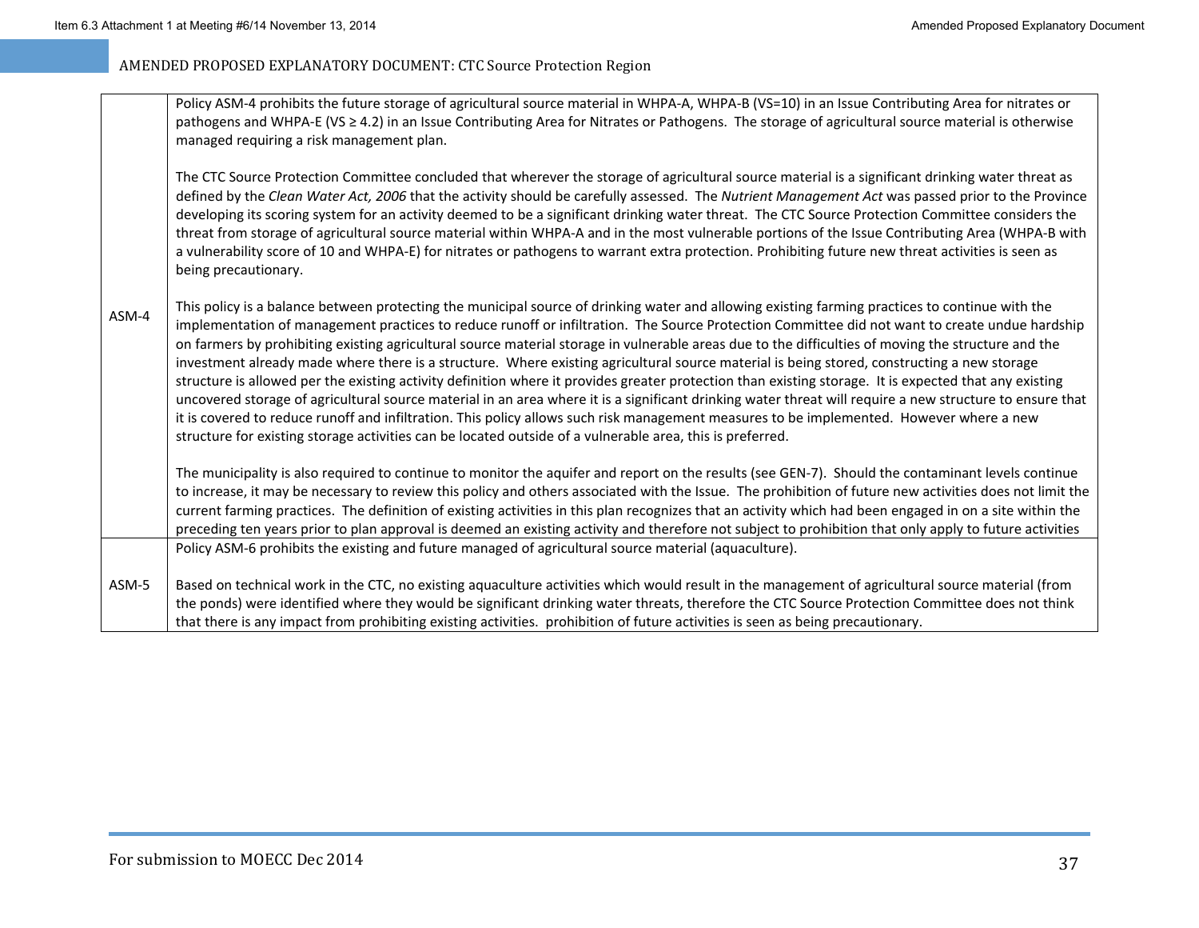|         | Policy ASM-4 prohibits the future storage of agricultural source material in WHPA-A, WHPA-B (VS=10) in an Issue Contributing Area for nitrates or<br>pathogens and WHPA-E (VS ≥ 4.2) in an Issue Contributing Area for Nitrates or Pathogens. The storage of agricultural source material is otherwise<br>managed requiring a risk management plan.                                                                                                                                                                                                                                                                                                                                                                                                                                                                                                                                                                                                                                                                                                                                                                                                                                    |
|---------|----------------------------------------------------------------------------------------------------------------------------------------------------------------------------------------------------------------------------------------------------------------------------------------------------------------------------------------------------------------------------------------------------------------------------------------------------------------------------------------------------------------------------------------------------------------------------------------------------------------------------------------------------------------------------------------------------------------------------------------------------------------------------------------------------------------------------------------------------------------------------------------------------------------------------------------------------------------------------------------------------------------------------------------------------------------------------------------------------------------------------------------------------------------------------------------|
|         | The CTC Source Protection Committee concluded that wherever the storage of agricultural source material is a significant drinking water threat as<br>defined by the Clean Water Act, 2006 that the activity should be carefully assessed. The Nutrient Management Act was passed prior to the Province<br>developing its scoring system for an activity deemed to be a significant drinking water threat. The CTC Source Protection Committee considers the<br>threat from storage of agricultural source material within WHPA-A and in the most vulnerable portions of the Issue Contributing Area (WHPA-B with<br>a vulnerability score of 10 and WHPA-E) for nitrates or pathogens to warrant extra protection. Prohibiting future new threat activities is seen as<br>being precautionary.                                                                                                                                                                                                                                                                                                                                                                                         |
| $ASM-4$ | This policy is a balance between protecting the municipal source of drinking water and allowing existing farming practices to continue with the<br>implementation of management practices to reduce runoff or infiltration. The Source Protection Committee did not want to create undue hardship<br>on farmers by prohibiting existing agricultural source material storage in vulnerable areas due to the difficulties of moving the structure and the<br>investment already made where there is a structure. Where existing agricultural source material is being stored, constructing a new storage<br>structure is allowed per the existing activity definition where it provides greater protection than existing storage. It is expected that any existing<br>uncovered storage of agricultural source material in an area where it is a significant drinking water threat will require a new structure to ensure that<br>it is covered to reduce runoff and infiltration. This policy allows such risk management measures to be implemented. However where a new<br>structure for existing storage activities can be located outside of a vulnerable area, this is preferred. |
|         | The municipality is also required to continue to monitor the aquifer and report on the results (see GEN-7). Should the contaminant levels continue<br>to increase, it may be necessary to review this policy and others associated with the Issue. The prohibition of future new activities does not limit the<br>current farming practices. The definition of existing activities in this plan recognizes that an activity which had been engaged in on a site within the<br>preceding ten years prior to plan approval is deemed an existing activity and therefore not subject to prohibition that only apply to future activities                                                                                                                                                                                                                                                                                                                                                                                                                                                                                                                                                  |
|         | Policy ASM-6 prohibits the existing and future managed of agricultural source material (aquaculture).                                                                                                                                                                                                                                                                                                                                                                                                                                                                                                                                                                                                                                                                                                                                                                                                                                                                                                                                                                                                                                                                                  |
| $ASM-5$ | Based on technical work in the CTC, no existing aquaculture activities which would result in the management of agricultural source material (from<br>the ponds) were identified where they would be significant drinking water threats, therefore the CTC Source Protection Committee does not think<br>that there is any impact from prohibiting existing activities. prohibition of future activities is seen as being precautionary.                                                                                                                                                                                                                                                                                                                                                                                                                                                                                                                                                                                                                                                                                                                                                |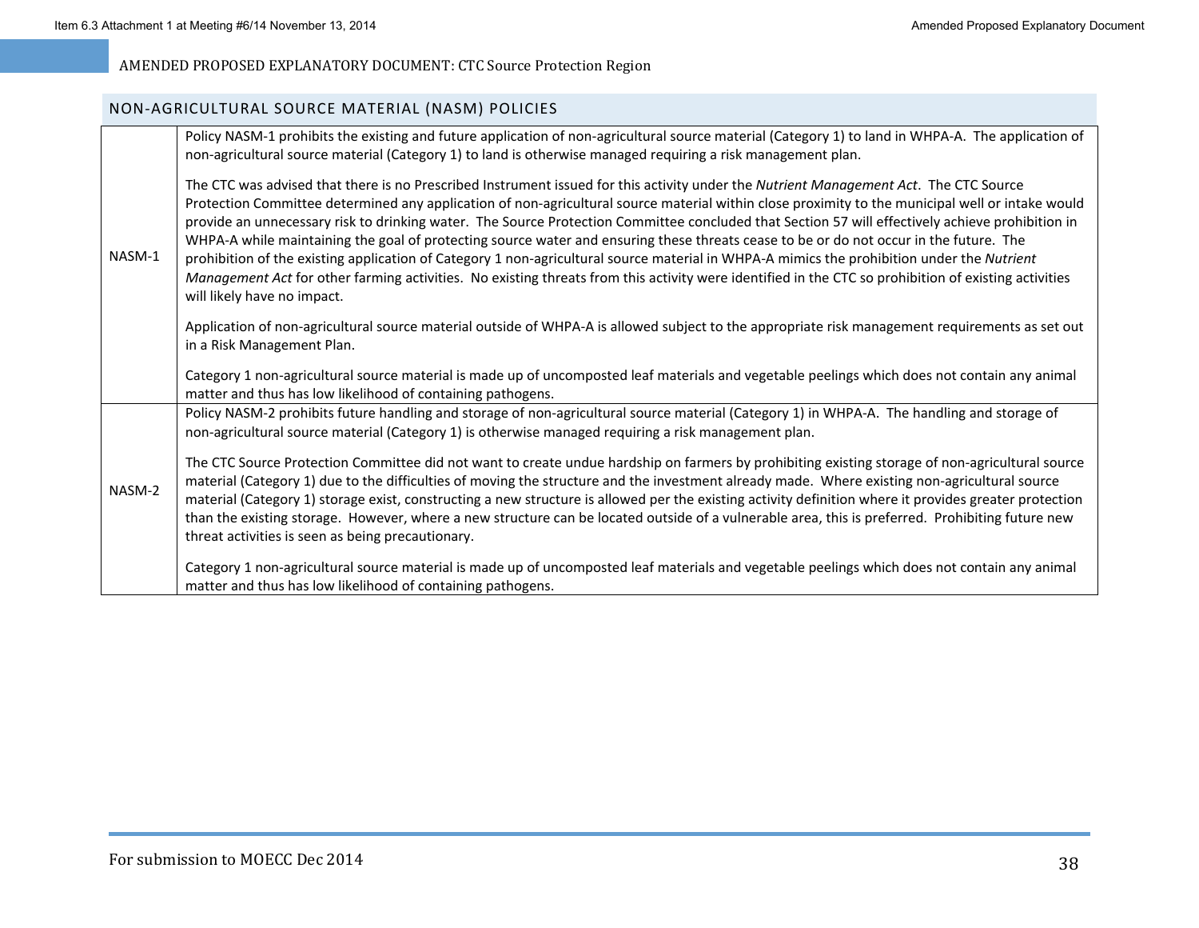### NON‐AGRICULTURAL SOURCE MATERIAL (NASM) POLICIES

|        | Policy NASM-1 prohibits the existing and future application of non-agricultural source material (Category 1) to land in WHPA-A. The application of<br>non-agricultural source material (Category 1) to land is otherwise managed requiring a risk management plan.                                                                                                                                                                                                                                                                                                                                                                                                                                                                                                                                                                                                                                                           |
|--------|------------------------------------------------------------------------------------------------------------------------------------------------------------------------------------------------------------------------------------------------------------------------------------------------------------------------------------------------------------------------------------------------------------------------------------------------------------------------------------------------------------------------------------------------------------------------------------------------------------------------------------------------------------------------------------------------------------------------------------------------------------------------------------------------------------------------------------------------------------------------------------------------------------------------------|
| NASM-1 | The CTC was advised that there is no Prescribed Instrument issued for this activity under the Nutrient Management Act. The CTC Source<br>Protection Committee determined any application of non-agricultural source material within close proximity to the municipal well or intake would<br>provide an unnecessary risk to drinking water. The Source Protection Committee concluded that Section 57 will effectively achieve prohibition in<br>WHPA-A while maintaining the goal of protecting source water and ensuring these threats cease to be or do not occur in the future. The<br>prohibition of the existing application of Category 1 non-agricultural source material in WHPA-A mimics the prohibition under the Nutrient<br>Management Act for other farming activities. No existing threats from this activity were identified in the CTC so prohibition of existing activities<br>will likely have no impact. |
|        | Application of non-agricultural source material outside of WHPA-A is allowed subject to the appropriate risk management requirements as set out<br>in a Risk Management Plan.                                                                                                                                                                                                                                                                                                                                                                                                                                                                                                                                                                                                                                                                                                                                                |
|        | Category 1 non-agricultural source material is made up of uncomposted leaf materials and vegetable peelings which does not contain any animal<br>matter and thus has low likelihood of containing pathogens.                                                                                                                                                                                                                                                                                                                                                                                                                                                                                                                                                                                                                                                                                                                 |
|        | Policy NASM-2 prohibits future handling and storage of non-agricultural source material (Category 1) in WHPA-A. The handling and storage of<br>non-agricultural source material (Category 1) is otherwise managed requiring a risk management plan.                                                                                                                                                                                                                                                                                                                                                                                                                                                                                                                                                                                                                                                                          |
| NASM-2 | The CTC Source Protection Committee did not want to create undue hardship on farmers by prohibiting existing storage of non-agricultural source<br>material (Category 1) due to the difficulties of moving the structure and the investment already made. Where existing non-agricultural source<br>material (Category 1) storage exist, constructing a new structure is allowed per the existing activity definition where it provides greater protection<br>than the existing storage. However, where a new structure can be located outside of a vulnerable area, this is preferred. Prohibiting future new<br>threat activities is seen as being precautionary.                                                                                                                                                                                                                                                          |
|        | Category 1 non-agricultural source material is made up of uncomposted leaf materials and vegetable peelings which does not contain any animal<br>matter and thus has low likelihood of containing pathogens.                                                                                                                                                                                                                                                                                                                                                                                                                                                                                                                                                                                                                                                                                                                 |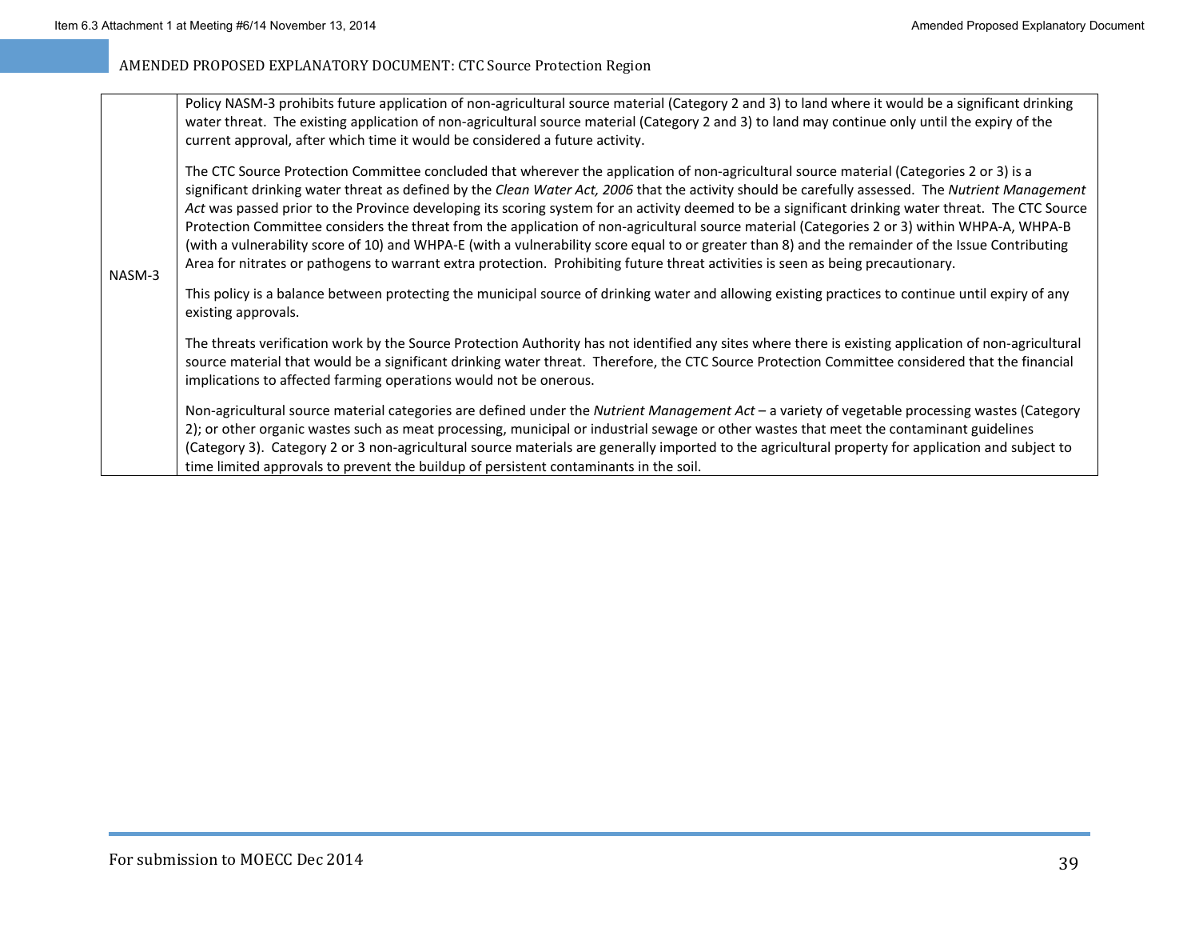| NASM-3 | Policy NASM-3 prohibits future application of non-agricultural source material (Category 2 and 3) to land where it would be a significant drinking<br>water threat. The existing application of non-agricultural source material (Category 2 and 3) to land may continue only until the expiry of the<br>current approval, after which time it would be considered a future activity.                                                                                                                                                                                                                                                                                                                                                                                                                                                                                                         |  |
|--------|-----------------------------------------------------------------------------------------------------------------------------------------------------------------------------------------------------------------------------------------------------------------------------------------------------------------------------------------------------------------------------------------------------------------------------------------------------------------------------------------------------------------------------------------------------------------------------------------------------------------------------------------------------------------------------------------------------------------------------------------------------------------------------------------------------------------------------------------------------------------------------------------------|--|
|        | The CTC Source Protection Committee concluded that wherever the application of non-agricultural source material (Categories 2 or 3) is a<br>significant drinking water threat as defined by the Clean Water Act, 2006 that the activity should be carefully assessed. The Nutrient Management<br>Act was passed prior to the Province developing its scoring system for an activity deemed to be a significant drinking water threat. The CTC Source<br>Protection Committee considers the threat from the application of non-agricultural source material (Categories 2 or 3) within WHPA-A, WHPA-B<br>(with a vulnerability score of 10) and WHPA-E (with a vulnerability score equal to or greater than 8) and the remainder of the Issue Contributing<br>Area for nitrates or pathogens to warrant extra protection. Prohibiting future threat activities is seen as being precautionary. |  |
|        | This policy is a balance between protecting the municipal source of drinking water and allowing existing practices to continue until expiry of any<br>existing approvals.                                                                                                                                                                                                                                                                                                                                                                                                                                                                                                                                                                                                                                                                                                                     |  |
|        | The threats verification work by the Source Protection Authority has not identified any sites where there is existing application of non-agricultural<br>source material that would be a significant drinking water threat. Therefore, the CTC Source Protection Committee considered that the financial<br>implications to affected farming operations would not be onerous.                                                                                                                                                                                                                                                                                                                                                                                                                                                                                                                 |  |
|        | Non-agricultural source material categories are defined under the Nutrient Management Act - a variety of vegetable processing wastes (Category<br>2); or other organic wastes such as meat processing, municipal or industrial sewage or other wastes that meet the contaminant guidelines<br>(Category 3). Category 2 or 3 non-agricultural source materials are generally imported to the agricultural property for application and subject to<br>time limited approvals to prevent the buildup of persistent contaminants in the soil.                                                                                                                                                                                                                                                                                                                                                     |  |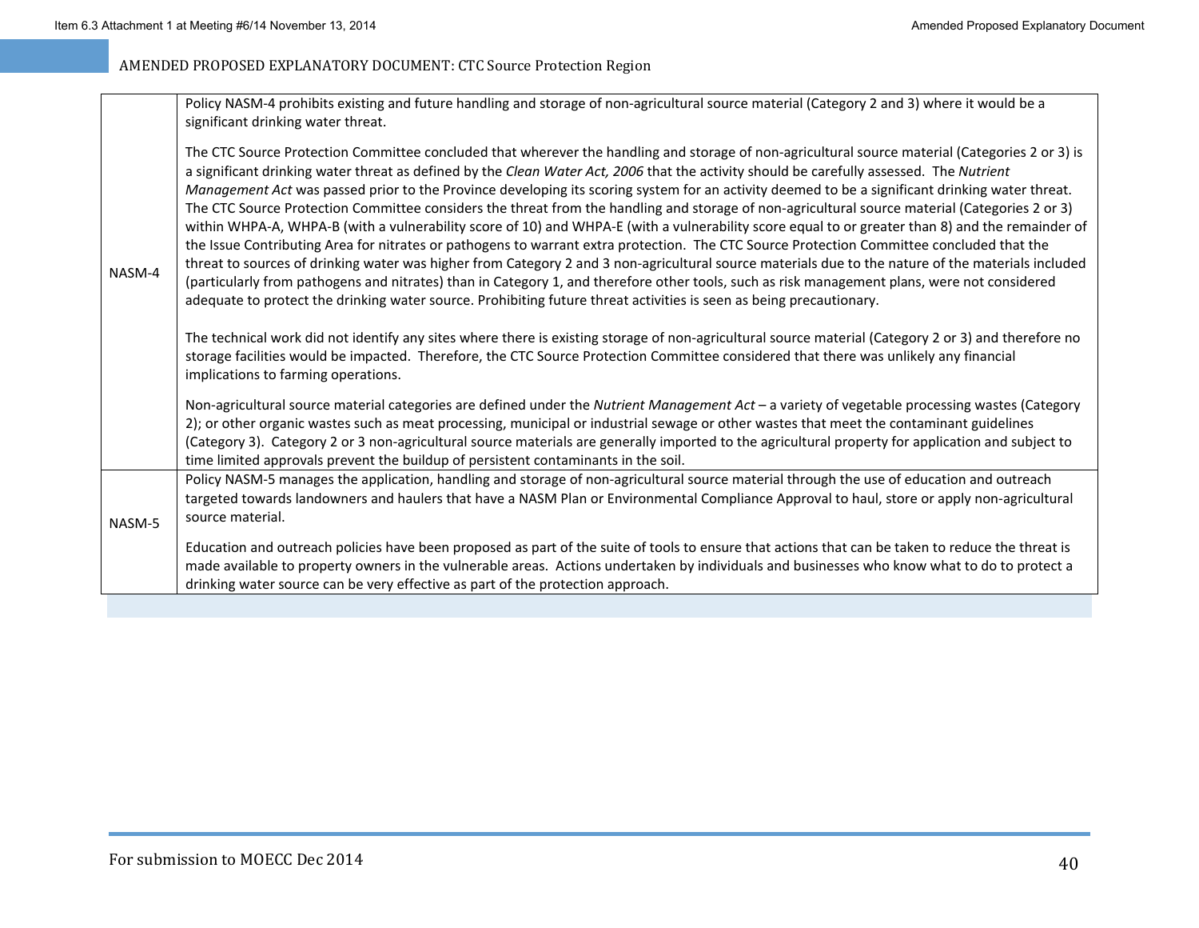|        | Policy NASM-4 prohibits existing and future handling and storage of non-agricultural source material (Category 2 and 3) where it would be a<br>significant drinking water threat.                                                                                                                                                                                                                                                                                                                                                                                                                                                                                                                                                                                                                                                                                                                                                                                                                                                                                                                                                                                                                                                                                                                                              |
|--------|--------------------------------------------------------------------------------------------------------------------------------------------------------------------------------------------------------------------------------------------------------------------------------------------------------------------------------------------------------------------------------------------------------------------------------------------------------------------------------------------------------------------------------------------------------------------------------------------------------------------------------------------------------------------------------------------------------------------------------------------------------------------------------------------------------------------------------------------------------------------------------------------------------------------------------------------------------------------------------------------------------------------------------------------------------------------------------------------------------------------------------------------------------------------------------------------------------------------------------------------------------------------------------------------------------------------------------|
| NASM-4 | The CTC Source Protection Committee concluded that wherever the handling and storage of non-agricultural source material (Categories 2 or 3) is<br>a significant drinking water threat as defined by the Clean Water Act, 2006 that the activity should be carefully assessed. The Nutrient<br>Management Act was passed prior to the Province developing its scoring system for an activity deemed to be a significant drinking water threat.<br>The CTC Source Protection Committee considers the threat from the handling and storage of non-agricultural source material (Categories 2 or 3)<br>within WHPA-A, WHPA-B (with a vulnerability score of 10) and WHPA-E (with a vulnerability score equal to or greater than 8) and the remainder of<br>the Issue Contributing Area for nitrates or pathogens to warrant extra protection. The CTC Source Protection Committee concluded that the<br>threat to sources of drinking water was higher from Category 2 and 3 non-agricultural source materials due to the nature of the materials included<br>(particularly from pathogens and nitrates) than in Category 1, and therefore other tools, such as risk management plans, were not considered<br>adequate to protect the drinking water source. Prohibiting future threat activities is seen as being precautionary. |
|        | The technical work did not identify any sites where there is existing storage of non-agricultural source material (Category 2 or 3) and therefore no<br>storage facilities would be impacted. Therefore, the CTC Source Protection Committee considered that there was unlikely any financial<br>implications to farming operations.                                                                                                                                                                                                                                                                                                                                                                                                                                                                                                                                                                                                                                                                                                                                                                                                                                                                                                                                                                                           |
|        | Non-agricultural source material categories are defined under the Nutrient Management Act - a variety of vegetable processing wastes (Category<br>2); or other organic wastes such as meat processing, municipal or industrial sewage or other wastes that meet the contaminant guidelines<br>(Category 3). Category 2 or 3 non-agricultural source materials are generally imported to the agricultural property for application and subject to<br>time limited approvals prevent the buildup of persistent contaminants in the soil.                                                                                                                                                                                                                                                                                                                                                                                                                                                                                                                                                                                                                                                                                                                                                                                         |
| NASM-5 | Policy NASM-5 manages the application, handling and storage of non-agricultural source material through the use of education and outreach<br>targeted towards landowners and haulers that have a NASM Plan or Environmental Compliance Approval to haul, store or apply non-agricultural<br>source material.                                                                                                                                                                                                                                                                                                                                                                                                                                                                                                                                                                                                                                                                                                                                                                                                                                                                                                                                                                                                                   |
|        | Education and outreach policies have been proposed as part of the suite of tools to ensure that actions that can be taken to reduce the threat is<br>made available to property owners in the vulnerable areas. Actions undertaken by individuals and businesses who know what to do to protect a<br>drinking water source can be very effective as part of the protection approach.                                                                                                                                                                                                                                                                                                                                                                                                                                                                                                                                                                                                                                                                                                                                                                                                                                                                                                                                           |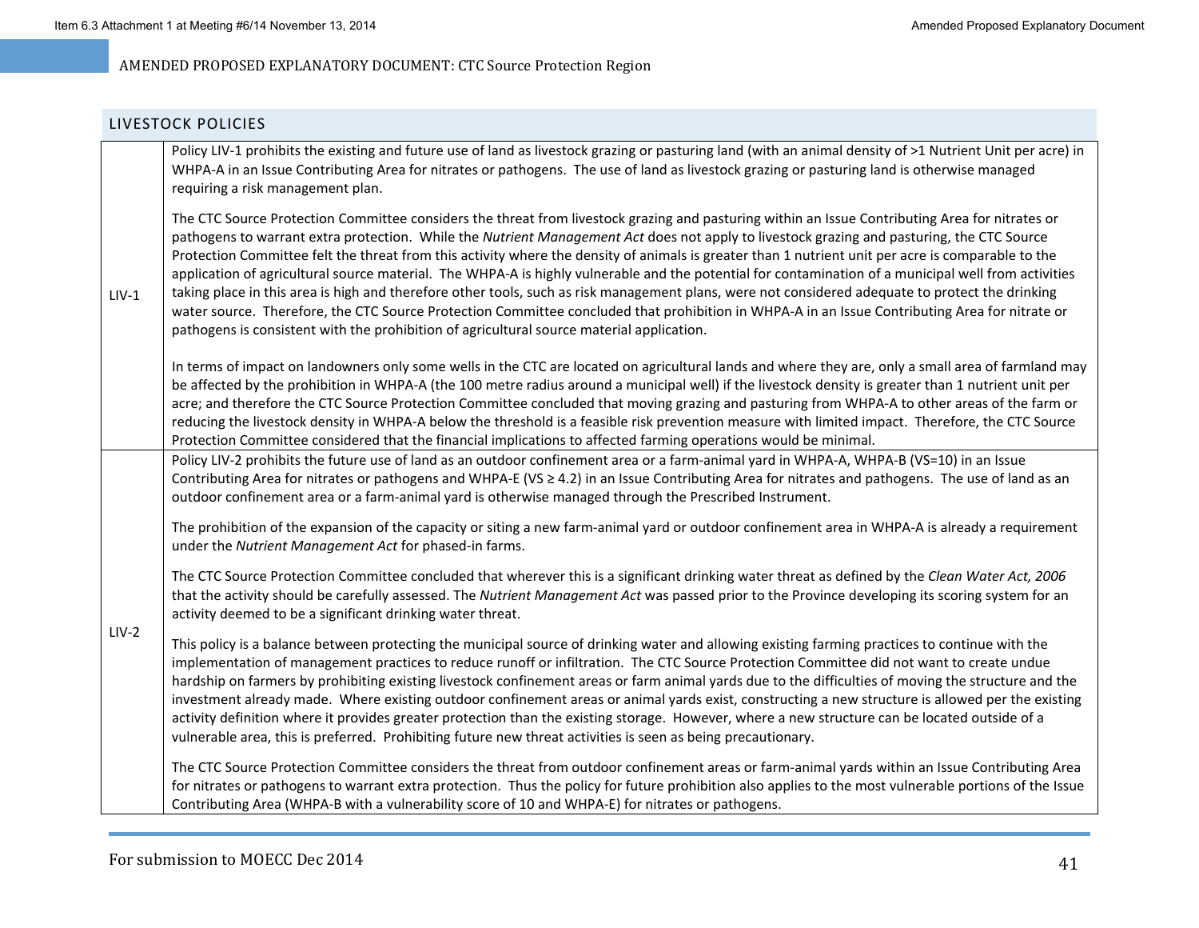#### LIVESTOCK POLICIES

| $LIV-1$ | Policy LIV-1 prohibits the existing and future use of land as livestock grazing or pasturing land (with an animal density of >1 Nutrient Unit per acre) in<br>WHPA-A in an Issue Contributing Area for nitrates or pathogens. The use of land as livestock grazing or pasturing land is otherwise managed<br>requiring a risk management plan.                                                                                                                                                                                                                                                                                                                                                                                                                                                                                                                                                                                                                                                                 |
|---------|----------------------------------------------------------------------------------------------------------------------------------------------------------------------------------------------------------------------------------------------------------------------------------------------------------------------------------------------------------------------------------------------------------------------------------------------------------------------------------------------------------------------------------------------------------------------------------------------------------------------------------------------------------------------------------------------------------------------------------------------------------------------------------------------------------------------------------------------------------------------------------------------------------------------------------------------------------------------------------------------------------------|
|         | The CTC Source Protection Committee considers the threat from livestock grazing and pasturing within an Issue Contributing Area for nitrates or<br>pathogens to warrant extra protection. While the Nutrient Management Act does not apply to livestock grazing and pasturing, the CTC Source<br>Protection Committee felt the threat from this activity where the density of animals is greater than 1 nutrient unit per acre is comparable to the<br>application of agricultural source material. The WHPA-A is highly vulnerable and the potential for contamination of a municipal well from activities<br>taking place in this area is high and therefore other tools, such as risk management plans, were not considered adequate to protect the drinking<br>water source. Therefore, the CTC Source Protection Committee concluded that prohibition in WHPA-A in an Issue Contributing Area for nitrate or<br>pathogens is consistent with the prohibition of agricultural source material application. |
|         | In terms of impact on landowners only some wells in the CTC are located on agricultural lands and where they are, only a small area of farmland may<br>be affected by the prohibition in WHPA-A (the 100 metre radius around a municipal well) if the livestock density is greater than 1 nutrient unit per<br>acre; and therefore the CTC Source Protection Committee concluded that moving grazing and pasturing from WHPA-A to other areas of the farm or<br>reducing the livestock density in WHPA-A below the threshold is a feasible risk prevention measure with limited impact. Therefore, the CTC Source<br>Protection Committee considered that the financial implications to affected farming operations would be minimal.                                                                                                                                                                                                                                                                          |

Policy LIV-2 prohibits the future use of land as an outdoor confinement area or a farm-animal yard in WHPA-A, WHPA-B (VS=10) in an Issue Contributing Area for nitrates or pathogens and WHPA-E (VS  $\geq$  4.2) in an Issue Contributing Area for nitrates and pathogens. The use of land as an outdoor confinement area or <sup>a</sup> farm‐animal yard is otherwise managed through the Prescribed Instrument.

The prohibition of the expansion of the capacity or siting <sup>a</sup> new farm‐animal yard or outdoor confinement area in WHPA‐A is already <sup>a</sup> requirement under the *Nutrient Management Act* for phased‐in farms.

The CTC Source Protection Committee concluded that wherever this is <sup>a</sup> significant drinking water threat as defined by the *Clean Water Act, 2006* that the activity should be carefully assessed. The *Nutrient Management Act* was passed prior to the Province developing its scoring system for an activity deemed to be <sup>a</sup> significant drinking water threat.

LIV‐2

This policy is <sup>a</sup> balance between protecting the municipal source of drinking water and allowing existing farming practices to continue with the implementation of management practices to reduce runoff or infiltration. The CTC Source Protection Committee did not want to create undue hardship on farmers by prohibiting existing livestock confinement areas or farm animal yards due to the difficulties of moving the structure and the investment already made. Where existing outdoor confinement areas or animal yards exist, constructing <sup>a</sup> new structure is allowed per the existing activity definition where it provides greater protection than the existing storage. However, where <sup>a</sup> new structure can be located outside of <sup>a</sup> vulnerable area, this is preferred. Prohibiting future new threat activities is seen as being precautionary.

The CTC Source Protection Committee considers the threat from outdoor confinement areas or farm‐animal yards within an Issue Contributing Area for nitrates or pathogens to warrant extra protection. Thus the policy for future prohibition also applies to the most vulnerable portions of the Issue Contributing Area (WHPA‐B with <sup>a</sup> vulnerability score of 10 and WHPA‐E) for nitrates or pathogens.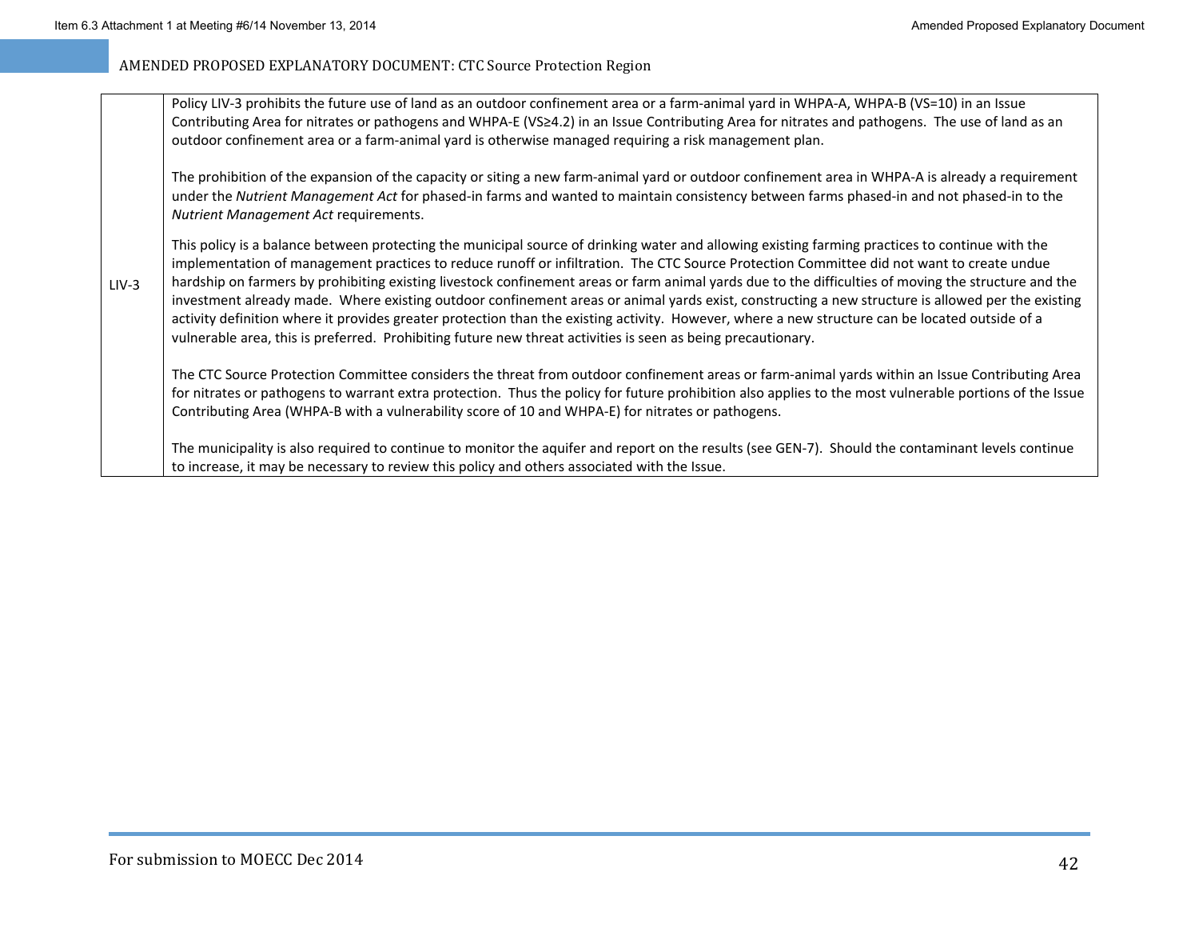| Policy LIV-3 prohibits the future use of land as an outdoor confinement area or a farm-animal yard in WHPA-A, WHPA-B (VS=10) in an Issue        |
|-------------------------------------------------------------------------------------------------------------------------------------------------|
| Contributing Area for nitrates or pathogens and WHPA-E (VS≥4.2) in an Issue Contributing Area for nitrates and pathogens. The use of land as an |
| outdoor confinement area or a farm-animal yard is otherwise managed requiring a risk management plan.                                           |

The prohibition of the expansion of the capacity or siting <sup>a</sup> new farm‐animal yard or outdoor confinement area in WHPA‐A is already <sup>a</sup> requirement under the *Nutrient Management Act* for phased‐in farms and wanted to maintain consistency between farms phased‐in and not phased‐in to the *Nutrient Management Act* requirements.

LIV‐3This policy is <sup>a</sup> balance between protecting the municipal source of drinking water and allowing existing farming practices to continue with the implementation of management practices to reduce runoff or infiltration. The CTC Source Protection Committee did not want to create undue hardship on farmers by prohibiting existing livestock confinement areas or farm animal yards due to the difficulties of moving the structure and the investment already made. Where existing outdoor confinement areas or animal yards exist, constructing <sup>a</sup> new structure is allowed per the existing activity definition where it provides greater protection than the existing activity. However, where <sup>a</sup> new structure can be located outside of <sup>a</sup> vulnerable area, this is preferred. Prohibiting future new threat activities is seen as being precautionary.

The CTC Source Protection Committee considers the threat from outdoor confinement areas or farm‐animal yards within an Issue Contributing Area for nitrates or pathogens to warrant extra protection. Thus the policy for future prohibition also applies to the most vulnerable portions of the Issue Contributing Area (WHPA‐B with <sup>a</sup> vulnerability score of 10 and WHPA‐E) for nitrates or pathogens.

The municipality is also required to continue to monitor the aquifer and report on the results (see GEN‐7). Should the contaminant levels continue to increase, it may be necessary to review this policy and others associated with the Issue.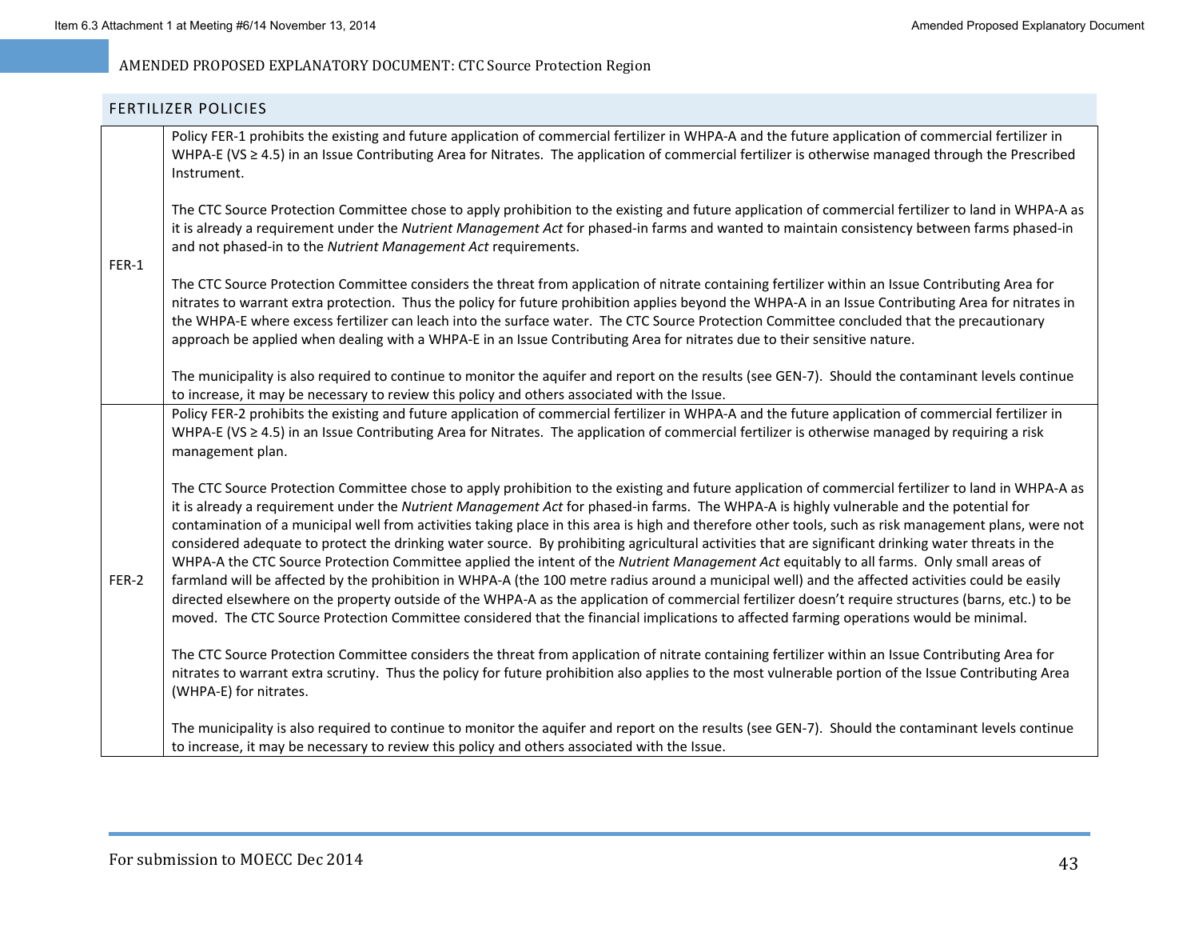### FERTILIZER POLICIES

Policy FER‐1 prohibits the existing and future application of commercial fertilizer in WHPA‐A and the future application of commercial fertilizer in WHPA‐E (VS ≥ 4.5) in an Issue Contributing Area for Nitrates. The application of commercial fertilizer is otherwise managed through the Prescribed Instrument.

The CTC Source Protection Committee chose to apply prohibition to the existing and future application of commercial fertilizer to land in WHPA‐A as it is already <sup>a</sup> requirement under the *Nutrient Management Act* for phased‐in farms and wanted to maintain consistency between farms phased‐in and not phased‐in to the *Nutrient Management Act* requirements.

### FER-1

The CTC Source Protection Committee considers the threat from application of nitrate containing fertilizer within an Issue Contributing Area for nitrates to warrant extra protection. Thus the policy for future prohibition applies beyond the WHPA‐A in an Issue Contributing Area for nitrates in the WHPA‐E where excess fertilizer can leach into the surface water. The CTC Source Protection Committee concluded that the precautionary approach be applied when dealing with <sup>a</sup> WHPA‐E in an Issue Contributing Area for nitrates due to their sensitive nature.

The municipality is also required to continue to monitor the aquifer and report on the results (see GEN‐7). Should the contaminant levels continue to increase, it may be necessary to review this policy and others associated with the Issue.

Policy FER‐2 prohibits the existing and future application of commercial fertilizer in WHPA‐A and the future application of commercial fertilizer in WHPA‐E (VS ≥ 4.5) in an Issue Contributing Area for Nitrates. The application of commercial fertilizer is otherwise managed by requiring <sup>a</sup> risk management plan.

FER‐2The CTC Source Protection Committee chose to apply prohibition to the existing and future application of commercial fertilizer to land in WHPA‐A as it is already <sup>a</sup> requirement under the *Nutrient Management Act* for phased‐in farms. The WHPA‐A is highly vulnerable and the potential for contamination of <sup>a</sup> municipal well from activities taking place in this area is high and therefore other tools, such as risk management plans, were not considered adequate to protect the drinking water source. By prohibiting agricultural activities that are significant drinking water threats in the WHPA‐A the CTC Source Protection Committee applied the intent of the *Nutrient Management Act* equitably to all farms. Only small areas of farmland will be affected by the prohibition in WHPA‐A (the 100 metre radius around <sup>a</sup> municipal well) and the affected activities could be easily directed elsewhere on the property outside of the WHPA‐A as the application of commercial fertilizer doesn't require structures (barns, etc.) to be moved. The CTC Source Protection Committee considered that the financial implications to affected farming operations would be minimal.

The CTC Source Protection Committee considers the threat from application of nitrate containing fertilizer within an Issue Contributing Area for nitrates to warrant extra scrutiny. Thus the policy for future prohibition also applies to the most vulnerable portion of the Issue Contributing Area (WHPA‐E) for nitrates.

The municipality is also required to continue to monitor the aquifer and report on the results (see GEN‐7). Should the contaminant levels continue to increase, it may be necessary to review this policy and others associated with the Issue.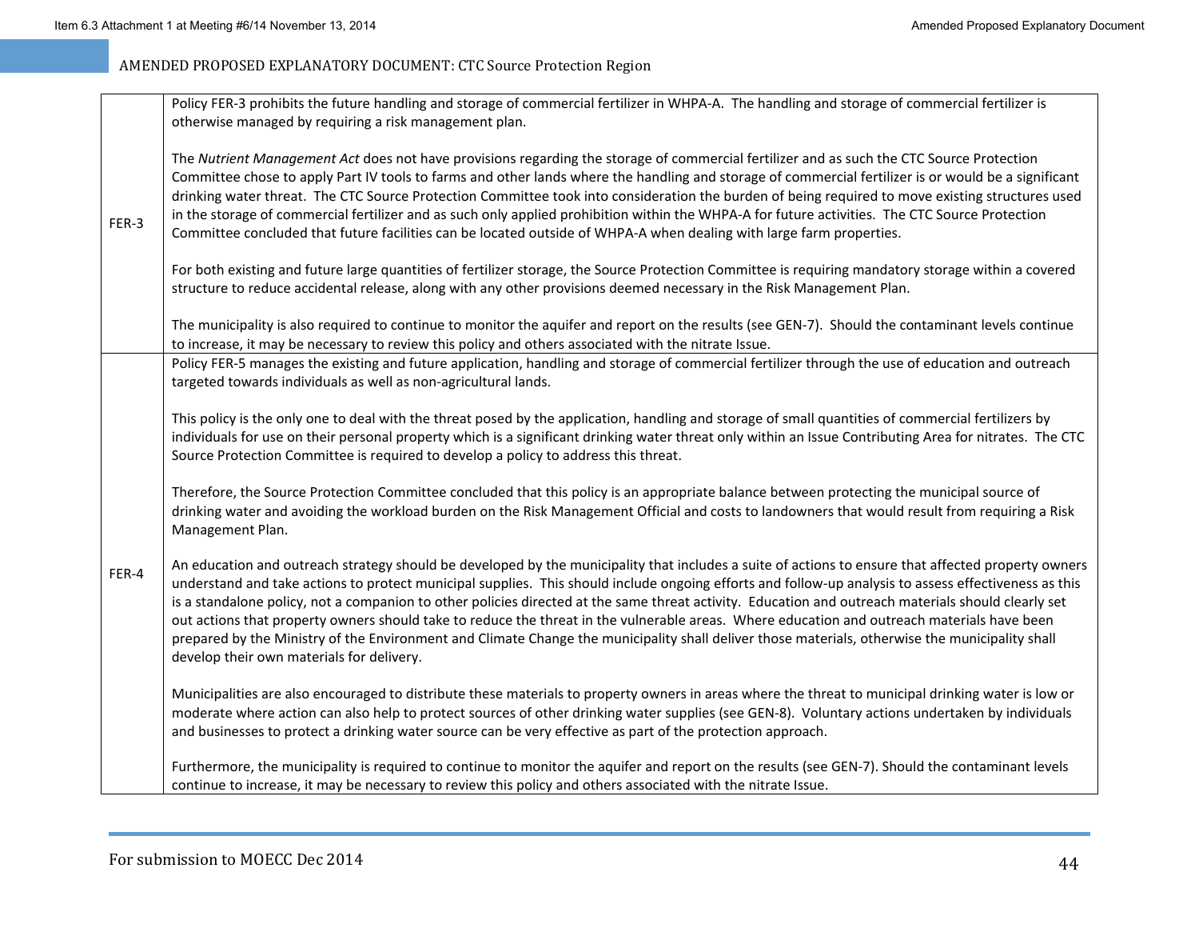| Committee chose to apply Part IV tools to farms and other lands where the handling and storage of commercial fertilizer is or would be a significant     |
|----------------------------------------------------------------------------------------------------------------------------------------------------------|
| drinking water threat. The CTC Source Protection Committee took into consideration the burden of being required to move existing structures used         |
|                                                                                                                                                          |
|                                                                                                                                                          |
| For both existing and future large quantities of fertilizer storage, the Source Protection Committee is requiring mandatory storage within a covered     |
|                                                                                                                                                          |
| The municipality is also required to continue to monitor the aquifer and report on the results (see GEN-7). Should the contaminant levels continue       |
|                                                                                                                                                          |
| Policy FER-5 manages the existing and future application, handling and storage of commercial fertilizer through the use of education and outreach        |
|                                                                                                                                                          |
|                                                                                                                                                          |
| individuals for use on their personal property which is a significant drinking water threat only within an Issue Contributing Area for nitrates. The CTC |
|                                                                                                                                                          |
|                                                                                                                                                          |
| drinking water and avoiding the workload burden on the Risk Management Official and costs to landowners that would result from requiring a Risk          |
|                                                                                                                                                          |
| An education and outreach strategy should be developed by the municipality that includes a suite of actions to ensure that affected property owners      |
| understand and take actions to protect municipal supplies. This should include ongoing efforts and follow-up analysis to assess effectiveness as this    |
| is a standalone policy, not a companion to other policies directed at the same threat activity. Education and outreach materials should clearly set      |
|                                                                                                                                                          |
|                                                                                                                                                          |
|                                                                                                                                                          |
|                                                                                                                                                          |
| Municipalities are also encouraged to distribute these materials to property owners in areas where the threat to municipal drinking water is low or      |
| moderate where action can also help to protect sources of other drinking water supplies (see GEN-8). Voluntary actions undertaken by individuals         |
| Furthermore, the municipality is required to continue to monitor the aquifer and report on the results (see GEN-7). Should the contaminant levels        |
|                                                                                                                                                          |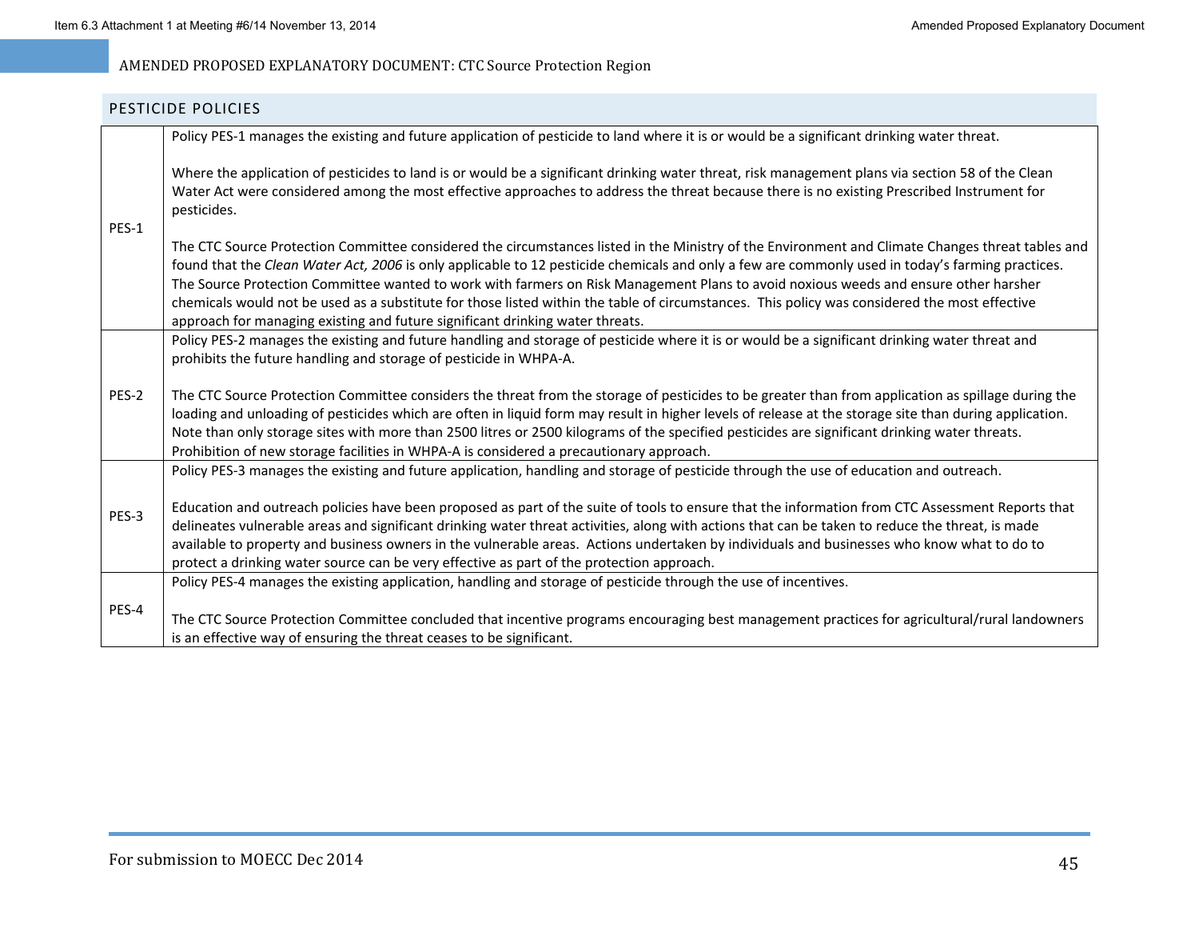### PESTICIDE POLICIES

|       | Policy PES-1 manages the existing and future application of pesticide to land where it is or would be a significant drinking water threat.                                                                                                                                                                                                                                                                                                                                                                                                                                                                                                                                     |
|-------|--------------------------------------------------------------------------------------------------------------------------------------------------------------------------------------------------------------------------------------------------------------------------------------------------------------------------------------------------------------------------------------------------------------------------------------------------------------------------------------------------------------------------------------------------------------------------------------------------------------------------------------------------------------------------------|
| PES-1 | Where the application of pesticides to land is or would be a significant drinking water threat, risk management plans via section 58 of the Clean<br>Water Act were considered among the most effective approaches to address the threat because there is no existing Prescribed Instrument for<br>pesticides.                                                                                                                                                                                                                                                                                                                                                                 |
|       | The CTC Source Protection Committee considered the circumstances listed in the Ministry of the Environment and Climate Changes threat tables and<br>found that the Clean Water Act, 2006 is only applicable to 12 pesticide chemicals and only a few are commonly used in today's farming practices.<br>The Source Protection Committee wanted to work with farmers on Risk Management Plans to avoid noxious weeds and ensure other harsher<br>chemicals would not be used as a substitute for those listed within the table of circumstances. This policy was considered the most effective<br>approach for managing existing and future significant drinking water threats. |
|       | Policy PES-2 manages the existing and future handling and storage of pesticide where it is or would be a significant drinking water threat and<br>prohibits the future handling and storage of pesticide in WHPA-A.                                                                                                                                                                                                                                                                                                                                                                                                                                                            |
| PES-2 | The CTC Source Protection Committee considers the threat from the storage of pesticides to be greater than from application as spillage during the<br>loading and unloading of pesticides which are often in liquid form may result in higher levels of release at the storage site than during application.<br>Note than only storage sites with more than 2500 litres or 2500 kilograms of the specified pesticides are significant drinking water threats.<br>Prohibition of new storage facilities in WHPA-A is considered a precautionary approach.                                                                                                                       |
|       | Policy PES-3 manages the existing and future application, handling and storage of pesticide through the use of education and outreach.                                                                                                                                                                                                                                                                                                                                                                                                                                                                                                                                         |
| PES-3 | Education and outreach policies have been proposed as part of the suite of tools to ensure that the information from CTC Assessment Reports that<br>delineates vulnerable areas and significant drinking water threat activities, along with actions that can be taken to reduce the threat, is made<br>available to property and business owners in the vulnerable areas. Actions undertaken by individuals and businesses who know what to do to<br>protect a drinking water source can be very effective as part of the protection approach.                                                                                                                                |
|       | Policy PES-4 manages the existing application, handling and storage of pesticide through the use of incentives.                                                                                                                                                                                                                                                                                                                                                                                                                                                                                                                                                                |
| PES-4 | The CTC Source Protection Committee concluded that incentive programs encouraging best management practices for agricultural/rural landowners<br>is an effective way of ensuring the threat ceases to be significant.                                                                                                                                                                                                                                                                                                                                                                                                                                                          |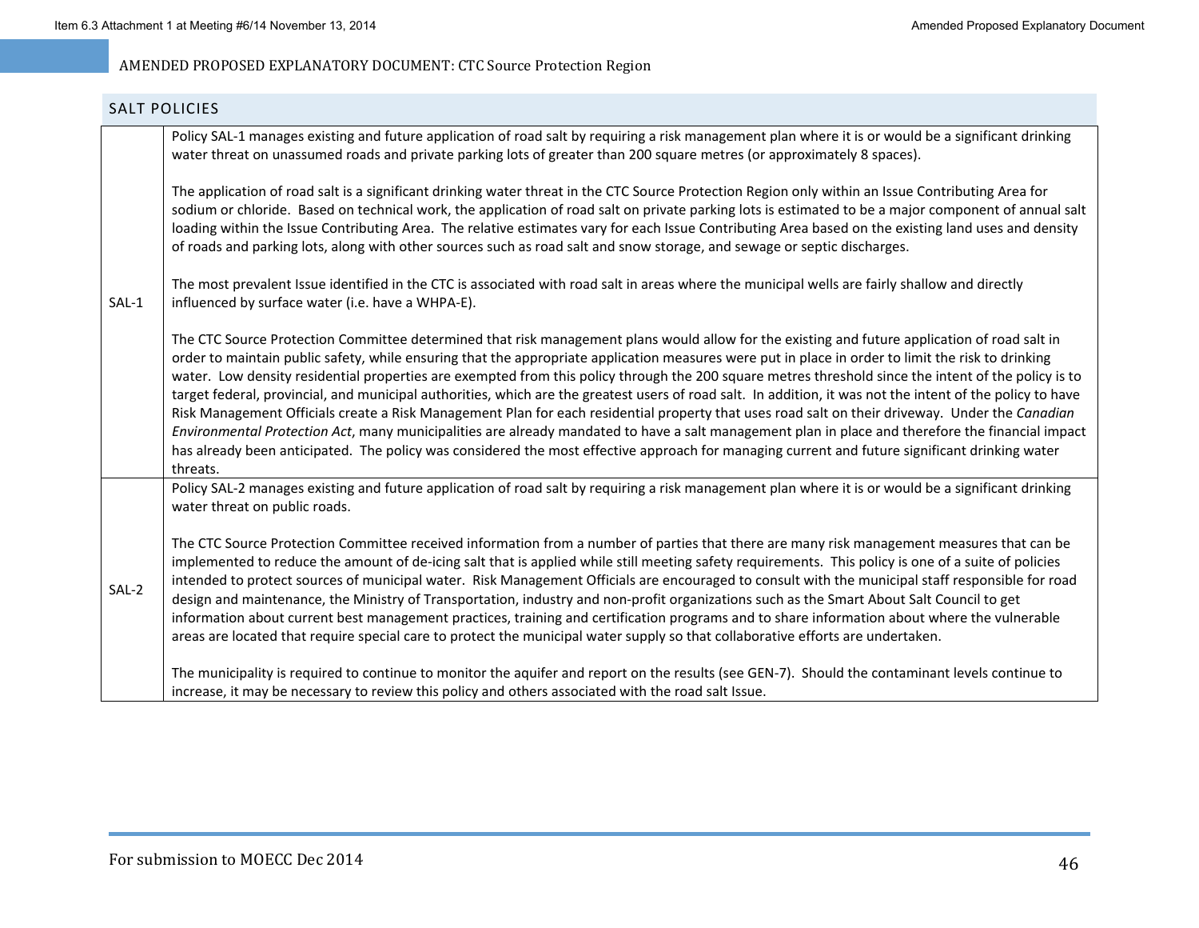# SALT POLICIES SAL‐1Policy SAL-1 manages existing and future application of road salt by requiring a risk management plan where it is or would be a significant drinking water threat on unassumed roads and private parking lots of greater than 200 square metres (or approximately 8 spaces). The application of road salt is <sup>a</sup> significant drinking water threat in the CTC Source Protection Region only within an Issue Contributing Area for sodium or chloride. Based on technical work, the application of road salt on private parking lots is estimated to be <sup>a</sup> major component of annual salt loading within the Issue Contributing Area. The relative estimates vary for each Issue Contributing Area based on the existing land uses and density of roads and parking lots, along with other sources such as road salt and snow storage, and sewage or septic discharges. The most prevalent Issue identified in the CTC is associated with road salt in areas where the municipal wells are fairly shallow and directly influenced by surface water (i.e. have <sup>a</sup> WHPA‐E). The CTC Source Protection Committee determined that risk management plans would allow for the existing and future application of road salt in order to maintain public safety, while ensuring that the appropriate application measures were put in place in order to limit the risk to drinking water. Low density residential properties are exempted from this policy through the 200 square metres threshold since the intent of the policy is to target federal, provincial, and municipal authorities, which are the greatest users of road salt. In addition, it was not the intent of the policy to have Risk Management Officials create <sup>a</sup> Risk Management Plan for each residential property that uses road salt on their driveway. Under the *Canadian Environmental Protection Act*, many municipalities are already mandated to have <sup>a</sup> salt management plan in place and therefore the financial impact has already been anticipated. The policy was considered the most effective approach for managing current and future significant drinking water threats.SAL‐2Policy SAL-2 manages existing and future application of road salt by requiring a risk management plan where it is or would be a significant drinking water threat on public roads. The CTC Source Protection Committee received information from <sup>a</sup> number of parties that there are many risk management measures that can be implemented to reduce the amount of de-icing salt that is applied while still meeting safety requirements. This policy is one of a suite of policies intended to protect sources of municipal water. Risk Management Officials are encouraged to consult with the municipal staff responsible for road design and maintenance, the Ministry of Transportation, industry and non‐profit organizations such as the Smart About Salt Council to get information about current best management practices, training and certification programs and to share information about where the vulnerable areas are located that require special care to protect the municipal water supply so that collaborative efforts are undertaken. The municipality is required to continue to monitor the aquifer and report on the results (see GEN‐7). Should the contaminant levels continue to increase, it may be necessary to review this policy and others associated with the road salt Issue.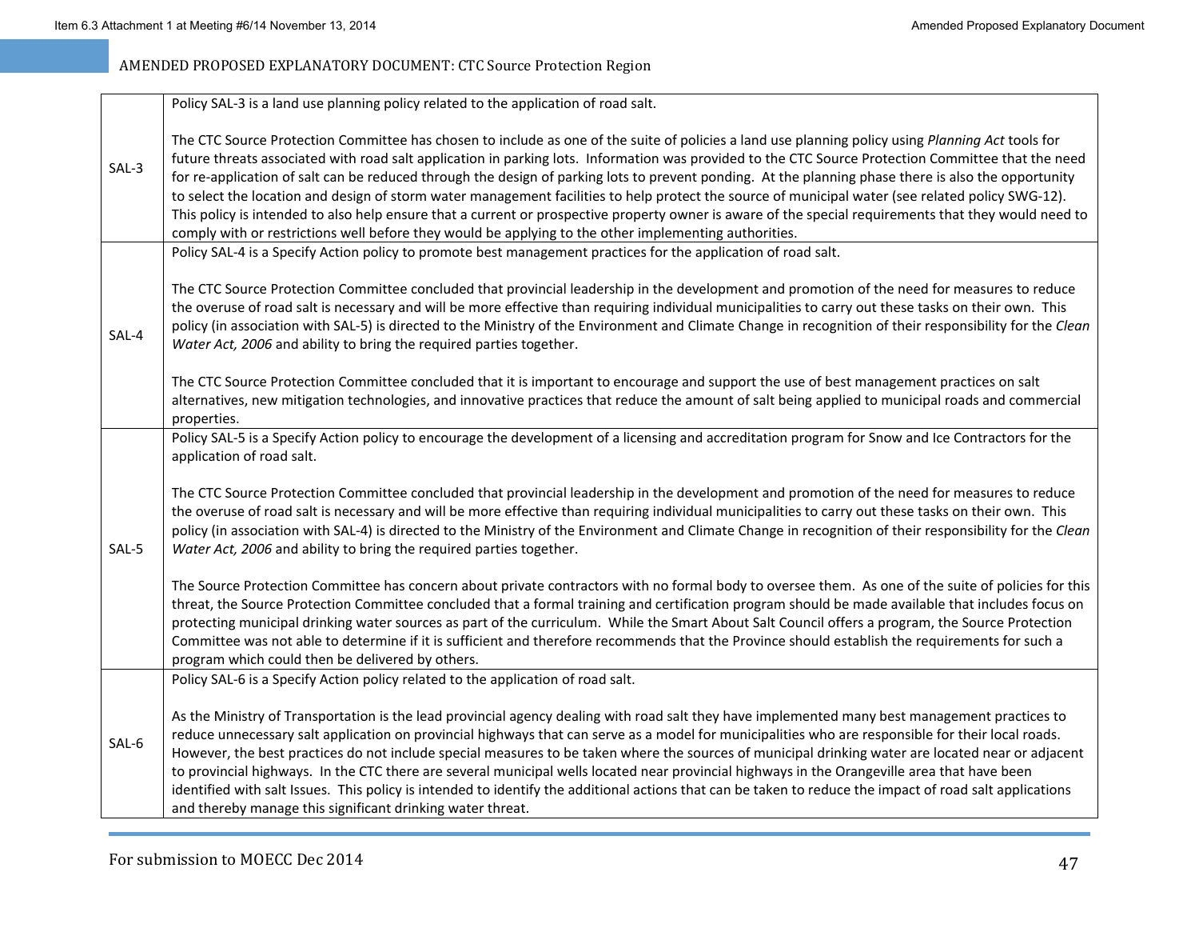|       | Policy SAL-3 is a land use planning policy related to the application of road salt.                                                                                                                                                                                                                                                                                                                                                                                                                                                                                                                                                                                                                                                                                                                                                                                                     |
|-------|-----------------------------------------------------------------------------------------------------------------------------------------------------------------------------------------------------------------------------------------------------------------------------------------------------------------------------------------------------------------------------------------------------------------------------------------------------------------------------------------------------------------------------------------------------------------------------------------------------------------------------------------------------------------------------------------------------------------------------------------------------------------------------------------------------------------------------------------------------------------------------------------|
| SAL-3 | The CTC Source Protection Committee has chosen to include as one of the suite of policies a land use planning policy using Planning Act tools for<br>future threats associated with road salt application in parking lots. Information was provided to the CTC Source Protection Committee that the need<br>for re-application of salt can be reduced through the design of parking lots to prevent ponding. At the planning phase there is also the opportunity<br>to select the location and design of storm water management facilities to help protect the source of municipal water (see related policy SWG-12).<br>This policy is intended to also help ensure that a current or prospective property owner is aware of the special requirements that they would need to<br>comply with or restrictions well before they would be applying to the other implementing authorities. |
|       | Policy SAL-4 is a Specify Action policy to promote best management practices for the application of road salt.                                                                                                                                                                                                                                                                                                                                                                                                                                                                                                                                                                                                                                                                                                                                                                          |
| SAL-4 | The CTC Source Protection Committee concluded that provincial leadership in the development and promotion of the need for measures to reduce<br>the overuse of road salt is necessary and will be more effective than requiring individual municipalities to carry out these tasks on their own. This<br>policy (in association with SAL-5) is directed to the Ministry of the Environment and Climate Change in recognition of their responsibility for the Clean<br>Water Act, 2006 and ability to bring the required parties together.                                                                                                                                                                                                                                                                                                                                               |
|       | The CTC Source Protection Committee concluded that it is important to encourage and support the use of best management practices on salt<br>alternatives, new mitigation technologies, and innovative practices that reduce the amount of salt being applied to municipal roads and commercial<br>properties.                                                                                                                                                                                                                                                                                                                                                                                                                                                                                                                                                                           |
| SAL-5 | Policy SAL-5 is a Specify Action policy to encourage the development of a licensing and accreditation program for Snow and Ice Contractors for the<br>application of road salt.                                                                                                                                                                                                                                                                                                                                                                                                                                                                                                                                                                                                                                                                                                         |
|       | The CTC Source Protection Committee concluded that provincial leadership in the development and promotion of the need for measures to reduce<br>the overuse of road salt is necessary and will be more effective than requiring individual municipalities to carry out these tasks on their own. This<br>policy (in association with SAL-4) is directed to the Ministry of the Environment and Climate Change in recognition of their responsibility for the Clean<br>Water Act, 2006 and ability to bring the required parties together.                                                                                                                                                                                                                                                                                                                                               |
|       | The Source Protection Committee has concern about private contractors with no formal body to oversee them. As one of the suite of policies for this<br>threat, the Source Protection Committee concluded that a formal training and certification program should be made available that includes focus on<br>protecting municipal drinking water sources as part of the curriculum. While the Smart About Salt Council offers a program, the Source Protection<br>Committee was not able to determine if it is sufficient and therefore recommends that the Province should establish the requirements for such a<br>program which could then be delivered by others.                                                                                                                                                                                                                   |
|       | Policy SAL-6 is a Specify Action policy related to the application of road salt.                                                                                                                                                                                                                                                                                                                                                                                                                                                                                                                                                                                                                                                                                                                                                                                                        |
| SAL-6 | As the Ministry of Transportation is the lead provincial agency dealing with road salt they have implemented many best management practices to<br>reduce unnecessary salt application on provincial highways that can serve as a model for municipalities who are responsible for their local roads.<br>However, the best practices do not include special measures to be taken where the sources of municipal drinking water are located near or adjacent<br>to provincial highways. In the CTC there are several municipal wells located near provincial highways in the Orangeville area that have been<br>identified with salt Issues. This policy is intended to identify the additional actions that can be taken to reduce the impact of road salt applications<br>and thereby manage this significant drinking water threat.                                                    |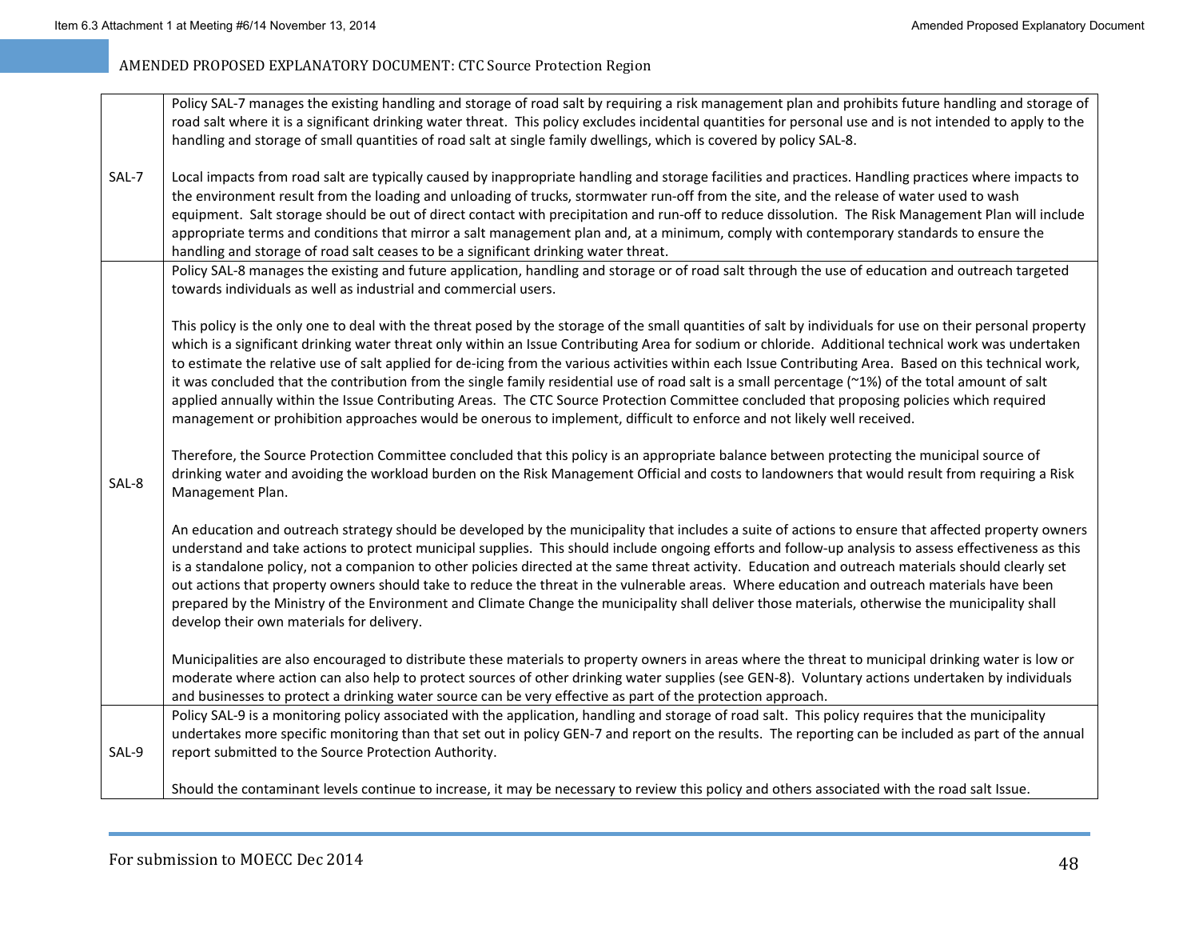|       | Policy SAL-7 manages the existing handling and storage of road salt by requiring a risk management plan and prohibits future handling and storage of<br>road salt where it is a significant drinking water threat. This policy excludes incidental quantities for personal use and is not intended to apply to the                                                                                                                                                                                                                                                                                                                                                                                                                                                                                                                                                                                           |
|-------|--------------------------------------------------------------------------------------------------------------------------------------------------------------------------------------------------------------------------------------------------------------------------------------------------------------------------------------------------------------------------------------------------------------------------------------------------------------------------------------------------------------------------------------------------------------------------------------------------------------------------------------------------------------------------------------------------------------------------------------------------------------------------------------------------------------------------------------------------------------------------------------------------------------|
| SAL-7 | handling and storage of small quantities of road salt at single family dwellings, which is covered by policy SAL-8.<br>Local impacts from road salt are typically caused by inappropriate handling and storage facilities and practices. Handling practices where impacts to                                                                                                                                                                                                                                                                                                                                                                                                                                                                                                                                                                                                                                 |
|       | the environment result from the loading and unloading of trucks, stormwater run-off from the site, and the release of water used to wash<br>equipment. Salt storage should be out of direct contact with precipitation and run-off to reduce dissolution. The Risk Management Plan will include<br>appropriate terms and conditions that mirror a salt management plan and, at a minimum, comply with contemporary standards to ensure the<br>handling and storage of road salt ceases to be a significant drinking water threat.                                                                                                                                                                                                                                                                                                                                                                            |
|       | Policy SAL-8 manages the existing and future application, handling and storage or of road salt through the use of education and outreach targeted<br>towards individuals as well as industrial and commercial users.                                                                                                                                                                                                                                                                                                                                                                                                                                                                                                                                                                                                                                                                                         |
|       | This policy is the only one to deal with the threat posed by the storage of the small quantities of salt by individuals for use on their personal property<br>which is a significant drinking water threat only within an Issue Contributing Area for sodium or chloride. Additional technical work was undertaken<br>to estimate the relative use of salt applied for de-icing from the various activities within each Issue Contributing Area. Based on this technical work,<br>it was concluded that the contribution from the single family residential use of road salt is a small percentage (~1%) of the total amount of salt<br>applied annually within the Issue Contributing Areas. The CTC Source Protection Committee concluded that proposing policies which required<br>management or prohibition approaches would be onerous to implement, difficult to enforce and not likely well received. |
| SAL-8 | Therefore, the Source Protection Committee concluded that this policy is an appropriate balance between protecting the municipal source of<br>drinking water and avoiding the workload burden on the Risk Management Official and costs to landowners that would result from requiring a Risk<br>Management Plan.                                                                                                                                                                                                                                                                                                                                                                                                                                                                                                                                                                                            |
|       | An education and outreach strategy should be developed by the municipality that includes a suite of actions to ensure that affected property owners<br>understand and take actions to protect municipal supplies. This should include ongoing efforts and follow-up analysis to assess effectiveness as this<br>is a standalone policy, not a companion to other policies directed at the same threat activity. Education and outreach materials should clearly set<br>out actions that property owners should take to reduce the threat in the vulnerable areas. Where education and outreach materials have been<br>prepared by the Ministry of the Environment and Climate Change the municipality shall deliver those materials, otherwise the municipality shall<br>develop their own materials for delivery.                                                                                           |
|       | Municipalities are also encouraged to distribute these materials to property owners in areas where the threat to municipal drinking water is low or<br>moderate where action can also help to protect sources of other drinking water supplies (see GEN-8). Voluntary actions undertaken by individuals<br>and businesses to protect a drinking water source can be very effective as part of the protection approach.                                                                                                                                                                                                                                                                                                                                                                                                                                                                                       |
| SAL-9 | Policy SAL-9 is a monitoring policy associated with the application, handling and storage of road salt. This policy requires that the municipality<br>undertakes more specific monitoring than that set out in policy GEN-7 and report on the results. The reporting can be included as part of the annual<br>report submitted to the Source Protection Authority.                                                                                                                                                                                                                                                                                                                                                                                                                                                                                                                                           |
|       | Should the contaminant levels continue to increase, it may be necessary to review this policy and others associated with the road salt Issue.                                                                                                                                                                                                                                                                                                                                                                                                                                                                                                                                                                                                                                                                                                                                                                |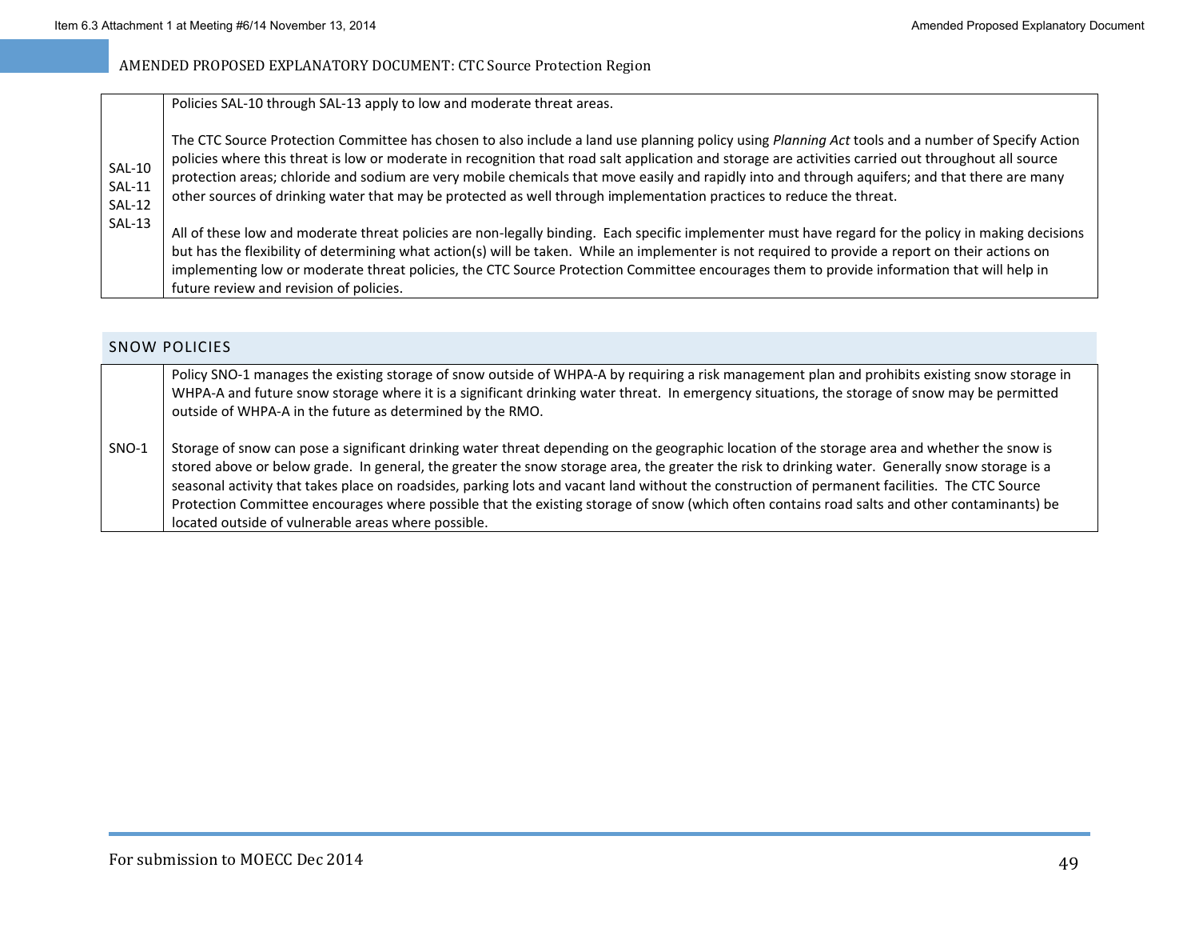| <b>SAL-10</b><br><b>SAL-11</b><br><b>SAL-12</b> | Policies SAL-10 through SAL-13 apply to low and moderate threat areas.                                                                                                                                                                                                                                                                                                                                                                                                                                                                                                               |
|-------------------------------------------------|--------------------------------------------------------------------------------------------------------------------------------------------------------------------------------------------------------------------------------------------------------------------------------------------------------------------------------------------------------------------------------------------------------------------------------------------------------------------------------------------------------------------------------------------------------------------------------------|
|                                                 | The CTC Source Protection Committee has chosen to also include a land use planning policy using Planning Act tools and a number of Specify Action<br>policies where this threat is low or moderate in recognition that road salt application and storage are activities carried out throughout all source<br>protection areas; chloride and sodium are very mobile chemicals that move easily and rapidly into and through aquifers; and that there are many<br>other sources of drinking water that may be protected as well through implementation practices to reduce the threat. |
| <b>SAL-13</b>                                   | All of these low and moderate threat policies are non-legally binding. Each specific implementer must have regard for the policy in making decisions<br>but has the flexibility of determining what action(s) will be taken. While an implementer is not required to provide a report on their actions on<br>implementing low or moderate threat policies, the CTC Source Protection Committee encourages them to provide information that will help in<br>future review and revision of policies.                                                                                   |

### SNOW POLICIES

Policy SNO-1 manages the existing storage of snow outside of WHPA-A by requiring a risk management plan and prohibits existing snow storage in WHPA‐A and future snow storage where it is <sup>a</sup> significant drinking water threat. In emergency situations, the storage of snow may be permitted outside of WHPA‐A in the future as determined by the RMO.

SNO‐1Storage of snow can pose <sup>a</sup> significant drinking water threat depending on the geographic location of the storage area and whether the snow is stored above or below grade. In general, the greater the snow storage area, the greater the risk to drinking water. Generally snow storage is <sup>a</sup> seasonal activity that takes place on roadsides, parking lots and vacant land without the construction of permanent facilities. The CTC Source Protection Committee encourages where possible that the existing storage of snow (which often contains road salts and other contaminants) be located outside of vulnerable areas where possible.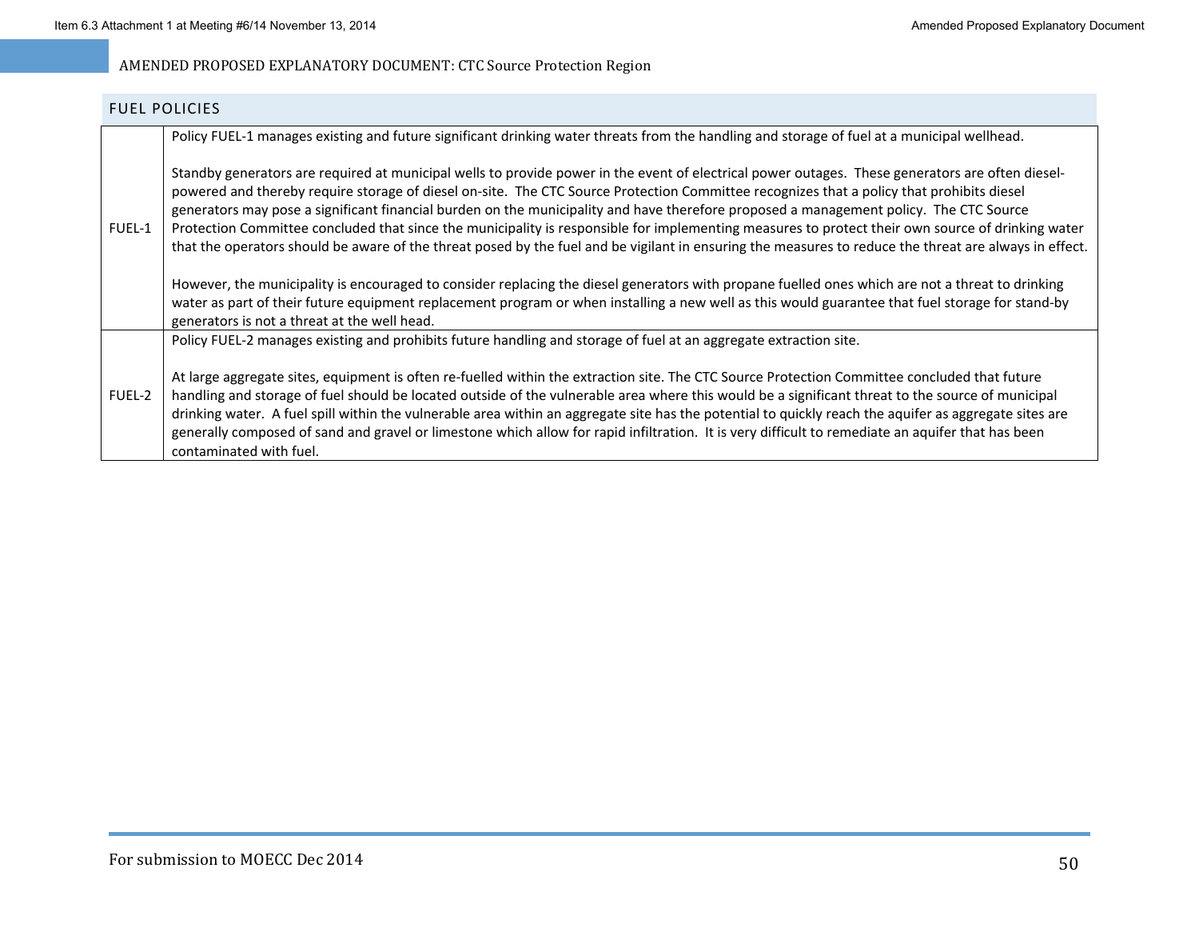### FUEL POLICIES

|               | Policy FUEL-1 manages existing and future significant drinking water threats from the handling and storage of fuel at a municipal wellhead.                                                                                                                                                                                                                                                                                                                                                                                                                                                                                                                                                                                                            |
|---------------|--------------------------------------------------------------------------------------------------------------------------------------------------------------------------------------------------------------------------------------------------------------------------------------------------------------------------------------------------------------------------------------------------------------------------------------------------------------------------------------------------------------------------------------------------------------------------------------------------------------------------------------------------------------------------------------------------------------------------------------------------------|
| FUEL-1        | Standby generators are required at municipal wells to provide power in the event of electrical power outages. These generators are often diesel-<br>powered and thereby require storage of diesel on-site. The CTC Source Protection Committee recognizes that a policy that prohibits diesel<br>generators may pose a significant financial burden on the municipality and have therefore proposed a management policy. The CTC Source<br>Protection Committee concluded that since the municipality is responsible for implementing measures to protect their own source of drinking water<br>that the operators should be aware of the threat posed by the fuel and be vigilant in ensuring the measures to reduce the threat are always in effect. |
|               | However, the municipality is encouraged to consider replacing the diesel generators with propane fuelled ones which are not a threat to drinking<br>water as part of their future equipment replacement program or when installing a new well as this would guarantee that fuel storage for stand-by<br>generators is not a threat at the well head.                                                                                                                                                                                                                                                                                                                                                                                                   |
|               | Policy FUEL-2 manages existing and prohibits future handling and storage of fuel at an aggregate extraction site.                                                                                                                                                                                                                                                                                                                                                                                                                                                                                                                                                                                                                                      |
| <b>FUEL-2</b> | At large aggregate sites, equipment is often re-fuelled within the extraction site. The CTC Source Protection Committee concluded that future<br>handling and storage of fuel should be located outside of the vulnerable area where this would be a significant threat to the source of municipal<br>drinking water. A fuel spill within the vulnerable area within an aggregate site has the potential to quickly reach the aquifer as aggregate sites are<br>generally composed of sand and gravel or limestone which allow for rapid infiltration. It is very difficult to remediate an aquifer that has been<br>contaminated with fuel.                                                                                                           |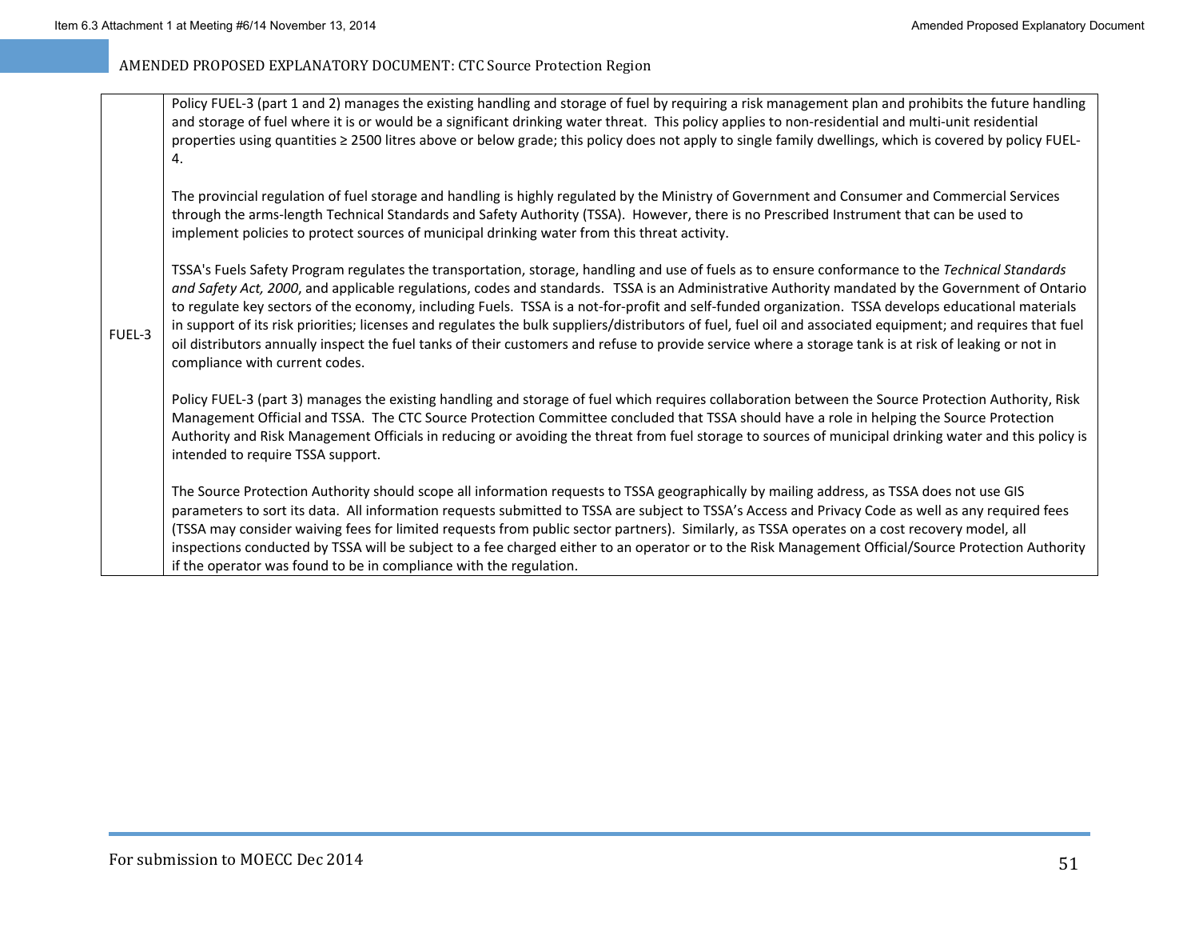FUEL‐3

### AMENDED PROPOSED EXPLANATORY DOCUMENT: CTC Source Protection Region

Policy FUEL-3 (part 1 and 2) manages the existing handling and storage of fuel by requiring a risk management plan and prohibits the future handling and storage of fuel where it is or would be <sup>a</sup> significant drinking water threat. This policy applies to non‐residential and multi‐unit residential properties using quantities ≥ 2500 litres above or below grade; this policy does not apply to single family dwellings, which is covered by policy FUEL-4.

The provincial regulation of fuel storage and handling is highly regulated by the Ministry of Government and Consumer and Commercial Services through the arms‐length Technical Standards and Safety Authority (TSSA). However, there is no Prescribed Instrument that can be used to implement policies to protect sources of municipal drinking water from this threat activity.

TSSA's Fuels Safety Program regulates the transportation, storage, handling and use of fuels as to ensure conformance to the *Technical Standards and Safety Act, 2000*, and applicable regulations, codes and standards. TSSA is an Administrative Authority mandated by the Government of Ontario to regulate key sectors of the economy, including Fuels. TSSA is <sup>a</sup> not‐for‐profit and self‐funded organization. TSSA develops educational materials in support of its risk priorities; licenses and regulates the bulk suppliers/distributors of fuel, fuel oil and associated equipment; and requires that fuel oil distributors annually inspect the fuel tanks of their customers and refuse to provide service where <sup>a</sup> storage tank is at risk of leaking or not in compliance with current codes.

Policy FUEL‐3 (part 3) manages the existing handling and storage of fuel which requires collaboration between the Source Protection Authority, Risk Management Official and TSSA. The CTC Source Protection Committee concluded that TSSA should have <sup>a</sup> role in helping the Source Protection Authority and Risk Management Officials in reducing or avoiding the threat from fuel storage to sources of municipal drinking water and this policy is intended to require TSSA support.

The Source Protection Authority should scope all information requests to TSSA geographically by mailing address, as TSSA does not use GIS parameters to sort its data. All information requests submitted to TSSA are subject to TSSA's Access and Privacy Code as well as any required fees (TSSA may consider waiving fees for limited requests from public sector partners). Similarly, as TSSA operates on <sup>a</sup> cost recovery model, all inspections conducted by TSSA will be subject to <sup>a</sup> fee charged either to an operator or to the Risk Management Official/Source Protection Authority if the operator was found to be in compliance with the regulation.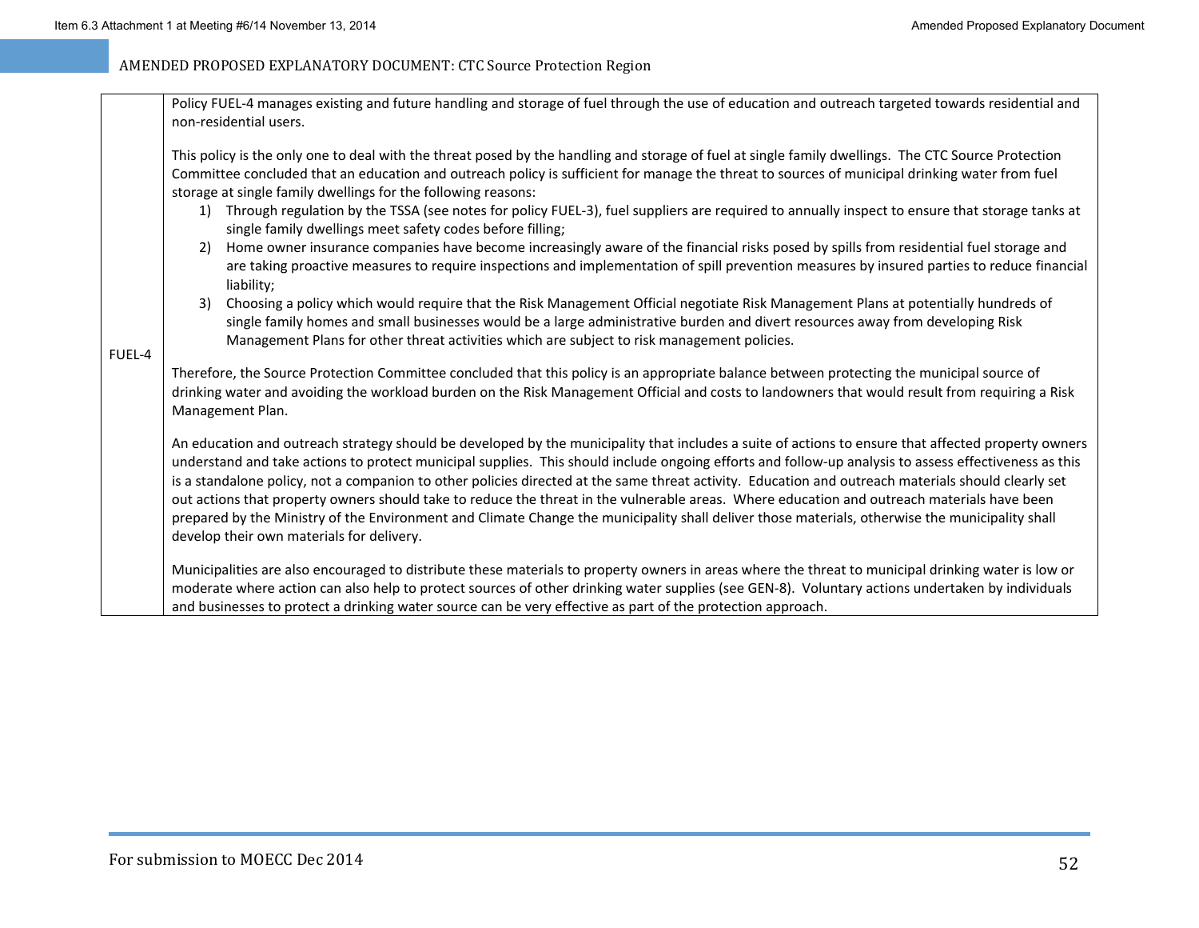| FUEL-4 | Policy FUEL-4 manages existing and future handling and storage of fuel through the use of education and outreach targeted towards residential and<br>non-residential users.                                                                                                                                                                                                                                                                                         |
|--------|---------------------------------------------------------------------------------------------------------------------------------------------------------------------------------------------------------------------------------------------------------------------------------------------------------------------------------------------------------------------------------------------------------------------------------------------------------------------|
|        | This policy is the only one to deal with the threat posed by the handling and storage of fuel at single family dwellings. The CTC Source Protection<br>Committee concluded that an education and outreach policy is sufficient for manage the threat to sources of municipal drinking water from fuel<br>storage at single family dwellings for the following reasons:                                                                                              |
|        | Through regulation by the TSSA (see notes for policy FUEL-3), fuel suppliers are required to annually inspect to ensure that storage tanks at<br>1)<br>single family dwellings meet safety codes before filling;                                                                                                                                                                                                                                                    |
|        | Home owner insurance companies have become increasingly aware of the financial risks posed by spills from residential fuel storage and<br>2)<br>are taking proactive measures to require inspections and implementation of spill prevention measures by insured parties to reduce financial<br>liability;                                                                                                                                                           |
|        | Choosing a policy which would require that the Risk Management Official negotiate Risk Management Plans at potentially hundreds of<br>3)<br>single family homes and small businesses would be a large administrative burden and divert resources away from developing Risk<br>Management Plans for other threat activities which are subject to risk management policies.                                                                                           |
|        | Therefore, the Source Protection Committee concluded that this policy is an appropriate balance between protecting the municipal source of<br>drinking water and avoiding the workload burden on the Risk Management Official and costs to landowners that would result from requiring a Risk<br>Management Plan.                                                                                                                                                   |
|        | An education and outreach strategy should be developed by the municipality that includes a suite of actions to ensure that affected property owners<br>understand and take actions to protect municipal supplies. This should include ongoing efforts and follow-up analysis to assess effectiveness as this<br>is a standalone policy, not a companion to other policies directed at the same threat activity. Education and outreach materials should clearly set |
|        | out actions that property owners should take to reduce the threat in the vulnerable areas. Where education and outreach materials have been<br>prepared by the Ministry of the Environment and Climate Change the municipality shall deliver those materials, otherwise the municipality shall<br>develop their own materials for delivery.                                                                                                                         |
|        | Municipalities are also encouraged to distribute these materials to property owners in areas where the threat to municipal drinking water is low or<br>moderate where action can also help to protect sources of other drinking water supplies (see GEN-8). Voluntary actions undertaken by individuals<br>and businesses to protect a drinking water source can be very effective as part of the protection approach.                                              |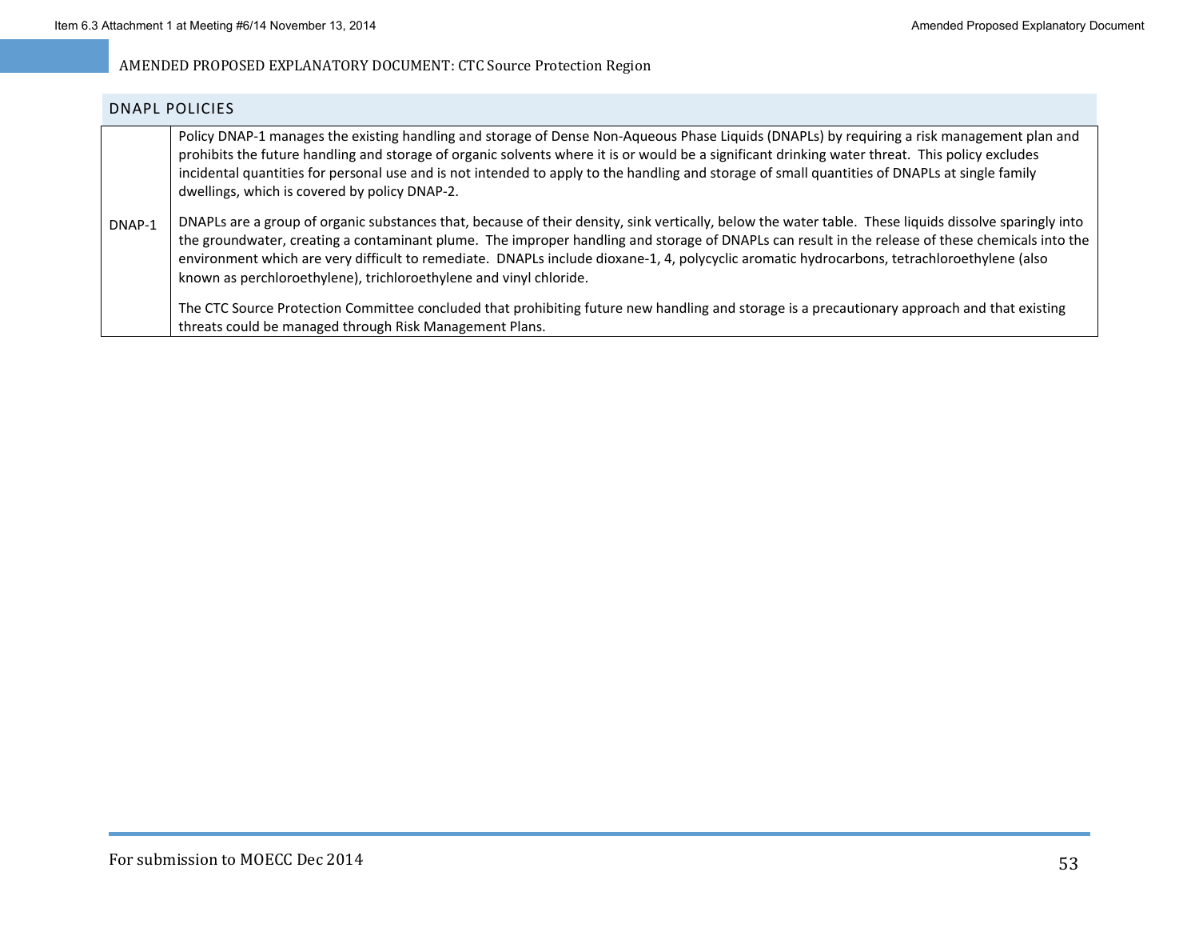|        | DNAPL POLICIES                                                                                                                                                                                                                                                                                                                                                                                                                                                                                                                  |
|--------|---------------------------------------------------------------------------------------------------------------------------------------------------------------------------------------------------------------------------------------------------------------------------------------------------------------------------------------------------------------------------------------------------------------------------------------------------------------------------------------------------------------------------------|
|        | Policy DNAP-1 manages the existing handling and storage of Dense Non-Aqueous Phase Liquids (DNAPLs) by requiring a risk management plan and<br>prohibits the future handling and storage of organic solvents where it is or would be a significant drinking water threat. This policy excludes<br>incidental quantities for personal use and is not intended to apply to the handling and storage of small quantities of DNAPLs at single family<br>dwellings, which is covered by policy DNAP-2.                               |
| DNAP-1 | DNAPLs are a group of organic substances that, because of their density, sink vertically, below the water table. These liquids dissolve sparingly into<br>the groundwater, creating a contaminant plume. The improper handling and storage of DNAPLs can result in the release of these chemicals into the<br>environment which are very difficult to remediate. DNAPLs include dioxane-1, 4, polycyclic aromatic hydrocarbons, tetrachloroethylene (also<br>known as perchloroethylene), trichloroethylene and vinyl chloride. |
|        | The CTC Source Protection Committee concluded that prohibiting future new handling and storage is a precautionary approach and that existing<br>threats could be managed through Risk Management Plans.                                                                                                                                                                                                                                                                                                                         |

### For submission to MOECC Dec 2014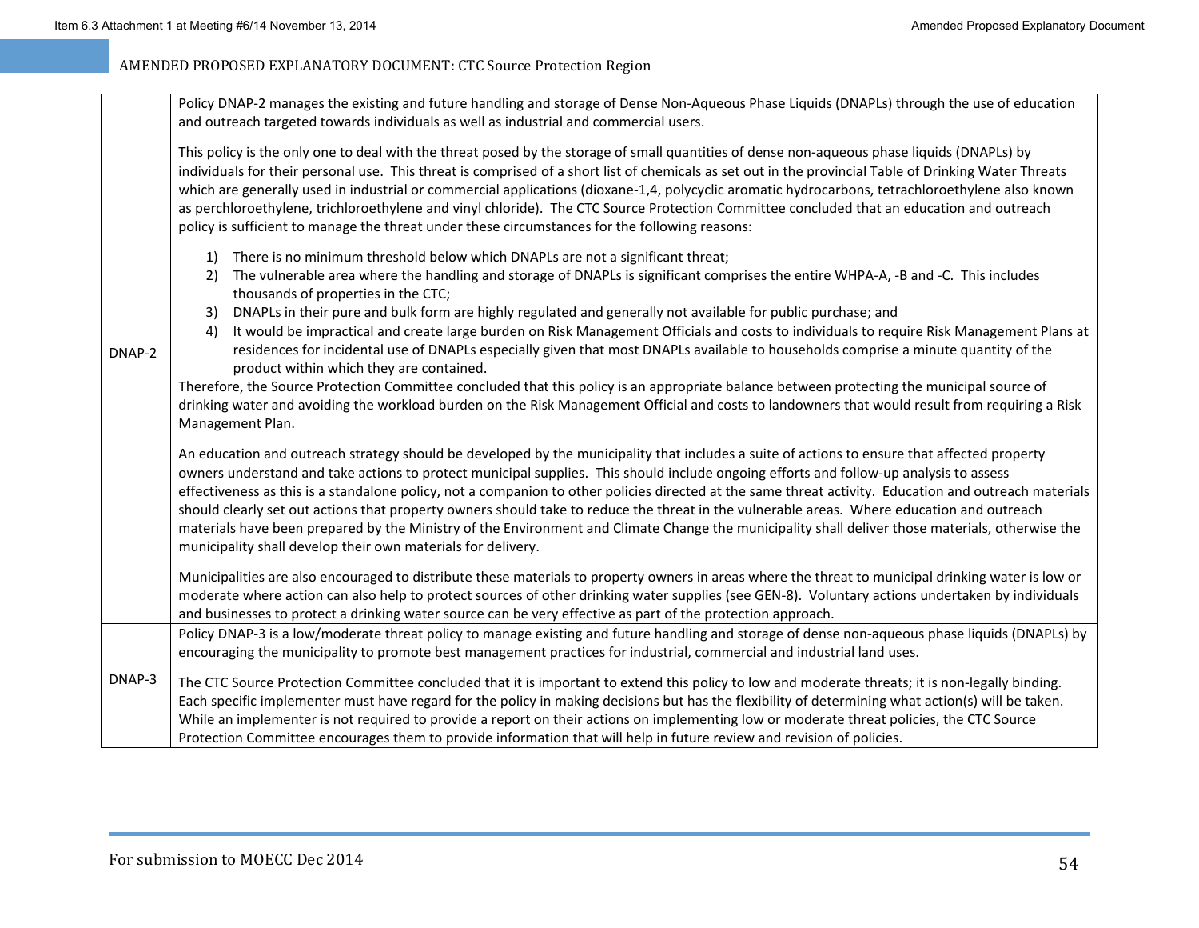|        | Policy DNAP-2 manages the existing and future handling and storage of Dense Non-Aqueous Phase Liquids (DNAPLs) through the use of education                                                                                                                                                                                                                                                                                                                                                                                                                                                                                                                                                                                                                                                                        |
|--------|--------------------------------------------------------------------------------------------------------------------------------------------------------------------------------------------------------------------------------------------------------------------------------------------------------------------------------------------------------------------------------------------------------------------------------------------------------------------------------------------------------------------------------------------------------------------------------------------------------------------------------------------------------------------------------------------------------------------------------------------------------------------------------------------------------------------|
|        | and outreach targeted towards individuals as well as industrial and commercial users.                                                                                                                                                                                                                                                                                                                                                                                                                                                                                                                                                                                                                                                                                                                              |
| DNAP-2 | This policy is the only one to deal with the threat posed by the storage of small quantities of dense non-aqueous phase liquids (DNAPLs) by<br>individuals for their personal use. This threat is comprised of a short list of chemicals as set out in the provincial Table of Drinking Water Threats<br>which are generally used in industrial or commercial applications (dioxane-1,4, polycyclic aromatic hydrocarbons, tetrachloroethylene also known<br>as perchloroethylene, trichloroethylene and vinyl chloride). The CTC Source Protection Committee concluded that an education and outreach<br>policy is sufficient to manage the threat under these circumstances for the following reasons:                                                                                                           |
|        | There is no minimum threshold below which DNAPLs are not a significant threat;<br>1)<br>The vulnerable area where the handling and storage of DNAPLs is significant comprises the entire WHPA-A, -B and -C. This includes<br>2)                                                                                                                                                                                                                                                                                                                                                                                                                                                                                                                                                                                    |
|        | thousands of properties in the CTC;<br>DNAPLs in their pure and bulk form are highly regulated and generally not available for public purchase; and<br>3)                                                                                                                                                                                                                                                                                                                                                                                                                                                                                                                                                                                                                                                          |
|        | It would be impractical and create large burden on Risk Management Officials and costs to individuals to require Risk Management Plans at<br>4)<br>residences for incidental use of DNAPLs especially given that most DNAPLs available to households comprise a minute quantity of the<br>product within which they are contained.                                                                                                                                                                                                                                                                                                                                                                                                                                                                                 |
|        | Therefore, the Source Protection Committee concluded that this policy is an appropriate balance between protecting the municipal source of<br>drinking water and avoiding the workload burden on the Risk Management Official and costs to landowners that would result from requiring a Risk<br>Management Plan.                                                                                                                                                                                                                                                                                                                                                                                                                                                                                                  |
|        | An education and outreach strategy should be developed by the municipality that includes a suite of actions to ensure that affected property<br>owners understand and take actions to protect municipal supplies. This should include ongoing efforts and follow-up analysis to assess<br>effectiveness as this is a standalone policy, not a companion to other policies directed at the same threat activity. Education and outreach materials<br>should clearly set out actions that property owners should take to reduce the threat in the vulnerable areas. Where education and outreach<br>materials have been prepared by the Ministry of the Environment and Climate Change the municipality shall deliver those materials, otherwise the<br>municipality shall develop their own materials for delivery. |
|        | Municipalities are also encouraged to distribute these materials to property owners in areas where the threat to municipal drinking water is low or<br>moderate where action can also help to protect sources of other drinking water supplies (see GEN-8). Voluntary actions undertaken by individuals<br>and businesses to protect a drinking water source can be very effective as part of the protection approach.                                                                                                                                                                                                                                                                                                                                                                                             |
|        | Policy DNAP-3 is a low/moderate threat policy to manage existing and future handling and storage of dense non-aqueous phase liquids (DNAPLs) by<br>encouraging the municipality to promote best management practices for industrial, commercial and industrial land uses.                                                                                                                                                                                                                                                                                                                                                                                                                                                                                                                                          |
| DNAP-3 | The CTC Source Protection Committee concluded that it is important to extend this policy to low and moderate threats; it is non-legally binding.<br>Each specific implementer must have regard for the policy in making decisions but has the flexibility of determining what action(s) will be taken.<br>While an implementer is not required to provide a report on their actions on implementing low or moderate threat policies, the CTC Source<br>Protection Committee encourages them to provide information that will help in future review and revision of policies.                                                                                                                                                                                                                                       |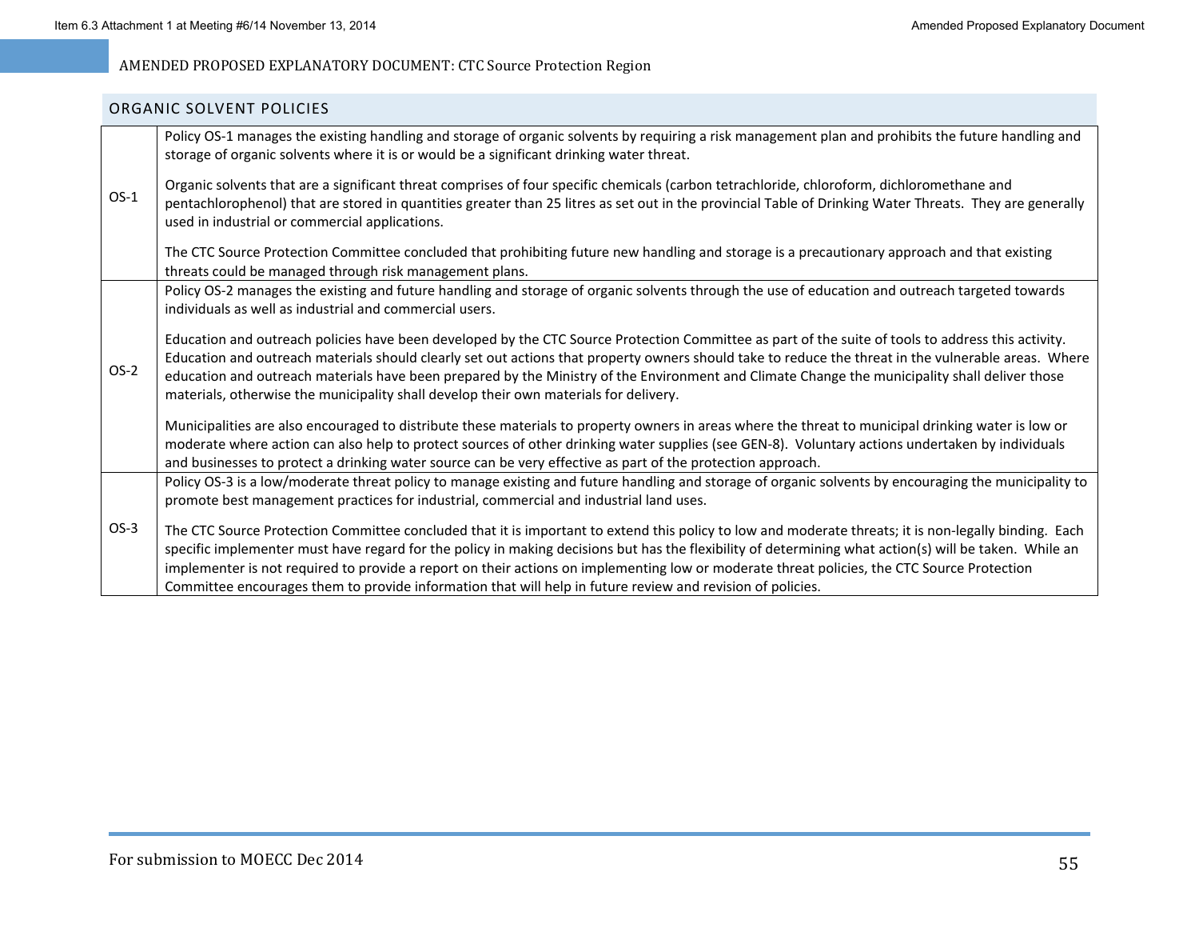#### ORGANIC SOLVENT POLICIES

| $OS-1$ | Policy OS-1 manages the existing handling and storage of organic solvents by requiring a risk management plan and prohibits the future handling and<br>storage of organic solvents where it is or would be a significant drinking water threat.                                                                                                                                                                                                                                                                                                                              |
|--------|------------------------------------------------------------------------------------------------------------------------------------------------------------------------------------------------------------------------------------------------------------------------------------------------------------------------------------------------------------------------------------------------------------------------------------------------------------------------------------------------------------------------------------------------------------------------------|
|        | Organic solvents that are a significant threat comprises of four specific chemicals (carbon tetrachloride, chloroform, dichloromethane and<br>pentachlorophenol) that are stored in quantities greater than 25 litres as set out in the provincial Table of Drinking Water Threats. They are generally<br>used in industrial or commercial applications.                                                                                                                                                                                                                     |
|        | The CTC Source Protection Committee concluded that prohibiting future new handling and storage is a precautionary approach and that existing<br>threats could be managed through risk management plans.                                                                                                                                                                                                                                                                                                                                                                      |
| $OS-2$ | Policy OS-2 manages the existing and future handling and storage of organic solvents through the use of education and outreach targeted towards<br>individuals as well as industrial and commercial users.                                                                                                                                                                                                                                                                                                                                                                   |
|        | Education and outreach policies have been developed by the CTC Source Protection Committee as part of the suite of tools to address this activity.<br>Education and outreach materials should clearly set out actions that property owners should take to reduce the threat in the vulnerable areas. Where<br>education and outreach materials have been prepared by the Ministry of the Environment and Climate Change the municipality shall deliver those<br>materials, otherwise the municipality shall develop their own materials for delivery.                        |
|        | Municipalities are also encouraged to distribute these materials to property owners in areas where the threat to municipal drinking water is low or<br>moderate where action can also help to protect sources of other drinking water supplies (see GEN-8). Voluntary actions undertaken by individuals<br>and businesses to protect a drinking water source can be very effective as part of the protection approach.                                                                                                                                                       |
|        | Policy OS-3 is a low/moderate threat policy to manage existing and future handling and storage of organic solvents by encouraging the municipality to<br>promote best management practices for industrial, commercial and industrial land uses.                                                                                                                                                                                                                                                                                                                              |
| $OS-3$ | The CTC Source Protection Committee concluded that it is important to extend this policy to low and moderate threats; it is non-legally binding. Each<br>specific implementer must have regard for the policy in making decisions but has the flexibility of determining what action(s) will be taken. While an<br>implementer is not required to provide a report on their actions on implementing low or moderate threat policies, the CTC Source Protection<br>Committee encourages them to provide information that will help in future review and revision of policies. |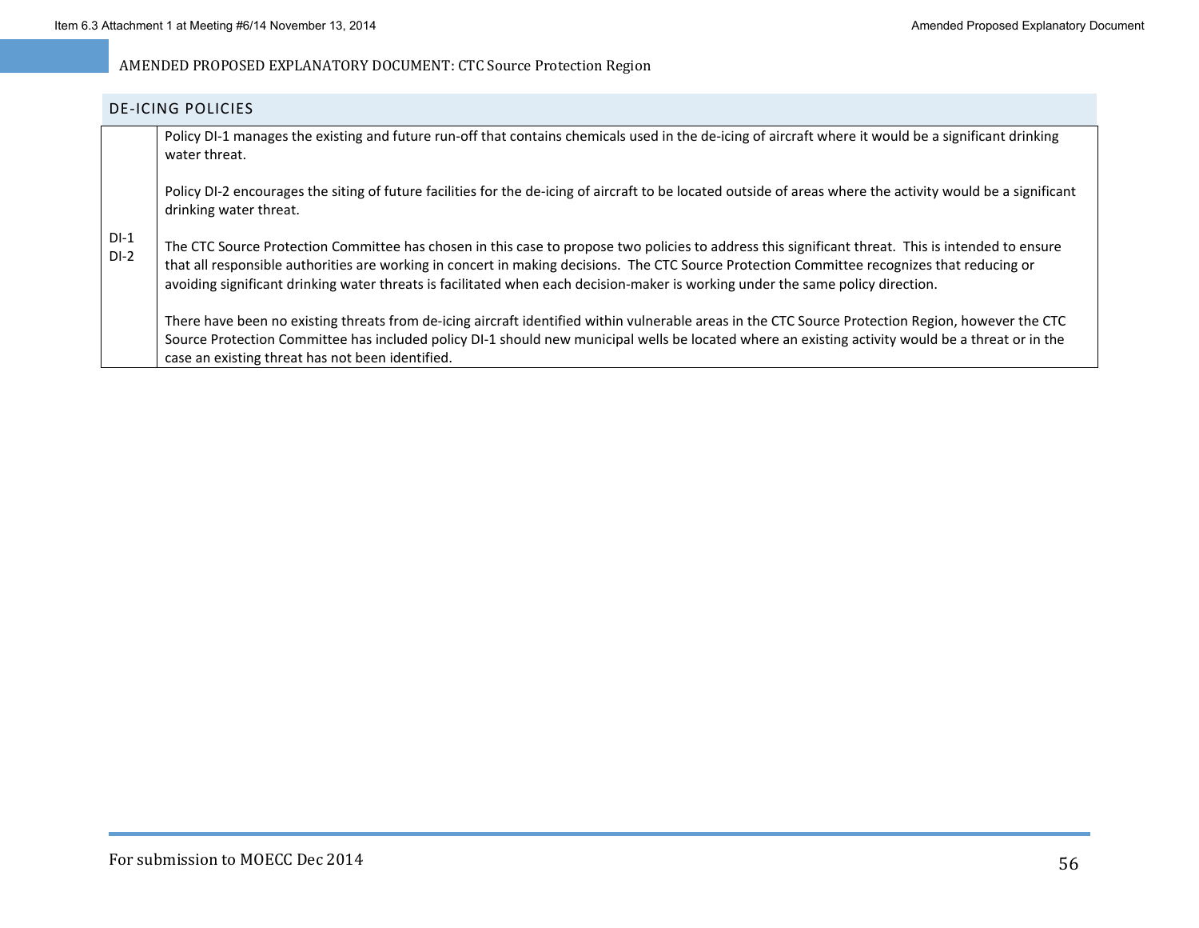#### DE‐ICING POLICIES

|                  | Policy DI-1 manages the existing and future run-off that contains chemicals used in the de-icing of aircraft where it would be a significant drinking<br>water threat.                                                                                                                                                                                                                                                                |
|------------------|---------------------------------------------------------------------------------------------------------------------------------------------------------------------------------------------------------------------------------------------------------------------------------------------------------------------------------------------------------------------------------------------------------------------------------------|
|                  | Policy DI-2 encourages the siting of future facilities for the de-icing of aircraft to be located outside of areas where the activity would be a significant<br>drinking water threat.                                                                                                                                                                                                                                                |
| $DI-1$<br>$DI-2$ | The CTC Source Protection Committee has chosen in this case to propose two policies to address this significant threat. This is intended to ensure<br>that all responsible authorities are working in concert in making decisions. The CTC Source Protection Committee recognizes that reducing or<br>avoiding significant drinking water threats is facilitated when each decision-maker is working under the same policy direction. |
|                  | There have been no existing threats from de-icing aircraft identified within vulnerable areas in the CTC Source Protection Region, however the CTC<br>Source Protection Committee has included policy DI-1 should new municipal wells be located where an existing activity would be a threat or in the<br>case an existing threat has not been identified.                                                                           |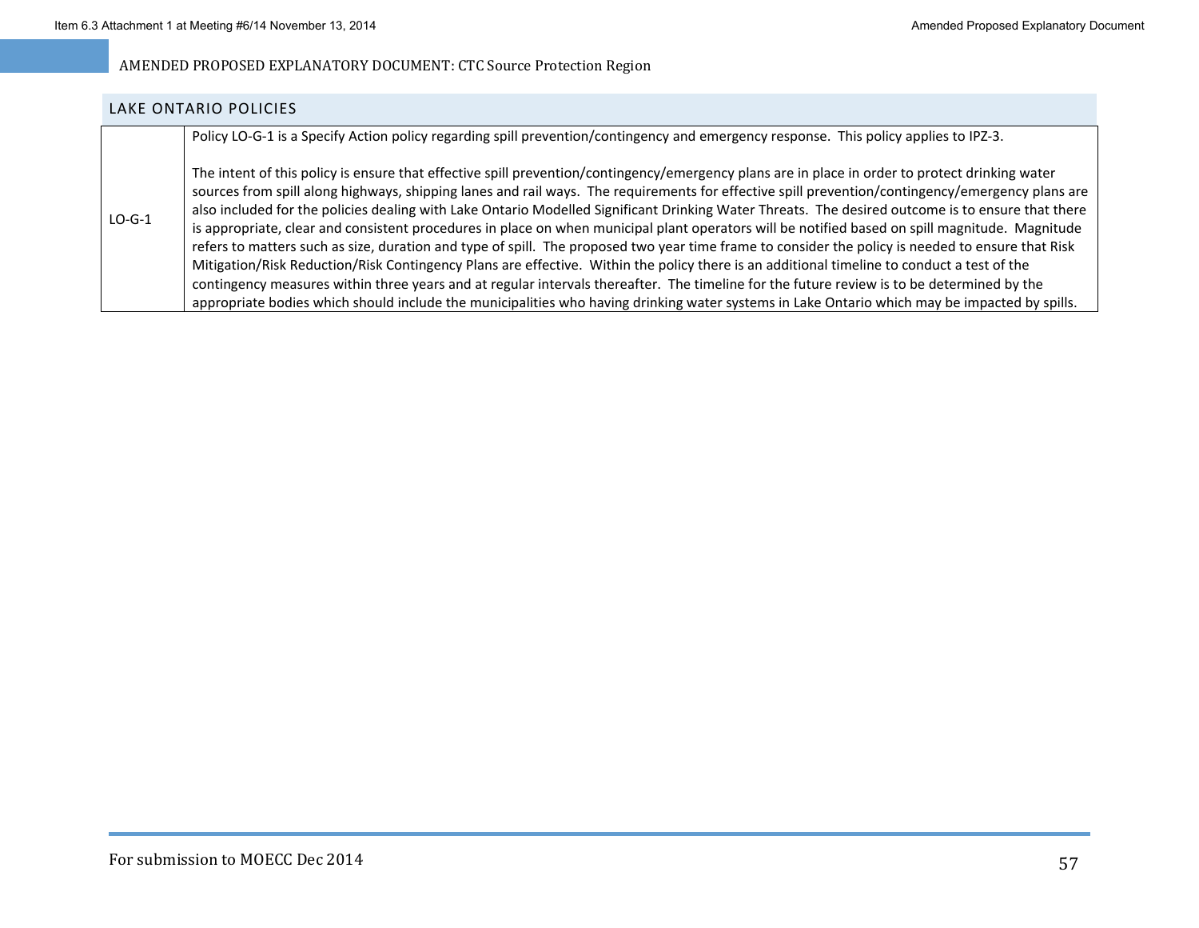### LAKE ONTARIO POLICIES

Policy LO‐G‐1 is <sup>a</sup> Specify Action policy regarding spill prevention/contingency and emergency response. This policy applies to IPZ‐3.

 $LO-G-1$ The intent of this policy is ensure that effective spill prevention/contingency/emergency plans are in place in order to protect drinking water sources from spill along highways, shipping lanes and rail ways. The requirements for effective spill prevention/contingency/emergency plans are also included for the policies dealing with Lake Ontario Modelled Significant Drinking Water Threats. The desired outcome is to ensure that there is appropriate, clear and consistent procedures in place on when municipal plant operators will be notified based on spill magnitude. Magnitude refers to matters such as size, duration and type of spill. The proposed two year time frame to consider the policy is needed to ensure that Risk Mitigation/Risk Reduction/Risk Contingency Plans are effective. Within the policy there is an additional timeline to conduct <sup>a</sup> test of the contingency measures within three years and at regular intervals thereafter. The timeline for the future review is to be determined by the appropriate bodies which should include the municipalities who having drinking water systems in Lake Ontario which may be impacted by spills.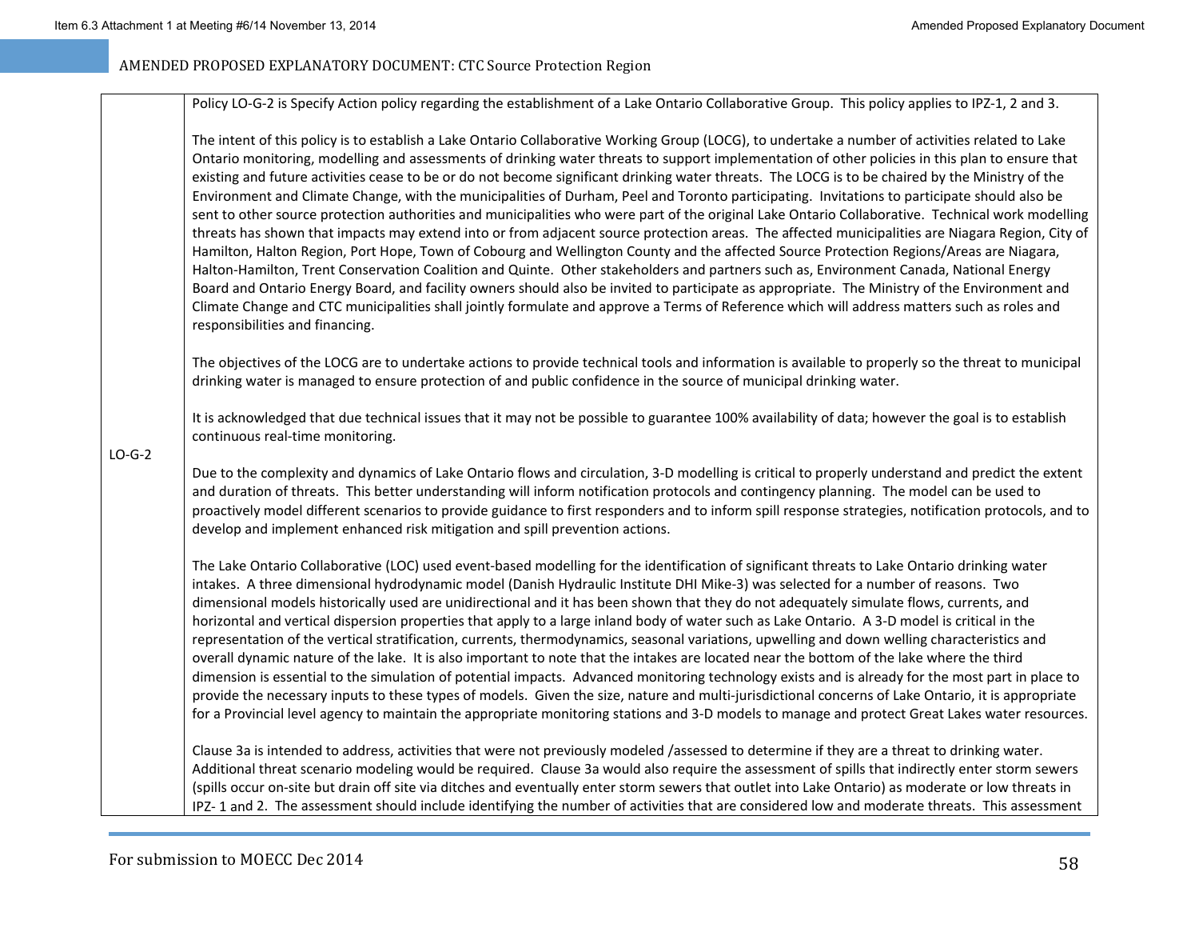Policy LO‐G‐2 is Specify Action policy regarding the establishment of <sup>a</sup> Lake Ontario Collaborative Group. This policy applies to IPZ‐1, 2 and 3.

The intent of this policy is to establish <sup>a</sup> Lake Ontario Collaborative Working Group (LOCG), to undertake <sup>a</sup> number of activities related to Lake Ontario monitoring, modelling and assessments of drinking water threats to support implementation of other policies in this plan to ensure that existing and future activities cease to be or do not become significant drinking water threats. The LOCG is to be chaired by the Ministry of the Environment and Climate Change, with the municipalities of Durham, Peel and Toronto participating. Invitations to participate should also be sent to other source protection authorities and municipalities who were part of the original Lake Ontario Collaborative. Technical work modelling threats has shown that impacts may extend into or from adjacent source protection areas. The affected municipalities are Niagara Region, City of Hamilton, Halton Region, Port Hope, Town of Cobourg and Wellington County and the affected Source Protection Regions/Areas are Niagara, Halton‐Hamilton, Trent Conservation Coalition and Quinte. Other stakeholders and partners such as, Environment Canada, National Energy Board and Ontario Energy Board, and facility owners should also be invited to participate as appropriate. The Ministry of the Environment and Climate Change and CTC municipalities shall jointly formulate and approve <sup>a</sup> Terms of Reference which will address matters such as roles and responsibilities and financing.

The objectives of the LOCG are to undertake actions to provide technical tools and information is available to properly so the threat to municipal drinking water is managed to ensure protection of and public confidence in the source of municipal drinking water.

It is acknowledged that due technical issues that it may not be possible to guarantee 100% availability of data; however the goal is to establish continuous real‐time monitoring.

 $LO-G-2$ 

Due to the complexity and dynamics of Lake Ontario flows and circulation, 3‐D modelling is critical to properly understand and predict the extent and duration of threats. This better understanding will inform notification protocols and contingency planning. The model can be used to proactively model different scenarios to provide guidance to first responders and to inform spill response strategies, notification protocols, and to develop and implement enhanced risk mitigation and spill prevention actions.

The Lake Ontario Collaborative (LOC) used event‐based modelling for the identification of significant threats to Lake Ontario drinking water intakes. A three dimensional hydrodynamic model (Danish Hydraulic Institute DHI Mike‐3) was selected for <sup>a</sup> number of reasons. Two dimensional models historically used are unidirectional and it has been shown that they do not adequately simulate flows, currents, and horizontal and vertical dispersion properties that apply to <sup>a</sup> large inland body of water such as Lake Ontario. A 3‐D model is critical in the representation of the vertical stratification, currents, thermodynamics, seasonal variations, upwelling and down welling characteristics and overall dynamic nature of the lake. It is also important to note that the intakes are located near the bottom of the lake where the third dimension is essential to the simulation of potential impacts. Advanced monitoring technology exists and is already for the most part in place to provide the necessary inputs to these types of models. Given the size, nature and multi-jurisdictional concerns of Lake Ontario, it is appropriate for a Provincial level agency to maintain the appropriate monitoring stations and 3‐D models to manage and protect Great Lakes water resources.

Clause 3a is intended to address, activities that were not previously modeled /assessed to determine if they are <sup>a</sup> threat to drinking water. Additional threat scenario modeling would be required. Clause 3a would also require the assessment of spills that indirectly enter storm sewers (spills occur on‐site but drain off site via ditches and eventually enter storm sewers that outlet into Lake Ontario) as moderate or low threats in IPZ‐ 1 and 2. The assessment should include identifying the number of activities that are considered low and moderate threats. This assessment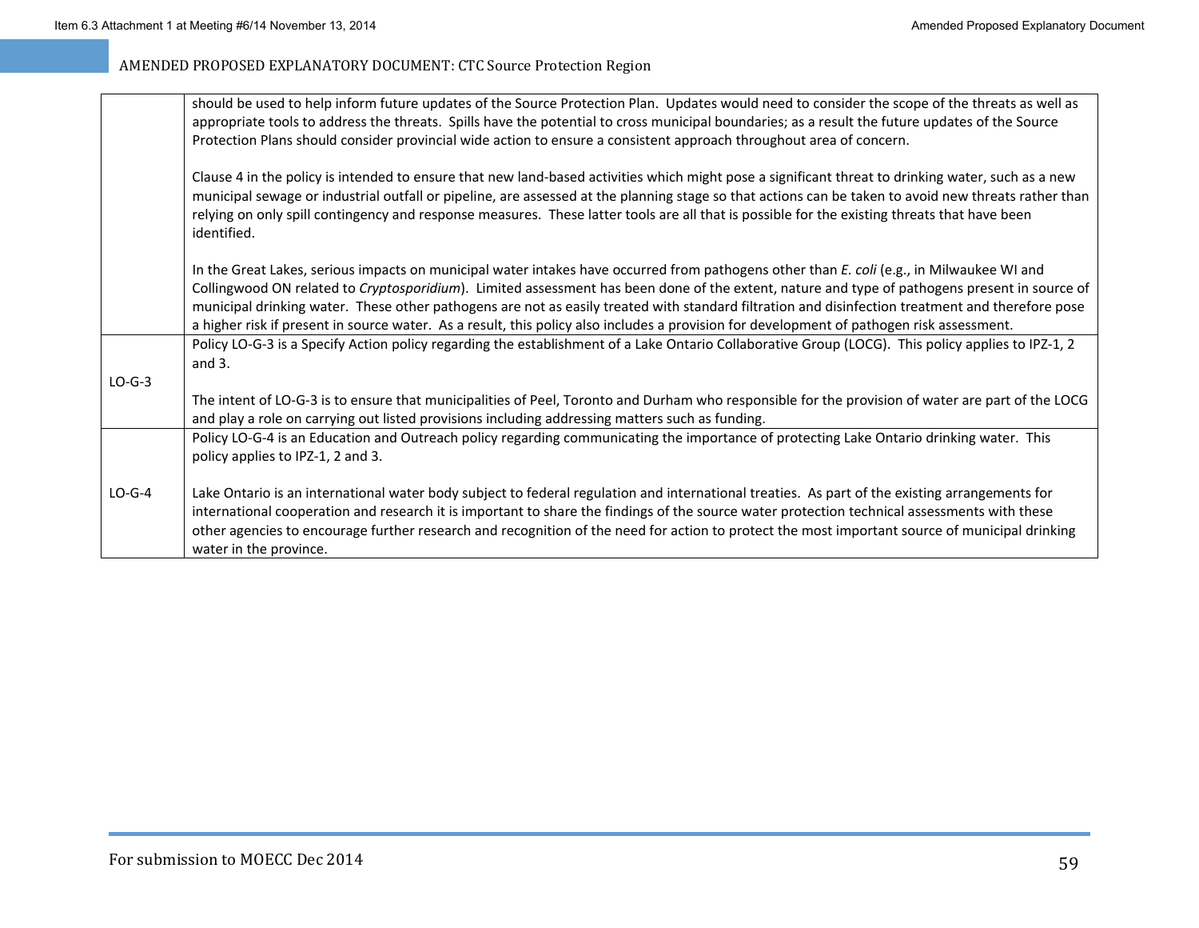|          | should be used to help inform future updates of the Source Protection Plan. Updates would need to consider the scope of the threats as well as<br>appropriate tools to address the threats. Spills have the potential to cross municipal boundaries; as a result the future updates of the Source                                                                                                                                                                                                                                                                                           |
|----------|---------------------------------------------------------------------------------------------------------------------------------------------------------------------------------------------------------------------------------------------------------------------------------------------------------------------------------------------------------------------------------------------------------------------------------------------------------------------------------------------------------------------------------------------------------------------------------------------|
|          | Protection Plans should consider provincial wide action to ensure a consistent approach throughout area of concern.                                                                                                                                                                                                                                                                                                                                                                                                                                                                         |
|          | Clause 4 in the policy is intended to ensure that new land-based activities which might pose a significant threat to drinking water, such as a new<br>municipal sewage or industrial outfall or pipeline, are assessed at the planning stage so that actions can be taken to avoid new threats rather than<br>relying on only spill contingency and response measures. These latter tools are all that is possible for the existing threats that have been<br>identified.                                                                                                                   |
|          | In the Great Lakes, serious impacts on municipal water intakes have occurred from pathogens other than E. coli (e.g., in Milwaukee WI and<br>Collingwood ON related to Cryptosporidium). Limited assessment has been done of the extent, nature and type of pathogens present in source of<br>municipal drinking water. These other pathogens are not as easily treated with standard filtration and disinfection treatment and therefore pose<br>a higher risk if present in source water. As a result, this policy also includes a provision for development of pathogen risk assessment. |
|          | Policy LO-G-3 is a Specify Action policy regarding the establishment of a Lake Ontario Collaborative Group (LOCG). This policy applies to IPZ-1, 2<br>and $3.$                                                                                                                                                                                                                                                                                                                                                                                                                              |
| $LO-G-3$ |                                                                                                                                                                                                                                                                                                                                                                                                                                                                                                                                                                                             |
|          | The intent of LO-G-3 is to ensure that municipalities of Peel, Toronto and Durham who responsible for the provision of water are part of the LOCG<br>and play a role on carrying out listed provisions including addressing matters such as funding.                                                                                                                                                                                                                                                                                                                                        |
|          | Policy LO-G-4 is an Education and Outreach policy regarding communicating the importance of protecting Lake Ontario drinking water. This<br>policy applies to IPZ-1, 2 and 3.                                                                                                                                                                                                                                                                                                                                                                                                               |
| $LO-G-4$ | Lake Ontario is an international water body subject to federal regulation and international treaties. As part of the existing arrangements for<br>international cooperation and research it is important to share the findings of the source water protection technical assessments with these<br>other agencies to encourage further research and recognition of the need for action to protect the most important source of municipal drinking<br>water in the province.                                                                                                                  |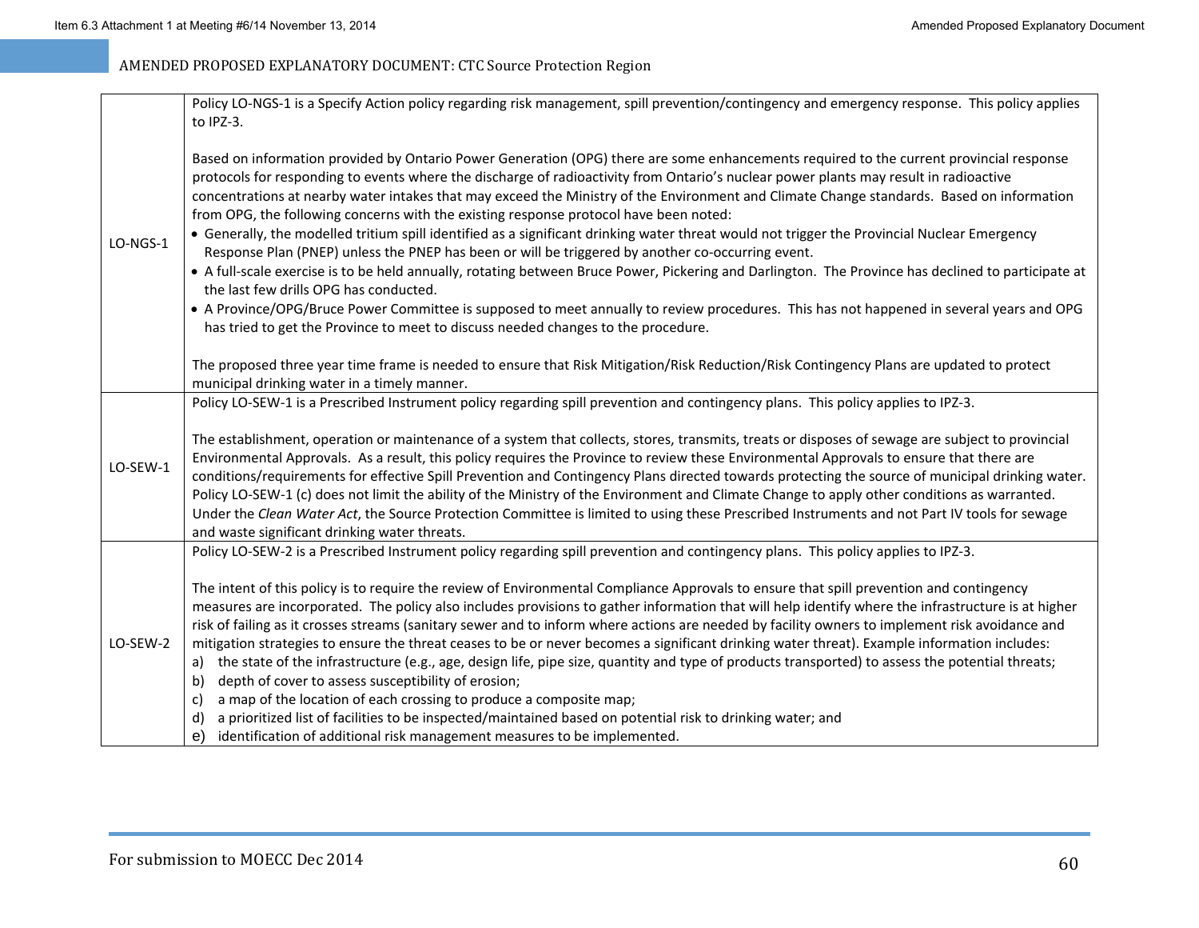|          | Policy LO-NGS-1 is a Specify Action policy regarding risk management, spill prevention/contingency and emergency response. This policy applies<br>to IPZ-3.                                                                                                                                                                                                                                                                                                                                                                                                                                                                                                                                                                                                                                                                                                                                                                                                                                                                                                                                                                                                                                                                                                                                                                                                                                               |
|----------|-----------------------------------------------------------------------------------------------------------------------------------------------------------------------------------------------------------------------------------------------------------------------------------------------------------------------------------------------------------------------------------------------------------------------------------------------------------------------------------------------------------------------------------------------------------------------------------------------------------------------------------------------------------------------------------------------------------------------------------------------------------------------------------------------------------------------------------------------------------------------------------------------------------------------------------------------------------------------------------------------------------------------------------------------------------------------------------------------------------------------------------------------------------------------------------------------------------------------------------------------------------------------------------------------------------------------------------------------------------------------------------------------------------|
| LO-NGS-1 | Based on information provided by Ontario Power Generation (OPG) there are some enhancements required to the current provincial response<br>protocols for responding to events where the discharge of radioactivity from Ontario's nuclear power plants may result in radioactive<br>concentrations at nearby water intakes that may exceed the Ministry of the Environment and Climate Change standards. Based on information<br>from OPG, the following concerns with the existing response protocol have been noted:<br>• Generally, the modelled tritium spill identified as a significant drinking water threat would not trigger the Provincial Nuclear Emergency<br>Response Plan (PNEP) unless the PNEP has been or will be triggered by another co-occurring event.<br>• A full-scale exercise is to be held annually, rotating between Bruce Power, Pickering and Darlington. The Province has declined to participate at<br>the last few drills OPG has conducted.<br>• A Province/OPG/Bruce Power Committee is supposed to meet annually to review procedures. This has not happened in several years and OPG<br>has tried to get the Province to meet to discuss needed changes to the procedure.<br>The proposed three year time frame is needed to ensure that Risk Mitigation/Risk Reduction/Risk Contingency Plans are updated to protect<br>municipal drinking water in a timely manner. |
| LO-SEW-1 | Policy LO-SEW-1 is a Prescribed Instrument policy regarding spill prevention and contingency plans. This policy applies to IPZ-3.<br>The establishment, operation or maintenance of a system that collects, stores, transmits, treats or disposes of sewage are subject to provincial<br>Environmental Approvals. As a result, this policy requires the Province to review these Environmental Approvals to ensure that there are<br>conditions/requirements for effective Spill Prevention and Contingency Plans directed towards protecting the source of municipal drinking water.<br>Policy LO-SEW-1 (c) does not limit the ability of the Ministry of the Environment and Climate Change to apply other conditions as warranted.<br>Under the Clean Water Act, the Source Protection Committee is limited to using these Prescribed Instruments and not Part IV tools for sewage<br>and waste significant drinking water threats.                                                                                                                                                                                                                                                                                                                                                                                                                                                                    |
| LO-SEW-2 | Policy LO-SEW-2 is a Prescribed Instrument policy regarding spill prevention and contingency plans. This policy applies to IPZ-3.<br>The intent of this policy is to require the review of Environmental Compliance Approvals to ensure that spill prevention and contingency<br>measures are incorporated. The policy also includes provisions to gather information that will help identify where the infrastructure is at higher<br>risk of failing as it crosses streams (sanitary sewer and to inform where actions are needed by facility owners to implement risk avoidance and<br>mitigation strategies to ensure the threat ceases to be or never becomes a significant drinking water threat). Example information includes:<br>the state of the infrastructure (e.g., age, design life, pipe size, quantity and type of products transported) to assess the potential threats;<br>a)<br>depth of cover to assess susceptibility of erosion;<br>b)<br>a map of the location of each crossing to produce a composite map;<br>C)<br>a prioritized list of facilities to be inspected/maintained based on potential risk to drinking water; and<br>d)<br>identification of additional risk management measures to be implemented.<br>e)                                                                                                                                                            |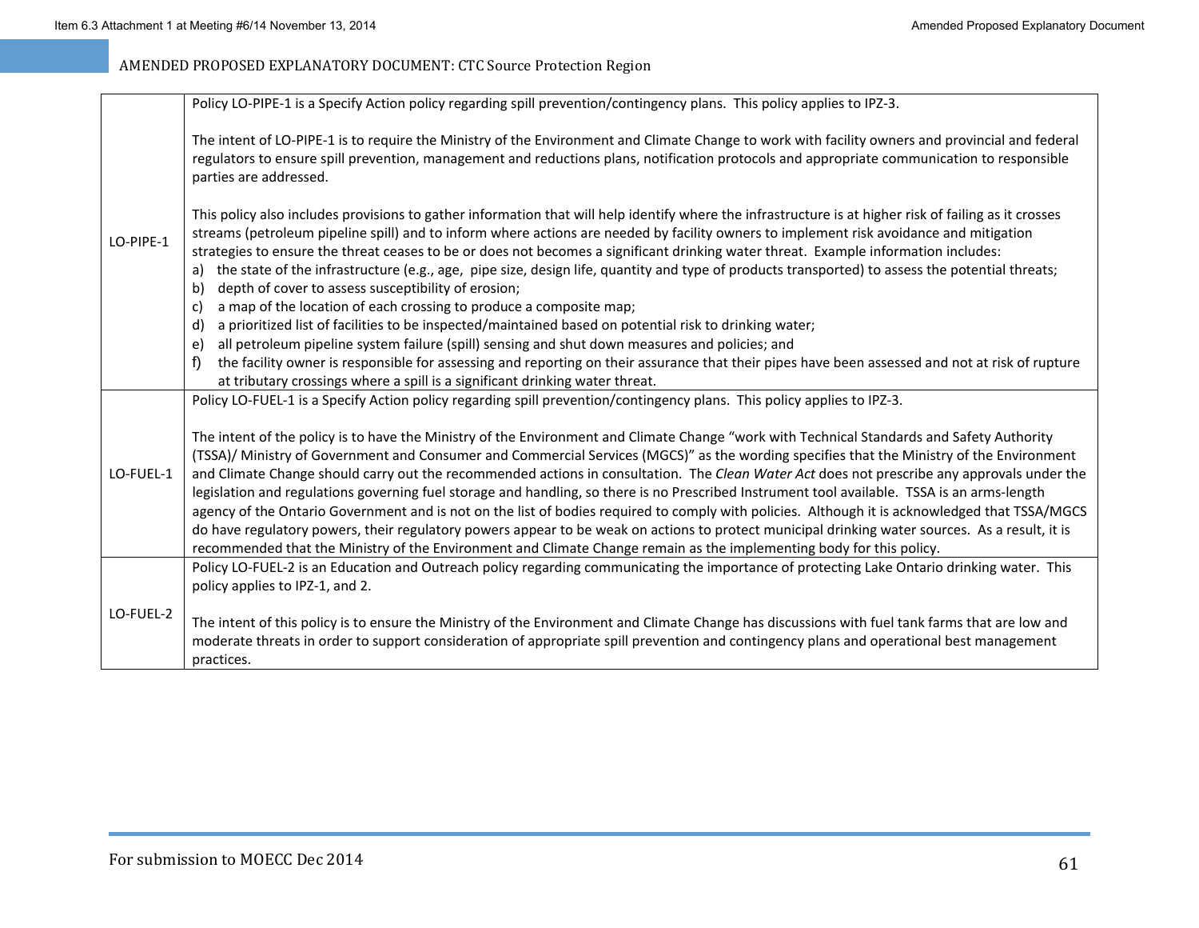|           | Policy LO-PIPE-1 is a Specify Action policy regarding spill prevention/contingency plans. This policy applies to IPZ-3.                                                                                                                                                                                                                                                                                                                                                                                                                                                                                                                                                                                                                                                                                                                                                                                                                                                                                             |
|-----------|---------------------------------------------------------------------------------------------------------------------------------------------------------------------------------------------------------------------------------------------------------------------------------------------------------------------------------------------------------------------------------------------------------------------------------------------------------------------------------------------------------------------------------------------------------------------------------------------------------------------------------------------------------------------------------------------------------------------------------------------------------------------------------------------------------------------------------------------------------------------------------------------------------------------------------------------------------------------------------------------------------------------|
| LO-PIPE-1 | The intent of LO-PIPE-1 is to require the Ministry of the Environment and Climate Change to work with facility owners and provincial and federal<br>regulators to ensure spill prevention, management and reductions plans, notification protocols and appropriate communication to responsible<br>parties are addressed.                                                                                                                                                                                                                                                                                                                                                                                                                                                                                                                                                                                                                                                                                           |
|           | This policy also includes provisions to gather information that will help identify where the infrastructure is at higher risk of failing as it crosses<br>streams (petroleum pipeline spill) and to inform where actions are needed by facility owners to implement risk avoidance and mitigation<br>strategies to ensure the threat ceases to be or does not becomes a significant drinking water threat. Example information includes:<br>the state of the infrastructure (e.g., age, pipe size, design life, quantity and type of products transported) to assess the potential threats;<br>a)<br>depth of cover to assess susceptibility of erosion;<br>b)<br>a map of the location of each crossing to produce a composite map;<br>C)                                                                                                                                                                                                                                                                          |
|           | a prioritized list of facilities to be inspected/maintained based on potential risk to drinking water;<br>d)                                                                                                                                                                                                                                                                                                                                                                                                                                                                                                                                                                                                                                                                                                                                                                                                                                                                                                        |
|           | all petroleum pipeline system failure (spill) sensing and shut down measures and policies; and<br>e)                                                                                                                                                                                                                                                                                                                                                                                                                                                                                                                                                                                                                                                                                                                                                                                                                                                                                                                |
|           | f)<br>the facility owner is responsible for assessing and reporting on their assurance that their pipes have been assessed and not at risk of rupture<br>at tributary crossings where a spill is a significant drinking water threat.                                                                                                                                                                                                                                                                                                                                                                                                                                                                                                                                                                                                                                                                                                                                                                               |
|           | Policy LO-FUEL-1 is a Specify Action policy regarding spill prevention/contingency plans. This policy applies to IPZ-3.                                                                                                                                                                                                                                                                                                                                                                                                                                                                                                                                                                                                                                                                                                                                                                                                                                                                                             |
| LO-FUEL-1 | The intent of the policy is to have the Ministry of the Environment and Climate Change "work with Technical Standards and Safety Authority<br>(TSSA)/ Ministry of Government and Consumer and Commercial Services (MGCS)" as the wording specifies that the Ministry of the Environment<br>and Climate Change should carry out the recommended actions in consultation. The Clean Water Act does not prescribe any approvals under the<br>legislation and regulations governing fuel storage and handling, so there is no Prescribed Instrument tool available. TSSA is an arms-length<br>agency of the Ontario Government and is not on the list of bodies required to comply with policies. Although it is acknowledged that TSSA/MGCS<br>do have regulatory powers, their regulatory powers appear to be weak on actions to protect municipal drinking water sources. As a result, it is<br>recommended that the Ministry of the Environment and Climate Change remain as the implementing body for this policy. |
|           | Policy LO-FUEL-2 is an Education and Outreach policy regarding communicating the importance of protecting Lake Ontario drinking water. This                                                                                                                                                                                                                                                                                                                                                                                                                                                                                                                                                                                                                                                                                                                                                                                                                                                                         |
|           | policy applies to IPZ-1, and 2.                                                                                                                                                                                                                                                                                                                                                                                                                                                                                                                                                                                                                                                                                                                                                                                                                                                                                                                                                                                     |
| LO-FUEL-2 | The intent of this policy is to ensure the Ministry of the Environment and Climate Change has discussions with fuel tank farms that are low and<br>moderate threats in order to support consideration of appropriate spill prevention and contingency plans and operational best management<br>practices.                                                                                                                                                                                                                                                                                                                                                                                                                                                                                                                                                                                                                                                                                                           |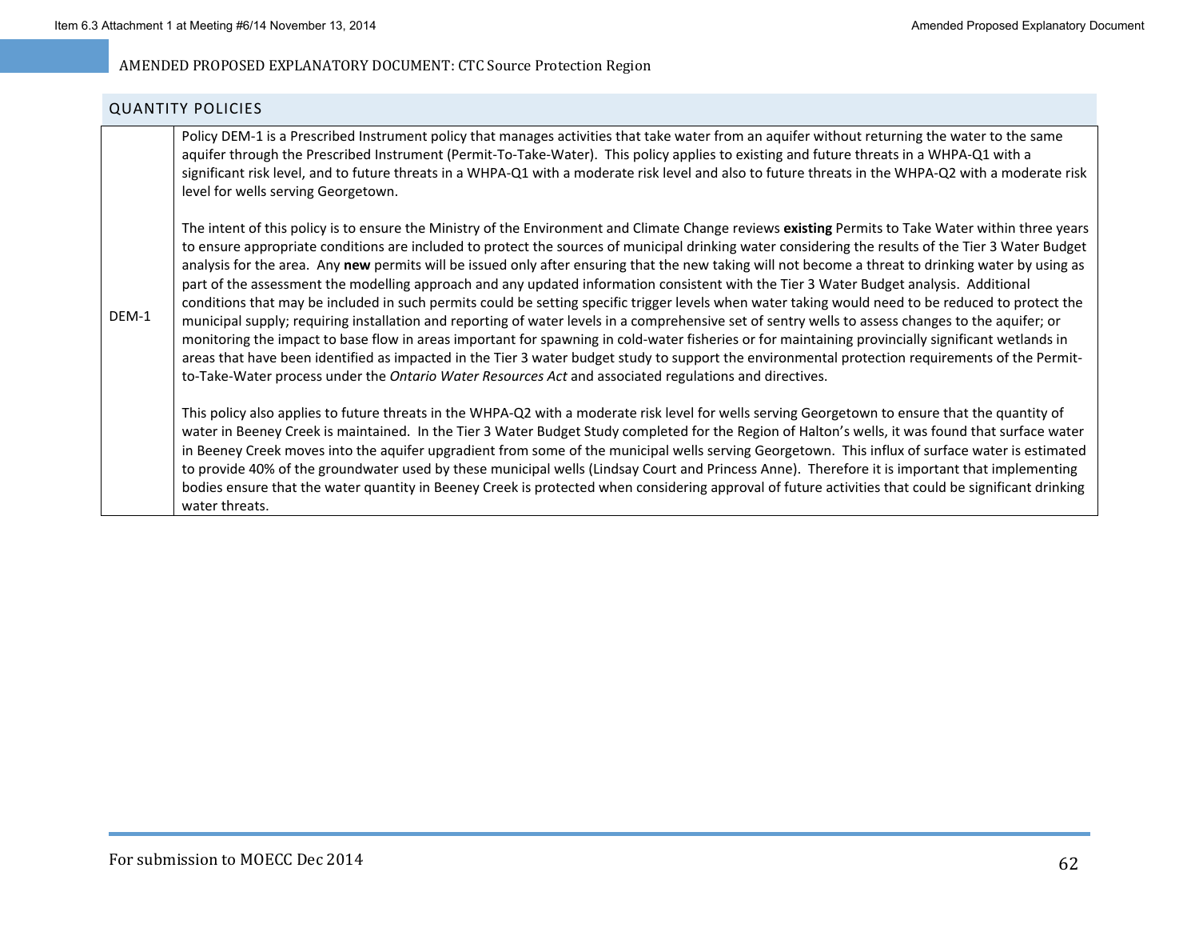#### QUANTITY POLICIES

DEM-1

Policy DEM-1 is a Prescribed Instrument policy that manages activities that take water from an aquifer without returning the water to the same aquifer through the Prescribed Instrument (Permit-To-Take-Water). This policy applies to existing and future threats in a WHPA-Q1 with a significant risk level, and to future threats in <sup>a</sup> WHPA‐Q1 with <sup>a</sup> moderate risk level and also to future threats in the WHPA‐Q2 with <sup>a</sup> moderate risk level for wells serving Georgetown.

The intent of this policy is to ensure the Ministry of the Environment and Climate Change reviews **existing** Permits to Take Water within three years to ensure appropriate conditions are included to protect the sources of municipal drinking water considering the results of the Tier 3 Water Budget analysis for the area. Any **new** permits will be issued only after ensuring that the new taking will not become <sup>a</sup> threat to drinking water by using as part of the assessment the modelling approach and any updated information consistent with the Tier 3 Water Budget analysis. Additional conditions that may be included in such permits could be setting specific trigger levels when water taking would need to be reduced to protect the municipal supply; requiring installation and reporting of water levels in <sup>a</sup> comprehensive set of sentry wells to assess changes to the aquifer; or monitoring the impact to base flow in areas important for spawning in cold‐water fisheries or for maintaining provincially significant wetlands in areas that have been identified as impacted in the Tier 3 water budget study to support the environmental protection requirements of the Permit‐ to‐Take‐Water process under the *Ontario Water Resources Act* and associated regulations and directives.

This policy also applies to future threats in the WHPA‐Q2 with <sup>a</sup> moderate risk level for wells serving Georgetown to ensure that the quantity of water in Beeney Creek is maintained. In the Tier 3 Water Budget Study completed for the Region of Halton's wells, it was found that surface water in Beeney Creek moves into the aquifer upgradient from some of the municipal wells serving Georgetown. This influx of surface water is estimated to provide 40% of the groundwater used by these municipal wells (Lindsay Court and Princess Anne). Therefore it is important that implementing bodies ensure that the water quantity in Beeney Creek is protected when considering approval of future activities that could be significant drinking water threats.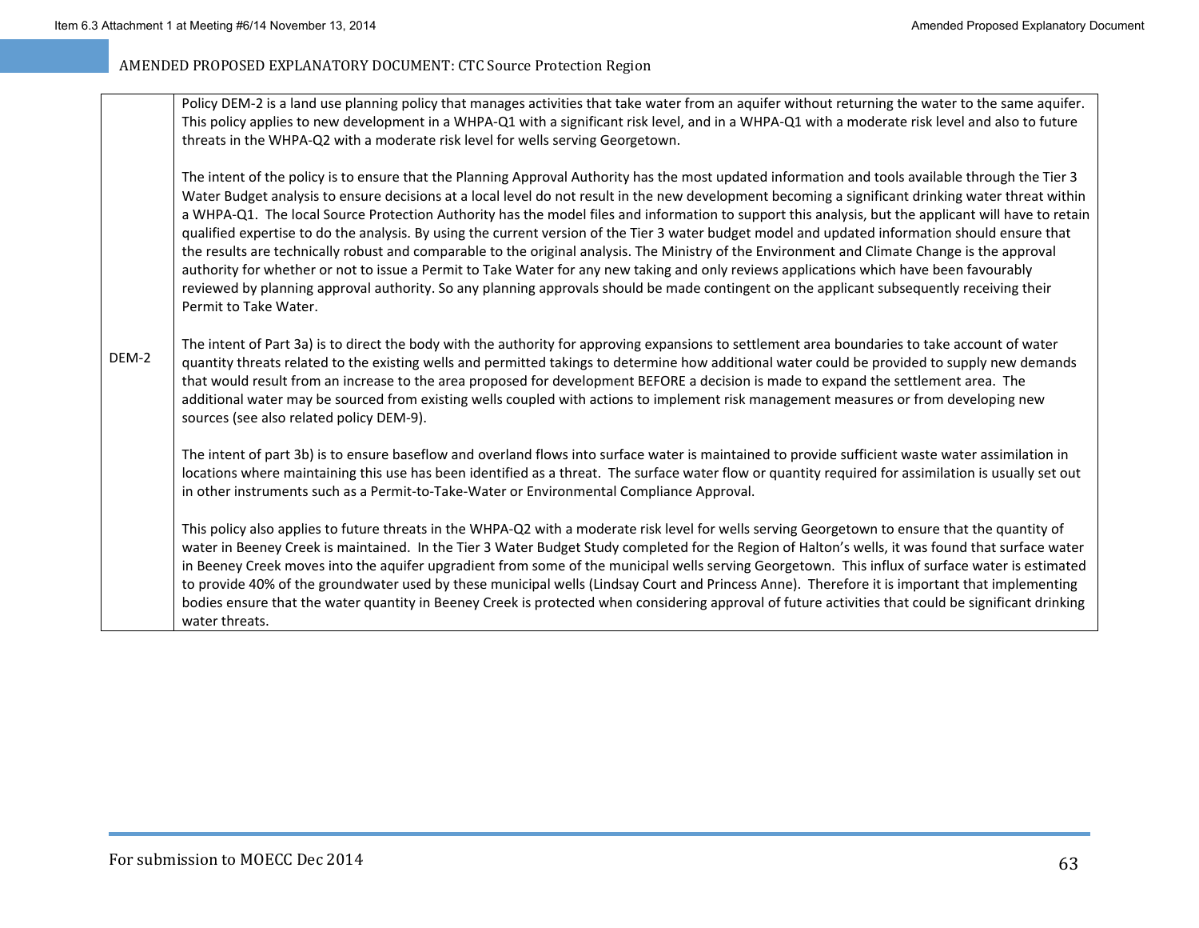Policy DEM-2 is a land use planning policy that manages activities that take water from an aquifer without returning the water to the same aquifer. This policy applies to new development in <sup>a</sup> WHPA‐Q1 with <sup>a</sup> significant risk level, and in <sup>a</sup> WHPA‐Q1 with <sup>a</sup> moderate risk level and also to future threats in the WHPA‐Q2 with <sup>a</sup> moderate risk level for wells serving Georgetown.

The intent of the policy is to ensure that the Planning Approval Authority has the most updated information and tools available through the Tier 3 Water Budget analysis to ensure decisions at <sup>a</sup> local level do not result in the new development becoming <sup>a</sup> significant drinking water threat within a WHPA‐Q1. The local Source Protection Authority has the model files and information to support this analysis, but the applicant will have to retain qualified expertise to do the analysis. By using the current version of the Tier 3 water budget model and updated information should ensure that the results are technically robust and comparable to the original analysis. The Ministry of the Environment and Climate Change is the approval authority for whether or not to issue <sup>a</sup> Permit to Take Water for any new taking and only reviews applications which have been favourably reviewed by planning approval authority. So any planning approvals should be made contingent on the applicant subsequently receiving their Permit to Take Water.

DEM‐2The intent of Part 3a) is to direct the body with the authority for approving expansions to settlement area boundaries to take account of water quantity threats related to the existing wells and permitted takings to determine how additional water could be provided to supply new demands that would result from an increase to the area proposed for development BEFORE <sup>a</sup> decision is made to expand the settlement area. The additional water may be sourced from existing wells coupled with actions to implement risk management measures or from developing new sources (see also related policy DEM‐9).

The intent of part 3b) is to ensure baseflow and overland flows into surface water is maintained to provide sufficient waste water assimilation in locations where maintaining this use has been identified as <sup>a</sup> threat. The surface water flow or quantity required for assimilation is usually set out in other instruments such as <sup>a</sup> Permit‐to‐Take‐Water or Environmental Compliance Approval.

This policy also applies to future threats in the WHPA‐Q2 with <sup>a</sup> moderate risk level for wells serving Georgetown to ensure that the quantity of water in Beeney Creek is maintained. In the Tier 3 Water Budget Study completed for the Region of Halton's wells, it was found that surface water in Beeney Creek moves into the aquifer upgradient from some of the municipal wells serving Georgetown. This influx of surface water is estimated to provide 40% of the groundwater used by these municipal wells (Lindsay Court and Princess Anne). Therefore it is important that implementing bodies ensure that the water quantity in Beeney Creek is protected when considering approval of future activities that could be significant drinking water threats.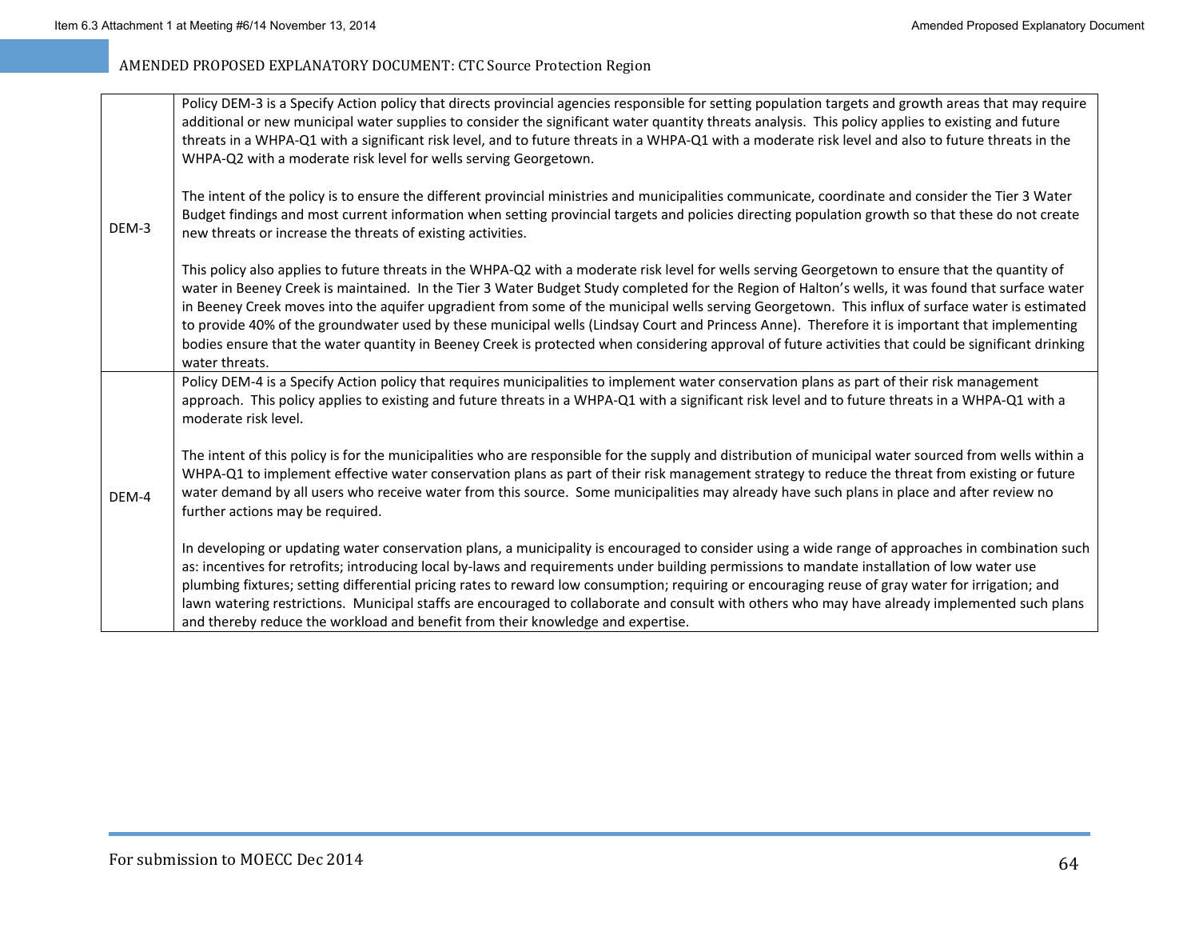| DEM-3 | Policy DEM-3 is a Specify Action policy that directs provincial agencies responsible for setting population targets and growth areas that may require<br>additional or new municipal water supplies to consider the significant water quantity threats analysis. This policy applies to existing and future<br>threats in a WHPA-Q1 with a significant risk level, and to future threats in a WHPA-Q1 with a moderate risk level and also to future threats in the<br>WHPA-Q2 with a moderate risk level for wells serving Georgetown.                                                                                                                                                                                                                                                |
|-------|---------------------------------------------------------------------------------------------------------------------------------------------------------------------------------------------------------------------------------------------------------------------------------------------------------------------------------------------------------------------------------------------------------------------------------------------------------------------------------------------------------------------------------------------------------------------------------------------------------------------------------------------------------------------------------------------------------------------------------------------------------------------------------------|
|       | The intent of the policy is to ensure the different provincial ministries and municipalities communicate, coordinate and consider the Tier 3 Water<br>Budget findings and most current information when setting provincial targets and policies directing population growth so that these do not create<br>new threats or increase the threats of existing activities.                                                                                                                                                                                                                                                                                                                                                                                                                |
|       | This policy also applies to future threats in the WHPA-Q2 with a moderate risk level for wells serving Georgetown to ensure that the quantity of<br>water in Beeney Creek is maintained. In the Tier 3 Water Budget Study completed for the Region of Halton's wells, it was found that surface water<br>in Beeney Creek moves into the aquifer upgradient from some of the municipal wells serving Georgetown. This influx of surface water is estimated<br>to provide 40% of the groundwater used by these municipal wells (Lindsay Court and Princess Anne). Therefore it is important that implementing<br>bodies ensure that the water quantity in Beeney Creek is protected when considering approval of future activities that could be significant drinking<br>water threats. |
|       | Policy DEM-4 is a Specify Action policy that requires municipalities to implement water conservation plans as part of their risk management<br>approach. This policy applies to existing and future threats in a WHPA-Q1 with a significant risk level and to future threats in a WHPA-Q1 with a<br>moderate risk level.                                                                                                                                                                                                                                                                                                                                                                                                                                                              |
| DEM-4 | The intent of this policy is for the municipalities who are responsible for the supply and distribution of municipal water sourced from wells within a<br>WHPA-Q1 to implement effective water conservation plans as part of their risk management strategy to reduce the threat from existing or future<br>water demand by all users who receive water from this source. Some municipalities may already have such plans in place and after review no<br>further actions may be required.                                                                                                                                                                                                                                                                                            |
|       | In developing or updating water conservation plans, a municipality is encouraged to consider using a wide range of approaches in combination such<br>as: incentives for retrofits; introducing local by-laws and requirements under building permissions to mandate installation of low water use<br>plumbing fixtures; setting differential pricing rates to reward low consumption; requiring or encouraging reuse of gray water for irrigation; and<br>lawn watering restrictions. Municipal staffs are encouraged to collaborate and consult with others who may have already implemented such plans<br>and thereby reduce the workload and benefit from their knowledge and expertise.                                                                                           |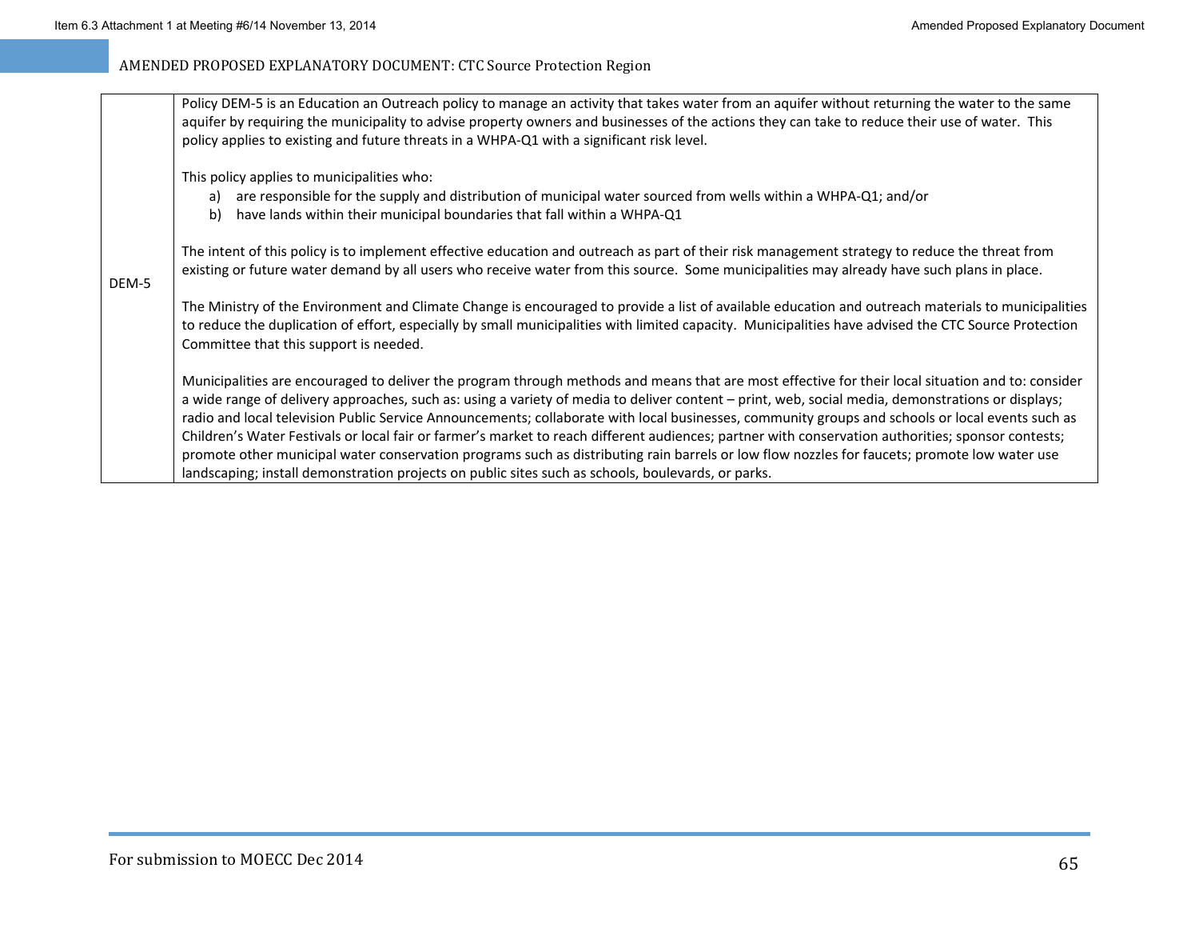|       | Policy DEM-5 is an Education an Outreach policy to manage an activity that takes water from an aquifer without returning the water to the same<br>aquifer by requiring the municipality to advise property owners and businesses of the actions they can take to reduce their use of water. This<br>policy applies to existing and future threats in a WHPA-Q1 with a significant risk level.                                                                                                                                                                                                                                                                                                                                                                                                                                                                          |
|-------|------------------------------------------------------------------------------------------------------------------------------------------------------------------------------------------------------------------------------------------------------------------------------------------------------------------------------------------------------------------------------------------------------------------------------------------------------------------------------------------------------------------------------------------------------------------------------------------------------------------------------------------------------------------------------------------------------------------------------------------------------------------------------------------------------------------------------------------------------------------------|
|       | This policy applies to municipalities who:<br>are responsible for the supply and distribution of municipal water sourced from wells within a WHPA-Q1; and/or<br>a)<br>have lands within their municipal boundaries that fall within a WHPA-Q1<br>b)                                                                                                                                                                                                                                                                                                                                                                                                                                                                                                                                                                                                                    |
| DEM-5 | The intent of this policy is to implement effective education and outreach as part of their risk management strategy to reduce the threat from<br>existing or future water demand by all users who receive water from this source. Some municipalities may already have such plans in place.                                                                                                                                                                                                                                                                                                                                                                                                                                                                                                                                                                           |
|       | The Ministry of the Environment and Climate Change is encouraged to provide a list of available education and outreach materials to municipalities<br>to reduce the duplication of effort, especially by small municipalities with limited capacity. Municipalities have advised the CTC Source Protection<br>Committee that this support is needed.                                                                                                                                                                                                                                                                                                                                                                                                                                                                                                                   |
|       | Municipalities are encouraged to deliver the program through methods and means that are most effective for their local situation and to: consider<br>a wide range of delivery approaches, such as: using a variety of media to deliver content – print, web, social media, demonstrations or displays;<br>radio and local television Public Service Announcements; collaborate with local businesses, community groups and schools or local events such as<br>Children's Water Festivals or local fair or farmer's market to reach different audiences; partner with conservation authorities; sponsor contests;<br>promote other municipal water conservation programs such as distributing rain barrels or low flow nozzles for faucets; promote low water use<br>landscaping; install demonstration projects on public sites such as schools, boulevards, or parks. |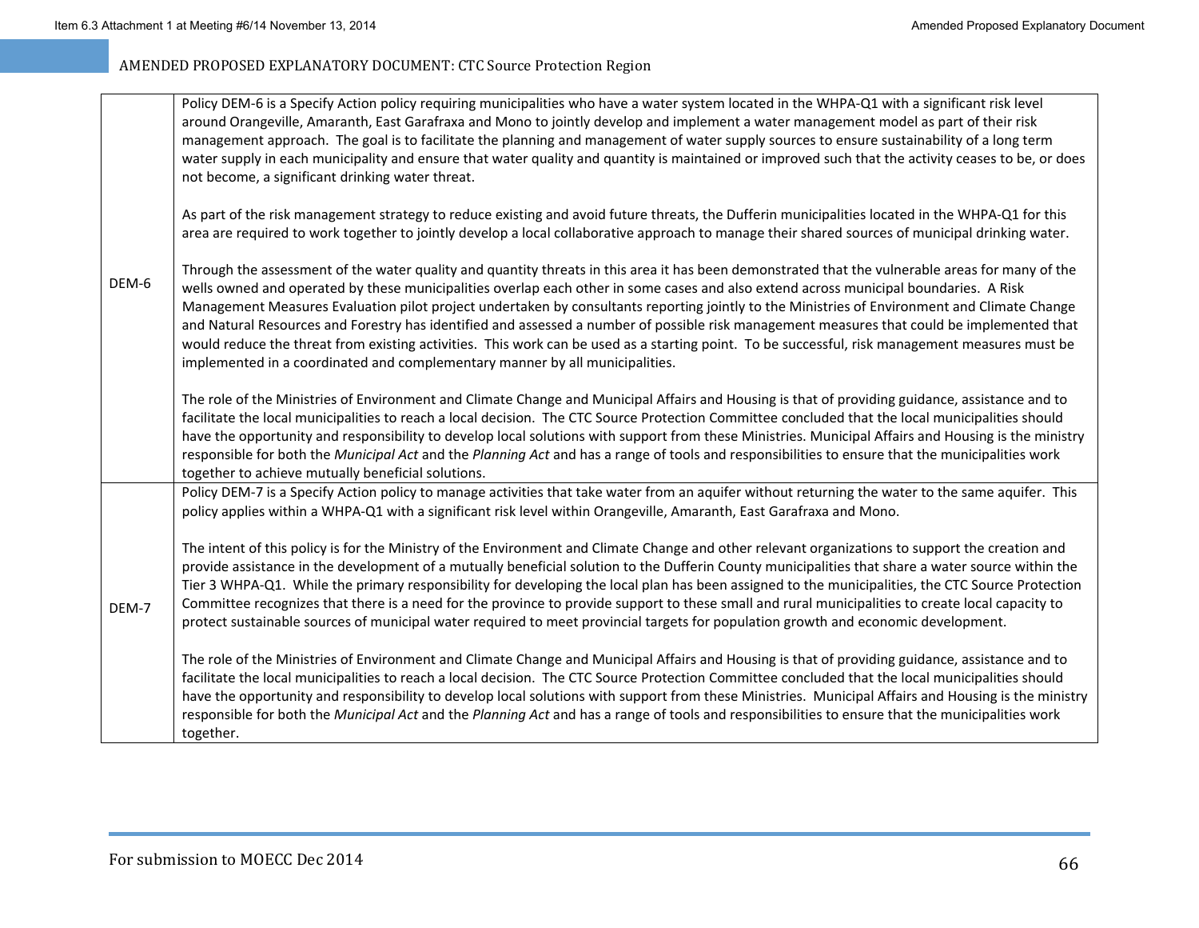|       | Policy DEM-6 is a Specify Action policy requiring municipalities who have a water system located in the WHPA-Q1 with a significant risk level<br>around Orangeville, Amaranth, East Garafraxa and Mono to jointly develop and implement a water management model as part of their risk<br>management approach. The goal is to facilitate the planning and management of water supply sources to ensure sustainability of a long term<br>water supply in each municipality and ensure that water quality and quantity is maintained or improved such that the activity ceases to be, or does<br>not become, a significant drinking water threat.                                                                                                                                                                             |
|-------|-----------------------------------------------------------------------------------------------------------------------------------------------------------------------------------------------------------------------------------------------------------------------------------------------------------------------------------------------------------------------------------------------------------------------------------------------------------------------------------------------------------------------------------------------------------------------------------------------------------------------------------------------------------------------------------------------------------------------------------------------------------------------------------------------------------------------------|
|       | As part of the risk management strategy to reduce existing and avoid future threats, the Dufferin municipalities located in the WHPA-Q1 for this<br>area are required to work together to jointly develop a local collaborative approach to manage their shared sources of municipal drinking water.                                                                                                                                                                                                                                                                                                                                                                                                                                                                                                                        |
| DEM-6 | Through the assessment of the water quality and quantity threats in this area it has been demonstrated that the vulnerable areas for many of the<br>wells owned and operated by these municipalities overlap each other in some cases and also extend across municipal boundaries. A Risk<br>Management Measures Evaluation pilot project undertaken by consultants reporting jointly to the Ministries of Environment and Climate Change<br>and Natural Resources and Forestry has identified and assessed a number of possible risk management measures that could be implemented that<br>would reduce the threat from existing activities. This work can be used as a starting point. To be successful, risk management measures must be<br>implemented in a coordinated and complementary manner by all municipalities. |
|       | The role of the Ministries of Environment and Climate Change and Municipal Affairs and Housing is that of providing guidance, assistance and to<br>facilitate the local municipalities to reach a local decision. The CTC Source Protection Committee concluded that the local municipalities should<br>have the opportunity and responsibility to develop local solutions with support from these Ministries. Municipal Affairs and Housing is the ministry<br>responsible for both the Municipal Act and the Planning Act and has a range of tools and responsibilities to ensure that the municipalities work<br>together to achieve mutually beneficial solutions.                                                                                                                                                      |
|       | Policy DEM-7 is a Specify Action policy to manage activities that take water from an aquifer without returning the water to the same aquifer. This<br>policy applies within a WHPA-Q1 with a significant risk level within Orangeville, Amaranth, East Garafraxa and Mono.                                                                                                                                                                                                                                                                                                                                                                                                                                                                                                                                                  |
| DEM-7 | The intent of this policy is for the Ministry of the Environment and Climate Change and other relevant organizations to support the creation and<br>provide assistance in the development of a mutually beneficial solution to the Dufferin County municipalities that share a water source within the<br>Tier 3 WHPA-Q1. While the primary responsibility for developing the local plan has been assigned to the municipalities, the CTC Source Protection<br>Committee recognizes that there is a need for the province to provide support to these small and rural municipalities to create local capacity to<br>protect sustainable sources of municipal water required to meet provincial targets for population growth and economic development.                                                                      |
|       | The role of the Ministries of Environment and Climate Change and Municipal Affairs and Housing is that of providing guidance, assistance and to<br>facilitate the local municipalities to reach a local decision. The CTC Source Protection Committee concluded that the local municipalities should<br>have the opportunity and responsibility to develop local solutions with support from these Ministries. Municipal Affairs and Housing is the ministry<br>responsible for both the Municipal Act and the Planning Act and has a range of tools and responsibilities to ensure that the municipalities work<br>together.                                                                                                                                                                                               |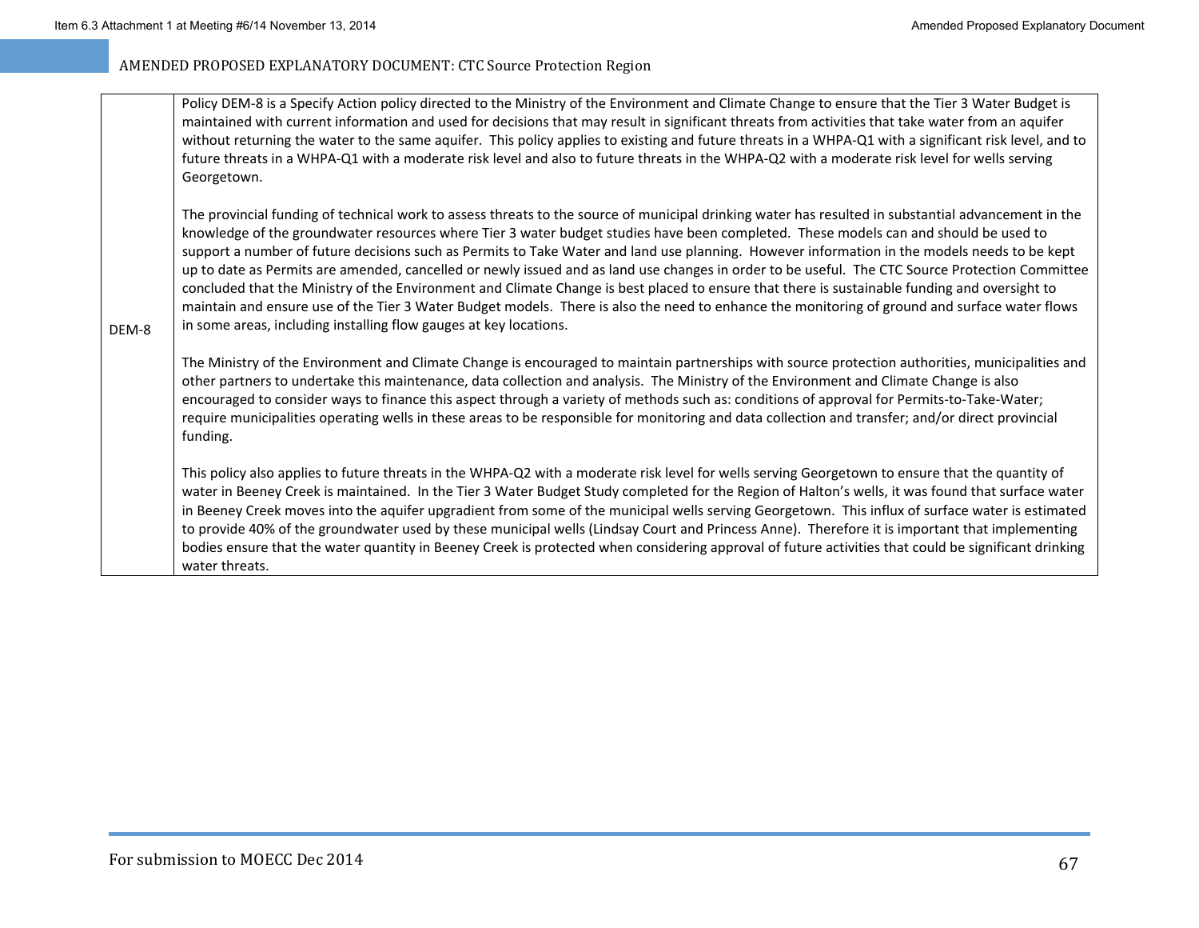|       | Policy DEM-8 is a Specify Action policy directed to the Ministry of the Environment and Climate Change to ensure that the Tier 3 Water Budget is<br>maintained with current information and used for decisions that may result in significant threats from activities that take water from an aquifer<br>without returning the water to the same aquifer. This policy applies to existing and future threats in a WHPA-Q1 with a significant risk level, and to<br>future threats in a WHPA-Q1 with a moderate risk level and also to future threats in the WHPA-Q2 with a moderate risk level for wells serving<br>Georgetown.                                                                                                                                                                                                                                                                                                                                       |  |
|-------|-----------------------------------------------------------------------------------------------------------------------------------------------------------------------------------------------------------------------------------------------------------------------------------------------------------------------------------------------------------------------------------------------------------------------------------------------------------------------------------------------------------------------------------------------------------------------------------------------------------------------------------------------------------------------------------------------------------------------------------------------------------------------------------------------------------------------------------------------------------------------------------------------------------------------------------------------------------------------|--|
| DEM-8 | The provincial funding of technical work to assess threats to the source of municipal drinking water has resulted in substantial advancement in the<br>knowledge of the groundwater resources where Tier 3 water budget studies have been completed. These models can and should be used to<br>support a number of future decisions such as Permits to Take Water and land use planning. However information in the models needs to be kept<br>up to date as Permits are amended, cancelled or newly issued and as land use changes in order to be useful. The CTC Source Protection Committee<br>concluded that the Ministry of the Environment and Climate Change is best placed to ensure that there is sustainable funding and oversight to<br>maintain and ensure use of the Tier 3 Water Budget models. There is also the need to enhance the monitoring of ground and surface water flows<br>in some areas, including installing flow gauges at key locations. |  |
|       | The Ministry of the Environment and Climate Change is encouraged to maintain partnerships with source protection authorities, municipalities and<br>other partners to undertake this maintenance, data collection and analysis. The Ministry of the Environment and Climate Change is also<br>encouraged to consider ways to finance this aspect through a variety of methods such as: conditions of approval for Permits-to-Take-Water;<br>require municipalities operating wells in these areas to be responsible for monitoring and data collection and transfer; and/or direct provincial<br>funding.                                                                                                                                                                                                                                                                                                                                                             |  |

This policy also applies to future threats in the WHPA‐Q2 with <sup>a</sup> moderate risk level for wells serving Georgetown to ensure that the quantity of water in Beeney Creek is maintained. In the Tier 3 Water Budget Study completed for the Region of Halton's wells, it was found that surface water in Beeney Creek moves into the aquifer upgradient from some of the municipal wells serving Georgetown. This influx of surface water is estimated to provide 40% of the groundwater used by these municipal wells (Lindsay Court and Princess Anne). Therefore it is important that implementing bodies ensure that the water quantity in Beeney Creek is protected when considering approval of future activities that could be significant drinking water threats.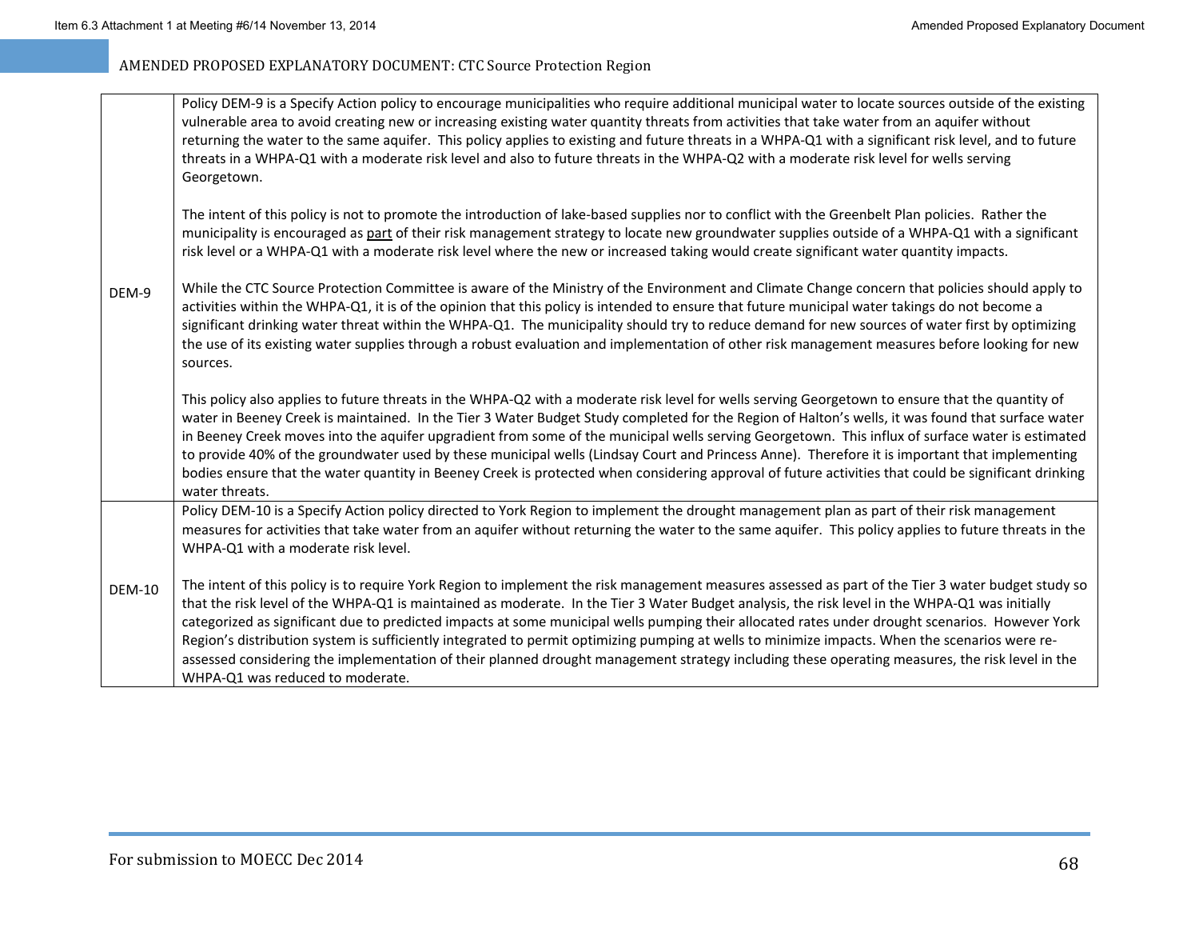| DEM-9         | Policy DEM-9 is a Specify Action policy to encourage municipalities who require additional municipal water to locate sources outside of the existing<br>vulnerable area to avoid creating new or increasing existing water quantity threats from activities that take water from an aquifer without<br>returning the water to the same aquifer. This policy applies to existing and future threats in a WHPA-Q1 with a significant risk level, and to future<br>threats in a WHPA-Q1 with a moderate risk level and also to future threats in the WHPA-Q2 with a moderate risk level for wells serving<br>Georgetown.                                                                                                                                                                           |
|---------------|-------------------------------------------------------------------------------------------------------------------------------------------------------------------------------------------------------------------------------------------------------------------------------------------------------------------------------------------------------------------------------------------------------------------------------------------------------------------------------------------------------------------------------------------------------------------------------------------------------------------------------------------------------------------------------------------------------------------------------------------------------------------------------------------------|
|               | The intent of this policy is not to promote the introduction of lake-based supplies nor to conflict with the Greenbelt Plan policies. Rather the<br>municipality is encouraged as part of their risk management strategy to locate new groundwater supplies outside of a WHPA-Q1 with a significant<br>risk level or a WHPA-Q1 with a moderate risk level where the new or increased taking would create significant water quantity impacts.                                                                                                                                                                                                                                                                                                                                                    |
|               | While the CTC Source Protection Committee is aware of the Ministry of the Environment and Climate Change concern that policies should apply to<br>activities within the WHPA-Q1, it is of the opinion that this policy is intended to ensure that future municipal water takings do not become a<br>significant drinking water threat within the WHPA-Q1. The municipality should try to reduce demand for new sources of water first by optimizing<br>the use of its existing water supplies through a robust evaluation and implementation of other risk management measures before looking for new<br>sources.                                                                                                                                                                               |
|               | This policy also applies to future threats in the WHPA-Q2 with a moderate risk level for wells serving Georgetown to ensure that the quantity of<br>water in Beeney Creek is maintained. In the Tier 3 Water Budget Study completed for the Region of Halton's wells, it was found that surface water<br>in Beeney Creek moves into the aquifer upgradient from some of the municipal wells serving Georgetown. This influx of surface water is estimated<br>to provide 40% of the groundwater used by these municipal wells (Lindsay Court and Princess Anne). Therefore it is important that implementing<br>bodies ensure that the water quantity in Beeney Creek is protected when considering approval of future activities that could be significant drinking<br>water threats.           |
| <b>DEM-10</b> | Policy DEM-10 is a Specify Action policy directed to York Region to implement the drought management plan as part of their risk management<br>measures for activities that take water from an aquifer without returning the water to the same aquifer. This policy applies to future threats in the<br>WHPA-Q1 with a moderate risk level.                                                                                                                                                                                                                                                                                                                                                                                                                                                      |
|               | The intent of this policy is to require York Region to implement the risk management measures assessed as part of the Tier 3 water budget study so<br>that the risk level of the WHPA-Q1 is maintained as moderate. In the Tier 3 Water Budget analysis, the risk level in the WHPA-Q1 was initially<br>categorized as significant due to predicted impacts at some municipal wells pumping their allocated rates under drought scenarios. However York<br>Region's distribution system is sufficiently integrated to permit optimizing pumping at wells to minimize impacts. When the scenarios were re-<br>assessed considering the implementation of their planned drought management strategy including these operating measures, the risk level in the<br>WHPA-Q1 was reduced to moderate. |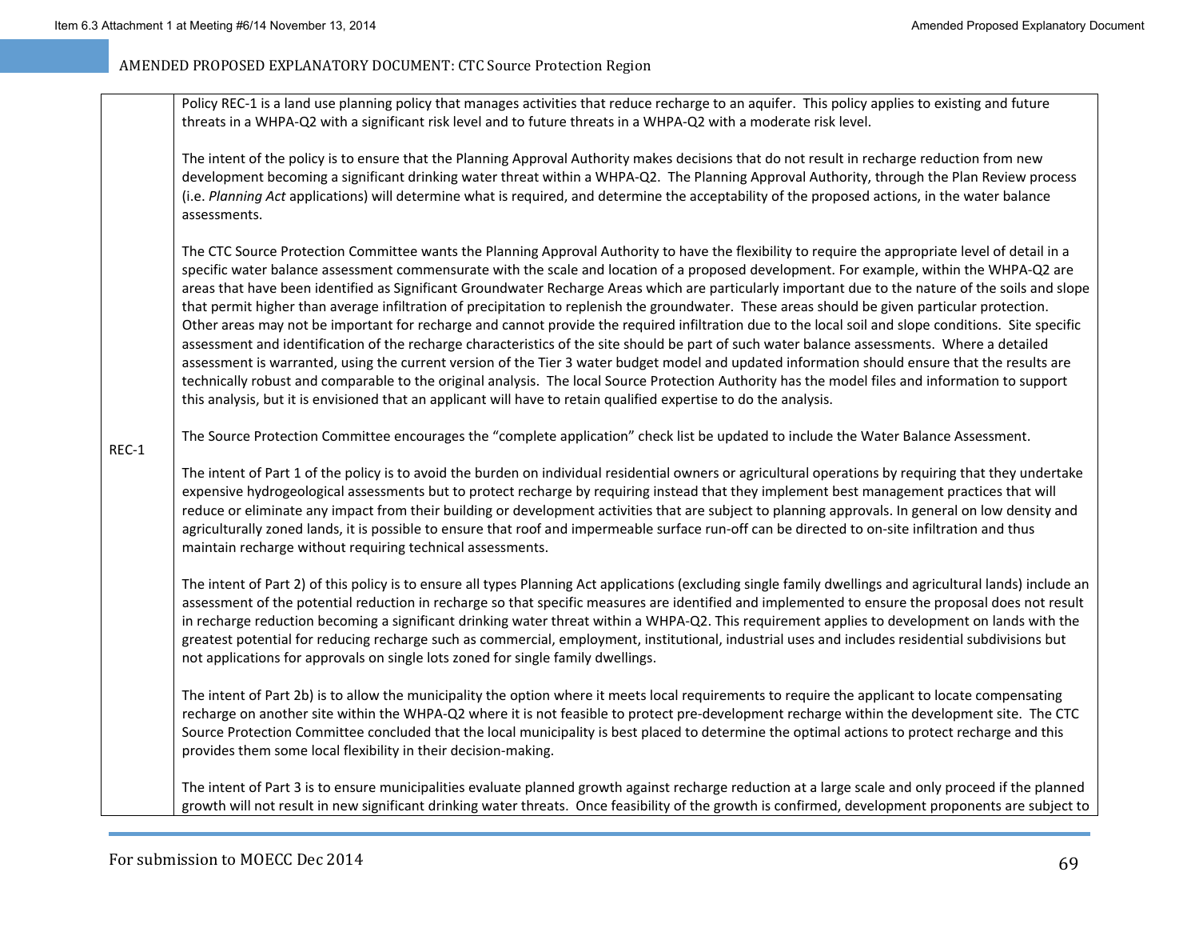Policy REC‐1 is <sup>a</sup> land use planning policy that manages activities that reduce recharge to an aquifer. This policy applies to existing and future threats in <sup>a</sup> WHPA‐Q2 with <sup>a</sup> significant risk level and to future threats in <sup>a</sup> WHPA‐Q2 with <sup>a</sup> moderate risk level.

The intent of the policy is to ensure that the Planning Approval Authority makes decisions that do not result in recharge reduction from new development becoming <sup>a</sup> significant drinking water threat within <sup>a</sup> WHPA‐Q2. The Planning Approval Authority, through the Plan Review process (i.e. *Planning Act* applications) will determine what is required, and determine the acceptability of the proposed actions, in the water balance assessments.

The CTC Source Protection Committee wants the Planning Approval Authority to have the flexibility to require the appropriate level of detail in <sup>a</sup> specific water balance assessment commensurate with the scale and location of <sup>a</sup> proposed development. For example, within the WHPA‐Q2 are areas that have been identified as Significant Groundwater Recharge Areas which are particularly important due to the nature of the soils and slope that permit higher than average infiltration of precipitation to replenish the groundwater. These areas should be given particular protection. Other areas may not be important for recharge and cannot provide the required infiltration due to the local soil and slope conditions. Site specific assessment and identification of the recharge characteristics of the site should be part of such water balance assessments. Where <sup>a</sup> detailed assessment is warranted, using the current version of the Tier 3 water budget model and updated information should ensure that the results are technically robust and comparable to the original analysis. The local Source Protection Authority has the model files and information to support this analysis, but it is envisioned that an applicant will have to retain qualified expertise to do the analysis.

The Source Protection Committee encourages the "complete application" check list be updated to include the Water Balance Assessment.

REC‐1

The intent of Part 1 of the policy is to avoid the burden on individual residential owners or agricultural operations by requiring that they undertake expensive hydrogeological assessments but to protect recharge by requiring instead that they implement best management practices that will reduce or eliminate any impact from their building or development activities that are subject to planning approvals. In general on low density and agriculturally zoned lands, it is possible to ensure that roof and impermeable surface run-off can be directed to on-site infiltration and thus maintain recharge without requiring technical assessments.

The intent of Part 2) of this policy is to ensure all types Planning Act applications (excluding single family dwellings and agricultural lands) include an assessment of the potential reduction in recharge so that specific measures are identified and implemented to ensure the proposal does not result in recharge reduction becoming <sup>a</sup> significant drinking water threat within <sup>a</sup> WHPA‐Q2. This requirement applies to development on lands with the greatest potential for reducing recharge such as commercial, employment, institutional, industrial uses and includes residential subdivisions but not applications for approvals on single lots zoned for single family dwellings.

The intent of Part 2b) is to allow the municipality the option where it meets local requirements to require the applicant to locate compensating recharge on another site within the WHPA‐Q2 where it is not feasible to protect pre‐development recharge within the development site. The CTC Source Protection Committee concluded that the local municipality is best placed to determine the optimal actions to protect recharge and this provides them some local flexibility in their decision‐making.

The intent of Part 3 is to ensure municipalities evaluate planned growth against recharge reduction at <sup>a</sup> large scale and only proceed if the planned growth will not result in new significant drinking water threats. Once feasibility of the growth is confirmed, development proponents are subject to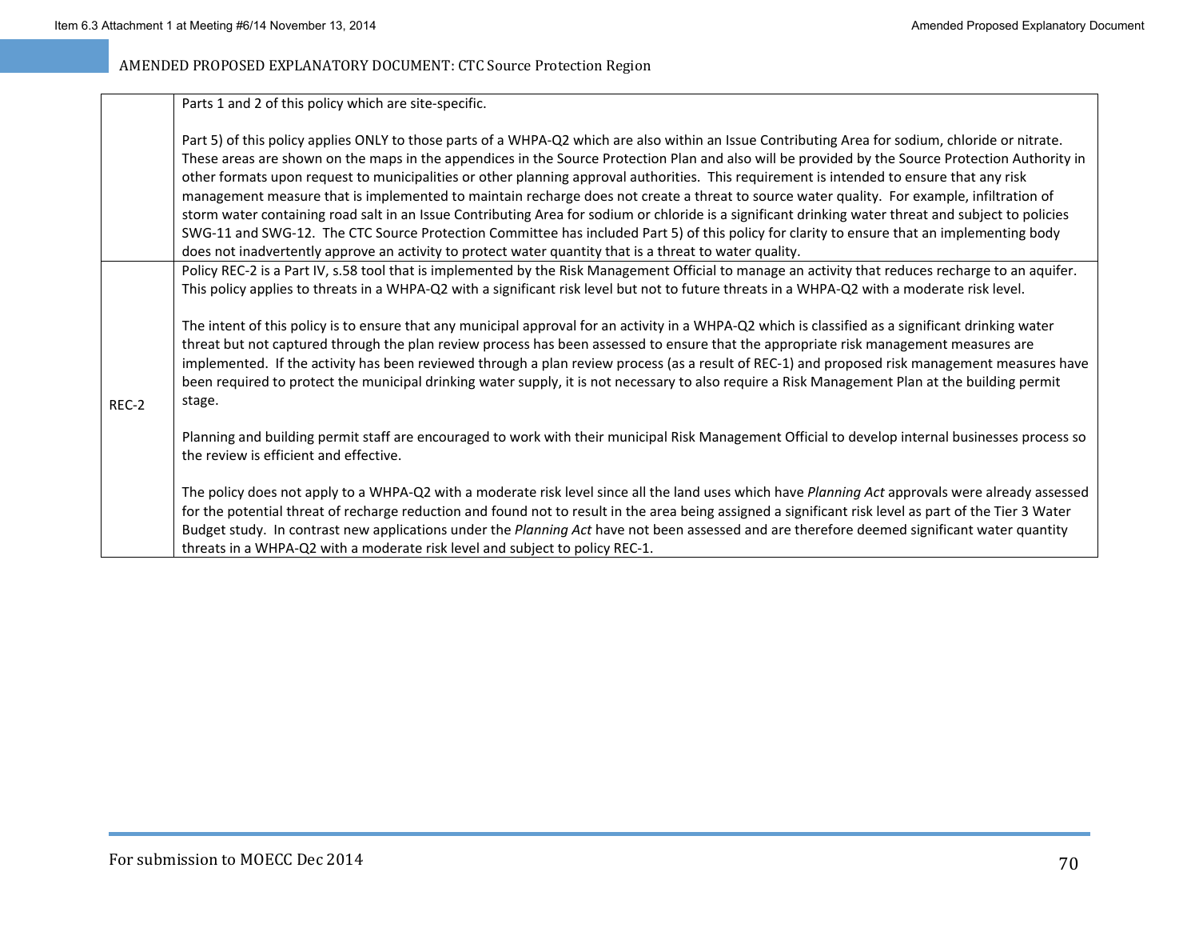Parts 1 and 2 of this policy which are site‐specific.

|       | Part 5) of this policy applies ONLY to those parts of a WHPA-Q2 which are also within an Issue Contributing Area for sodium, chloride or nitrate.<br>These areas are shown on the maps in the appendices in the Source Protection Plan and also will be provided by the Source Protection Authority in<br>other formats upon request to municipalities or other planning approval authorities. This requirement is intended to ensure that any risk<br>management measure that is implemented to maintain recharge does not create a threat to source water quality. For example, infiltration of<br>storm water containing road salt in an Issue Contributing Area for sodium or chloride is a significant drinking water threat and subject to policies<br>SWG-11 and SWG-12. The CTC Source Protection Committee has included Part 5) of this policy for clarity to ensure that an implementing body<br>does not inadvertently approve an activity to protect water quantity that is a threat to water quality. |
|-------|--------------------------------------------------------------------------------------------------------------------------------------------------------------------------------------------------------------------------------------------------------------------------------------------------------------------------------------------------------------------------------------------------------------------------------------------------------------------------------------------------------------------------------------------------------------------------------------------------------------------------------------------------------------------------------------------------------------------------------------------------------------------------------------------------------------------------------------------------------------------------------------------------------------------------------------------------------------------------------------------------------------------|
|       | Policy REC-2 is a Part IV, s.58 tool that is implemented by the Risk Management Official to manage an activity that reduces recharge to an aquifer.<br>This policy applies to threats in a WHPA-Q2 with a significant risk level but not to future threats in a WHPA-Q2 with a moderate risk level.<br>The intent of this policy is to ensure that any municipal approval for an activity in a WHPA-Q2 which is classified as a significant drinking water<br>threat but not captured through the plan review process has been assessed to ensure that the appropriate risk management measures are                                                                                                                                                                                                                                                                                                                                                                                                                |
| REC-2 | implemented. If the activity has been reviewed through a plan review process (as a result of REC-1) and proposed risk management measures have<br>been required to protect the municipal drinking water supply, it is not necessary to also require a Risk Management Plan at the building permit<br>stage.                                                                                                                                                                                                                                                                                                                                                                                                                                                                                                                                                                                                                                                                                                        |
|       | Planning and building permit staff are encouraged to work with their municipal Risk Management Official to develop internal businesses process so<br>the review is efficient and effective.                                                                                                                                                                                                                                                                                                                                                                                                                                                                                                                                                                                                                                                                                                                                                                                                                        |
|       | The policy does not apply to a WHPA-Q2 with a moderate risk level since all the land uses which have Planning Act approvals were already assessed<br>for the potential threat of recharge reduction and found not to result in the area being assigned a significant risk level as part of the Tier 3 Water                                                                                                                                                                                                                                                                                                                                                                                                                                                                                                                                                                                                                                                                                                        |
|       | Budget study. In contrast new applications under the Planning Act have not been assessed and are therefore deemed significant water quantity<br>threats in a WHPA-Q2 with a moderate risk level and subject to policy REC-1.                                                                                                                                                                                                                                                                                                                                                                                                                                                                                                                                                                                                                                                                                                                                                                                       |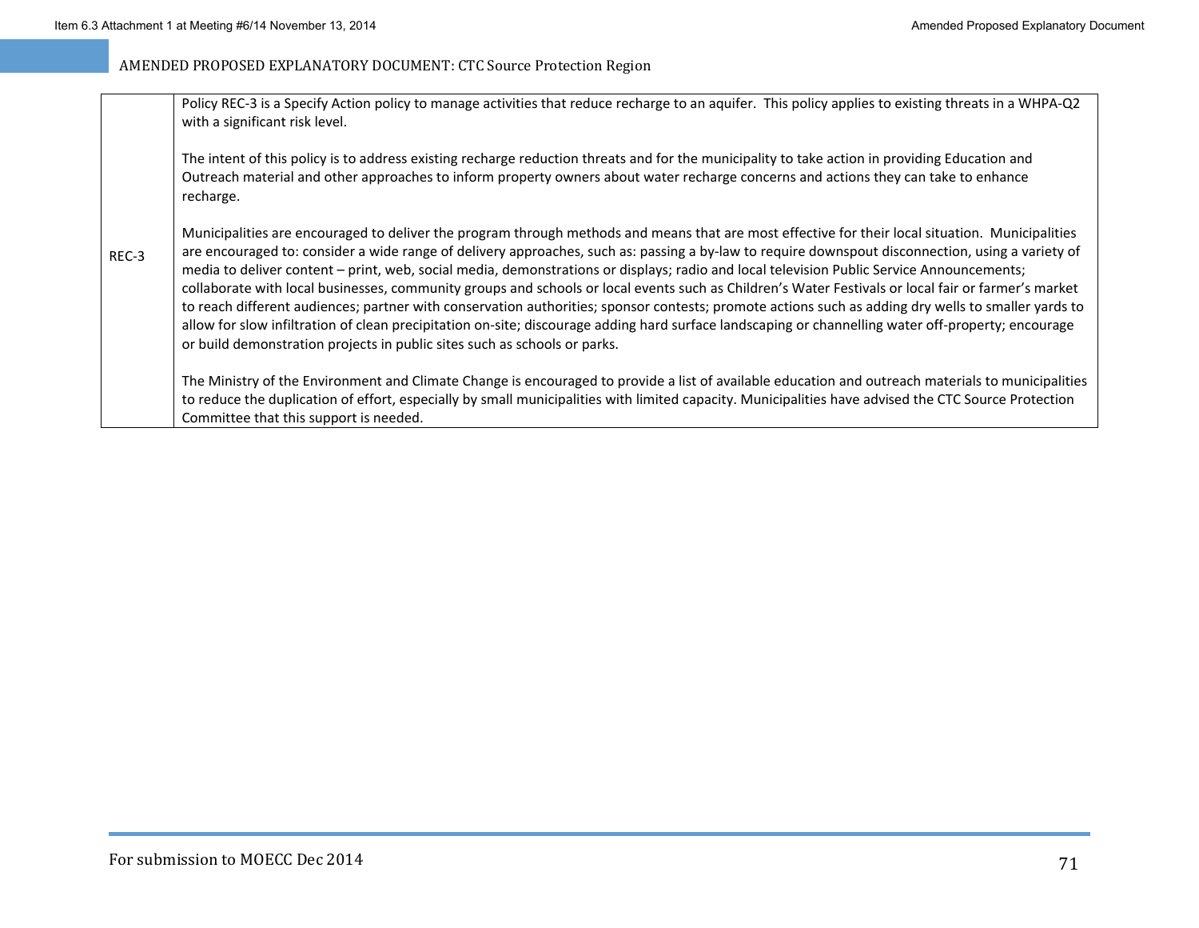| REC-3 | Policy REC-3 is a Specify Action policy to manage activities that reduce recharge to an aquifer. This policy applies to existing threats in a WHPA-Q2<br>with a significant risk level.                                                                                                                                                                                                                                                                                                                                                                                                                                                                                                                                                                                                                                                                                                                                                                                                              |
|-------|------------------------------------------------------------------------------------------------------------------------------------------------------------------------------------------------------------------------------------------------------------------------------------------------------------------------------------------------------------------------------------------------------------------------------------------------------------------------------------------------------------------------------------------------------------------------------------------------------------------------------------------------------------------------------------------------------------------------------------------------------------------------------------------------------------------------------------------------------------------------------------------------------------------------------------------------------------------------------------------------------|
|       | The intent of this policy is to address existing recharge reduction threats and for the municipality to take action in providing Education and<br>Outreach material and other approaches to inform property owners about water recharge concerns and actions they can take to enhance<br>recharge.                                                                                                                                                                                                                                                                                                                                                                                                                                                                                                                                                                                                                                                                                                   |
|       | Municipalities are encouraged to deliver the program through methods and means that are most effective for their local situation. Municipalities<br>are encouraged to: consider a wide range of delivery approaches, such as: passing a by-law to require downspout disconnection, using a variety of<br>media to deliver content - print, web, social media, demonstrations or displays; radio and local television Public Service Announcements;<br>collaborate with local businesses, community groups and schools or local events such as Children's Water Festivals or local fair or farmer's market<br>to reach different audiences; partner with conservation authorities; sponsor contests; promote actions such as adding dry wells to smaller yards to<br>allow for slow infiltration of clean precipitation on-site; discourage adding hard surface landscaping or channelling water off-property; encourage<br>or build demonstration projects in public sites such as schools or parks. |
|       | The Ministry of the Environment and Climate Change is encouraged to provide a list of available education and outreach materials to municipalities<br>to reduce the duplication of effort, especially by small municipalities with limited capacity. Municipalities have advised the CTC Source Protection<br>Committee that this support is needed.                                                                                                                                                                                                                                                                                                                                                                                                                                                                                                                                                                                                                                                 |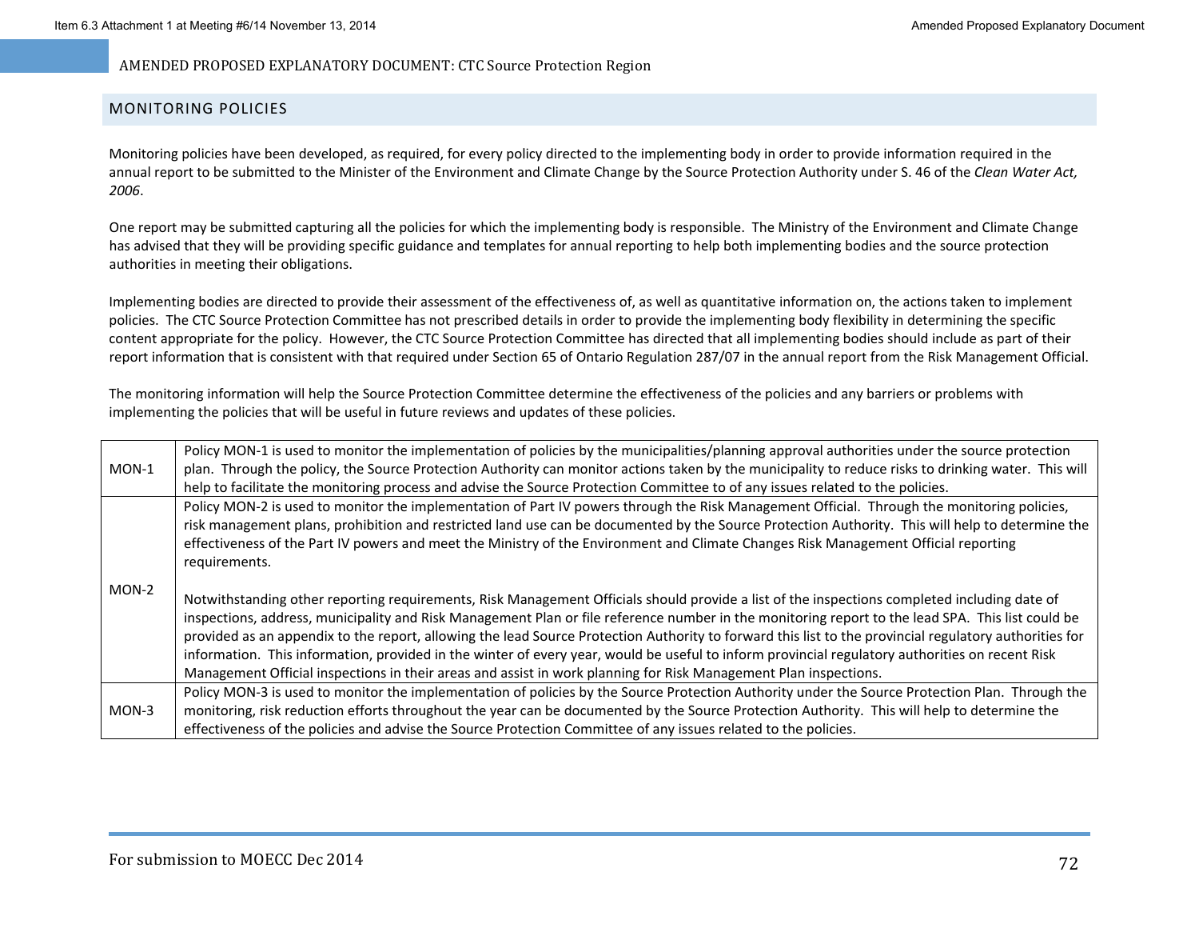### MONITORING POLICIES

Monitoring policies have been developed, as required, for every policy directed to the implementing body in order to provide information required in the annual report to be submitted to the Minister of the Environment and Climate Change by the Source Protection Authority under S. 46 of the *Clean Water Act, 2006*.

One report may be submitted capturing all the policies for which the implementing body is responsible. The Ministry of the Environment and Climate Change has advised that they will be providing specific guidance and templates for annual reporting to help both implementing bodies and the source protection authorities in meeting their obligations.

Implementing bodies are directed to provide their assessment of the effectiveness of, as well as quantitative information on, the actions taken to implement policies. The CTC Source Protection Committee has not prescribed details in order to provide the implementing body flexibility in determining the specific content appropriate for the policy. However, the CTC Source Protection Committee has directed that all implementing bodies should include as part of their report information that is consistent with that required under Section 65 of Ontario Regulation 287/07 in the annual report from the Risk Management Official.

The monitoring information will help the Source Protection Committee determine the effectiveness of the policies and any barriers or problems with implementing the policies that will be useful in future reviews and updates of these policies.

| $MON-1$ | Policy MON-1 is used to monitor the implementation of policies by the municipalities/planning approval authorities under the source protection<br>plan. Through the policy, the Source Protection Authority can monitor actions taken by the municipality to reduce risks to drinking water. This will<br>help to facilitate the monitoring process and advise the Source Protection Committee to of any issues related to the policies.                                                                                                                                                                                                                                                                                           |
|---------|------------------------------------------------------------------------------------------------------------------------------------------------------------------------------------------------------------------------------------------------------------------------------------------------------------------------------------------------------------------------------------------------------------------------------------------------------------------------------------------------------------------------------------------------------------------------------------------------------------------------------------------------------------------------------------------------------------------------------------|
|         | Policy MON-2 is used to monitor the implementation of Part IV powers through the Risk Management Official. Through the monitoring policies,<br>risk management plans, prohibition and restricted land use can be documented by the Source Protection Authority. This will help to determine the<br>effectiveness of the Part IV powers and meet the Ministry of the Environment and Climate Changes Risk Management Official reporting<br>requirements.                                                                                                                                                                                                                                                                            |
| $MON-2$ | Notwithstanding other reporting requirements, Risk Management Officials should provide a list of the inspections completed including date of<br>inspections, address, municipality and Risk Management Plan or file reference number in the monitoring report to the lead SPA. This list could be<br>provided as an appendix to the report, allowing the lead Source Protection Authority to forward this list to the provincial regulatory authorities for<br>information. This information, provided in the winter of every year, would be useful to inform provincial regulatory authorities on recent Risk<br>Management Official inspections in their areas and assist in work planning for Risk Management Plan inspections. |
| $MON-3$ | Policy MON-3 is used to monitor the implementation of policies by the Source Protection Authority under the Source Protection Plan. Through the<br>monitoring, risk reduction efforts throughout the year can be documented by the Source Protection Authority. This will help to determine the<br>effectiveness of the policies and advise the Source Protection Committee of any issues related to the policies.                                                                                                                                                                                                                                                                                                                 |